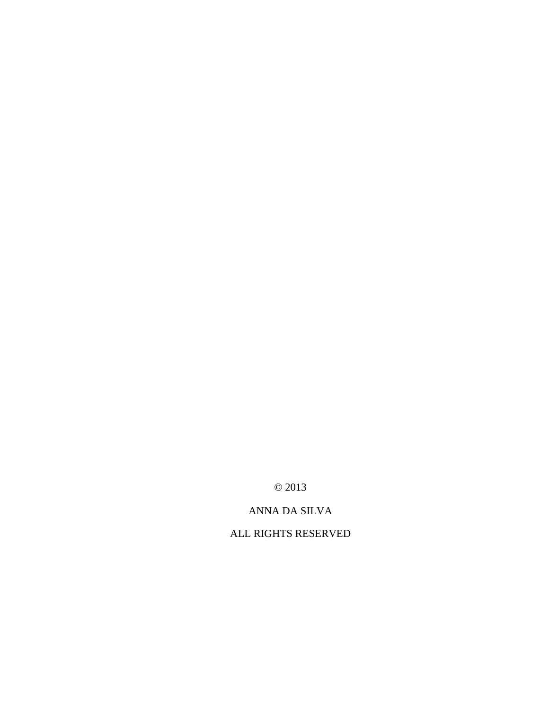© 2013

## ANNA DA SILVA

ALL RIGHTS RESERVED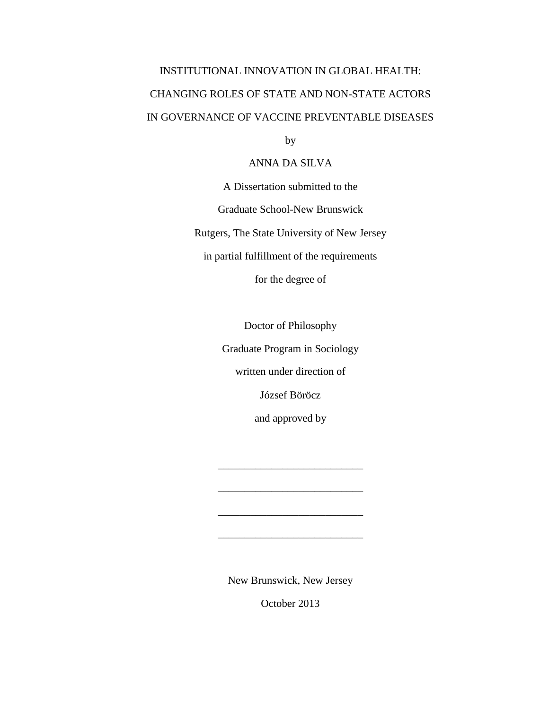# INSTITUTIONAL INNOVATION IN GLOBAL HEALTH: CHANGING ROLES OF STATE AND NON-STATE ACTORS IN GOVERNANCE OF VACCINE PREVENTABLE DISEASES

by

### ANNA DA SILVA

A Dissertation submitted to the Graduate School-New Brunswick Rutgers, The State University of New Jersey in partial fulfillment of the requirements for the degree of

Doctor of Philosophy

Graduate Program in Sociology

written under direction of

József Böröcz

and approved by

\_\_\_\_\_\_\_\_\_\_\_\_\_\_\_\_\_\_\_\_\_\_\_\_\_\_\_

\_\_\_\_\_\_\_\_\_\_\_\_\_\_\_\_\_\_\_\_\_\_\_\_\_\_\_

\_\_\_\_\_\_\_\_\_\_\_\_\_\_\_\_\_\_\_\_\_\_\_\_\_\_\_

\_\_\_\_\_\_\_\_\_\_\_\_\_\_\_\_\_\_\_\_\_\_\_\_\_\_\_

New Brunswick, New Jersey

October 2013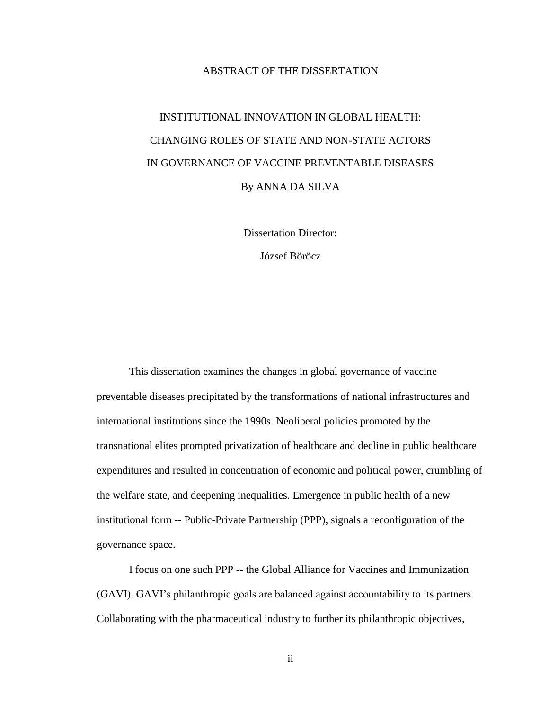#### ABSTRACT OF THE DISSERTATION

# INSTITUTIONAL INNOVATION IN GLOBAL HEALTH: CHANGING ROLES OF STATE AND NON-STATE ACTORS IN GOVERNANCE OF VACCINE PREVENTABLE DISEASES By ANNA DA SILVA

Dissertation Director:

József Böröcz

This dissertation examines the changes in global governance of vaccine preventable diseases precipitated by the transformations of national infrastructures and international institutions since the 1990s. Neoliberal policies promoted by the transnational elites prompted privatization of healthcare and decline in public healthcare expenditures and resulted in concentration of economic and political power, crumbling of the welfare state, and deepening inequalities. Emergence in public health of a new institutional form -- Public-Private Partnership (PPP), signals a reconfiguration of the governance space.

I focus on one such PPP -- the Global Alliance for Vaccines and Immunization (GAVI). GAVI's philanthropic goals are balanced against accountability to its partners. Collaborating with the pharmaceutical industry to further its philanthropic objectives,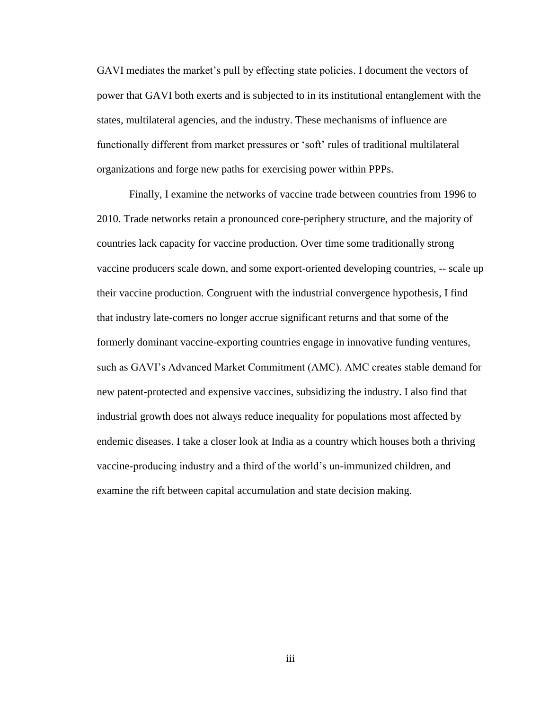GAVI mediates the market's pull by effecting state policies. I document the vectors of power that GAVI both exerts and is subjected to in its institutional entanglement with the states, multilateral agencies, and the industry. These mechanisms of influence are functionally different from market pressures or 'soft' rules of traditional multilateral organizations and forge new paths for exercising power within PPPs.

Finally, I examine the networks of vaccine trade between countries from 1996 to 2010. Trade networks retain a pronounced core-periphery structure, and the majority of countries lack capacity for vaccine production. Over time some traditionally strong vaccine producers scale down, and some export-oriented developing countries, -- scale up their vaccine production. Congruent with the industrial convergence hypothesis, I find that industry late-comers no longer accrue significant returns and that some of the formerly dominant vaccine-exporting countries engage in innovative funding ventures, such as GAVI's Advanced Market Commitment (AMC). AMC creates stable demand for new patent-protected and expensive vaccines, subsidizing the industry. I also find that industrial growth does not always reduce inequality for populations most affected by endemic diseases. I take a closer look at India as a country which houses both a thriving vaccine-producing industry and a third of the world's un-immunized children, and examine the rift between capital accumulation and state decision making.

iii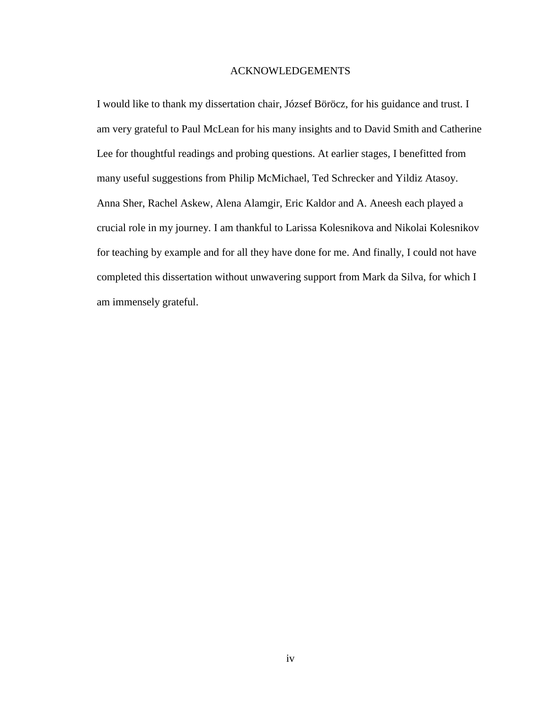#### ACKNOWLEDGEMENTS

I would like to thank my dissertation chair, József Böröcz, for his guidance and trust. I am very grateful to Paul McLean for his many insights and to David Smith and Catherine Lee for thoughtful readings and probing questions. At earlier stages, I benefitted from many useful suggestions from Philip McMichael, Ted Schrecker and Yildiz Atasoy. Anna Sher, Rachel Askew, Alena Alamgir, Eric Kaldor and A. Aneesh each played a crucial role in my journey. I am thankful to Larissa Kolesnikova and Nikolai Kolesnikov for teaching by example and for all they have done for me. And finally, I could not have completed this dissertation without unwavering support from Mark da Silva, for which I am immensely grateful.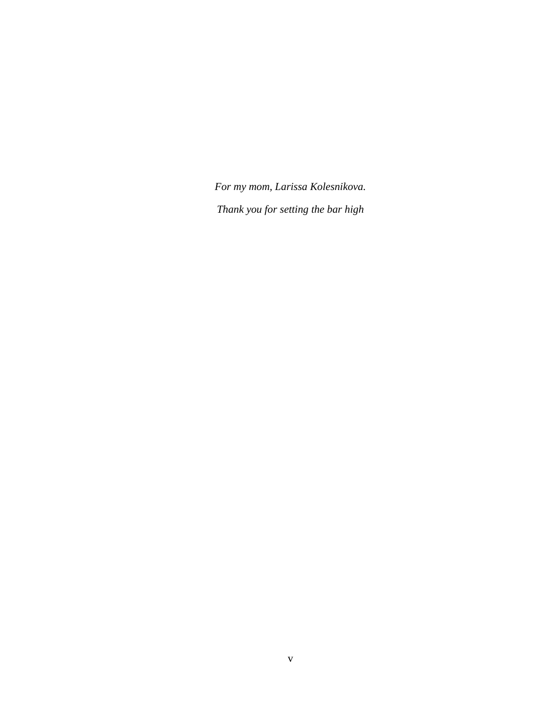*For my mom, Larissa Kolesnikova. Thank you for setting the bar high*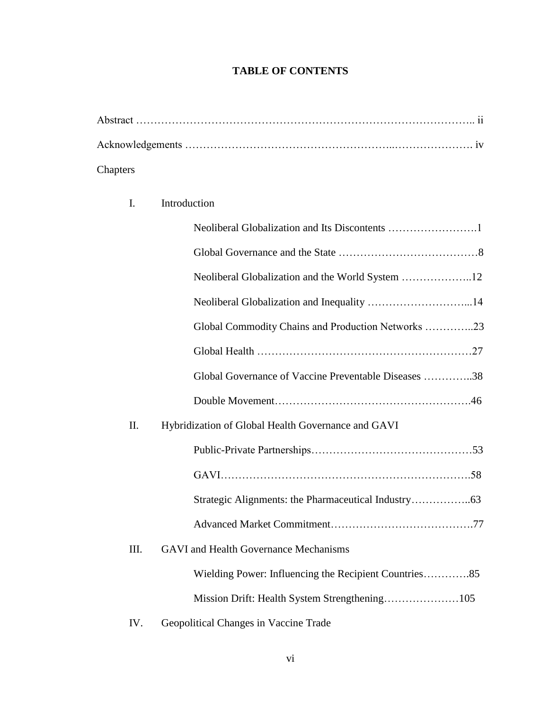## **TABLE OF CONTENTS**

| Chapters |  |
|----------|--|

## I. Introduction

|      | Global Commodity Chains and Production Networks 23    |
|------|-------------------------------------------------------|
|      |                                                       |
|      | Global Governance of Vaccine Preventable Diseases 38  |
|      |                                                       |
| II.  | Hybridization of Global Health Governance and GAVI    |
|      |                                                       |
|      |                                                       |
|      |                                                       |
|      |                                                       |
| III. | <b>GAVI</b> and Health Governance Mechanisms          |
|      | Wielding Power: Influencing the Recipient Countries85 |
|      |                                                       |
| IV.  | Geopolitical Changes in Vaccine Trade                 |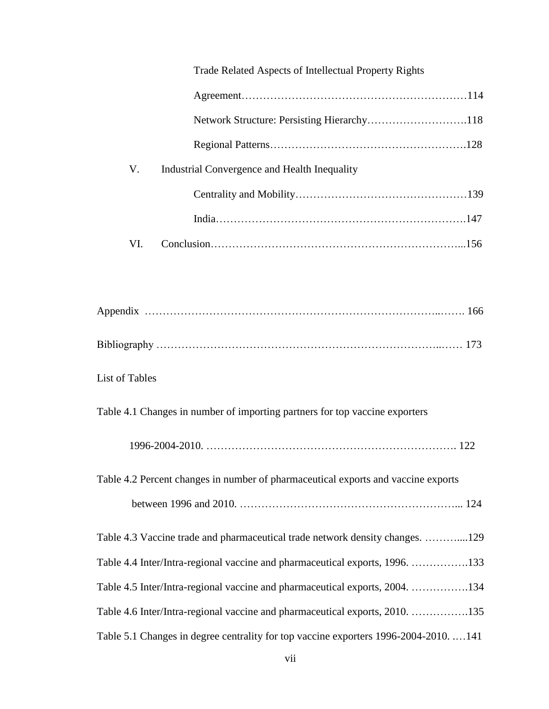|                       | Trade Related Aspects of Intellectual Property Rights                                 |  |
|-----------------------|---------------------------------------------------------------------------------------|--|
|                       |                                                                                       |  |
|                       | Network Structure: Persisting Hierarchy118                                            |  |
|                       |                                                                                       |  |
| V.                    | Industrial Convergence and Health Inequality                                          |  |
|                       |                                                                                       |  |
|                       |                                                                                       |  |
| VI.                   |                                                                                       |  |
|                       |                                                                                       |  |
|                       |                                                                                       |  |
|                       |                                                                                       |  |
| <b>List of Tables</b> |                                                                                       |  |
|                       | Table 4.1 Changes in number of importing partners for top vaccine exporters           |  |
|                       |                                                                                       |  |
|                       | Table 4.2 Percent changes in number of pharmaceutical exports and vaccine exports     |  |
|                       |                                                                                       |  |
|                       | Table 4.3 Vaccine trade and pharmaceutical trade network density changes. 129         |  |
|                       | Table 4.4 Inter/Intra-regional vaccine and pharmaceutical exports, 1996. 133          |  |
|                       | Table 4.5 Inter/Intra-regional vaccine and pharmaceutical exports, 2004. 134          |  |
|                       | Table 4.6 Inter/Intra-regional vaccine and pharmaceutical exports, 2010. 135          |  |
|                       | Table 5.1 Changes in degree centrality for top vaccine exporters 1996-2004-2010.  141 |  |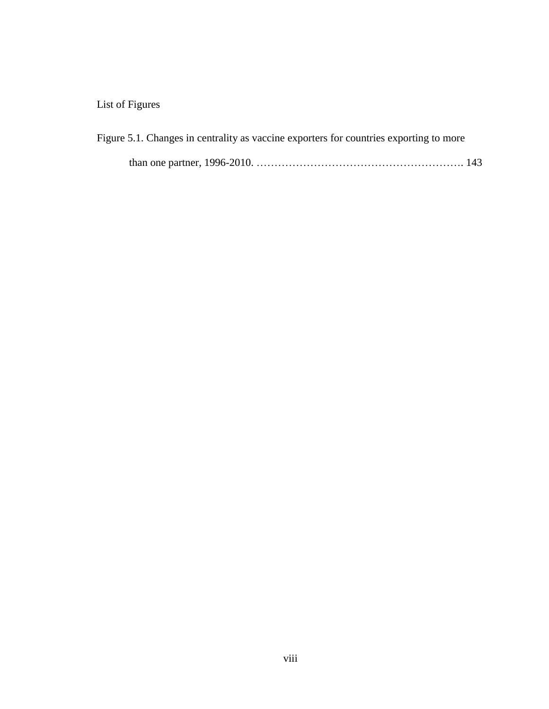## List of Figures

|  |  |  | Figure 5.1. Changes in centrality as vaccine exporters for countries exporting to more |  |
|--|--|--|----------------------------------------------------------------------------------------|--|
|  |  |  |                                                                                        |  |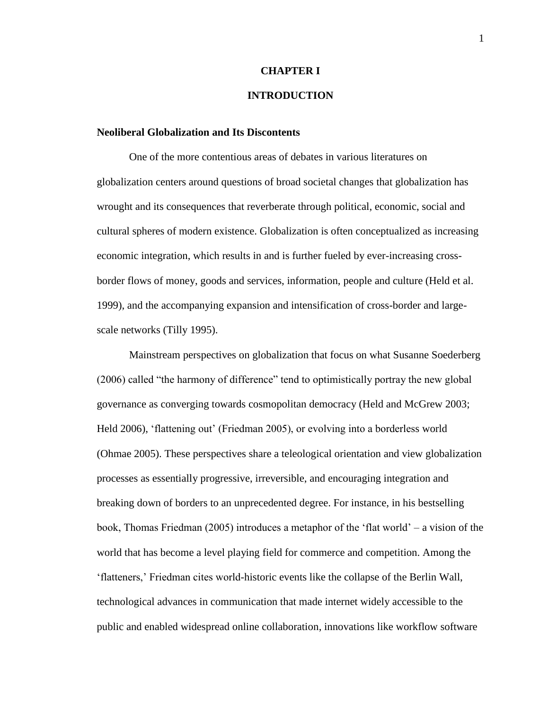#### **CHAPTER I**

### **INTRODUCTION**

#### **Neoliberal Globalization and Its Discontents**

One of the more contentious areas of debates in various literatures on globalization centers around questions of broad societal changes that globalization has wrought and its consequences that reverberate through political, economic, social and cultural spheres of modern existence. Globalization is often conceptualized as increasing economic integration, which results in and is further fueled by ever-increasing crossborder flows of money, goods and services, information, people and culture (Held et al. 1999), and the accompanying expansion and intensification of cross-border and largescale networks (Tilly 1995).

Mainstream perspectives on globalization that focus on what Susanne Soederberg (2006) called "the harmony of difference" tend to optimistically portray the new global governance as converging towards cosmopolitan democracy (Held and McGrew 2003; Held 2006), 'flattening out' (Friedman 2005), or evolving into a borderless world (Ohmae 2005). These perspectives share a teleological orientation and view globalization processes as essentially progressive, irreversible, and encouraging integration and breaking down of borders to an unprecedented degree. For instance, in his bestselling book, Thomas Friedman (2005) introduces a metaphor of the 'flat world' – a vision of the world that has become a level playing field for commerce and competition. Among the 'flatteners,' Friedman cites world-historic events like the collapse of the Berlin Wall, technological advances in communication that made internet widely accessible to the public and enabled widespread online collaboration, innovations like workflow software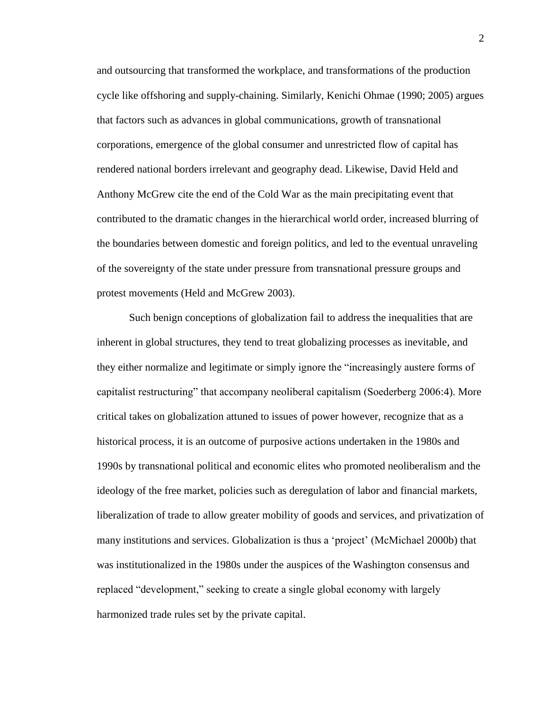and outsourcing that transformed the workplace, and transformations of the production cycle like offshoring and supply-chaining. Similarly, Kenichi Ohmae (1990; 2005) argues that factors such as advances in global communications, growth of transnational corporations, emergence of the global consumer and unrestricted flow of capital has rendered national borders irrelevant and geography dead. Likewise, David Held and Anthony McGrew cite the end of the Cold War as the main precipitating event that contributed to the dramatic changes in the hierarchical world order, increased blurring of the boundaries between domestic and foreign politics, and led to the eventual unraveling of the sovereignty of the state under pressure from transnational pressure groups and protest movements (Held and McGrew 2003).

Such benign conceptions of globalization fail to address the inequalities that are inherent in global structures, they tend to treat globalizing processes as inevitable, and they either normalize and legitimate or simply ignore the "increasingly austere forms of capitalist restructuring" that accompany neoliberal capitalism (Soederberg 2006:4). More critical takes on globalization attuned to issues of power however, recognize that as a historical process, it is an outcome of purposive actions undertaken in the 1980s and 1990s by transnational political and economic elites who promoted neoliberalism and the ideology of the free market, policies such as deregulation of labor and financial markets, liberalization of trade to allow greater mobility of goods and services, and privatization of many institutions and services. Globalization is thus a 'project' (McMichael 2000b) that was institutionalized in the 1980s under the auspices of the Washington consensus and replaced "development," seeking to create a single global economy with largely harmonized trade rules set by the private capital.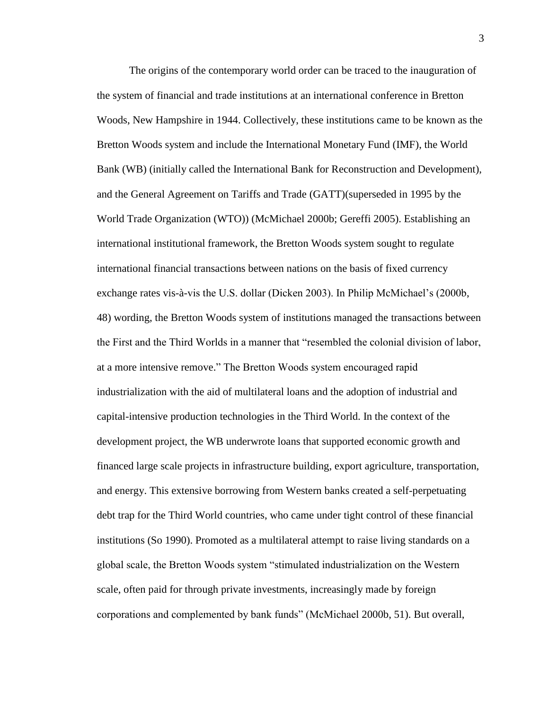The origins of the contemporary world order can be traced to the inauguration of the system of financial and trade institutions at an international conference in Bretton Woods, New Hampshire in 1944. Collectively, these institutions came to be known as the Bretton Woods system and include the International Monetary Fund (IMF), the World Bank (WB) (initially called the International Bank for Reconstruction and Development), and the General Agreement on Tariffs and Trade (GATT)(superseded in 1995 by the World Trade Organization (WTO)) (McMichael 2000b; Gereffi 2005). Establishing an international institutional framework, the Bretton Woods system sought to regulate international financial transactions between nations on the basis of fixed currency exchange rates vis-à-vis the U.S. dollar (Dicken 2003). In Philip McMichael's (2000b, 48) wording, the Bretton Woods system of institutions managed the transactions between the First and the Third Worlds in a manner that "resembled the colonial division of labor, at a more intensive remove." The Bretton Woods system encouraged rapid industrialization with the aid of multilateral loans and the adoption of industrial and capital-intensive production technologies in the Third World. In the context of the development project, the WB underwrote loans that supported economic growth and financed large scale projects in infrastructure building, export agriculture, transportation, and energy. This extensive borrowing from Western banks created a self-perpetuating debt trap for the Third World countries, who came under tight control of these financial institutions (So 1990). Promoted as a multilateral attempt to raise living standards on a global scale, the Bretton Woods system "stimulated industrialization on the Western scale, often paid for through private investments, increasingly made by foreign corporations and complemented by bank funds" (McMichael 2000b, 51). But overall,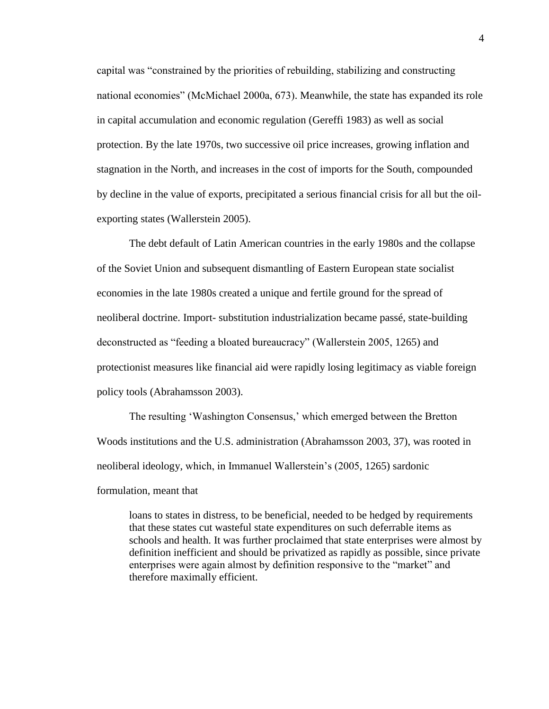capital was "constrained by the priorities of rebuilding, stabilizing and constructing national economies" (McMichael 2000a, 673). Meanwhile, the state has expanded its role in capital accumulation and economic regulation (Gereffi 1983) as well as social protection. By the late 1970s, two successive oil price increases, growing inflation and stagnation in the North, and increases in the cost of imports for the South, compounded by decline in the value of exports, precipitated a serious financial crisis for all but the oilexporting states (Wallerstein 2005).

The debt default of Latin American countries in the early 1980s and the collapse of the Soviet Union and subsequent dismantling of Eastern European state socialist economies in the late 1980s created a unique and fertile ground for the spread of neoliberal doctrine. Import- substitution industrialization became passé, state-building deconstructed as "feeding a bloated bureaucracy" (Wallerstein 2005, 1265) and protectionist measures like financial aid were rapidly losing legitimacy as viable foreign policy tools (Abrahamsson 2003).

The resulting 'Washington Consensus,' which emerged between the Bretton Woods institutions and the U.S. administration (Abrahamsson 2003, 37), was rooted in neoliberal ideology, which, in Immanuel Wallerstein's (2005, 1265) sardonic

formulation, meant that

loans to states in distress, to be beneficial, needed to be hedged by requirements that these states cut wasteful state expenditures on such deferrable items as schools and health. It was further proclaimed that state enterprises were almost by definition inefficient and should be privatized as rapidly as possible, since private enterprises were again almost by definition responsive to the "market" and therefore maximally efficient.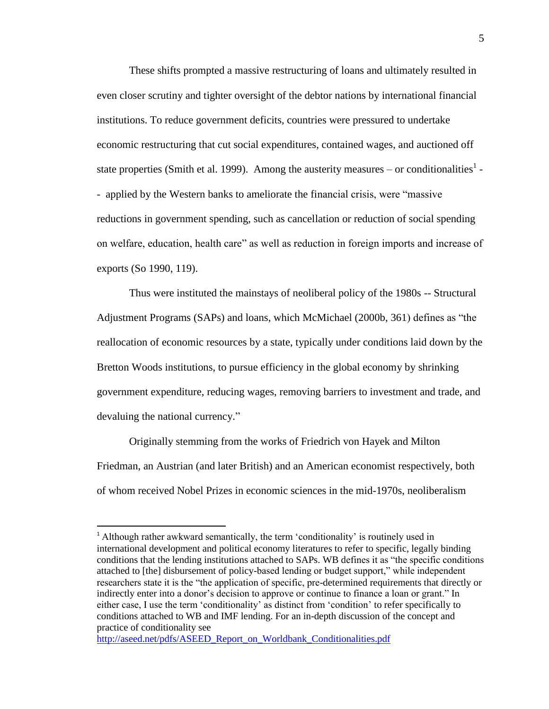These shifts prompted a massive restructuring of loans and ultimately resulted in even closer scrutiny and tighter oversight of the debtor nations by international financial institutions. To reduce government deficits, countries were pressured to undertake economic restructuring that cut social expenditures, contained wages, and auctioned off state properties (Smith et al. 1999). Among the austerity measures – or conditionalities<sup>1</sup> -- applied by the Western banks to ameliorate the financial crisis, were "massive reductions in government spending, such as cancellation or reduction of social spending on welfare, education, health care" as well as reduction in foreign imports and increase of exports (So 1990, 119).

Thus were instituted the mainstays of neoliberal policy of the 1980s -- Structural Adjustment Programs (SAPs) and loans, which McMichael (2000b, 361) defines as "the reallocation of economic resources by a state, typically under conditions laid down by the Bretton Woods institutions, to pursue efficiency in the global economy by shrinking government expenditure, reducing wages, removing barriers to investment and trade, and devaluing the national currency."

Originally stemming from the works of Friedrich von Hayek and Milton Friedman, an Austrian (and later British) and an American economist respectively, both of whom received Nobel Prizes in economic sciences in the mid-1970s, neoliberalism

 $\overline{\phantom{a}}$ 

<sup>&</sup>lt;sup>1</sup> Although rather awkward semantically, the term 'conditionality' is routinely used in international development and political economy literatures to refer to specific, legally binding conditions that the lending institutions attached to SAPs. WB defines it as "the specific conditions attached to [the] disbursement of policy-based lending or budget support," while independent researchers state it is the "the application of specific, pre-determined requirements that directly or indirectly enter into a donor's decision to approve or continue to finance a loan or grant." In either case, I use the term 'conditionality' as distinct from 'condition' to refer specifically to conditions attached to WB and IMF lending. For an in-depth discussion of the concept and practice of conditionality see

[http://aseed.net/pdfs/ASEED\\_Report\\_on\\_Worldbank\\_Conditionalities.pdf](http://aseed.net/pdfs/ASEED_Report_on_Worldbank_Conditionalities.pdf)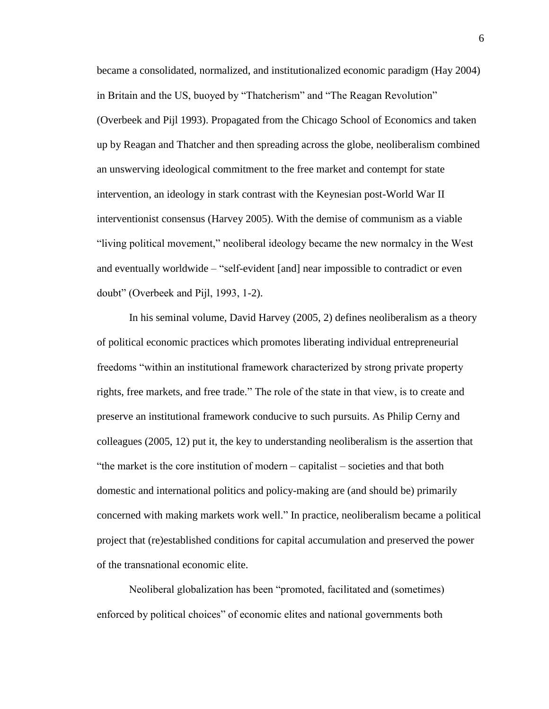became a consolidated, normalized, and institutionalized economic paradigm (Hay 2004) in Britain and the US, buoyed by "Thatcherism" and "The Reagan Revolution" (Overbeek and Pijl 1993). Propagated from the Chicago School of Economics and taken up by Reagan and Thatcher and then spreading across the globe, neoliberalism combined an unswerving ideological commitment to the free market and contempt for state intervention, an ideology in stark contrast with the Keynesian post-World War II interventionist consensus (Harvey 2005). With the demise of communism as a viable "living political movement," neoliberal ideology became the new normalcy in the West and eventually worldwide – "self-evident [and] near impossible to contradict or even doubt" (Overbeek and Pijl, 1993, 1-2).

In his seminal volume, David Harvey (2005, 2) defines neoliberalism as a theory of political economic practices which promotes liberating individual entrepreneurial freedoms "within an institutional framework characterized by strong private property rights, free markets, and free trade." The role of the state in that view, is to create and preserve an institutional framework conducive to such pursuits. As Philip Cerny and colleagues (2005, 12) put it, the key to understanding neoliberalism is the assertion that "the market is the core institution of modern – capitalist – societies and that both domestic and international politics and policy-making are (and should be) primarily concerned with making markets work well." In practice, neoliberalism became a political project that (re)established conditions for capital accumulation and preserved the power of the transnational economic elite.

Neoliberal globalization has been "promoted, facilitated and (sometimes) enforced by political choices" of economic elites and national governments both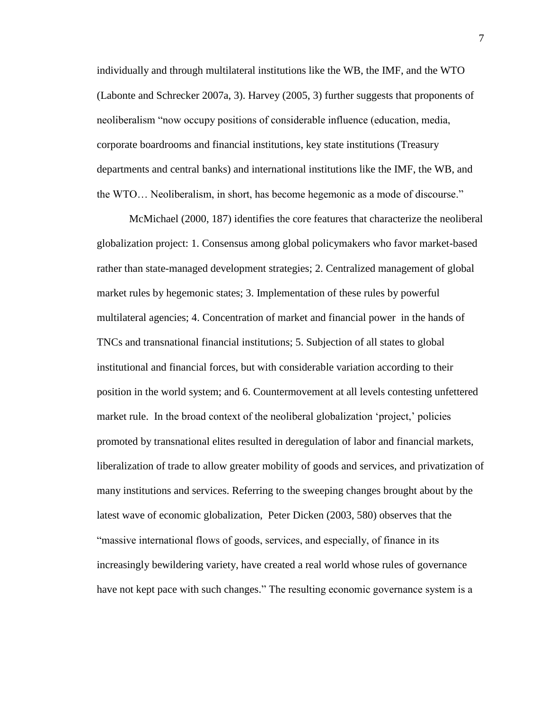individually and through multilateral institutions like the WB, the IMF, and the WTO (Labonte and Schrecker 2007a, 3). Harvey (2005, 3) further suggests that proponents of neoliberalism "now occupy positions of considerable influence (education, media, corporate boardrooms and financial institutions, key state institutions (Treasury departments and central banks) and international institutions like the IMF, the WB, and the WTO… Neoliberalism, in short, has become hegemonic as a mode of discourse."

McMichael (2000, 187) identifies the core features that characterize the neoliberal globalization project: 1. Consensus among global policymakers who favor market-based rather than state-managed development strategies; 2. Centralized management of global market rules by hegemonic states; 3. Implementation of these rules by powerful multilateral agencies; 4. Concentration of market and financial power in the hands of TNCs and transnational financial institutions; 5. Subjection of all states to global institutional and financial forces, but with considerable variation according to their position in the world system; and 6. Countermovement at all levels contesting unfettered market rule. In the broad context of the neoliberal globalization 'project,' policies promoted by transnational elites resulted in deregulation of labor and financial markets, liberalization of trade to allow greater mobility of goods and services, and privatization of many institutions and services. Referring to the sweeping changes brought about by the latest wave of economic globalization, Peter Dicken (2003, 580) observes that the "massive international flows of goods, services, and especially, of finance in its increasingly bewildering variety, have created a real world whose rules of governance have not kept pace with such changes." The resulting economic governance system is a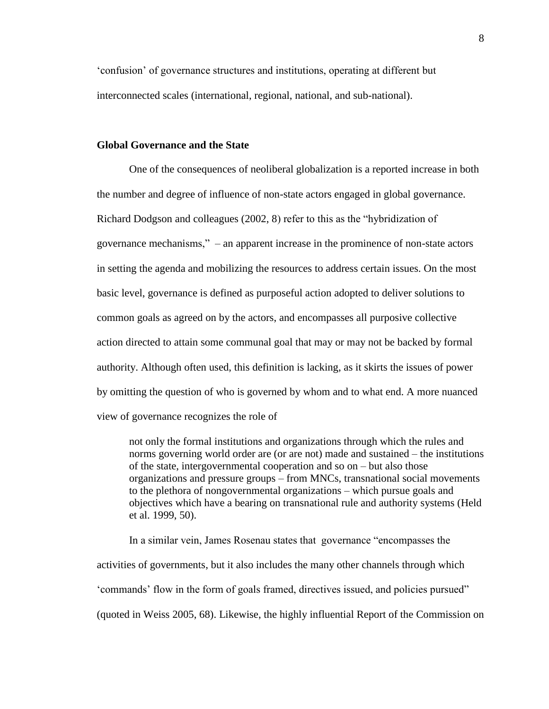'confusion' of governance structures and institutions, operating at different but interconnected scales (international, regional, national, and sub-national).

#### **Global Governance and the State**

One of the consequences of neoliberal globalization is a reported increase in both the number and degree of influence of non-state actors engaged in global governance. Richard Dodgson and colleagues (2002, 8) refer to this as the "hybridization of governance mechanisms," – an apparent increase in the prominence of non-state actors in setting the agenda and mobilizing the resources to address certain issues. On the most basic level, governance is defined as purposeful action adopted to deliver solutions to common goals as agreed on by the actors, and encompasses all purposive collective action directed to attain some communal goal that may or may not be backed by formal authority. Although often used, this definition is lacking, as it skirts the issues of power by omitting the question of who is governed by whom and to what end. A more nuanced view of governance recognizes the role of

not only the formal institutions and organizations through which the rules and norms governing world order are (or are not) made and sustained – the institutions of the state, intergovernmental cooperation and so on – but also those organizations and pressure groups – from MNCs, transnational social movements to the plethora of nongovernmental organizations – which pursue goals and objectives which have a bearing on transnational rule and authority systems (Held et al. 1999, 50).

In a similar vein, James Rosenau states that governance "encompasses the activities of governments, but it also includes the many other channels through which 'commands' flow in the form of goals framed, directives issued, and policies pursued" (quoted in Weiss 2005, 68). Likewise, the highly influential Report of the Commission on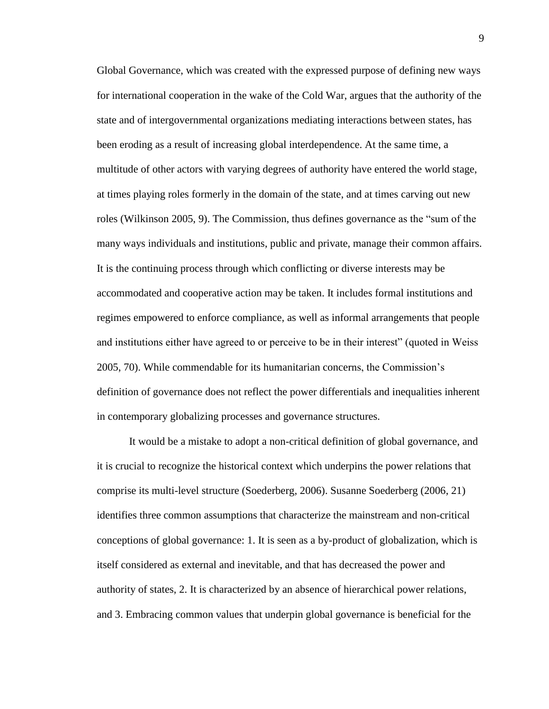Global Governance, which was created with the expressed purpose of defining new ways for international cooperation in the wake of the Cold War, argues that the authority of the state and of intergovernmental organizations mediating interactions between states, has been eroding as a result of increasing global interdependence. At the same time, a multitude of other actors with varying degrees of authority have entered the world stage, at times playing roles formerly in the domain of the state, and at times carving out new roles (Wilkinson 2005, 9). The Commission, thus defines governance as the "sum of the many ways individuals and institutions, public and private, manage their common affairs. It is the continuing process through which conflicting or diverse interests may be accommodated and cooperative action may be taken. It includes formal institutions and regimes empowered to enforce compliance, as well as informal arrangements that people and institutions either have agreed to or perceive to be in their interest" (quoted in Weiss 2005, 70). While commendable for its humanitarian concerns, the Commission's definition of governance does not reflect the power differentials and inequalities inherent in contemporary globalizing processes and governance structures.

It would be a mistake to adopt a non-critical definition of global governance, and it is crucial to recognize the historical context which underpins the power relations that comprise its multi-level structure (Soederberg, 2006). Susanne Soederberg (2006, 21) identifies three common assumptions that characterize the mainstream and non-critical conceptions of global governance: 1. It is seen as a by-product of globalization, which is itself considered as external and inevitable, and that has decreased the power and authority of states, 2. It is characterized by an absence of hierarchical power relations, and 3. Embracing common values that underpin global governance is beneficial for the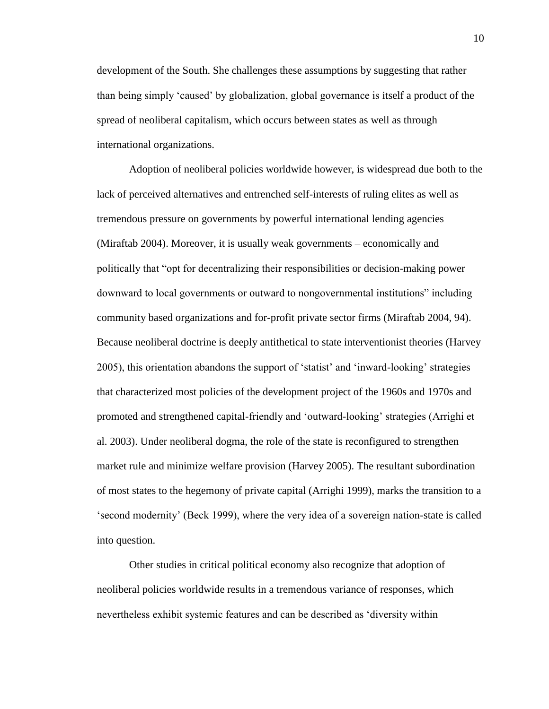development of the South. She challenges these assumptions by suggesting that rather than being simply 'caused' by globalization, global governance is itself a product of the spread of neoliberal capitalism, which occurs between states as well as through international organizations.

Adoption of neoliberal policies worldwide however, is widespread due both to the lack of perceived alternatives and entrenched self-interests of ruling elites as well as tremendous pressure on governments by powerful international lending agencies (Miraftab 2004). Moreover, it is usually weak governments – economically and politically that "opt for decentralizing their responsibilities or decision-making power downward to local governments or outward to nongovernmental institutions" including community based organizations and for-profit private sector firms (Miraftab 2004, 94). Because neoliberal doctrine is deeply antithetical to state interventionist theories (Harvey 2005), this orientation abandons the support of 'statist' and 'inward-looking' strategies that characterized most policies of the development project of the 1960s and 1970s and promoted and strengthened capital-friendly and 'outward-looking' strategies (Arrighi et al. 2003). Under neoliberal dogma, the role of the state is reconfigured to strengthen market rule and minimize welfare provision (Harvey 2005). The resultant subordination of most states to the hegemony of private capital (Arrighi 1999), marks the transition to a 'second modernity' (Beck 1999), where the very idea of a sovereign nation-state is called into question.

Other studies in critical political economy also recognize that adoption of neoliberal policies worldwide results in a tremendous variance of responses, which nevertheless exhibit systemic features and can be described as 'diversity within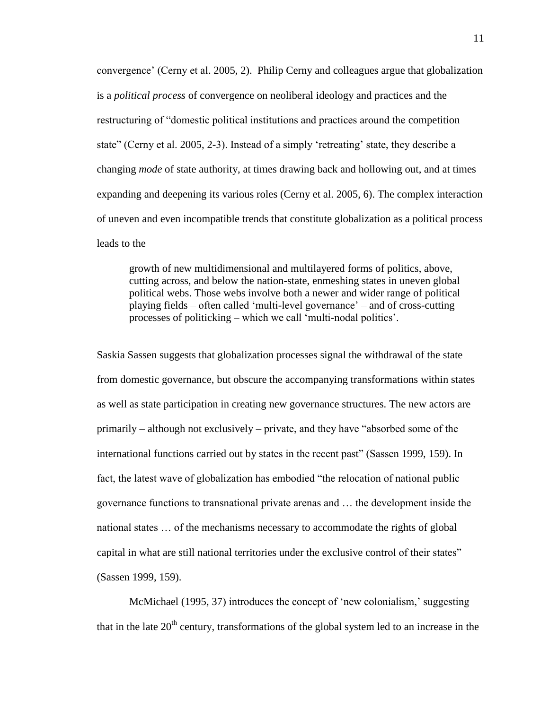convergence' (Cerny et al. 2005, 2). Philip Cerny and colleagues argue that globalization is a *political process* of convergence on neoliberal ideology and practices and the restructuring of "domestic political institutions and practices around the competition state" (Cerny et al. 2005, 2-3). Instead of a simply 'retreating' state, they describe a changing *mode* of state authority, at times drawing back and hollowing out, and at times expanding and deepening its various roles (Cerny et al. 2005, 6). The complex interaction of uneven and even incompatible trends that constitute globalization as a political process leads to the

growth of new multidimensional and multilayered forms of politics, above, cutting across, and below the nation-state, enmeshing states in uneven global political webs. Those webs involve both a newer and wider range of political playing fields – often called 'multi-level governance' – and of cross-cutting processes of politicking – which we call 'multi-nodal politics'.

Saskia Sassen suggests that globalization processes signal the withdrawal of the state from domestic governance, but obscure the accompanying transformations within states as well as state participation in creating new governance structures. The new actors are primarily – although not exclusively – private, and they have "absorbed some of the international functions carried out by states in the recent past" (Sassen 1999, 159). In fact, the latest wave of globalization has embodied "the relocation of national public governance functions to transnational private arenas and … the development inside the national states … of the mechanisms necessary to accommodate the rights of global capital in what are still national territories under the exclusive control of their states" (Sassen 1999, 159).

McMichael (1995, 37) introduces the concept of 'new colonialism,' suggesting that in the late  $20<sup>th</sup>$  century, transformations of the global system led to an increase in the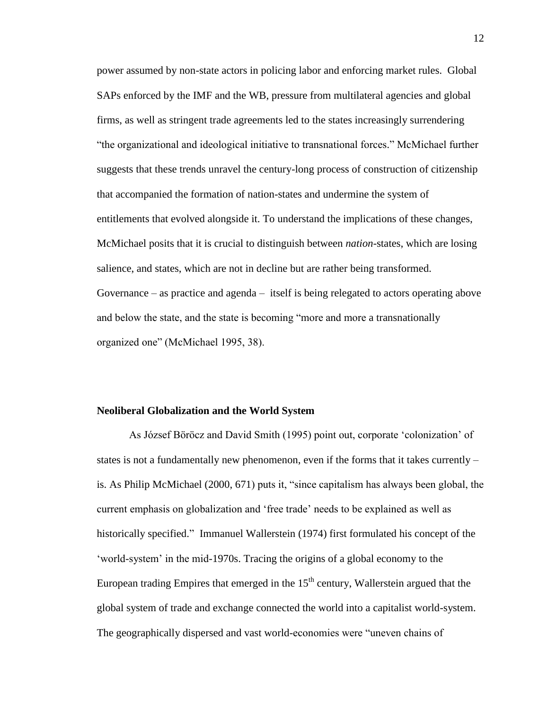power assumed by non-state actors in policing labor and enforcing market rules. Global SAPs enforced by the IMF and the WB, pressure from multilateral agencies and global firms, as well as stringent trade agreements led to the states increasingly surrendering "the organizational and ideological initiative to transnational forces." McMichael further suggests that these trends unravel the century-long process of construction of citizenship that accompanied the formation of nation-states and undermine the system of entitlements that evolved alongside it. To understand the implications of these changes, McMichael posits that it is crucial to distinguish between *nation*-states, which are losing salience, and states, which are not in decline but are rather being transformed. Governance – as practice and agenda – itself is being relegated to actors operating above and below the state, and the state is becoming "more and more a transnationally organized one" (McMichael 1995, 38).

#### **Neoliberal Globalization and the World System**

As József Böröcz and David Smith (1995) point out, corporate 'colonization' of states is not a fundamentally new phenomenon, even if the forms that it takes currently – is. As Philip McMichael (2000, 671) puts it, "since capitalism has always been global, the current emphasis on globalization and 'free trade' needs to be explained as well as historically specified." Immanuel Wallerstein (1974) first formulated his concept of the 'world-system' in the mid-1970s. Tracing the origins of a global economy to the European trading Empires that emerged in the  $15<sup>th</sup>$  century, Wallerstein argued that the global system of trade and exchange connected the world into a capitalist world-system. The geographically dispersed and vast world-economies were "uneven chains of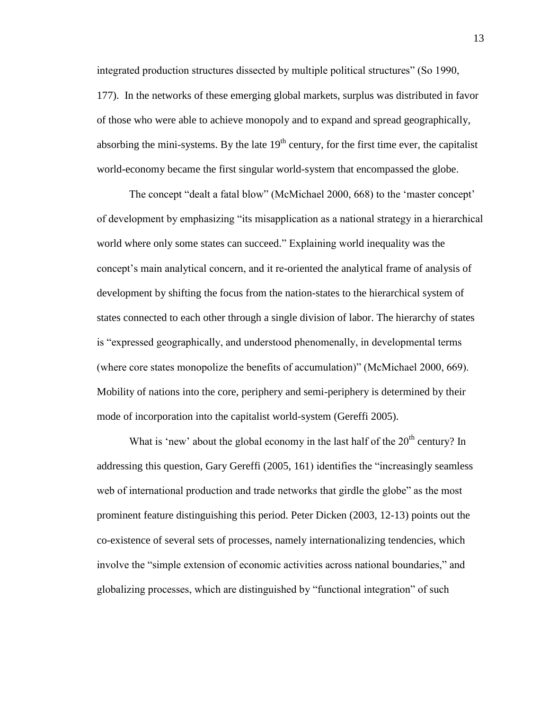integrated production structures dissected by multiple political structures" (So 1990, 177). In the networks of these emerging global markets, surplus was distributed in favor of those who were able to achieve monopoly and to expand and spread geographically, absorbing the mini-systems. By the late  $19<sup>th</sup>$  century, for the first time ever, the capitalist world-economy became the first singular world-system that encompassed the globe.

The concept "dealt a fatal blow" (McMichael 2000, 668) to the 'master concept' of development by emphasizing "its misapplication as a national strategy in a hierarchical world where only some states can succeed." Explaining world inequality was the concept's main analytical concern, and it re-oriented the analytical frame of analysis of development by shifting the focus from the nation-states to the hierarchical system of states connected to each other through a single division of labor. The hierarchy of states is "expressed geographically, and understood phenomenally, in developmental terms (where core states monopolize the benefits of accumulation)" (McMichael 2000, 669). Mobility of nations into the core, periphery and semi-periphery is determined by their mode of incorporation into the capitalist world-system (Gereffi 2005).

What is 'new' about the global economy in the last half of the  $20<sup>th</sup>$  century? In addressing this question, Gary Gereffi (2005, 161) identifies the "increasingly seamless web of international production and trade networks that girdle the globe" as the most prominent feature distinguishing this period. Peter Dicken (2003, 12-13) points out the co-existence of several sets of processes, namely internationalizing tendencies, which involve the "simple extension of economic activities across national boundaries," and globalizing processes, which are distinguished by "functional integration" of such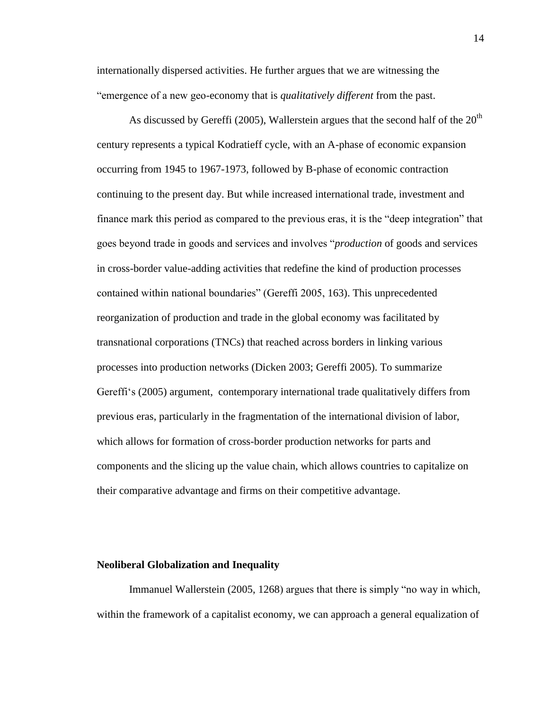internationally dispersed activities. He further argues that we are witnessing the "emergence of a new geo-economy that is *qualitatively different* from the past.

As discussed by Gereffi (2005), Wallerstein argues that the second half of the  $20<sup>th</sup>$ century represents a typical Kodratieff cycle, with an A-phase of economic expansion occurring from 1945 to 1967-1973, followed by B-phase of economic contraction continuing to the present day. But while increased international trade, investment and finance mark this period as compared to the previous eras, it is the "deep integration" that goes beyond trade in goods and services and involves "*production* of goods and services in cross-border value-adding activities that redefine the kind of production processes contained within national boundaries" (Gereffi 2005, 163). This unprecedented reorganization of production and trade in the global economy was facilitated by transnational corporations (TNCs) that reached across borders in linking various processes into production networks (Dicken 2003; Gereffi 2005). To summarize Gereffi's (2005) argument, contemporary international trade qualitatively differs from previous eras, particularly in the fragmentation of the international division of labor, which allows for formation of cross-border production networks for parts and components and the slicing up the value chain, which allows countries to capitalize on their comparative advantage and firms on their competitive advantage.

#### **Neoliberal Globalization and Inequality**

Immanuel Wallerstein (2005, 1268) argues that there is simply "no way in which, within the framework of a capitalist economy, we can approach a general equalization of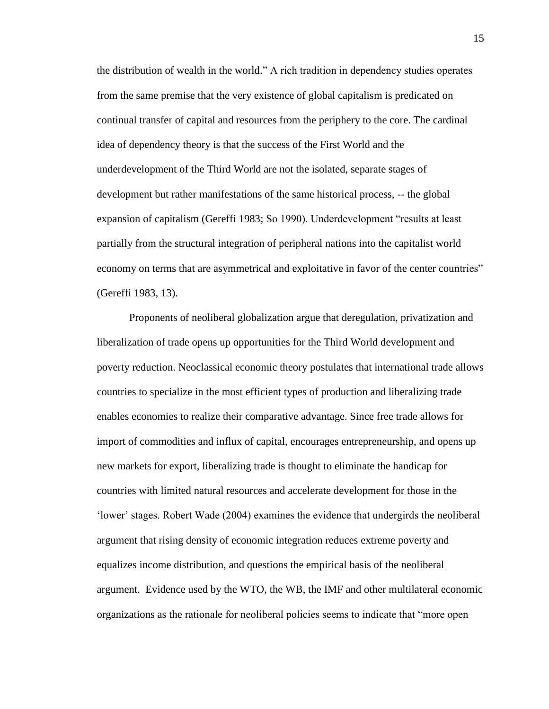the distribution of wealth in the world." A rich tradition in dependency studies operates from the same premise that the very existence of global capitalism is predicated on continual transfer of capital and resources from the periphery to the core. The cardinal idea of dependency theory is that the success of the First World and the underdevelopment of the Third World are not the isolated, separate stages of development but rather manifestations of the same historical process, -- the global expansion of capitalism (Gereffi 1983; So 1990). Underdevelopment "results at least partially from the structural integration of peripheral nations into the capitalist world economy on terms that are asymmetrical and exploitative in favor of the center countries" (Gereffi 1983, 13).

Proponents of neoliberal globalization argue that deregulation, privatization and liberalization of trade opens up opportunities for the Third World development and poverty reduction. Neoclassical economic theory postulates that international trade allows countries to specialize in the most efficient types of production and liberalizing trade enables economies to realize their comparative advantage. Since free trade allows for import of commodities and influx of capital, encourages entrepreneurship, and opens up new markets for export, liberalizing trade is thought to eliminate the handicap for countries with limited natural resources and accelerate development for those in the 'lower' stages. Robert Wade (2004) examines the evidence that undergirds the neoliberal argument that rising density of economic integration reduces extreme poverty and equalizes income distribution, and questions the empirical basis of the neoliberal argument. Evidence used by the WTO, the WB, the IMF and other multilateral economic organizations as the rationale for neoliberal policies seems to indicate that "more open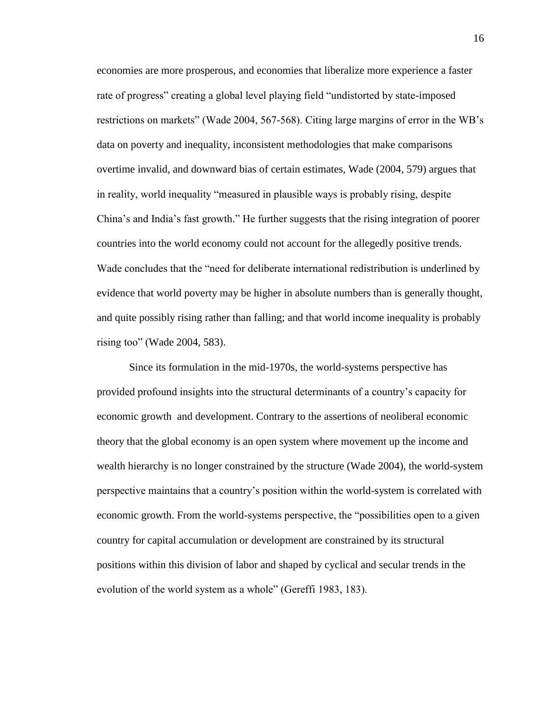economies are more prosperous, and economies that liberalize more experience a faster rate of progress" creating a global level playing field "undistorted by state-imposed restrictions on markets" (Wade 2004, 567-568). Citing large margins of error in the WB's data on poverty and inequality, inconsistent methodologies that make comparisons overtime invalid, and downward bias of certain estimates, Wade (2004, 579) argues that in reality, world inequality "measured in plausible ways is probably rising, despite China's and India's fast growth." He further suggests that the rising integration of poorer countries into the world economy could not account for the allegedly positive trends. Wade concludes that the "need for deliberate international redistribution is underlined by evidence that world poverty may be higher in absolute numbers than is generally thought, and quite possibly rising rather than falling; and that world income inequality is probably rising too" (Wade 2004, 583).

Since its formulation in the mid-1970s, the world-systems perspective has provided profound insights into the structural determinants of a country's capacity for economic growth and development. Contrary to the assertions of neoliberal economic theory that the global economy is an open system where movement up the income and wealth hierarchy is no longer constrained by the structure (Wade 2004), the world-system perspective maintains that a country's position within the world-system is correlated with economic growth. From the world-systems perspective, the "possibilities open to a given country for capital accumulation or development are constrained by its structural positions within this division of labor and shaped by cyclical and secular trends in the evolution of the world system as a whole" (Gereffi 1983, 183).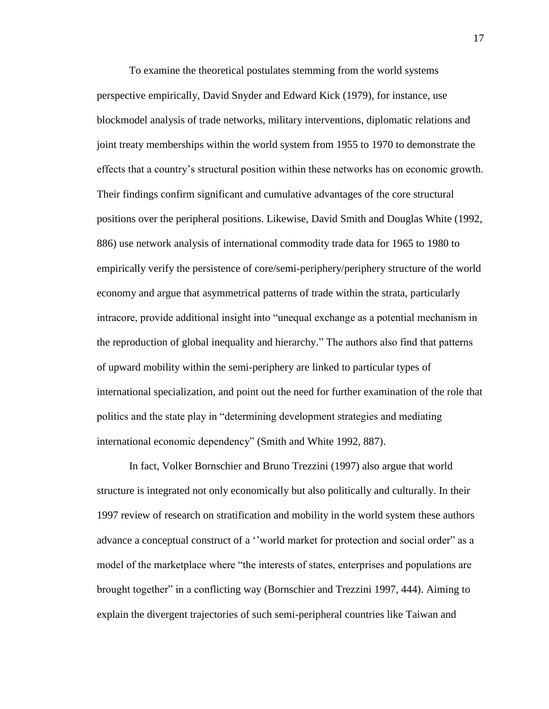To examine the theoretical postulates stemming from the world systems perspective empirically, David Snyder and Edward Kick (1979), for instance, use blockmodel analysis of trade networks, military interventions, diplomatic relations and joint treaty memberships within the world system from 1955 to 1970 to demonstrate the effects that a country's structural position within these networks has on economic growth. Their findings confirm significant and cumulative advantages of the core structural positions over the peripheral positions. Likewise, David Smith and Douglas White (1992, 886) use network analysis of international commodity trade data for 1965 to 1980 to empirically verify the persistence of core/semi-periphery/periphery structure of the world economy and argue that asymmetrical patterns of trade within the strata, particularly intracore, provide additional insight into "unequal exchange as a potential mechanism in the reproduction of global inequality and hierarchy." The authors also find that patterns of upward mobility within the semi-periphery are linked to particular types of international specialization, and point out the need for further examination of the role that politics and the state play in "determining development strategies and mediating international economic dependency" (Smith and White 1992, 887).

In fact, Volker Bornschier and Bruno Trezzini (1997) also argue that world structure is integrated not only economically but also politically and culturally. In their 1997 review of research on stratification and mobility in the world system these authors advance a conceptual construct of a ''world market for protection and social order" as a model of the marketplace where "the interests of states, enterprises and populations are brought together" in a conflicting way (Bornschier and Trezzini 1997, 444). Aiming to explain the divergent trajectories of such semi-peripheral countries like Taiwan and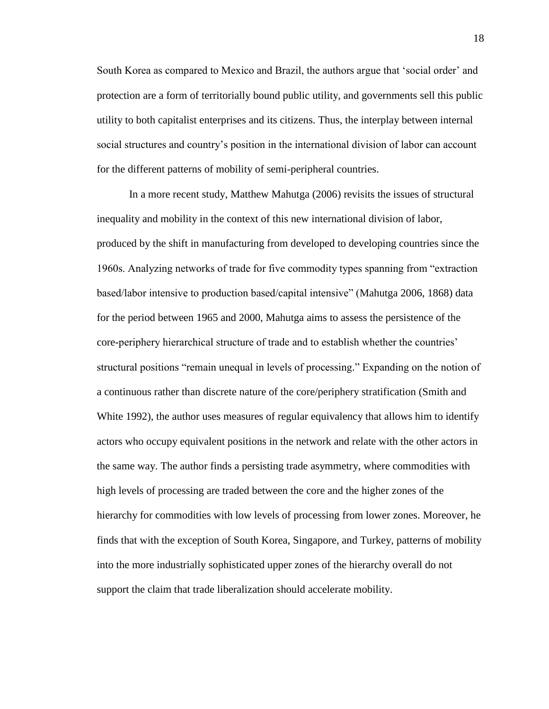South Korea as compared to Mexico and Brazil, the authors argue that 'social order' and protection are a form of territorially bound public utility, and governments sell this public utility to both capitalist enterprises and its citizens. Thus, the interplay between internal social structures and country's position in the international division of labor can account for the different patterns of mobility of semi-peripheral countries.

In a more recent study, Matthew Mahutga (2006) revisits the issues of structural inequality and mobility in the context of this new international division of labor, produced by the shift in manufacturing from developed to developing countries since the 1960s. Analyzing networks of trade for five commodity types spanning from "extraction based/labor intensive to production based/capital intensive" (Mahutga 2006, 1868) data for the period between 1965 and 2000, Mahutga aims to assess the persistence of the core-periphery hierarchical structure of trade and to establish whether the countries' structural positions "remain unequal in levels of processing." Expanding on the notion of a continuous rather than discrete nature of the core/periphery stratification (Smith and White 1992), the author uses measures of regular equivalency that allows him to identify actors who occupy equivalent positions in the network and relate with the other actors in the same way. The author finds a persisting trade asymmetry, where commodities with high levels of processing are traded between the core and the higher zones of the hierarchy for commodities with low levels of processing from lower zones. Moreover, he finds that with the exception of South Korea, Singapore, and Turkey, patterns of mobility into the more industrially sophisticated upper zones of the hierarchy overall do not support the claim that trade liberalization should accelerate mobility.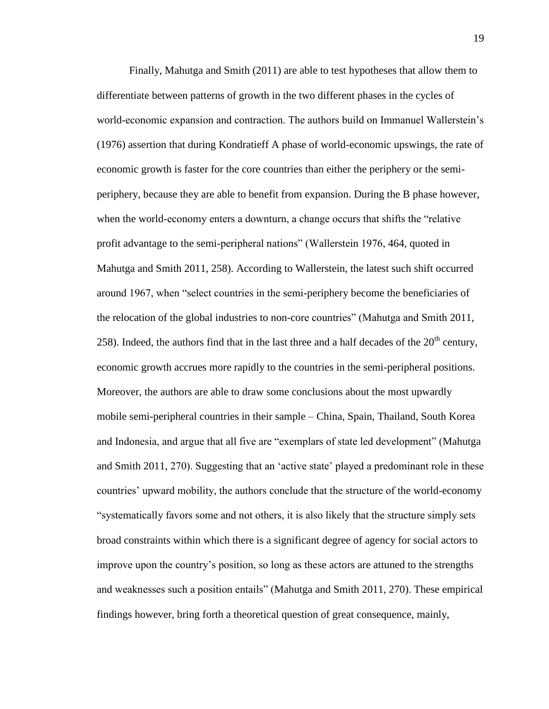Finally, Mahutga and Smith (2011) are able to test hypotheses that allow them to differentiate between patterns of growth in the two different phases in the cycles of world-economic expansion and contraction. The authors build on Immanuel Wallerstein's (1976) assertion that during Kondratieff A phase of world-economic upswings, the rate of economic growth is faster for the core countries than either the periphery or the semiperiphery, because they are able to benefit from expansion. During the B phase however, when the world-economy enters a downturn, a change occurs that shifts the "relative profit advantage to the semi-peripheral nations" (Wallerstein 1976, 464, quoted in Mahutga and Smith 2011, 258). According to Wallerstein, the latest such shift occurred around 1967, when "select countries in the semi-periphery become the beneficiaries of the relocation of the global industries to non-core countries" (Mahutga and Smith 2011, 258). Indeed, the authors find that in the last three and a half decades of the  $20<sup>th</sup>$  century, economic growth accrues more rapidly to the countries in the semi-peripheral positions. Moreover, the authors are able to draw some conclusions about the most upwardly mobile semi-peripheral countries in their sample – China, Spain, Thailand, South Korea and Indonesia, and argue that all five are "exemplars of state led development" (Mahutga and Smith 2011, 270). Suggesting that an 'active state' played a predominant role in these countries' upward mobility, the authors conclude that the structure of the world-economy "systematically favors some and not others, it is also likely that the structure simply sets broad constraints within which there is a significant degree of agency for social actors to improve upon the country's position, so long as these actors are attuned to the strengths and weaknesses such a position entails" (Mahutga and Smith 2011, 270). These empirical findings however, bring forth a theoretical question of great consequence, mainly,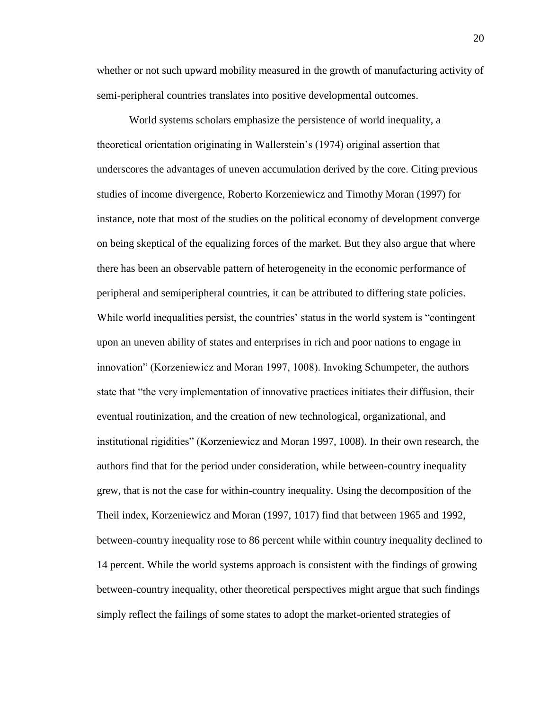whether or not such upward mobility measured in the growth of manufacturing activity of semi-peripheral countries translates into positive developmental outcomes.

World systems scholars emphasize the persistence of world inequality, a theoretical orientation originating in Wallerstein's (1974) original assertion that underscores the advantages of uneven accumulation derived by the core. Citing previous studies of income divergence, Roberto Korzeniewicz and Timothy Moran (1997) for instance, note that most of the studies on the political economy of development converge on being skeptical of the equalizing forces of the market. But they also argue that where there has been an observable pattern of heterogeneity in the economic performance of peripheral and semiperipheral countries, it can be attributed to differing state policies. While world inequalities persist, the countries' status in the world system is "contingent upon an uneven ability of states and enterprises in rich and poor nations to engage in innovation" (Korzeniewicz and Moran 1997, 1008). Invoking Schumpeter, the authors state that "the very implementation of innovative practices initiates their diffusion, their eventual routinization, and the creation of new technological, organizational, and institutional rigidities" (Korzeniewicz and Moran 1997, 1008). In their own research, the authors find that for the period under consideration, while between-country inequality grew, that is not the case for within-country inequality. Using the decomposition of the Theil index, Korzeniewicz and Moran (1997, 1017) find that between 1965 and 1992, between-country inequality rose to 86 percent while within country inequality declined to 14 percent. While the world systems approach is consistent with the findings of growing between-country inequality, other theoretical perspectives might argue that such findings simply reflect the failings of some states to adopt the market-oriented strategies of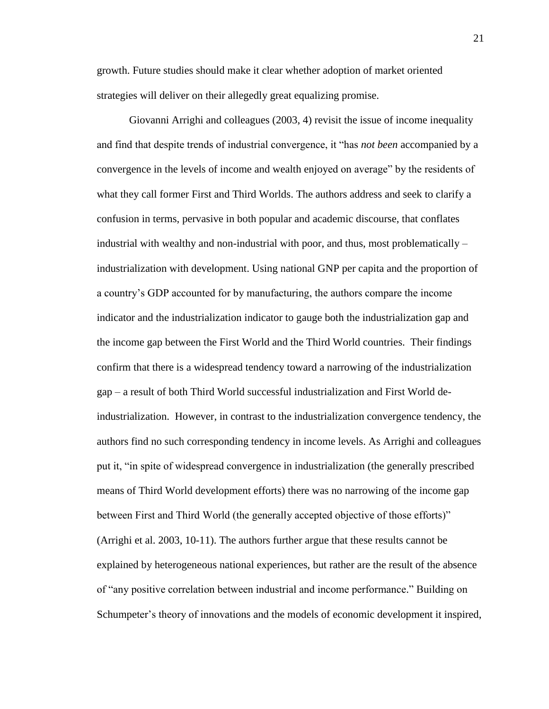growth. Future studies should make it clear whether adoption of market oriented strategies will deliver on their allegedly great equalizing promise.

Giovanni Arrighi and colleagues (2003, 4) revisit the issue of income inequality and find that despite trends of industrial convergence, it "has *not been* accompanied by a convergence in the levels of income and wealth enjoyed on average" by the residents of what they call former First and Third Worlds. The authors address and seek to clarify a confusion in terms, pervasive in both popular and academic discourse, that conflates industrial with wealthy and non-industrial with poor, and thus, most problematically – industrialization with development. Using national GNP per capita and the proportion of a country's GDP accounted for by manufacturing, the authors compare the income indicator and the industrialization indicator to gauge both the industrialization gap and the income gap between the First World and the Third World countries. Their findings confirm that there is a widespread tendency toward a narrowing of the industrialization gap – a result of both Third World successful industrialization and First World deindustrialization. However, in contrast to the industrialization convergence tendency, the authors find no such corresponding tendency in income levels. As Arrighi and colleagues put it, "in spite of widespread convergence in industrialization (the generally prescribed means of Third World development efforts) there was no narrowing of the income gap between First and Third World (the generally accepted objective of those efforts)" (Arrighi et al. 2003, 10-11). The authors further argue that these results cannot be explained by heterogeneous national experiences, but rather are the result of the absence of "any positive correlation between industrial and income performance." Building on Schumpeter's theory of innovations and the models of economic development it inspired,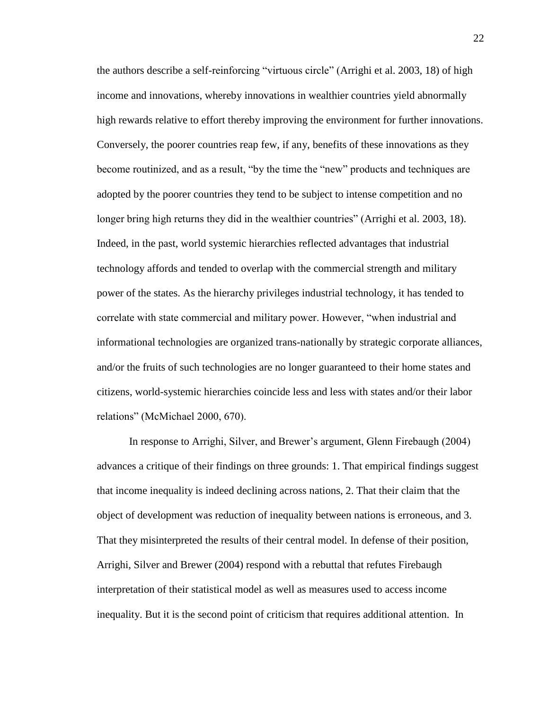the authors describe a self-reinforcing "virtuous circle" (Arrighi et al. 2003, 18) of high income and innovations, whereby innovations in wealthier countries yield abnormally high rewards relative to effort thereby improving the environment for further innovations. Conversely, the poorer countries reap few, if any, benefits of these innovations as they become routinized, and as a result, "by the time the "new" products and techniques are adopted by the poorer countries they tend to be subject to intense competition and no longer bring high returns they did in the wealthier countries" (Arrighi et al. 2003, 18). Indeed, in the past, world systemic hierarchies reflected advantages that industrial technology affords and tended to overlap with the commercial strength and military power of the states. As the hierarchy privileges industrial technology, it has tended to correlate with state commercial and military power. However, "when industrial and informational technologies are organized trans-nationally by strategic corporate alliances, and/or the fruits of such technologies are no longer guaranteed to their home states and citizens, world-systemic hierarchies coincide less and less with states and/or their labor relations" (McMichael 2000, 670).

In response to Arrighi, Silver, and Brewer's argument, Glenn Firebaugh (2004) advances a critique of their findings on three grounds: 1. That empirical findings suggest that income inequality is indeed declining across nations, 2. That their claim that the object of development was reduction of inequality between nations is erroneous, and 3. That they misinterpreted the results of their central model. In defense of their position, Arrighi, Silver and Brewer (2004) respond with a rebuttal that refutes Firebaugh interpretation of their statistical model as well as measures used to access income inequality. But it is the second point of criticism that requires additional attention. In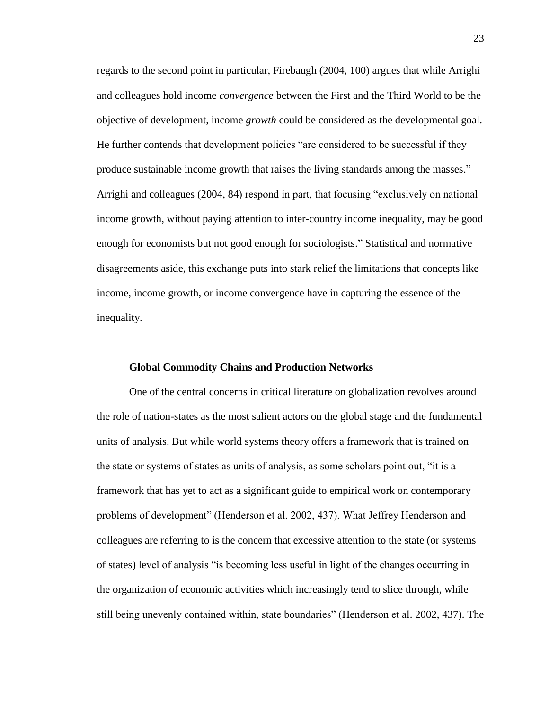regards to the second point in particular, Firebaugh (2004, 100) argues that while Arrighi and colleagues hold income *convergence* between the First and the Third World to be the objective of development, income *growth* could be considered as the developmental goal. He further contends that development policies "are considered to be successful if they produce sustainable income growth that raises the living standards among the masses." Arrighi and colleagues (2004, 84) respond in part, that focusing "exclusively on national income growth, without paying attention to inter-country income inequality, may be good enough for economists but not good enough for sociologists." Statistical and normative disagreements aside, this exchange puts into stark relief the limitations that concepts like income, income growth, or income convergence have in capturing the essence of the inequality.

#### **Global Commodity Chains and Production Networks**

One of the central concerns in critical literature on globalization revolves around the role of nation-states as the most salient actors on the global stage and the fundamental units of analysis. But while world systems theory offers a framework that is trained on the state or systems of states as units of analysis, as some scholars point out, "it is a framework that has yet to act as a significant guide to empirical work on contemporary problems of development" (Henderson et al. 2002, 437). What Jeffrey Henderson and colleagues are referring to is the concern that excessive attention to the state (or systems of states) level of analysis "is becoming less useful in light of the changes occurring in the organization of economic activities which increasingly tend to slice through, while still being unevenly contained within, state boundaries" (Henderson et al. 2002, 437). The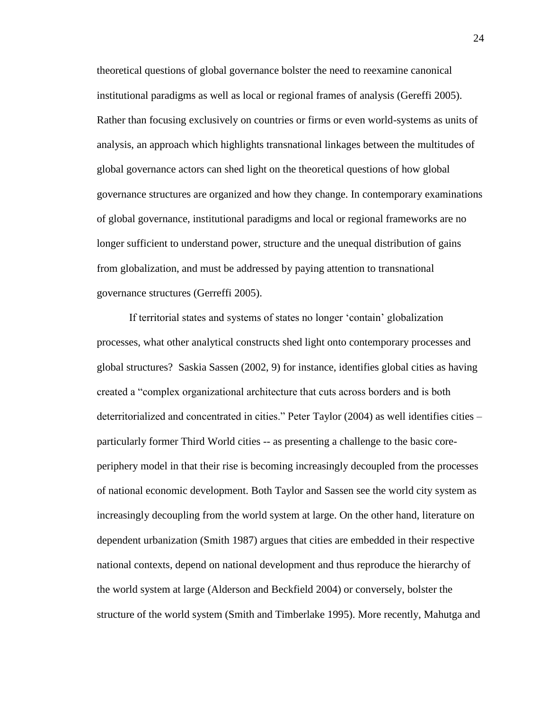theoretical questions of global governance bolster the need to reexamine canonical institutional paradigms as well as local or regional frames of analysis (Gereffi 2005). Rather than focusing exclusively on countries or firms or even world-systems as units of analysis, an approach which highlights transnational linkages between the multitudes of global governance actors can shed light on the theoretical questions of how global governance structures are organized and how they change. In contemporary examinations of global governance, institutional paradigms and local or regional frameworks are no longer sufficient to understand power, structure and the unequal distribution of gains from globalization, and must be addressed by paying attention to transnational governance structures (Gerreffi 2005).

If territorial states and systems of states no longer 'contain' globalization processes, what other analytical constructs shed light onto contemporary processes and global structures? Saskia Sassen (2002, 9) for instance, identifies global cities as having created a "complex organizational architecture that cuts across borders and is both deterritorialized and concentrated in cities." Peter Taylor (2004) as well identifies cities – particularly former Third World cities -- as presenting a challenge to the basic coreperiphery model in that their rise is becoming increasingly decoupled from the processes of national economic development. Both Taylor and Sassen see the world city system as increasingly decoupling from the world system at large. On the other hand, literature on dependent urbanization (Smith 1987) argues that cities are embedded in their respective national contexts, depend on national development and thus reproduce the hierarchy of the world system at large (Alderson and Beckfield 2004) or conversely, bolster the structure of the world system (Smith and Timberlake 1995). More recently, Mahutga and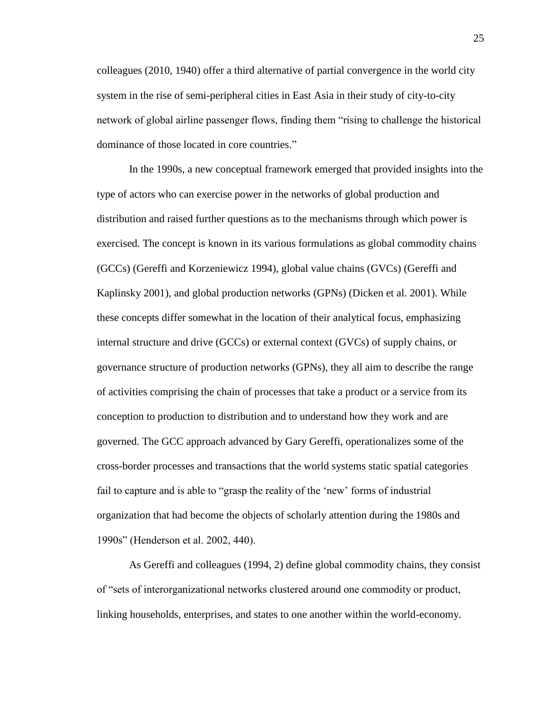colleagues (2010, 1940) offer a third alternative of partial convergence in the world city system in the rise of semi-peripheral cities in East Asia in their study of city-to-city network of global airline passenger flows, finding them "rising to challenge the historical dominance of those located in core countries."

In the 1990s, a new conceptual framework emerged that provided insights into the type of actors who can exercise power in the networks of global production and distribution and raised further questions as to the mechanisms through which power is exercised. The concept is known in its various formulations as global commodity chains (GCCs) (Gereffi and Korzeniewicz 1994), global value chains (GVCs) (Gereffi and Kaplinsky 2001), and global production networks (GPNs) (Dicken et al. 2001). While these concepts differ somewhat in the location of their analytical focus, emphasizing internal structure and drive (GCCs) or external context (GVCs) of supply chains, or governance structure of production networks (GPNs), they all aim to describe the range of activities comprising the chain of processes that take a product or a service from its conception to production to distribution and to understand how they work and are governed. The GCC approach advanced by Gary Gereffi, operationalizes some of the cross-border processes and transactions that the world systems static spatial categories fail to capture and is able to "grasp the reality of the 'new' forms of industrial organization that had become the objects of scholarly attention during the 1980s and 1990s" (Henderson et al. 2002, 440).

As Gereffi and colleagues (1994, 2) define global commodity chains, they consist of "sets of interorganizational networks clustered around one commodity or product, linking households, enterprises, and states to one another within the world-economy.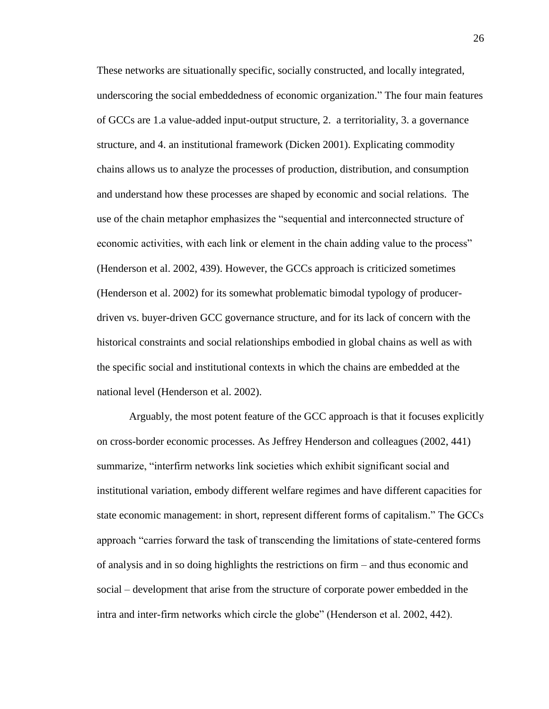These networks are situationally specific, socially constructed, and locally integrated, underscoring the social embeddedness of economic organization." The four main features of GCCs are 1.a value-added input-output structure, 2. a territoriality, 3. a governance structure, and 4. an institutional framework (Dicken 2001). Explicating commodity chains allows us to analyze the processes of production, distribution, and consumption and understand how these processes are shaped by economic and social relations. The use of the chain metaphor emphasizes the "sequential and interconnected structure of economic activities, with each link or element in the chain adding value to the process" (Henderson et al. 2002, 439). However, the GCCs approach is criticized sometimes (Henderson et al. 2002) for its somewhat problematic bimodal typology of producerdriven vs. buyer-driven GCC governance structure, and for its lack of concern with the historical constraints and social relationships embodied in global chains as well as with the specific social and institutional contexts in which the chains are embedded at the national level (Henderson et al. 2002).

Arguably, the most potent feature of the GCC approach is that it focuses explicitly on cross-border economic processes. As Jeffrey Henderson and colleagues (2002, 441) summarize, "interfirm networks link societies which exhibit significant social and institutional variation, embody different welfare regimes and have different capacities for state economic management: in short, represent different forms of capitalism." The GCCs approach "carries forward the task of transcending the limitations of state-centered forms of analysis and in so doing highlights the restrictions on firm – and thus economic and social – development that arise from the structure of corporate power embedded in the intra and inter-firm networks which circle the globe" (Henderson et al. 2002, 442).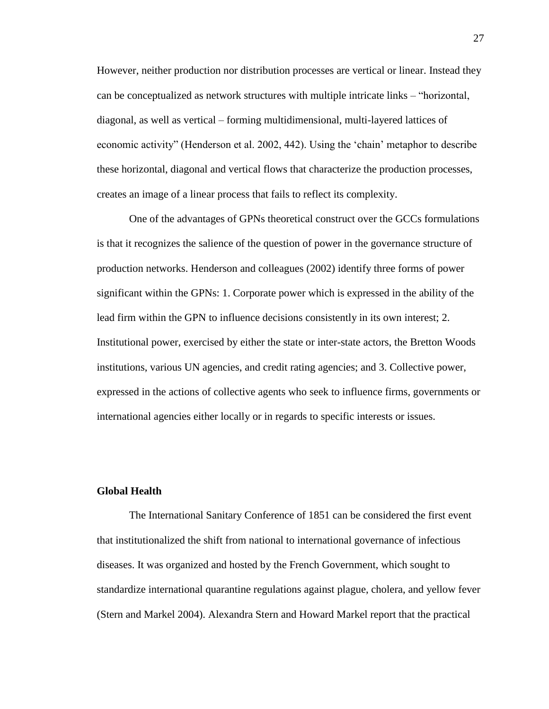However, neither production nor distribution processes are vertical or linear. Instead they can be conceptualized as network structures with multiple intricate links – "horizontal, diagonal, as well as vertical – forming multidimensional, multi-layered lattices of economic activity" (Henderson et al. 2002, 442). Using the 'chain' metaphor to describe these horizontal, diagonal and vertical flows that characterize the production processes, creates an image of a linear process that fails to reflect its complexity.

One of the advantages of GPNs theoretical construct over the GCCs formulations is that it recognizes the salience of the question of power in the governance structure of production networks. Henderson and colleagues (2002) identify three forms of power significant within the GPNs: 1. Corporate power which is expressed in the ability of the lead firm within the GPN to influence decisions consistently in its own interest; 2. Institutional power, exercised by either the state or inter-state actors, the Bretton Woods institutions, various UN agencies, and credit rating agencies; and 3. Collective power, expressed in the actions of collective agents who seek to influence firms, governments or international agencies either locally or in regards to specific interests or issues.

#### **Global Health**

The International Sanitary Conference of 1851 can be considered the first event that institutionalized the shift from national to international governance of infectious diseases. It was organized and hosted by the French Government, which sought to standardize international quarantine regulations against plague, cholera, and yellow fever (Stern and Markel 2004). Alexandra Stern and Howard Markel report that the practical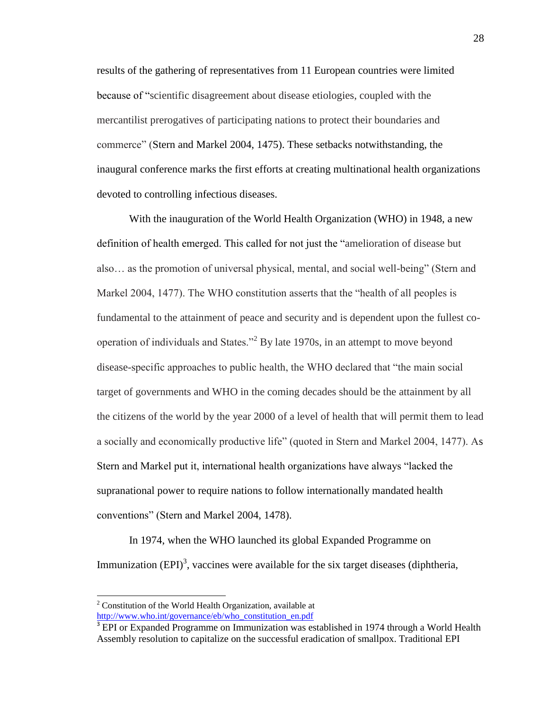results of the gathering of representatives from 11 European countries were limited because of "scientific disagreement about disease etiologies, coupled with the mercantilist prerogatives of participating nations to protect their boundaries and commerce" (Stern and Markel 2004, 1475). These setbacks notwithstanding, the inaugural conference marks the first efforts at creating multinational health organizations devoted to controlling infectious diseases.

With the inauguration of the World Health Organization (WHO) in 1948, a new definition of health emerged. This called for not just the "amelioration of disease but also… as the promotion of universal physical, mental, and social well-being" (Stern and Markel 2004, 1477). The WHO constitution asserts that the "health of all peoples is fundamental to the attainment of peace and security and is dependent upon the fullest cooperation of individuals and States."<sup>2</sup> By late 1970s, in an attempt to move beyond disease-specific approaches to public health, the WHO declared that "the main social target of governments and WHO in the coming decades should be the attainment by all the citizens of the world by the year 2000 of a level of health that will permit them to lead a socially and economically productive life" (quoted in Stern and Markel 2004, 1477). As Stern and Markel put it, international health organizations have always "lacked the supranational power to require nations to follow internationally mandated health conventions" (Stern and Markel 2004, 1478).

In 1974, when the WHO launched its global Expanded Programme on Immunization  $(EPI)^3$ , vaccines were available for the six target diseases (diphtheria,

l

 $2^2$  Constitution of the World Health Organization, available at [http://www.who.int/governance/eb/who\\_constitution\\_en.pdf](http://www.who.int/governance/eb/who_constitution_en.pdf)

<sup>&</sup>lt;sup>3</sup> EPI or Expanded Programme on Immunization was established in 1974 through a World Health Assembly resolution to capitalize on the successful eradication of smallpox. Traditional EPI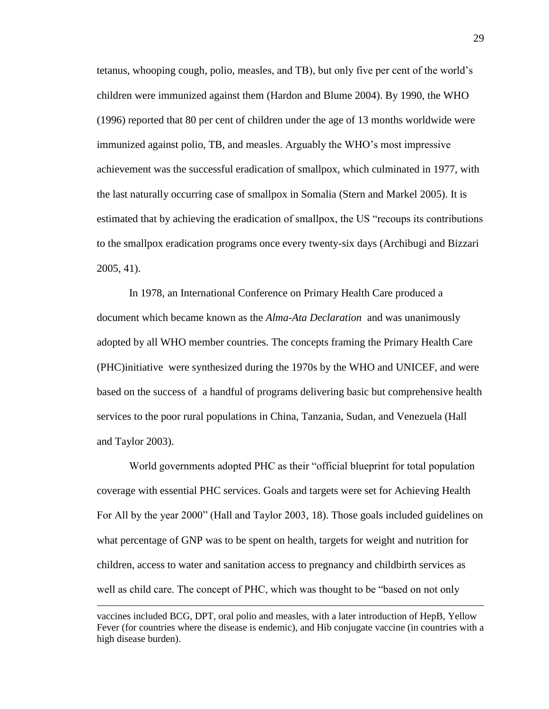tetanus, whooping cough, polio, measles, and TB), but only five per cent of the world's children were immunized against them (Hardon and Blume 2004). By 1990, the WHO (1996) reported that 80 per cent of children under the age of 13 months worldwide were immunized against polio, TB, and measles. Arguably the WHO's most impressive achievement was the successful eradication of smallpox, which culminated in 1977, with the last naturally occurring case of smallpox in Somalia (Stern and Markel 2005). It is estimated that by achieving the eradication of smallpox, the US "recoups its contributions to the smallpox eradication programs once every twenty-six days (Archibugi and Bizzari 2005, 41).

In 1978, an International Conference on Primary Health Care produced a document which became known as the *Alma-Ata Declaration* and was unanimously adopted by all WHO member countries. The concepts framing the Primary Health Care (PHC)initiative were synthesized during the 1970s by the WHO and UNICEF, and were based on the success of a handful of programs delivering basic but comprehensive health services to the poor rural populations in China, Tanzania, Sudan, and Venezuela (Hall and Taylor 2003).

World governments adopted PHC as their "official blueprint for total population coverage with essential PHC services. Goals and targets were set for Achieving Health For All by the year 2000" (Hall and Taylor 2003, 18). Those goals included guidelines on what percentage of GNP was to be spent on health, targets for weight and nutrition for children, access to water and sanitation access to pregnancy and childbirth services as well as child care. The concept of PHC, which was thought to be "based on not only

 $\overline{a}$ 

vaccines included BCG, DPT, oral polio and measles, with a later introduction of HepB, Yellow Fever (for countries where the disease is endemic), and Hib conjugate vaccine (in countries with a high disease burden).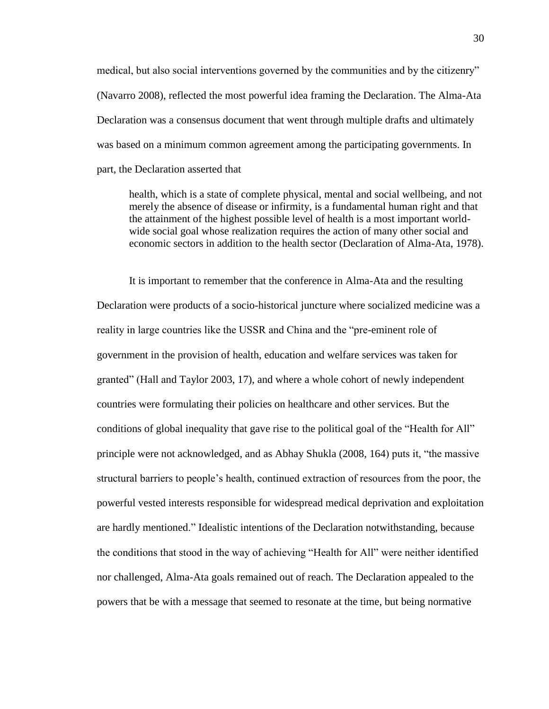medical, but also social interventions governed by the communities and by the citizenry" (Navarro 2008), reflected the most powerful idea framing the Declaration. The Alma-Ata Declaration was a consensus document that went through multiple drafts and ultimately was based on a minimum common agreement among the participating governments. In part, the Declaration asserted that

health, which is a state of complete physical, mental and social wellbeing, and not merely the absence of disease or infirmity, is a fundamental human right and that the attainment of the highest possible level of health is a most important worldwide social goal whose realization requires the action of many other social and economic sectors in addition to the health sector (Declaration of Alma-Ata, 1978).

It is important to remember that the conference in Alma-Ata and the resulting Declaration were products of a socio-historical juncture where socialized medicine was a reality in large countries like the USSR and China and the "pre-eminent role of government in the provision of health, education and welfare services was taken for granted" (Hall and Taylor 2003, 17), and where a whole cohort of newly independent countries were formulating their policies on healthcare and other services. But the conditions of global inequality that gave rise to the political goal of the "Health for All" principle were not acknowledged, and as Abhay Shukla (2008, 164) puts it, "the massive structural barriers to people's health, continued extraction of resources from the poor, the powerful vested interests responsible for widespread medical deprivation and exploitation are hardly mentioned." Idealistic intentions of the Declaration notwithstanding, because the conditions that stood in the way of achieving "Health for All" were neither identified nor challenged, Alma-Ata goals remained out of reach. The Declaration appealed to the powers that be with a message that seemed to resonate at the time, but being normative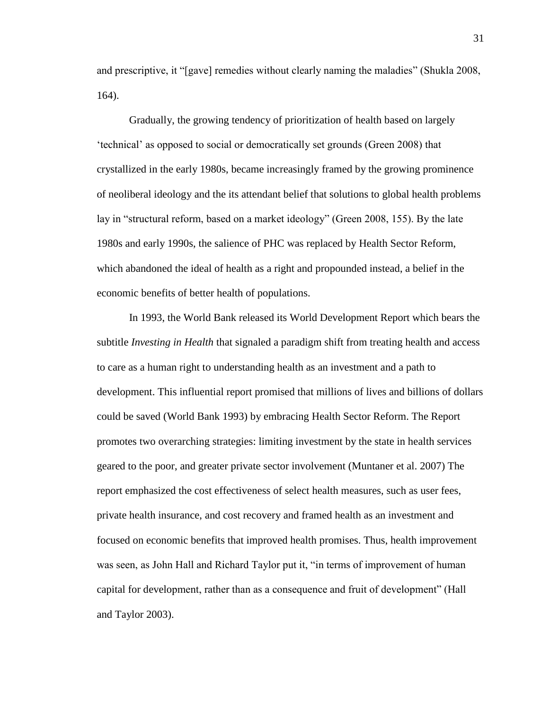and prescriptive, it "[gave] remedies without clearly naming the maladies" (Shukla 2008, 164).

Gradually, the growing tendency of prioritization of health based on largely 'technical' as opposed to social or democratically set grounds (Green 2008) that crystallized in the early 1980s, became increasingly framed by the growing prominence of neoliberal ideology and the its attendant belief that solutions to global health problems lay in "structural reform, based on a market ideology" (Green 2008, 155). By the late 1980s and early 1990s, the salience of PHC was replaced by Health Sector Reform, which abandoned the ideal of health as a right and propounded instead, a belief in the economic benefits of better health of populations.

In 1993, the World Bank released its World Development Report which bears the subtitle *Investing in Health* that signaled a paradigm shift from treating health and access to care as a human right to understanding health as an investment and a path to development. This influential report promised that millions of lives and billions of dollars could be saved (World Bank 1993) by embracing Health Sector Reform. The Report promotes two overarching strategies: limiting investment by the state in health services geared to the poor, and greater private sector involvement (Muntaner et al. 2007) The report emphasized the cost effectiveness of select health measures, such as user fees, private health insurance, and cost recovery and framed health as an investment and focused on economic benefits that improved health promises. Thus, health improvement was seen, as John Hall and Richard Taylor put it, "in terms of improvement of human capital for development, rather than as a consequence and fruit of development" (Hall and Taylor 2003).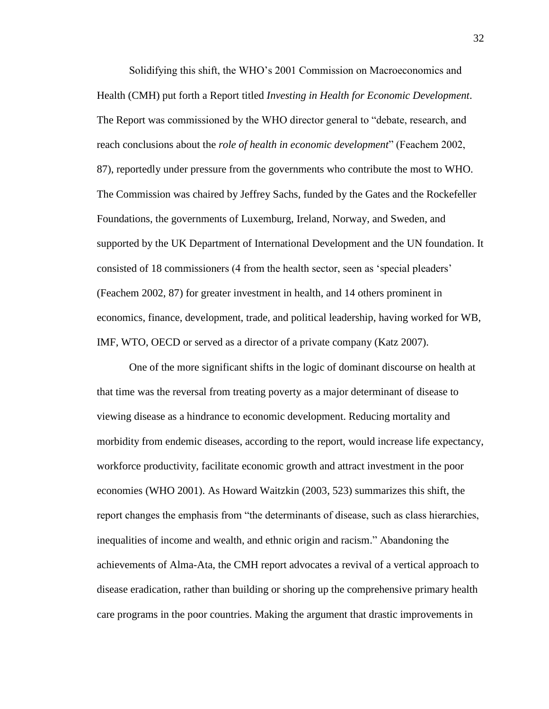Solidifying this shift, the WHO's 2001 Commission on Macroeconomics and Health (CMH) put forth a Report titled *Investing in Health for Economic Development*. The Report was commissioned by the WHO director general to "debate, research, and reach conclusions about the *role of health in economic development*" (Feachem 2002, 87), reportedly under pressure from the governments who contribute the most to WHO. The Commission was chaired by Jeffrey Sachs, funded by the Gates and the Rockefeller Foundations, the governments of Luxemburg, Ireland, Norway, and Sweden, and supported by the UK Department of International Development and the UN foundation. It consisted of 18 commissioners (4 from the health sector, seen as 'special pleaders' (Feachem 2002, 87) for greater investment in health, and 14 others prominent in economics, finance, development, trade, and political leadership, having worked for WB, IMF, WTO, OECD or served as a director of a private company (Katz 2007).

One of the more significant shifts in the logic of dominant discourse on health at that time was the reversal from treating poverty as a major determinant of disease to viewing disease as a hindrance to economic development. Reducing mortality and morbidity from endemic diseases, according to the report, would increase life expectancy, workforce productivity, facilitate economic growth and attract investment in the poor economies (WHO 2001). As Howard Waitzkin (2003, 523) summarizes this shift, the report changes the emphasis from "the determinants of disease, such as class hierarchies, inequalities of income and wealth, and ethnic origin and racism." Abandoning the achievements of Alma-Ata, the CMH report advocates a revival of a vertical approach to disease eradication, rather than building or shoring up the comprehensive primary health care programs in the poor countries. Making the argument that drastic improvements in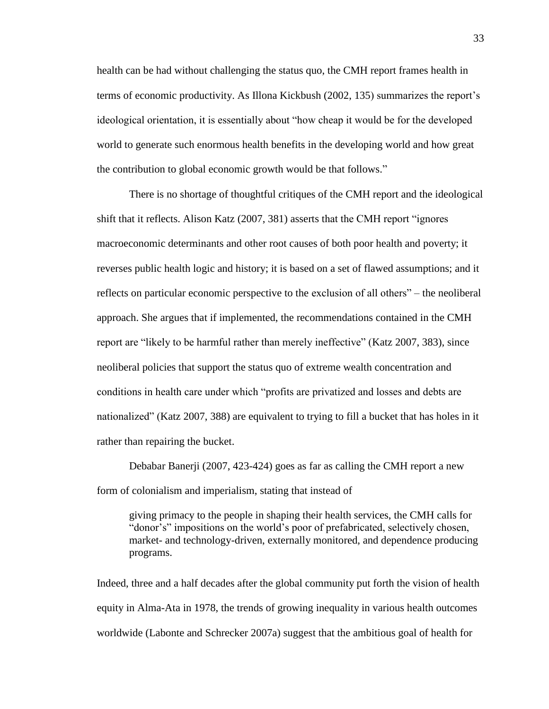health can be had without challenging the status quo, the CMH report frames health in terms of economic productivity. As Illona Kickbush (2002, 135) summarizes the report's ideological orientation, it is essentially about "how cheap it would be for the developed world to generate such enormous health benefits in the developing world and how great the contribution to global economic growth would be that follows."

There is no shortage of thoughtful critiques of the CMH report and the ideological shift that it reflects. Alison Katz (2007, 381) asserts that the CMH report "ignores macroeconomic determinants and other root causes of both poor health and poverty; it reverses public health logic and history; it is based on a set of flawed assumptions; and it reflects on particular economic perspective to the exclusion of all others" – the neoliberal approach. She argues that if implemented, the recommendations contained in the CMH report are "likely to be harmful rather than merely ineffective" (Katz 2007, 383), since neoliberal policies that support the status quo of extreme wealth concentration and conditions in health care under which "profits are privatized and losses and debts are nationalized" (Katz 2007, 388) are equivalent to trying to fill a bucket that has holes in it rather than repairing the bucket.

Debabar Banerji (2007, 423-424) goes as far as calling the CMH report a new form of colonialism and imperialism, stating that instead of

giving primacy to the people in shaping their health services, the CMH calls for "donor's" impositions on the world's poor of prefabricated, selectively chosen, market- and technology-driven, externally monitored, and dependence producing programs.

Indeed, three and a half decades after the global community put forth the vision of health equity in Alma-Ata in 1978, the trends of growing inequality in various health outcomes worldwide (Labonte and Schrecker 2007a) suggest that the ambitious goal of health for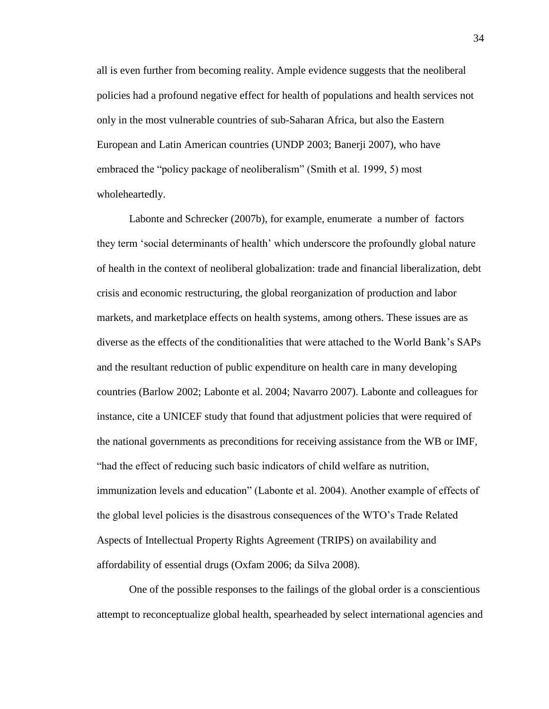all is even further from becoming reality. Ample evidence suggests that the neoliberal policies had a profound negative effect for health of populations and health services not only in the most vulnerable countries of sub-Saharan Africa, but also the Eastern European and Latin American countries (UNDP 2003; Banerji 2007), who have embraced the "policy package of neoliberalism" (Smith et al. 1999, 5) most wholeheartedly.

Labonte and Schrecker (2007b), for example, enumerate a number of factors they term 'social determinants of health' which underscore the profoundly global nature of health in the context of neoliberal globalization: trade and financial liberalization, debt crisis and economic restructuring, the global reorganization of production and labor markets, and marketplace effects on health systems, among others. These issues are as diverse as the effects of the conditionalities that were attached to the World Bank's SAPs and the resultant reduction of public expenditure on health care in many developing countries (Barlow 2002; Labonte et al. 2004; Navarro 2007). Labonte and colleagues for instance, cite a UNICEF study that found that adjustment policies that were required of the national governments as preconditions for receiving assistance from the WB or IMF, "had the effect of reducing such basic indicators of child welfare as nutrition, immunization levels and education" (Labonte et al. 2004). Another example of effects of the global level policies is the disastrous consequences of the WTO's Trade Related Aspects of Intellectual Property Rights Agreement (TRIPS) on availability and affordability of essential drugs (Oxfam 2006; da Silva 2008).

One of the possible responses to the failings of the global order is a conscientious attempt to reconceptualize global health, spearheaded by select international agencies and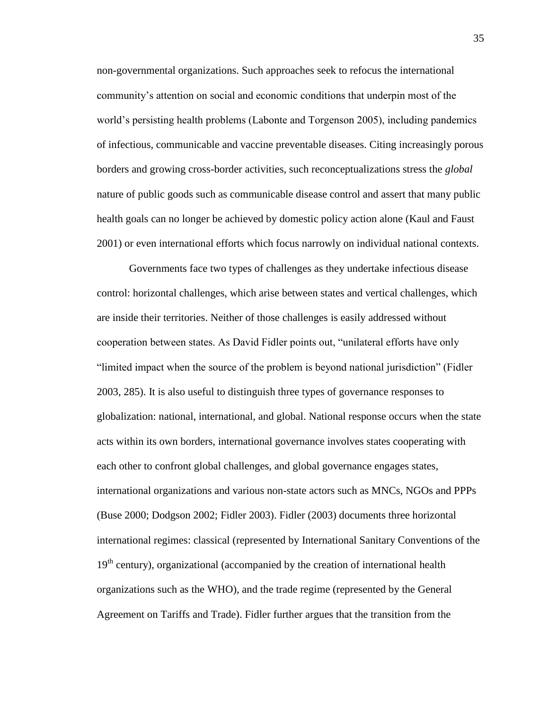non-governmental organizations. Such approaches seek to refocus the international community's attention on social and economic conditions that underpin most of the world's persisting health problems (Labonte and Torgenson 2005), including pandemics of infectious, communicable and vaccine preventable diseases. Citing increasingly porous borders and growing cross-border activities, such reconceptualizations stress the *global* nature of public goods such as communicable disease control and assert that many public health goals can no longer be achieved by domestic policy action alone (Kaul and Faust 2001) or even international efforts which focus narrowly on individual national contexts.

Governments face two types of challenges as they undertake infectious disease control: horizontal challenges, which arise between states and vertical challenges, which are inside their territories. Neither of those challenges is easily addressed without cooperation between states. As David Fidler points out, "unilateral efforts have only "limited impact when the source of the problem is beyond national jurisdiction" (Fidler 2003, 285). It is also useful to distinguish three types of governance responses to globalization: national, international, and global. National response occurs when the state acts within its own borders, international governance involves states cooperating with each other to confront global challenges, and global governance engages states, international organizations and various non-state actors such as MNCs, NGOs and PPPs (Buse 2000; Dodgson 2002; Fidler 2003). Fidler (2003) documents three horizontal international regimes: classical (represented by International Sanitary Conventions of the  $19<sup>th</sup>$  century), organizational (accompanied by the creation of international health organizations such as the WHO), and the trade regime (represented by the General Agreement on Tariffs and Trade). Fidler further argues that the transition from the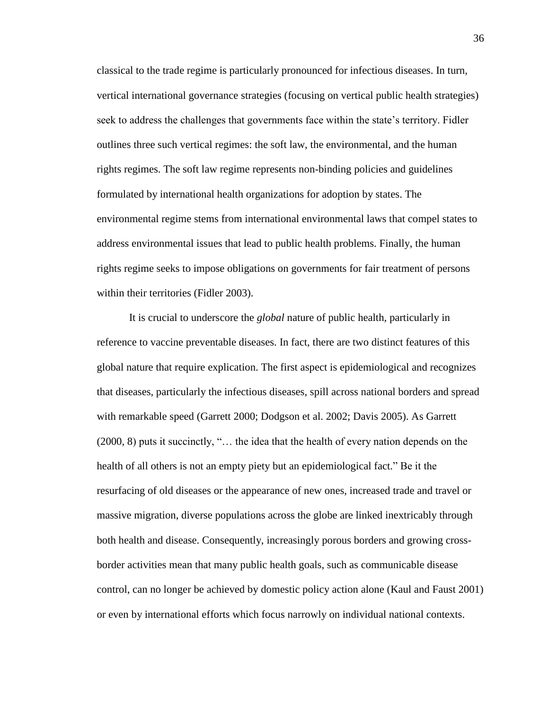classical to the trade regime is particularly pronounced for infectious diseases. In turn, vertical international governance strategies (focusing on vertical public health strategies) seek to address the challenges that governments face within the state's territory. Fidler outlines three such vertical regimes: the soft law, the environmental, and the human rights regimes. The soft law regime represents non-binding policies and guidelines formulated by international health organizations for adoption by states. The environmental regime stems from international environmental laws that compel states to address environmental issues that lead to public health problems. Finally, the human rights regime seeks to impose obligations on governments for fair treatment of persons within their territories (Fidler 2003).

It is crucial to underscore the *global* nature of public health, particularly in reference to vaccine preventable diseases. In fact, there are two distinct features of this global nature that require explication. The first aspect is epidemiological and recognizes that diseases, particularly the infectious diseases, spill across national borders and spread with remarkable speed (Garrett 2000; Dodgson et al. 2002; Davis 2005). As Garrett (2000, 8) puts it succinctly, "… the idea that the health of every nation depends on the health of all others is not an empty piety but an epidemiological fact." Be it the resurfacing of old diseases or the appearance of new ones, increased trade and travel or massive migration, diverse populations across the globe are linked inextricably through both health and disease. Consequently, increasingly porous borders and growing crossborder activities mean that many public health goals, such as communicable disease control, can no longer be achieved by domestic policy action alone (Kaul and Faust 2001) or even by international efforts which focus narrowly on individual national contexts.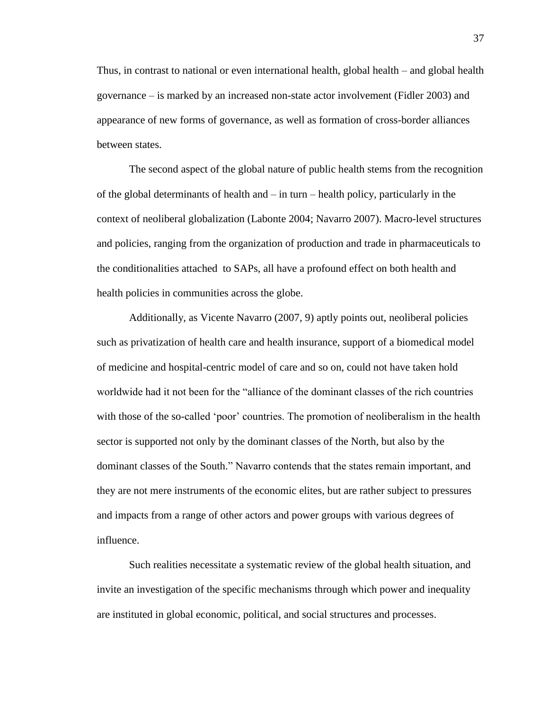Thus, in contrast to national or even international health, global health – and global health governance – is marked by an increased non-state actor involvement (Fidler 2003) and appearance of new forms of governance, as well as formation of cross-border alliances between states.

The second aspect of the global nature of public health stems from the recognition of the global determinants of health and – in turn – health policy, particularly in the context of neoliberal globalization (Labonte 2004; Navarro 2007). Macro-level structures and policies, ranging from the organization of production and trade in pharmaceuticals to the conditionalities attached to SAPs, all have a profound effect on both health and health policies in communities across the globe.

Additionally, as Vicente Navarro (2007, 9) aptly points out, neoliberal policies such as privatization of health care and health insurance, support of a biomedical model of medicine and hospital-centric model of care and so on, could not have taken hold worldwide had it not been for the "alliance of the dominant classes of the rich countries with those of the so-called 'poor' countries. The promotion of neoliberalism in the health sector is supported not only by the dominant classes of the North, but also by the dominant classes of the South." Navarro contends that the states remain important, and they are not mere instruments of the economic elites, but are rather subject to pressures and impacts from a range of other actors and power groups with various degrees of influence.

Such realities necessitate a systematic review of the global health situation, and invite an investigation of the specific mechanisms through which power and inequality are instituted in global economic, political, and social structures and processes.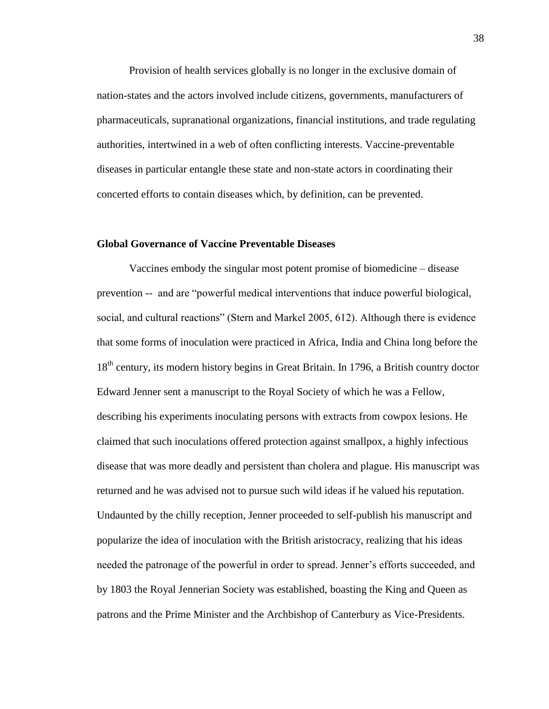Provision of health services globally is no longer in the exclusive domain of nation-states and the actors involved include citizens, governments, manufacturers of pharmaceuticals, supranational organizations, financial institutions, and trade regulating authorities, intertwined in a web of often conflicting interests. Vaccine-preventable diseases in particular entangle these state and non-state actors in coordinating their concerted efforts to contain diseases which, by definition, can be prevented.

### **Global Governance of Vaccine Preventable Diseases**

Vaccines embody the singular most potent promise of biomedicine – disease prevention -- and are "powerful medical interventions that induce powerful biological, social, and cultural reactions" (Stern and Markel 2005, 612). Although there is evidence that some forms of inoculation were practiced in Africa, India and China long before the 18<sup>th</sup> century, its modern history begins in Great Britain. In 1796, a British country doctor Edward Jenner sent a manuscript to the Royal Society of which he was a Fellow, describing his experiments inoculating persons with extracts from cowpox lesions. He claimed that such inoculations offered protection against smallpox, a highly infectious disease that was more deadly and persistent than cholera and plague. His manuscript was returned and he was advised not to pursue such wild ideas if he valued his reputation. Undaunted by the chilly reception, Jenner proceeded to self-publish his manuscript and popularize the idea of inoculation with the British aristocracy, realizing that his ideas needed the patronage of the powerful in order to spread. Jenner's efforts succeeded, and by 1803 the Royal Jennerian Society was established, boasting the King and Queen as patrons and the Prime Minister and the Archbishop of Canterbury as Vice-Presidents.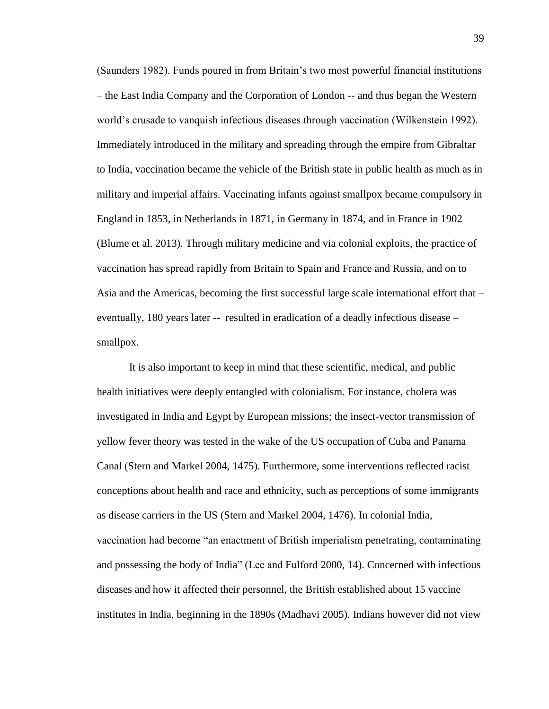(Saunders 1982). Funds poured in from Britain's two most powerful financial institutions – the East India Company and the Corporation of London -- and thus began the Western world's crusade to vanquish infectious diseases through vaccination (Wilkenstein 1992). Immediately introduced in the military and spreading through the empire from Gibraltar to India, vaccination became the vehicle of the British state in public health as much as in military and imperial affairs. Vaccinating infants against smallpox became compulsory in England in 1853, in Netherlands in 1871, in Germany in 1874, and in France in 1902 (Blume et al. 2013). Through military medicine and via colonial exploits, the practice of vaccination has spread rapidly from Britain to Spain and France and Russia, and on to Asia and the Americas, becoming the first successful large scale international effort that – eventually, 180 years later -- resulted in eradication of a deadly infectious disease – smallpox.

It is also important to keep in mind that these scientific, medical, and public health initiatives were deeply entangled with colonialism. For instance, cholera was investigated in India and Egypt by European missions; the insect-vector transmission of yellow fever theory was tested in the wake of the US occupation of Cuba and Panama Canal (Stern and Markel 2004, 1475). Furthermore, some interventions reflected racist conceptions about health and race and ethnicity, such as perceptions of some immigrants as disease carriers in the US (Stern and Markel 2004, 1476). In colonial India, vaccination had become "an enactment of British imperialism penetrating, contaminating and possessing the body of India" (Lee and Fulford 2000, 14). Concerned with infectious diseases and how it affected their personnel, the British established about 15 vaccine institutes in India, beginning in the 1890s (Madhavi 2005). Indians however did not view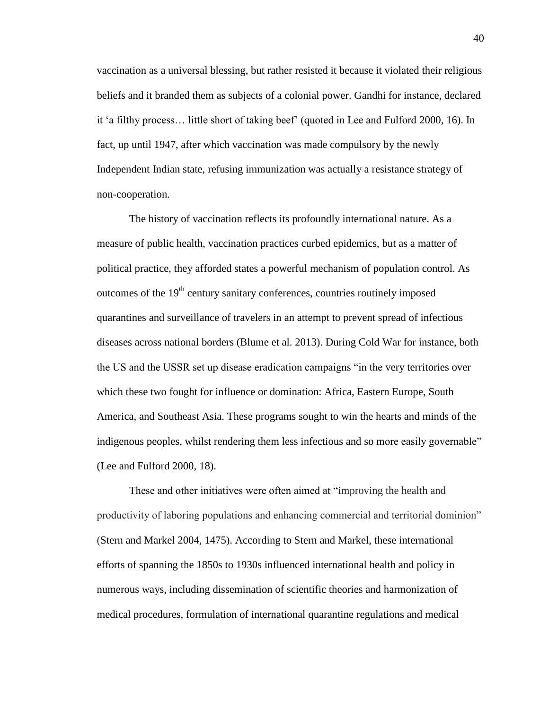vaccination as a universal blessing, but rather resisted it because it violated their religious beliefs and it branded them as subjects of a colonial power. Gandhi for instance, declared it 'a filthy process… little short of taking beef' (quoted in Lee and Fulford 2000, 16). In fact, up until 1947, after which vaccination was made compulsory by the newly Independent Indian state, refusing immunization was actually a resistance strategy of non-cooperation.

The history of vaccination reflects its profoundly international nature. As a measure of public health, vaccination practices curbed epidemics, but as a matter of political practice, they afforded states a powerful mechanism of population control. As outcomes of the 19<sup>th</sup> century sanitary conferences, countries routinely imposed quarantines and surveillance of travelers in an attempt to prevent spread of infectious diseases across national borders (Blume et al. 2013). During Cold War for instance, both the US and the USSR set up disease eradication campaigns "in the very territories over which these two fought for influence or domination: Africa, Eastern Europe, South America, and Southeast Asia. These programs sought to win the hearts and minds of the indigenous peoples, whilst rendering them less infectious and so more easily governable" (Lee and Fulford 2000, 18).

These and other initiatives were often aimed at "improving the health and productivity of laboring populations and enhancing commercial and territorial dominion" (Stern and Markel 2004, 1475). According to Stern and Markel, these international efforts of spanning the 1850s to 1930s influenced international health and policy in numerous ways, including dissemination of scientific theories and harmonization of medical procedures, formulation of international quarantine regulations and medical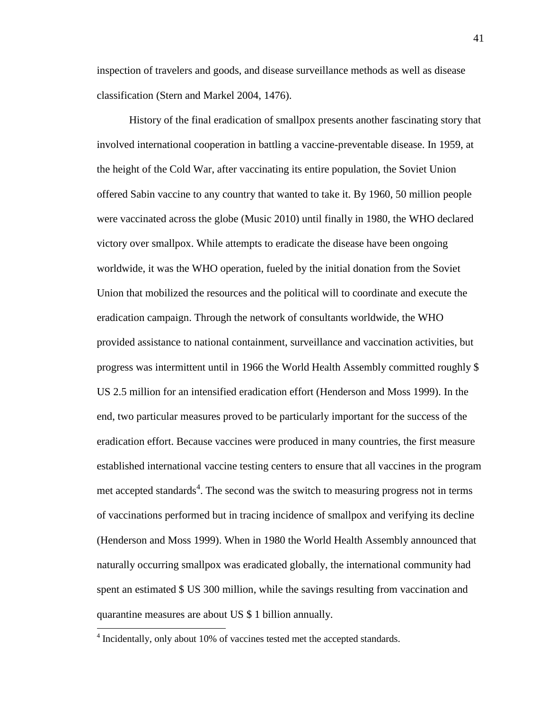inspection of travelers and goods, and disease surveillance methods as well as disease classification (Stern and Markel 2004, 1476).

History of the final eradication of smallpox presents another fascinating story that involved international cooperation in battling a vaccine-preventable disease. In 1959, at the height of the Cold War, after vaccinating its entire population, the Soviet Union offered Sabin vaccine to any country that wanted to take it. By 1960, 50 million people were vaccinated across the globe (Music 2010) until finally in 1980, the WHO declared victory over smallpox. While attempts to eradicate the disease have been ongoing worldwide, it was the WHO operation, fueled by the initial donation from the Soviet Union that mobilized the resources and the political will to coordinate and execute the eradication campaign. Through the network of consultants worldwide, the WHO provided assistance to national containment, surveillance and vaccination activities, but progress was intermittent until in 1966 the World Health Assembly committed roughly \$ US 2.5 million for an intensified eradication effort (Henderson and Moss 1999). In the end, two particular measures proved to be particularly important for the success of the eradication effort. Because vaccines were produced in many countries, the first measure established international vaccine testing centers to ensure that all vaccines in the program met accepted standards<sup>4</sup>. The second was the switch to measuring progress not in terms of vaccinations performed but in tracing incidence of smallpox and verifying its decline (Henderson and Moss 1999). When in 1980 the World Health Assembly announced that naturally occurring smallpox was eradicated globally, the international community had spent an estimated \$ US 300 million, while the savings resulting from vaccination and quarantine measures are about US \$ 1 billion annually.

 $\overline{\phantom{a}}$ 

<sup>&</sup>lt;sup>4</sup> Incidentally, only about 10% of vaccines tested met the accepted standards.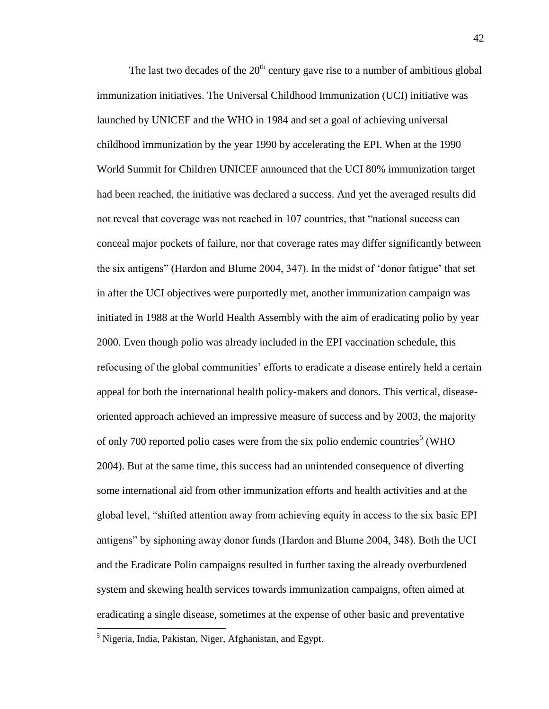The last two decades of the  $20<sup>th</sup>$  century gave rise to a number of ambitious global immunization initiatives. The Universal Childhood Immunization (UCI) initiative was launched by UNICEF and the WHO in 1984 and set a goal of achieving universal childhood immunization by the year 1990 by accelerating the EPI. When at the 1990 World Summit for Children UNICEF announced that the UCI 80% immunization target had been reached, the initiative was declared a success. And yet the averaged results did not reveal that coverage was not reached in 107 countries, that "national success can conceal major pockets of failure, nor that coverage rates may differ significantly between the six antigens" (Hardon and Blume 2004, 347). In the midst of 'donor fatigue' that set in after the UCI objectives were purportedly met, another immunization campaign was initiated in 1988 at the World Health Assembly with the aim of eradicating polio by year 2000. Even though polio was already included in the EPI vaccination schedule, this refocusing of the global communities' efforts to eradicate a disease entirely held a certain appeal for both the international health policy-makers and donors. This vertical, diseaseoriented approach achieved an impressive measure of success and by 2003, the majority of only 700 reported polio cases were from the six polio endemic countries<sup>5</sup> (WHO 2004). But at the same time, this success had an unintended consequence of diverting some international aid from other immunization efforts and health activities and at the global level, "shifted attention away from achieving equity in access to the six basic EPI antigens" by siphoning away donor funds (Hardon and Blume 2004, 348). Both the UCI and the Eradicate Polio campaigns resulted in further taxing the already overburdened system and skewing health services towards immunization campaigns, often aimed at eradicating a single disease, sometimes at the expense of other basic and preventative

 $\overline{\phantom{a}}$ 

<sup>5</sup> Nigeria, India, Pakistan, Niger, Afghanistan, and Egypt.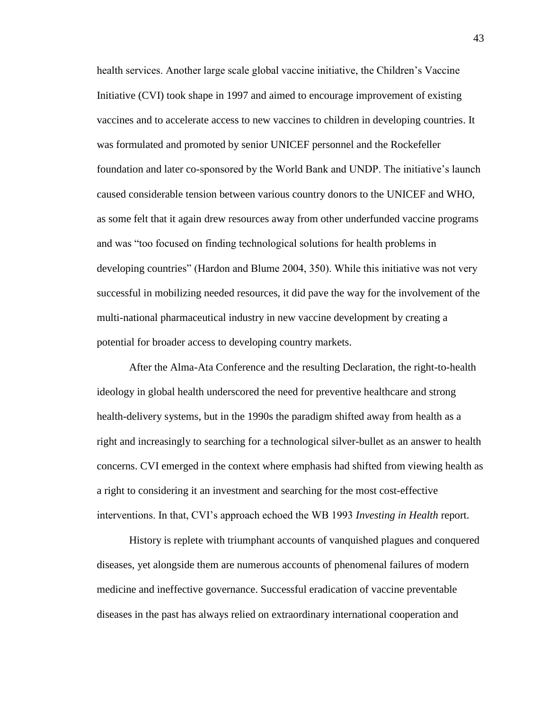health services. Another large scale global vaccine initiative, the Children's Vaccine Initiative (CVI) took shape in 1997 and aimed to encourage improvement of existing vaccines and to accelerate access to new vaccines to children in developing countries. It was formulated and promoted by senior UNICEF personnel and the Rockefeller foundation and later co-sponsored by the World Bank and UNDP. The initiative's launch caused considerable tension between various country donors to the UNICEF and WHO, as some felt that it again drew resources away from other underfunded vaccine programs and was "too focused on finding technological solutions for health problems in developing countries" (Hardon and Blume 2004, 350). While this initiative was not very successful in mobilizing needed resources, it did pave the way for the involvement of the multi-national pharmaceutical industry in new vaccine development by creating a potential for broader access to developing country markets.

After the Alma-Ata Conference and the resulting Declaration, the right-to-health ideology in global health underscored the need for preventive healthcare and strong health-delivery systems, but in the 1990s the paradigm shifted away from health as a right and increasingly to searching for a technological silver-bullet as an answer to health concerns. CVI emerged in the context where emphasis had shifted from viewing health as a right to considering it an investment and searching for the most cost-effective interventions. In that, CVI's approach echoed the WB 1993 *Investing in Health* report.

History is replete with triumphant accounts of vanquished plagues and conquered diseases, yet alongside them are numerous accounts of phenomenal failures of modern medicine and ineffective governance. Successful eradication of vaccine preventable diseases in the past has always relied on extraordinary international cooperation and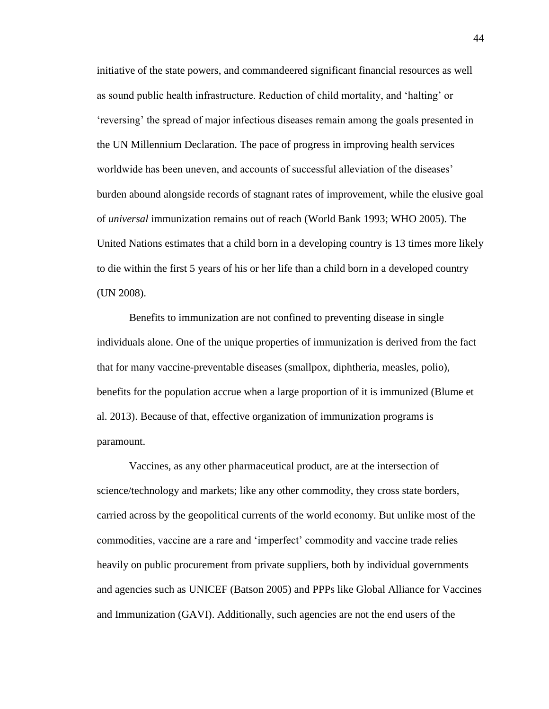initiative of the state powers, and commandeered significant financial resources as well as sound public health infrastructure. Reduction of child mortality, and 'halting' or 'reversing' the spread of major infectious diseases remain among the goals presented in the UN Millennium Declaration. The pace of progress in improving health services worldwide has been uneven, and accounts of successful alleviation of the diseases' burden abound alongside records of stagnant rates of improvement, while the elusive goal of *universal* immunization remains out of reach (World Bank 1993; WHO 2005). The United Nations estimates that a child born in a developing country is 13 times more likely to die within the first 5 years of his or her life than a child born in a developed country (UN 2008).

Benefits to immunization are not confined to preventing disease in single individuals alone. One of the unique properties of immunization is derived from the fact that for many vaccine-preventable diseases (smallpox, diphtheria, measles, polio), benefits for the population accrue when a large proportion of it is immunized (Blume et al. 2013). Because of that, effective organization of immunization programs is paramount.

Vaccines, as any other pharmaceutical product, are at the intersection of science/technology and markets; like any other commodity, they cross state borders, carried across by the geopolitical currents of the world economy. But unlike most of the commodities, vaccine are a rare and 'imperfect' commodity and vaccine trade relies heavily on public procurement from private suppliers, both by individual governments and agencies such as UNICEF (Batson 2005) and PPPs like Global Alliance for Vaccines and Immunization (GAVI). Additionally, such agencies are not the end users of the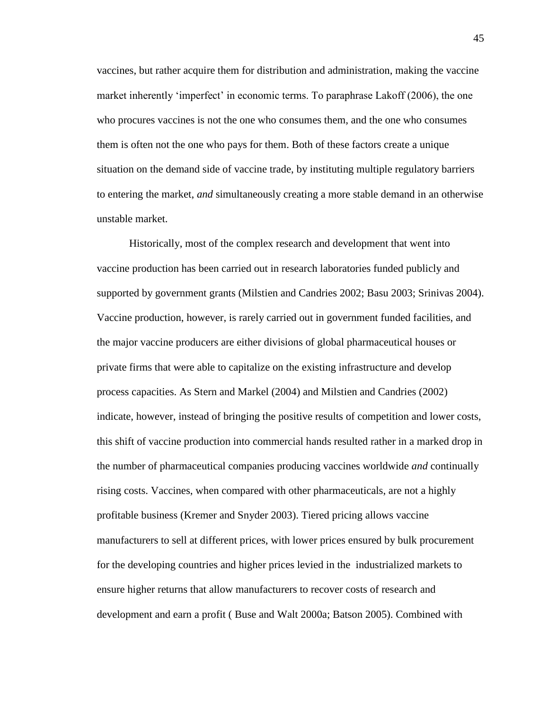vaccines, but rather acquire them for distribution and administration, making the vaccine market inherently 'imperfect' in economic terms. To paraphrase Lakoff (2006), the one who procures vaccines is not the one who consumes them, and the one who consumes them is often not the one who pays for them. Both of these factors create a unique situation on the demand side of vaccine trade, by instituting multiple regulatory barriers to entering the market, *and* simultaneously creating a more stable demand in an otherwise unstable market.

Historically, most of the complex research and development that went into vaccine production has been carried out in research laboratories funded publicly and supported by government grants (Milstien and Candries 2002; Basu 2003; Srinivas 2004). Vaccine production, however, is rarely carried out in government funded facilities, and the major vaccine producers are either divisions of global pharmaceutical houses or private firms that were able to capitalize on the existing infrastructure and develop process capacities. As Stern and Markel (2004) and Milstien and Candries (2002) indicate, however, instead of bringing the positive results of competition and lower costs, this shift of vaccine production into commercial hands resulted rather in a marked drop in the number of pharmaceutical companies producing vaccines worldwide *and* continually rising costs. Vaccines, when compared with other pharmaceuticals, are not a highly profitable business (Kremer and Snyder 2003). Tiered pricing allows vaccine manufacturers to sell at different prices, with lower prices ensured by bulk procurement for the developing countries and higher prices levied in the industrialized markets to ensure higher returns that allow manufacturers to recover costs of research and development and earn a profit ( Buse and Walt 2000a; Batson 2005). Combined with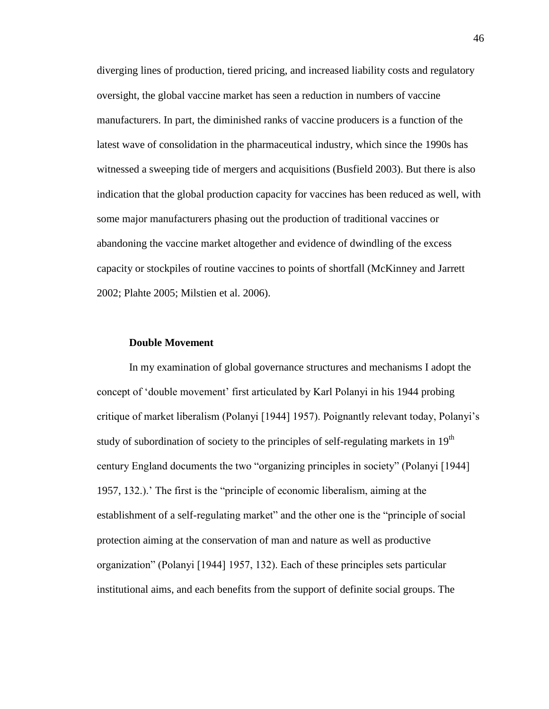diverging lines of production, tiered pricing, and increased liability costs and regulatory oversight, the global vaccine market has seen a reduction in numbers of vaccine manufacturers. In part, the diminished ranks of vaccine producers is a function of the latest wave of consolidation in the pharmaceutical industry, which since the 1990s has witnessed a sweeping tide of mergers and acquisitions (Busfield 2003). But there is also indication that the global production capacity for vaccines has been reduced as well, with some major manufacturers phasing out the production of traditional vaccines or abandoning the vaccine market altogether and evidence of dwindling of the excess capacity or stockpiles of routine vaccines to points of shortfall (McKinney and Jarrett 2002; Plahte 2005; Milstien et al. 2006).

## **Double Movement**

In my examination of global governance structures and mechanisms I adopt the concept of 'double movement' first articulated by Karl Polanyi in his 1944 probing critique of market liberalism (Polanyi [1944] 1957). Poignantly relevant today, Polanyi's study of subordination of society to the principles of self-regulating markets in  $19<sup>th</sup>$ century England documents the two "organizing principles in society" (Polanyi [1944] 1957, 132.).' The first is the "principle of economic liberalism, aiming at the establishment of a self-regulating market" and the other one is the "principle of social protection aiming at the conservation of man and nature as well as productive organization" (Polanyi [1944] 1957, 132). Each of these principles sets particular institutional aims, and each benefits from the support of definite social groups. The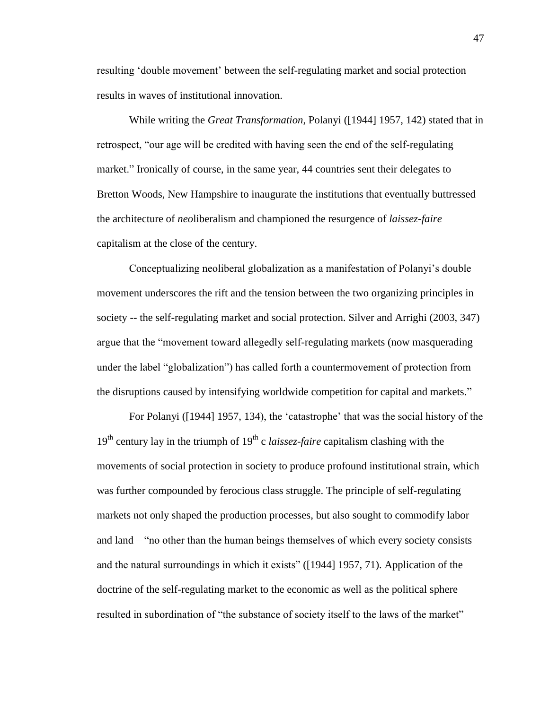resulting 'double movement' between the self-regulating market and social protection results in waves of institutional innovation.

While writing the *Great Transformation*, Polanyi ([1944] 1957, 142) stated that in retrospect, "our age will be credited with having seen the end of the self-regulating market." Ironically of course, in the same year, 44 countries sent their delegates to Bretton Woods, New Hampshire to inaugurate the institutions that eventually buttressed the architecture of *neo*liberalism and championed the resurgence of *laissez-faire* capitalism at the close of the century.

Conceptualizing neoliberal globalization as a manifestation of Polanyi's double movement underscores the rift and the tension between the two organizing principles in society -- the self-regulating market and social protection. Silver and Arrighi (2003, 347) argue that the "movement toward allegedly self-regulating markets (now masquerading under the label "globalization") has called forth a countermovement of protection from the disruptions caused by intensifying worldwide competition for capital and markets."

For Polanyi ([1944] 1957, 134), the 'catastrophe' that was the social history of the  $19<sup>th</sup>$  century lay in the triumph of  $19<sup>th</sup>$  c *laissez-faire* capitalism clashing with the movements of social protection in society to produce profound institutional strain, which was further compounded by ferocious class struggle. The principle of self-regulating markets not only shaped the production processes, but also sought to commodify labor and land – "no other than the human beings themselves of which every society consists and the natural surroundings in which it exists" ([1944] 1957, 71). Application of the doctrine of the self-regulating market to the economic as well as the political sphere resulted in subordination of "the substance of society itself to the laws of the market"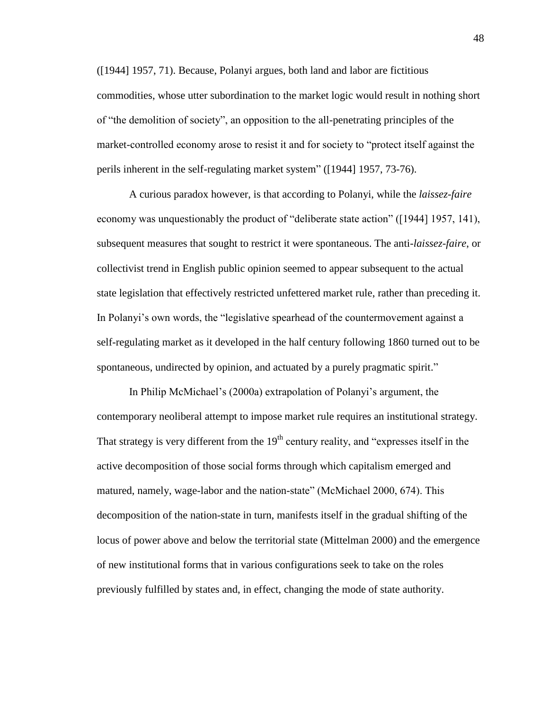([1944] 1957, 71). Because, Polanyi argues, both land and labor are fictitious commodities, whose utter subordination to the market logic would result in nothing short of "the demolition of society", an opposition to the all-penetrating principles of the market-controlled economy arose to resist it and for society to "protect itself against the perils inherent in the self-regulating market system" ([1944] 1957, 73-76).

A curious paradox however, is that according to Polanyi, while the *laissez-faire* economy was unquestionably the product of "deliberate state action" ([1944] 1957, 141), subsequent measures that sought to restrict it were spontaneous. The anti-*laissez-faire*, or collectivist trend in English public opinion seemed to appear subsequent to the actual state legislation that effectively restricted unfettered market rule, rather than preceding it. In Polanyi's own words, the "legislative spearhead of the countermovement against a self-regulating market as it developed in the half century following 1860 turned out to be spontaneous, undirected by opinion, and actuated by a purely pragmatic spirit."

In Philip McMichael's (2000a) extrapolation of Polanyi's argument, the contemporary neoliberal attempt to impose market rule requires an institutional strategy. That strategy is very different from the  $19<sup>th</sup>$  century reality, and "expresses itself in the active decomposition of those social forms through which capitalism emerged and matured, namely, wage-labor and the nation-state" (McMichael 2000, 674). This decomposition of the nation-state in turn, manifests itself in the gradual shifting of the locus of power above and below the territorial state (Mittelman 2000) and the emergence of new institutional forms that in various configurations seek to take on the roles previously fulfilled by states and, in effect, changing the mode of state authority.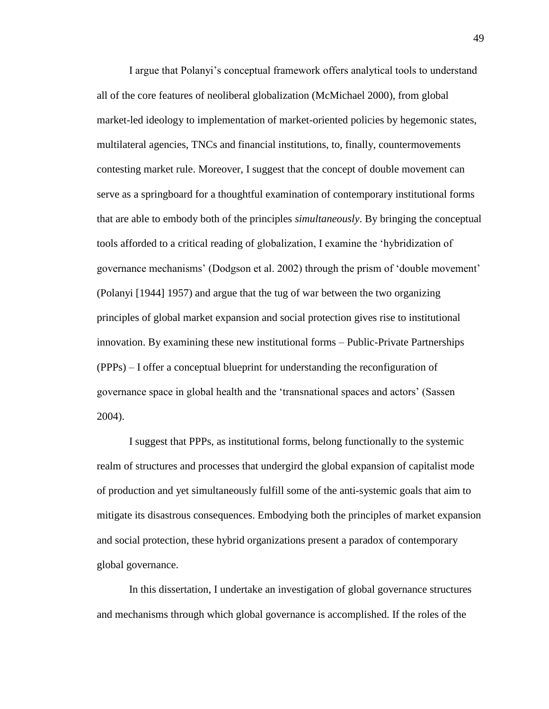I argue that Polanyi's conceptual framework offers analytical tools to understand all of the core features of neoliberal globalization (McMichael 2000), from global market-led ideology to implementation of market-oriented policies by hegemonic states, multilateral agencies, TNCs and financial institutions, to, finally, countermovements contesting market rule. Moreover, I suggest that the concept of double movement can serve as a springboard for a thoughtful examination of contemporary institutional forms that are able to embody both of the principles *simultaneously*. By bringing the conceptual tools afforded to a critical reading of globalization, I examine the 'hybridization of governance mechanisms' (Dodgson et al. 2002) through the prism of 'double movement' (Polanyi [1944] 1957) and argue that the tug of war between the two organizing principles of global market expansion and social protection gives rise to institutional innovation. By examining these new institutional forms – Public-Private Partnerships (PPPs) – I offer a conceptual blueprint for understanding the reconfiguration of governance space in global health and the 'transnational spaces and actors' (Sassen 2004).

I suggest that PPPs, as institutional forms, belong functionally to the systemic realm of structures and processes that undergird the global expansion of capitalist mode of production and yet simultaneously fulfill some of the anti-systemic goals that aim to mitigate its disastrous consequences. Embodying both the principles of market expansion and social protection, these hybrid organizations present a paradox of contemporary global governance.

In this dissertation, I undertake an investigation of global governance structures and mechanisms through which global governance is accomplished. If the roles of the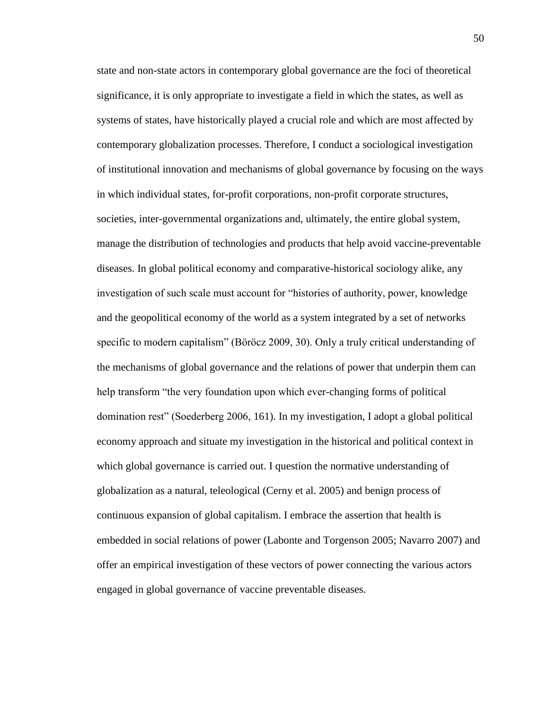state and non-state actors in contemporary global governance are the foci of theoretical significance, it is only appropriate to investigate a field in which the states, as well as systems of states, have historically played a crucial role and which are most affected by contemporary globalization processes. Therefore, I conduct a sociological investigation of institutional innovation and mechanisms of global governance by focusing on the ways in which individual states, for-profit corporations, non-profit corporate structures, societies, inter-governmental organizations and, ultimately, the entire global system, manage the distribution of technologies and products that help avoid vaccine-preventable diseases. In global political economy and comparative-historical sociology alike, any investigation of such scale must account for "histories of authority, power, knowledge and the geopolitical economy of the world as a system integrated by a set of networks specific to modern capitalism" (Böröcz 2009, 30). Only a truly critical understanding of the mechanisms of global governance and the relations of power that underpin them can help transform "the very foundation upon which ever-changing forms of political domination rest" (Soederberg 2006, 161). In my investigation, I adopt a global political economy approach and situate my investigation in the historical and political context in which global governance is carried out. I question the normative understanding of globalization as a natural, teleological (Cerny et al. 2005) and benign process of continuous expansion of global capitalism. I embrace the assertion that health is embedded in social relations of power (Labonte and Torgenson 2005; Navarro 2007) and offer an empirical investigation of these vectors of power connecting the various actors engaged in global governance of vaccine preventable diseases.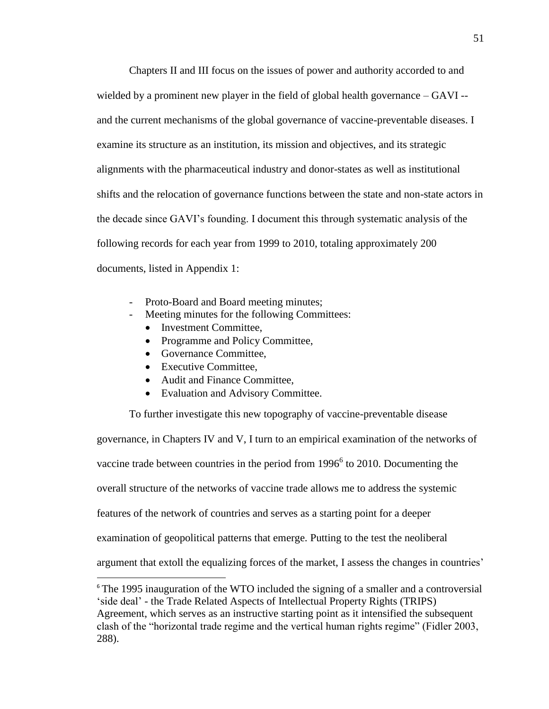Chapters II and III focus on the issues of power and authority accorded to and wielded by a prominent new player in the field of global health governance – GAVI - and the current mechanisms of the global governance of vaccine-preventable diseases. I examine its structure as an institution, its mission and objectives, and its strategic alignments with the pharmaceutical industry and donor-states as well as institutional shifts and the relocation of governance functions between the state and non-state actors in the decade since GAVI's founding. I document this through systematic analysis of the following records for each year from 1999 to 2010, totaling approximately 200 documents, listed in Appendix 1:

- Proto-Board and Board meeting minutes;
- Meeting minutes for the following Committees:
	- Investment Committee,
	- Programme and Policy Committee,
	- Governance Committee.
	- Executive Committee,

 $\overline{\phantom{a}}$ 

- Audit and Finance Committee,
- Evaluation and Advisory Committee.

To further investigate this new topography of vaccine-preventable disease

governance, in Chapters IV and V, I turn to an empirical examination of the networks of vaccine trade between countries in the period from  $1996<sup>6</sup>$  to 2010. Documenting the overall structure of the networks of vaccine trade allows me to address the systemic features of the network of countries and serves as a starting point for a deeper examination of geopolitical patterns that emerge. Putting to the test the neoliberal argument that extoll the equalizing forces of the market, I assess the changes in countries'

<sup>&</sup>lt;sup>6</sup> The 1995 inauguration of the WTO included the signing of a smaller and a controversial 'side deal' - the Trade Related Aspects of Intellectual Property Rights (TRIPS) Agreement, which serves as an instructive starting point as it intensified the subsequent clash of the "horizontal trade regime and the vertical human rights regime" (Fidler 2003, 288).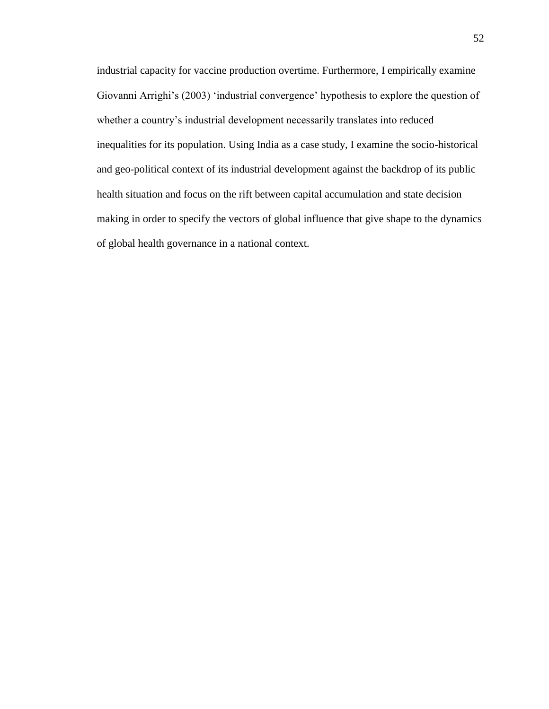industrial capacity for vaccine production overtime. Furthermore, I empirically examine Giovanni Arrighi's (2003) 'industrial convergence' hypothesis to explore the question of whether a country's industrial development necessarily translates into reduced inequalities for its population. Using India as a case study, I examine the socio-historical and geo-political context of its industrial development against the backdrop of its public health situation and focus on the rift between capital accumulation and state decision making in order to specify the vectors of global influence that give shape to the dynamics of global health governance in a national context.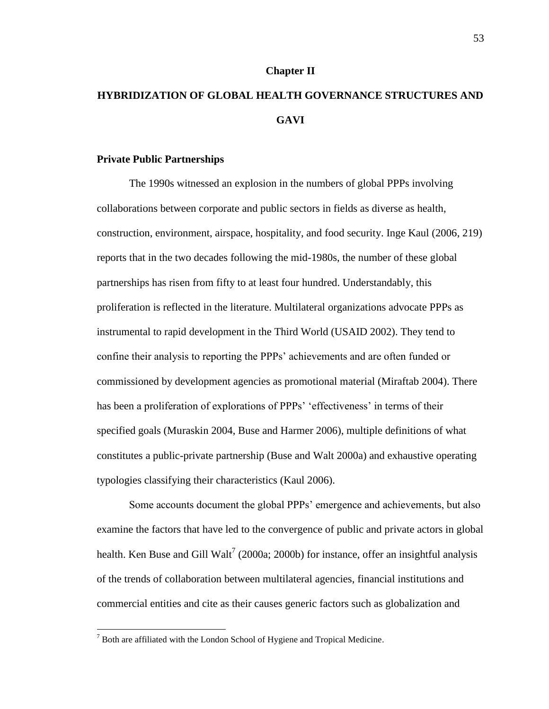### **Chapter II**

# **HYBRIDIZATION OF GLOBAL HEALTH GOVERNANCE STRUCTURES AND GAVI**

### **Private Public Partnerships**

The 1990s witnessed an explosion in the numbers of global PPPs involving collaborations between corporate and public sectors in fields as diverse as health, construction, environment, airspace, hospitality, and food security. Inge Kaul (2006, 219) reports that in the two decades following the mid-1980s, the number of these global partnerships has risen from fifty to at least four hundred. Understandably, this proliferation is reflected in the literature. Multilateral organizations advocate PPPs as instrumental to rapid development in the Third World (USAID 2002). They tend to confine their analysis to reporting the PPPs' achievements and are often funded or commissioned by development agencies as promotional material (Miraftab 2004). There has been a proliferation of explorations of PPPs' 'effectiveness' in terms of their specified goals (Muraskin 2004, Buse and Harmer 2006), multiple definitions of what constitutes a public-private partnership (Buse and Walt 2000a) and exhaustive operating typologies classifying their characteristics (Kaul 2006).

Some accounts document the global PPPs' emergence and achievements, but also examine the factors that have led to the convergence of public and private actors in global health. Ken Buse and Gill Walt<sup>7</sup> (2000a; 2000b) for instance, offer an insightful analysis of the trends of collaboration between multilateral agencies, financial institutions and commercial entities and cite as their causes generic factors such as globalization and

 $\overline{\phantom{a}}$ 

 $<sup>7</sup>$  Both are affiliated with the London School of Hygiene and Tropical Medicine.</sup>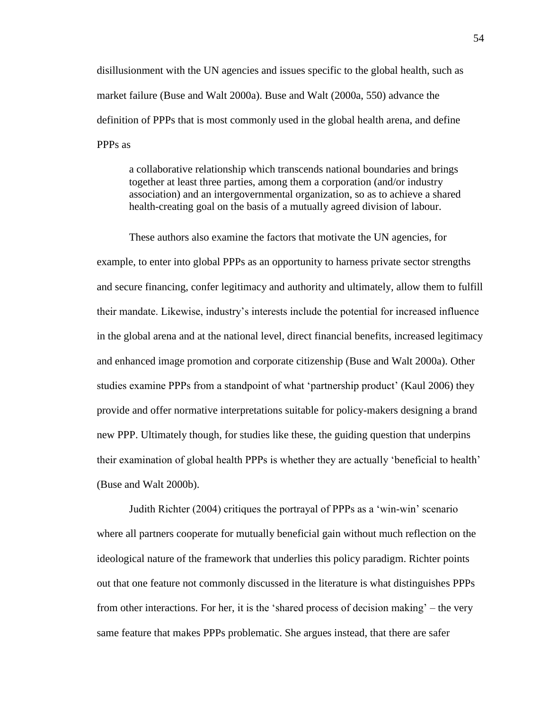disillusionment with the UN agencies and issues specific to the global health, such as market failure (Buse and Walt 2000a). Buse and Walt (2000a, 550) advance the definition of PPPs that is most commonly used in the global health arena, and define PPPs as

a collaborative relationship which transcends national boundaries and brings together at least three parties, among them a corporation (and/or industry association) and an intergovernmental organization, so as to achieve a shared health-creating goal on the basis of a mutually agreed division of labour.

These authors also examine the factors that motivate the UN agencies, for example, to enter into global PPPs as an opportunity to harness private sector strengths and secure financing, confer legitimacy and authority and ultimately, allow them to fulfill their mandate. Likewise, industry's interests include the potential for increased influence in the global arena and at the national level, direct financial benefits, increased legitimacy and enhanced image promotion and corporate citizenship (Buse and Walt 2000a). Other studies examine PPPs from a standpoint of what 'partnership product' (Kaul 2006) they provide and offer normative interpretations suitable for policy-makers designing a brand new PPP. Ultimately though, for studies like these, the guiding question that underpins their examination of global health PPPs is whether they are actually 'beneficial to health' (Buse and Walt 2000b).

Judith Richter (2004) critiques the portrayal of PPPs as a 'win-win' scenario where all partners cooperate for mutually beneficial gain without much reflection on the ideological nature of the framework that underlies this policy paradigm. Richter points out that one feature not commonly discussed in the literature is what distinguishes PPPs from other interactions. For her, it is the 'shared process of decision making' – the very same feature that makes PPPs problematic. She argues instead, that there are safer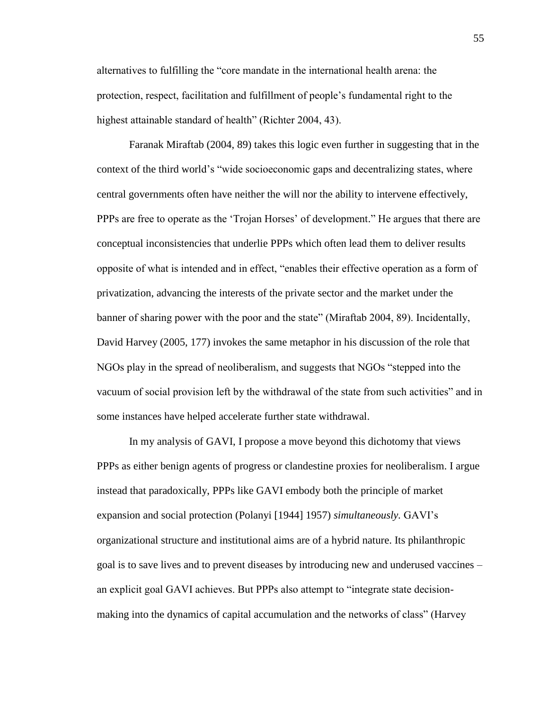alternatives to fulfilling the "core mandate in the international health arena: the protection, respect, facilitation and fulfillment of people's fundamental right to the highest attainable standard of health" (Richter 2004, 43).

Faranak Miraftab (2004, 89) takes this logic even further in suggesting that in the context of the third world's "wide socioeconomic gaps and decentralizing states, where central governments often have neither the will nor the ability to intervene effectively, PPPs are free to operate as the 'Trojan Horses' of development." He argues that there are conceptual inconsistencies that underlie PPPs which often lead them to deliver results opposite of what is intended and in effect, "enables their effective operation as a form of privatization, advancing the interests of the private sector and the market under the banner of sharing power with the poor and the state" (Miraftab 2004, 89). Incidentally, David Harvey (2005, 177) invokes the same metaphor in his discussion of the role that NGOs play in the spread of neoliberalism, and suggests that NGOs "stepped into the vacuum of social provision left by the withdrawal of the state from such activities" and in some instances have helped accelerate further state withdrawal.

In my analysis of GAVI, I propose a move beyond this dichotomy that views PPPs as either benign agents of progress or clandestine proxies for neoliberalism. I argue instead that paradoxically, PPPs like GAVI embody both the principle of market expansion and social protection (Polanyi [1944] 1957) *simultaneously.* GAVI's organizational structure and institutional aims are of a hybrid nature. Its philanthropic goal is to save lives and to prevent diseases by introducing new and underused vaccines – an explicit goal GAVI achieves. But PPPs also attempt to "integrate state decisionmaking into the dynamics of capital accumulation and the networks of class" (Harvey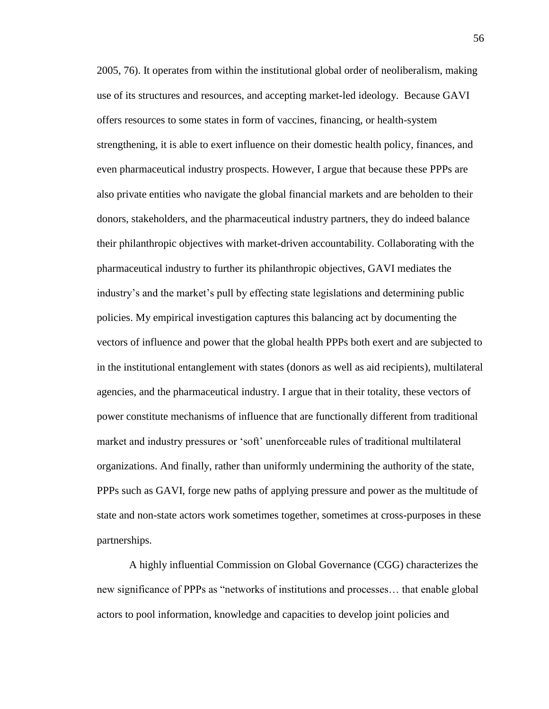2005, 76). It operates from within the institutional global order of neoliberalism, making use of its structures and resources, and accepting market-led ideology. Because GAVI offers resources to some states in form of vaccines, financing, or health-system strengthening, it is able to exert influence on their domestic health policy, finances, and even pharmaceutical industry prospects. However, I argue that because these PPPs are also private entities who navigate the global financial markets and are beholden to their donors, stakeholders, and the pharmaceutical industry partners, they do indeed balance their philanthropic objectives with market-driven accountability. Collaborating with the pharmaceutical industry to further its philanthropic objectives, GAVI mediates the industry's and the market's pull by effecting state legislations and determining public policies. My empirical investigation captures this balancing act by documenting the vectors of influence and power that the global health PPPs both exert and are subjected to in the institutional entanglement with states (donors as well as aid recipients), multilateral agencies, and the pharmaceutical industry. I argue that in their totality, these vectors of power constitute mechanisms of influence that are functionally different from traditional market and industry pressures or 'soft' unenforceable rules of traditional multilateral organizations. And finally, rather than uniformly undermining the authority of the state, PPPs such as GAVI, forge new paths of applying pressure and power as the multitude of state and non-state actors work sometimes together, sometimes at cross-purposes in these partnerships.

A highly influential Commission on Global Governance (CGG) characterizes the new significance of PPPs as "networks of institutions and processes… that enable global actors to pool information, knowledge and capacities to develop joint policies and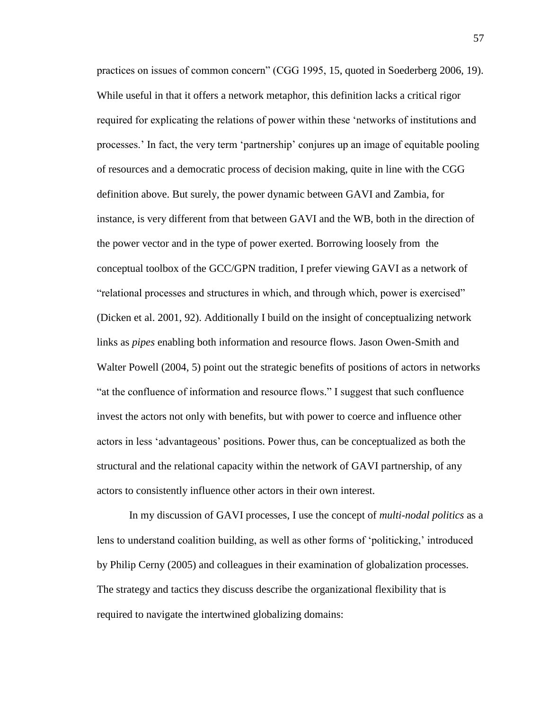practices on issues of common concern" (CGG 1995, 15, quoted in Soederberg 2006, 19). While useful in that it offers a network metaphor, this definition lacks a critical rigor required for explicating the relations of power within these 'networks of institutions and processes.' In fact, the very term 'partnership' conjures up an image of equitable pooling of resources and a democratic process of decision making, quite in line with the CGG definition above. But surely, the power dynamic between GAVI and Zambia, for instance, is very different from that between GAVI and the WB, both in the direction of the power vector and in the type of power exerted. Borrowing loosely from the conceptual toolbox of the GCC/GPN tradition, I prefer viewing GAVI as a network of "relational processes and structures in which, and through which, power is exercised" (Dicken et al. 2001, 92). Additionally I build on the insight of conceptualizing network links as *pipes* enabling both information and resource flows. Jason Owen-Smith and Walter Powell (2004, 5) point out the strategic benefits of positions of actors in networks "at the confluence of information and resource flows." I suggest that such confluence invest the actors not only with benefits, but with power to coerce and influence other actors in less 'advantageous' positions. Power thus, can be conceptualized as both the structural and the relational capacity within the network of GAVI partnership, of any actors to consistently influence other actors in their own interest.

In my discussion of GAVI processes, I use the concept of *multi-nodal politics* as a lens to understand coalition building, as well as other forms of 'politicking,' introduced by Philip Cerny (2005) and colleagues in their examination of globalization processes. The strategy and tactics they discuss describe the organizational flexibility that is required to navigate the intertwined globalizing domains: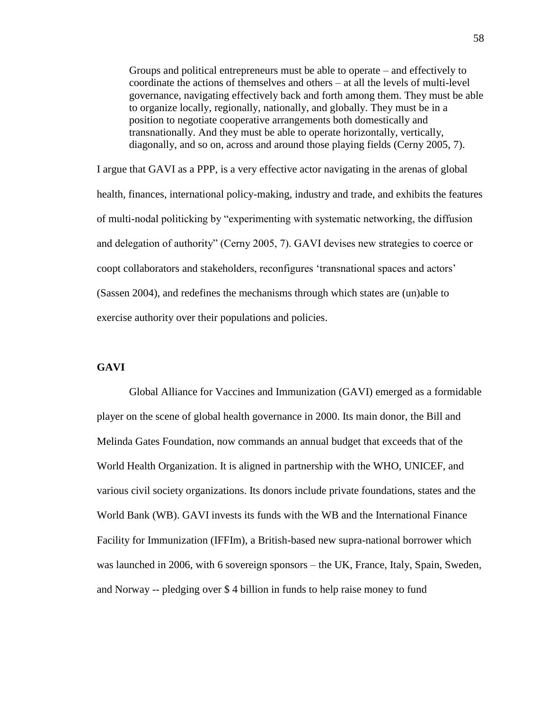Groups and political entrepreneurs must be able to operate – and effectively to coordinate the actions of themselves and others – at all the levels of multi-level governance, navigating effectively back and forth among them. They must be able to organize locally, regionally, nationally, and globally. They must be in a position to negotiate cooperative arrangements both domestically and transnationally. And they must be able to operate horizontally, vertically, diagonally, and so on, across and around those playing fields (Cerny 2005, 7).

I argue that GAVI as a PPP, is a very effective actor navigating in the arenas of global health, finances, international policy-making, industry and trade, and exhibits the features of multi-nodal politicking by "experimenting with systematic networking, the diffusion and delegation of authority" (Cerny 2005, 7). GAVI devises new strategies to coerce or coopt collaborators and stakeholders, reconfigures 'transnational spaces and actors' (Sassen 2004), and redefines the mechanisms through which states are (un)able to exercise authority over their populations and policies.

# **GAVI**

Global Alliance for Vaccines and Immunization (GAVI) emerged as a formidable player on the scene of global health governance in 2000. Its main donor, the Bill and Melinda Gates Foundation, now commands an annual budget that exceeds that of the World Health Organization. It is aligned in partnership with the WHO, UNICEF, and various civil society organizations. Its donors include private foundations, states and the World Bank (WB). GAVI invests its funds with the WB and the International Finance Facility for Immunization (IFFIm), a British-based new supra-national borrower which was launched in 2006, with 6 sovereign sponsors – the UK, France, Italy, Spain, Sweden, and Norway -- pledging over \$ 4 billion in funds to help raise money to fund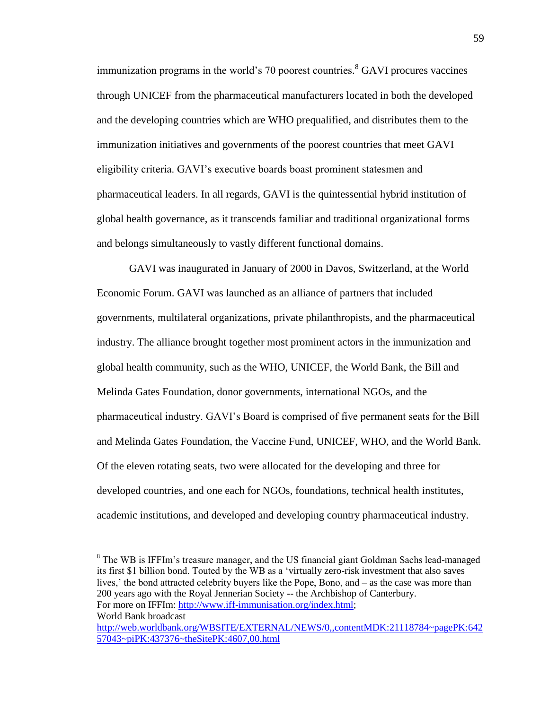immunization programs in the world's 70 poorest countries. <sup>8</sup> GAVI procures vaccines through UNICEF from the pharmaceutical manufacturers located in both the developed and the developing countries which are WHO prequalified, and distributes them to the immunization initiatives and governments of the poorest countries that meet GAVI eligibility criteria. GAVI's executive boards boast prominent statesmen and pharmaceutical leaders. In all regards, GAVI is the quintessential hybrid institution of global health governance, as it transcends familiar and traditional organizational forms and belongs simultaneously to vastly different functional domains.

GAVI was inaugurated in January of 2000 in Davos, Switzerland, at the World Economic Forum. GAVI was launched as an alliance of partners that included governments, multilateral organizations, private philanthropists, and the pharmaceutical industry. The alliance brought together most prominent actors in the immunization and global health community, such as the WHO, UNICEF, the World Bank, the Bill and Melinda Gates Foundation, donor governments, international NGOs, and the pharmaceutical industry. GAVI's Board is comprised of five permanent seats for the Bill and Melinda Gates Foundation, the Vaccine Fund, UNICEF, WHO, and the World Bank. Of the eleven rotating seats, two were allocated for the developing and three for developed countries, and one each for NGOs, foundations, technical health institutes, academic institutions, and developed and developing country pharmaceutical industry.

<sup>8</sup> The WB is IFFIm's treasure manager, and the US financial giant Goldman Sachs lead-managed its first \$1 billion bond. Touted by the WB as a 'virtually zero-risk investment that also saves lives,' the bond attracted celebrity buyers like the Pope, Bono, and – as the case was more than 200 years ago with the Royal Jennerian Society -- the Archbishop of Canterbury. For more on IFFIm: [http://www.iff-immunisation.org/index.html;](http://www.iff-immunisation.org/index.html)

World Bank broadcast

 $\overline{\phantom{a}}$ 

[http://web.worldbank.org/WBSITE/EXTERNAL/NEWS/0,,contentMDK:21118784~pagePK:642](http://web.worldbank.org/WBSITE/EXTERNAL/NEWS/0,,contentMDK:21118784~pagePK:64257043~piPK:437376~theSitePK:4607,00.html) [57043~piPK:437376~theSitePK:4607,00.html](http://web.worldbank.org/WBSITE/EXTERNAL/NEWS/0,,contentMDK:21118784~pagePK:64257043~piPK:437376~theSitePK:4607,00.html)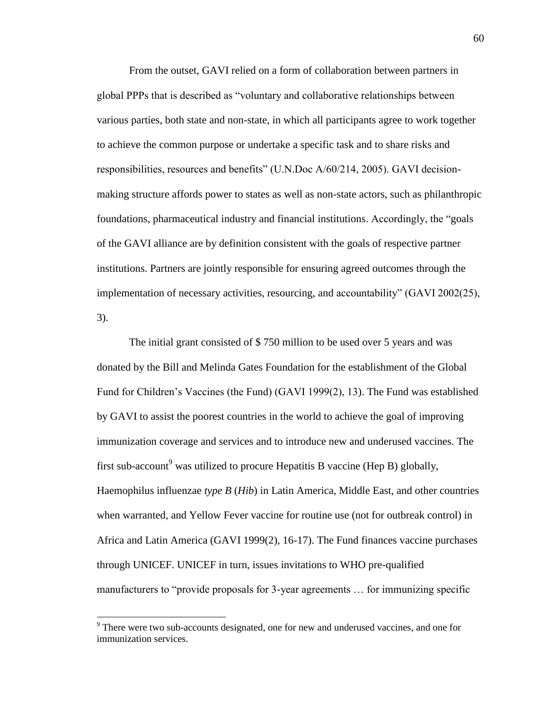From the outset, GAVI relied on a form of collaboration between partners in global PPPs that is described as "voluntary and collaborative relationships between various parties, both state and non-state, in which all participants agree to work together to achieve the common purpose or undertake a specific task and to share risks and responsibilities, resources and benefits" (U.N.Doc A/60/214, 2005). GAVI decisionmaking structure affords power to states as well as non-state actors, such as philanthropic foundations, pharmaceutical industry and financial institutions. Accordingly, the "goals of the GAVI alliance are by definition consistent with the goals of respective partner institutions. Partners are jointly responsible for ensuring agreed outcomes through the implementation of necessary activities, resourcing, and accountability" (GAVI 2002(25), 3).

The initial grant consisted of \$ 750 million to be used over 5 years and was donated by the Bill and Melinda Gates Foundation for the establishment of the Global Fund for Children's Vaccines (the Fund) (GAVI 1999(2), 13). The Fund was established by GAVI to assist the poorest countries in the world to achieve the goal of improving immunization coverage and services and to introduce new and underused vaccines. The first sub-account<sup>9</sup> was utilized to procure Hepatitis B vaccine (Hep B) globally, Haemophilus influenzae *type B* (*Hib*) in Latin America, Middle East, and other countries when warranted, and Yellow Fever vaccine for routine use (not for outbreak control) in Africa and Latin America (GAVI 1999(2), 16-17). The Fund finances vaccine purchases through UNICEF. UNICEF in turn, issues invitations to WHO pre-qualified manufacturers to "provide proposals for 3-year agreements … for immunizing specific

 $\overline{\phantom{a}}$ 

<sup>&</sup>lt;sup>9</sup> There were two sub-accounts designated, one for new and underused vaccines, and one for immunization services.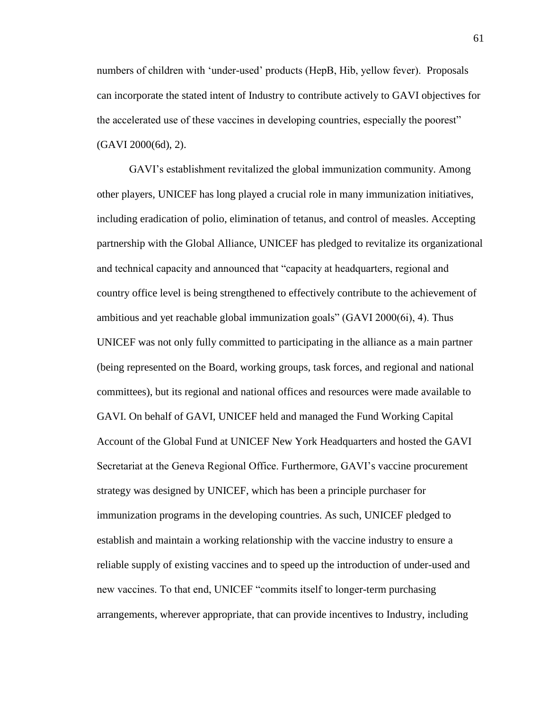numbers of children with 'under-used' products (HepB, Hib, yellow fever). Proposals can incorporate the stated intent of Industry to contribute actively to GAVI objectives for the accelerated use of these vaccines in developing countries, especially the poorest" (GAVI 2000(6d), 2).

GAVI's establishment revitalized the global immunization community. Among other players, UNICEF has long played a crucial role in many immunization initiatives, including eradication of polio, elimination of tetanus, and control of measles. Accepting partnership with the Global Alliance, UNICEF has pledged to revitalize its organizational and technical capacity and announced that "capacity at headquarters, regional and country office level is being strengthened to effectively contribute to the achievement of ambitious and yet reachable global immunization goals" (GAVI 2000(6i), 4). Thus UNICEF was not only fully committed to participating in the alliance as a main partner (being represented on the Board, working groups, task forces, and regional and national committees), but its regional and national offices and resources were made available to GAVI. On behalf of GAVI, UNICEF held and managed the Fund Working Capital Account of the Global Fund at UNICEF New York Headquarters and hosted the GAVI Secretariat at the Geneva Regional Office. Furthermore, GAVI's vaccine procurement strategy was designed by UNICEF, which has been a principle purchaser for immunization programs in the developing countries. As such, UNICEF pledged to establish and maintain a working relationship with the vaccine industry to ensure a reliable supply of existing vaccines and to speed up the introduction of under-used and new vaccines. To that end, UNICEF "commits itself to longer-term purchasing arrangements, wherever appropriate, that can provide incentives to Industry, including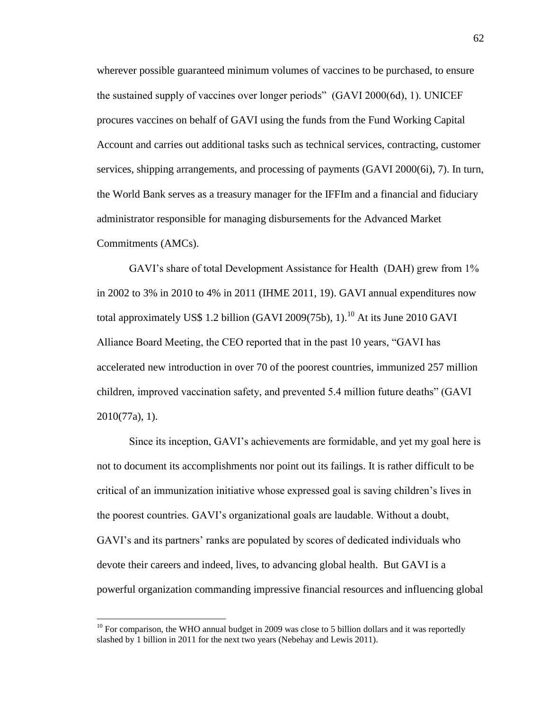wherever possible guaranteed minimum volumes of vaccines to be purchased, to ensure the sustained supply of vaccines over longer periods" (GAVI 2000(6d), 1). UNICEF procures vaccines on behalf of GAVI using the funds from the Fund Working Capital Account and carries out additional tasks such as technical services, contracting, customer services, shipping arrangements, and processing of payments (GAVI 2000(6i), 7). In turn, the World Bank serves as a treasury manager for the IFFIm and a financial and fiduciary administrator responsible for managing disbursements for the Advanced Market Commitments (AMCs).

GAVI's share of total Development Assistance for Health (DAH) grew from 1% in 2002 to 3% in 2010 to 4% in 2011 (IHME 2011, 19). GAVI annual expenditures now total approximately US\$ 1.2 billion (GAVI 2009(75b), 1).<sup>10</sup> At its June 2010 GAVI Alliance Board Meeting, the CEO reported that in the past 10 years, "GAVI has accelerated new introduction in over 70 of the poorest countries, immunized 257 million children, improved vaccination safety, and prevented 5.4 million future deaths" (GAVI 2010(77a), 1).

Since its inception, GAVI's achievements are formidable, and yet my goal here is not to document its accomplishments nor point out its failings. It is rather difficult to be critical of an immunization initiative whose expressed goal is saving children's lives in the poorest countries. GAVI's organizational goals are laudable. Without a doubt, GAVI's and its partners' ranks are populated by scores of dedicated individuals who devote their careers and indeed, lives, to advancing global health. But GAVI is a powerful organization commanding impressive financial resources and influencing global

 $\overline{\phantom{a}}$ 

 $10$  For comparison, the WHO annual budget in 2009 was close to 5 billion dollars and it was reportedly slashed by 1 billion in 2011 for the next two years (Nebehay and Lewis 2011).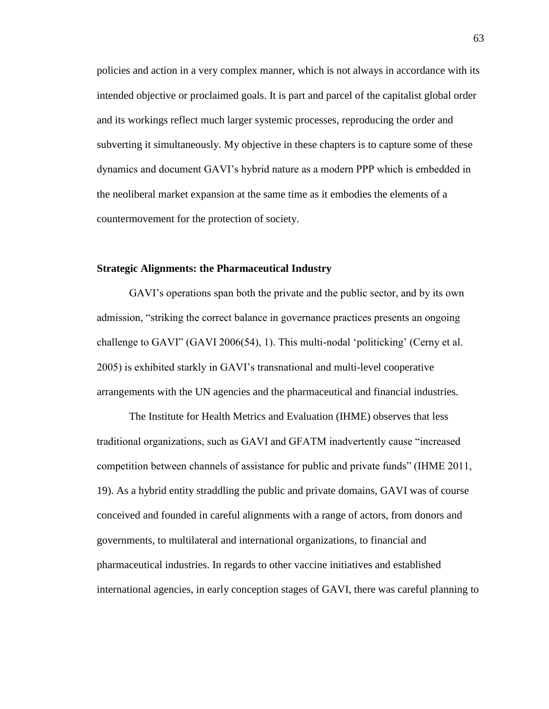policies and action in a very complex manner, which is not always in accordance with its intended objective or proclaimed goals. It is part and parcel of the capitalist global order and its workings reflect much larger systemic processes, reproducing the order and subverting it simultaneously. My objective in these chapters is to capture some of these dynamics and document GAVI's hybrid nature as a modern PPP which is embedded in the neoliberal market expansion at the same time as it embodies the elements of a countermovement for the protection of society.

## **Strategic Alignments: the Pharmaceutical Industry**

GAVI's operations span both the private and the public sector, and by its own admission, "striking the correct balance in governance practices presents an ongoing challenge to GAVI" (GAVI 2006(54), 1). This multi-nodal 'politicking' (Cerny et al. 2005) is exhibited starkly in GAVI's transnational and multi-level cooperative arrangements with the UN agencies and the pharmaceutical and financial industries.

The Institute for Health Metrics and Evaluation (IHME) observes that less traditional organizations, such as GAVI and GFATM inadvertently cause "increased competition between channels of assistance for public and private funds" (IHME 2011, 19). As a hybrid entity straddling the public and private domains, GAVI was of course conceived and founded in careful alignments with a range of actors, from donors and governments, to multilateral and international organizations, to financial and pharmaceutical industries. In regards to other vaccine initiatives and established international agencies, in early conception stages of GAVI, there was careful planning to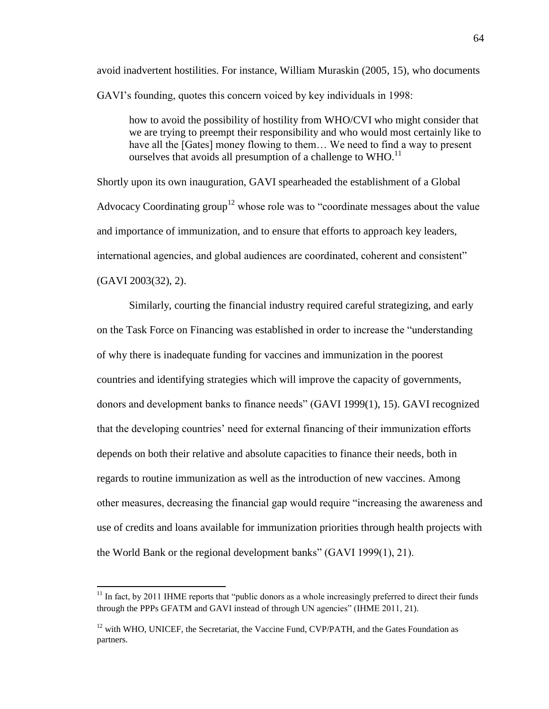avoid inadvertent hostilities. For instance, William Muraskin (2005, 15), who documents GAVI's founding, quotes this concern voiced by key individuals in 1998:

how to avoid the possibility of hostility from WHO/CVI who might consider that we are trying to preempt their responsibility and who would most certainly like to have all the [Gates] money flowing to them... We need to find a way to present ourselves that avoids all presumption of a challenge to WHO.<sup>11</sup>

Shortly upon its own inauguration, GAVI spearheaded the establishment of a Global Advocacy Coordinating group<sup>12</sup> whose role was to "coordinate messages about the value and importance of immunization, and to ensure that efforts to approach key leaders, international agencies, and global audiences are coordinated, coherent and consistent" (GAVI 2003(32), 2).

Similarly, courting the financial industry required careful strategizing, and early on the Task Force on Financing was established in order to increase the "understanding of why there is inadequate funding for vaccines and immunization in the poorest countries and identifying strategies which will improve the capacity of governments, donors and development banks to finance needs" (GAVI 1999(1), 15). GAVI recognized that the developing countries' need for external financing of their immunization efforts depends on both their relative and absolute capacities to finance their needs, both in regards to routine immunization as well as the introduction of new vaccines. Among other measures, decreasing the financial gap would require "increasing the awareness and use of credits and loans available for immunization priorities through health projects with the World Bank or the regional development banks" (GAVI 1999(1), 21).

<sup>&</sup>lt;sup>11</sup> In fact, by 2011 IHME reports that "public donors as a whole increasingly preferred to direct their funds through the PPPs GFATM and GAVI instead of through UN agencies" (IHME 2011, 21).

 $12$  with WHO, UNICEF, the Secretariat, the Vaccine Fund, CVP/PATH, and the Gates Foundation as partners.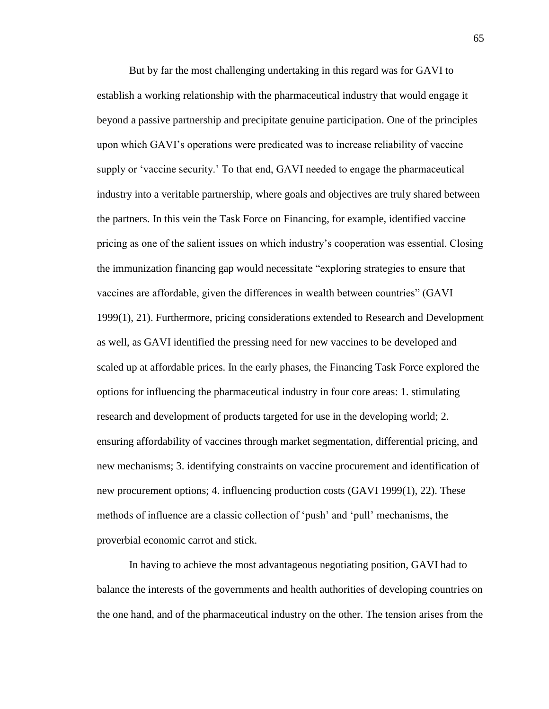But by far the most challenging undertaking in this regard was for GAVI to establish a working relationship with the pharmaceutical industry that would engage it beyond a passive partnership and precipitate genuine participation. One of the principles upon which GAVI's operations were predicated was to increase reliability of vaccine supply or 'vaccine security.' To that end, GAVI needed to engage the pharmaceutical industry into a veritable partnership, where goals and objectives are truly shared between the partners. In this vein the Task Force on Financing, for example, identified vaccine pricing as one of the salient issues on which industry's cooperation was essential. Closing the immunization financing gap would necessitate "exploring strategies to ensure that vaccines are affordable, given the differences in wealth between countries" (GAVI 1999(1), 21). Furthermore, pricing considerations extended to Research and Development as well, as GAVI identified the pressing need for new vaccines to be developed and scaled up at affordable prices. In the early phases, the Financing Task Force explored the options for influencing the pharmaceutical industry in four core areas: 1. stimulating research and development of products targeted for use in the developing world; 2. ensuring affordability of vaccines through market segmentation, differential pricing, and new mechanisms; 3. identifying constraints on vaccine procurement and identification of new procurement options; 4. influencing production costs (GAVI 1999(1), 22). These methods of influence are a classic collection of 'push' and 'pull' mechanisms, the proverbial economic carrot and stick.

In having to achieve the most advantageous negotiating position, GAVI had to balance the interests of the governments and health authorities of developing countries on the one hand, and of the pharmaceutical industry on the other. The tension arises from the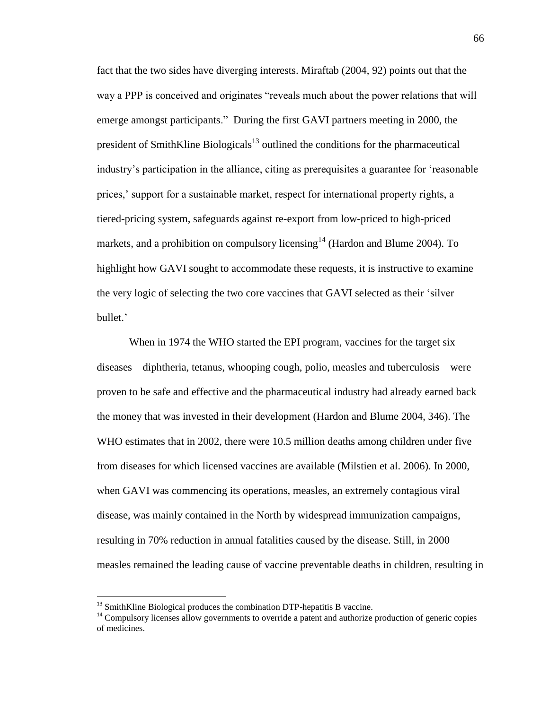fact that the two sides have diverging interests. Miraftab (2004, 92) points out that the way a PPP is conceived and originates "reveals much about the power relations that will emerge amongst participants." During the first GAVI partners meeting in 2000, the president of SmithKline Biologicals $13$  outlined the conditions for the pharmaceutical industry's participation in the alliance, citing as prerequisites a guarantee for 'reasonable prices,' support for a sustainable market, respect for international property rights, a tiered-pricing system, safeguards against re-export from low-priced to high-priced markets, and a prohibition on compulsory licensing  $14$  (Hardon and Blume 2004). To highlight how GAVI sought to accommodate these requests, it is instructive to examine the very logic of selecting the two core vaccines that GAVI selected as their 'silver bullet.'

When in 1974 the WHO started the EPI program, vaccines for the target six diseases – diphtheria, tetanus, whooping cough, polio, measles and tuberculosis – were proven to be safe and effective and the pharmaceutical industry had already earned back the money that was invested in their development (Hardon and Blume 2004, 346). The WHO estimates that in 2002, there were 10.5 million deaths among children under five from diseases for which licensed vaccines are available (Milstien et al. 2006). In 2000, when GAVI was commencing its operations, measles, an extremely contagious viral disease, was mainly contained in the North by widespread immunization campaigns, resulting in 70% reduction in annual fatalities caused by the disease. Still, in 2000 measles remained the leading cause of vaccine preventable deaths in children, resulting in

<sup>&</sup>lt;sup>13</sup> SmithKline Biological produces the combination DTP-hepatitis B vaccine.

<sup>&</sup>lt;sup>14</sup> Compulsory licenses allow governments to override a patent and authorize production of generic copies of medicines.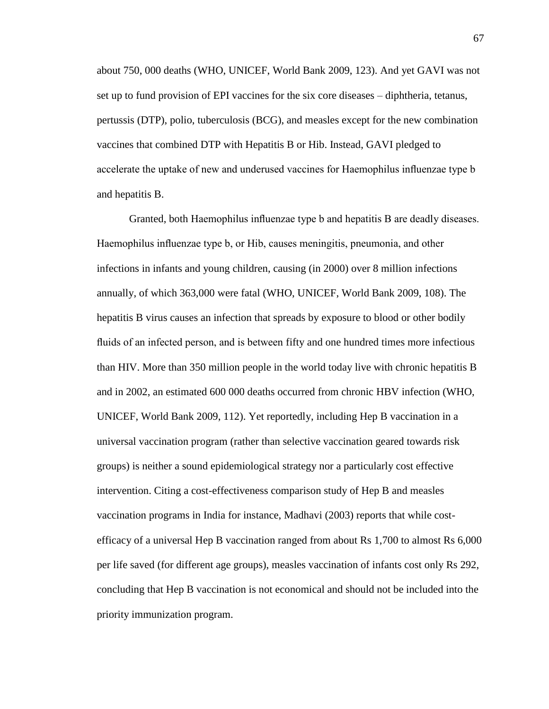about 750, 000 deaths (WHO, UNICEF, World Bank 2009, 123). And yet GAVI was not set up to fund provision of EPI vaccines for the six core diseases – diphtheria, tetanus, pertussis (DTP), polio, tuberculosis (BCG), and measles except for the new combination vaccines that combined DTP with Hepatitis B or Hib. Instead, GAVI pledged to accelerate the uptake of new and underused vaccines for Haemophilus influenzae type b and hepatitis B.

Granted, both Haemophilus influenzae type b and hepatitis B are deadly diseases. Haemophilus influenzae type b, or Hib, causes meningitis, pneumonia, and other infections in infants and young children, causing (in 2000) over 8 million infections annually, of which 363,000 were fatal (WHO, UNICEF, World Bank 2009, 108). The hepatitis B virus causes an infection that spreads by exposure to blood or other bodily fluids of an infected person, and is between fifty and one hundred times more infectious than HIV. More than 350 million people in the world today live with chronic hepatitis B and in 2002, an estimated 600 000 deaths occurred from chronic HBV infection (WHO, UNICEF, World Bank 2009, 112). Yet reportedly, including Hep B vaccination in a universal vaccination program (rather than selective vaccination geared towards risk groups) is neither a sound epidemiological strategy nor a particularly cost effective intervention. Citing a cost-effectiveness comparison study of Hep B and measles vaccination programs in India for instance, Madhavi (2003) reports that while costefficacy of a universal Hep B vaccination ranged from about Rs 1,700 to almost Rs 6,000 per life saved (for different age groups), measles vaccination of infants cost only Rs 292, concluding that Hep B vaccination is not economical and should not be included into the priority immunization program.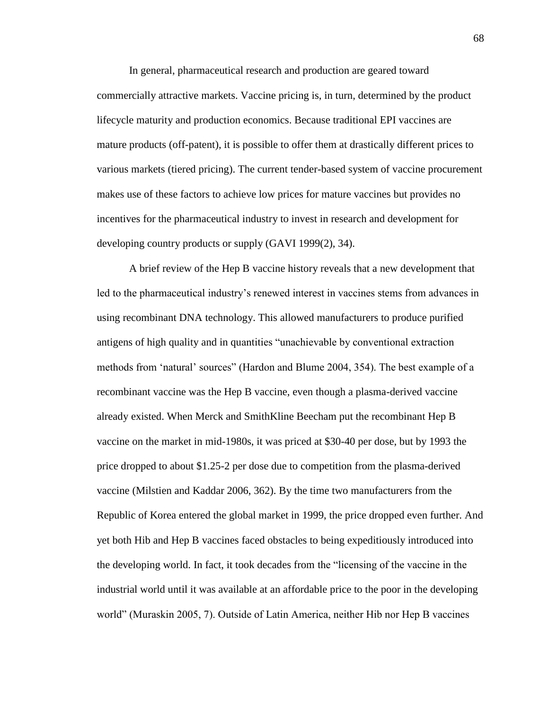In general, pharmaceutical research and production are geared toward commercially attractive markets. Vaccine pricing is, in turn, determined by the product lifecycle maturity and production economics. Because traditional EPI vaccines are mature products (off-patent), it is possible to offer them at drastically different prices to various markets (tiered pricing). The current tender-based system of vaccine procurement makes use of these factors to achieve low prices for mature vaccines but provides no incentives for the pharmaceutical industry to invest in research and development for developing country products or supply (GAVI 1999(2), 34).

A brief review of the Hep B vaccine history reveals that a new development that led to the pharmaceutical industry's renewed interest in vaccines stems from advances in using recombinant DNA technology. This allowed manufacturers to produce purified antigens of high quality and in quantities "unachievable by conventional extraction methods from 'natural' sources" (Hardon and Blume 2004, 354). The best example of a recombinant vaccine was the Hep B vaccine, even though a plasma-derived vaccine already existed. When Merck and SmithKline Beecham put the recombinant Hep B vaccine on the market in mid-1980s, it was priced at \$30-40 per dose, but by 1993 the price dropped to about \$1.25-2 per dose due to competition from the plasma-derived vaccine (Milstien and Kaddar 2006, 362). By the time two manufacturers from the Republic of Korea entered the global market in 1999, the price dropped even further. And yet both Hib and Hep B vaccines faced obstacles to being expeditiously introduced into the developing world. In fact, it took decades from the "licensing of the vaccine in the industrial world until it was available at an affordable price to the poor in the developing world" (Muraskin 2005, 7). Outside of Latin America, neither Hib nor Hep B vaccines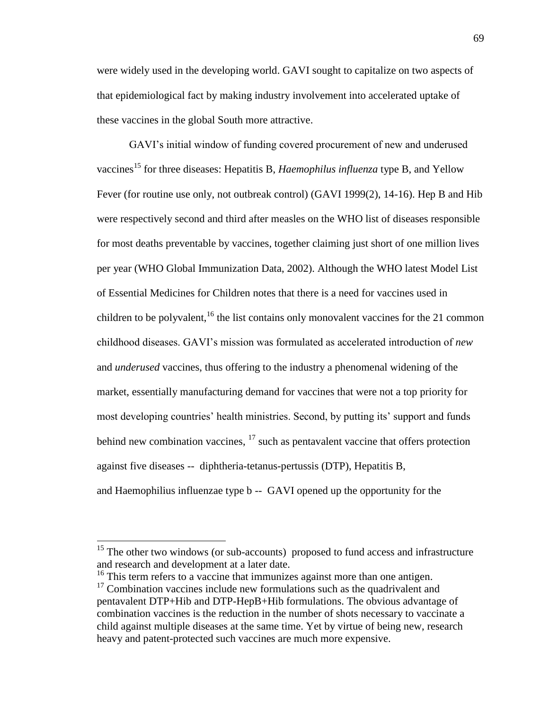were widely used in the developing world. GAVI sought to capitalize on two aspects of that epidemiological fact by making industry involvement into accelerated uptake of these vaccines in the global South more attractive.

GAVI's initial window of funding covered procurement of new and underused vaccines<sup>15</sup> for three diseases: Hepatitis B, *Haemophilus influenza* type B, and Yellow Fever (for routine use only, not outbreak control) (GAVI 1999(2), 14-16). Hep B and Hib were respectively second and third after measles on the WHO list of diseases responsible for most deaths preventable by vaccines, together claiming just short of one million lives per year (WHO Global Immunization Data, 2002). Although the WHO latest Model List of Essential Medicines for Children notes that there is a need for vaccines used in children to be polyvalent,  $16$  the list contains only monovalent vaccines for the 21 common childhood diseases. GAVI's mission was formulated as accelerated introduction of *new* and *underused* vaccines, thus offering to the industry a phenomenal widening of the market, essentially manufacturing demand for vaccines that were not a top priority for most developing countries' health ministries. Second, by putting its' support and funds behind new combination vaccines,  $17$  such as pentavalent vaccine that offers protection against five diseases -- diphtheria-tetanus-pertussis (DTP), Hepatitis B, and Haemophilius influenzae type b -- GAVI opened up the opportunity for the

 $15$  The other two windows (or sub-accounts) proposed to fund access and infrastructure and research and development at a later date.

<sup>&</sup>lt;sup>16</sup> This term refers to a vaccine that immunizes against more than one antigen.

 $17$  Combination vaccines include new formulations such as the quadrivalent and pentavalent DTP+Hib and DTP-HepB+Hib formulations. The obvious advantage of combination vaccines is the reduction in the number of shots necessary to vaccinate a child against multiple diseases at the same time. Yet by virtue of being new, research heavy and patent-protected such vaccines are much more expensive.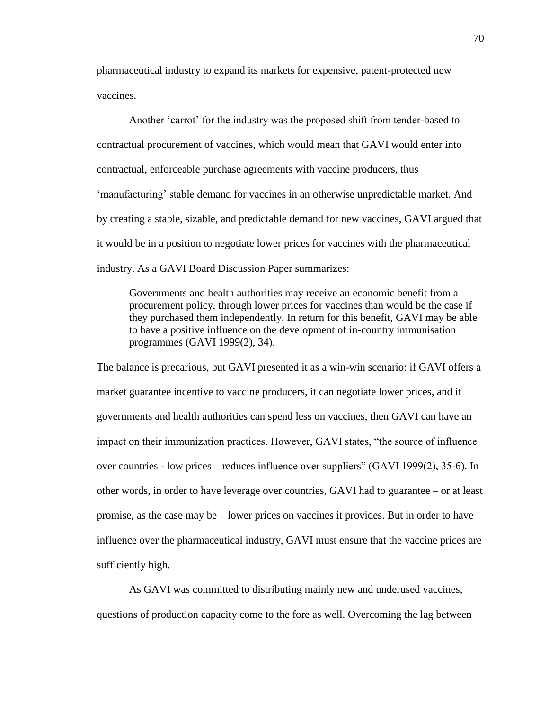pharmaceutical industry to expand its markets for expensive, patent-protected new vaccines.

Another 'carrot' for the industry was the proposed shift from tender-based to contractual procurement of vaccines, which would mean that GAVI would enter into contractual, enforceable purchase agreements with vaccine producers, thus 'manufacturing' stable demand for vaccines in an otherwise unpredictable market. And by creating a stable, sizable, and predictable demand for new vaccines, GAVI argued that it would be in a position to negotiate lower prices for vaccines with the pharmaceutical industry. As a GAVI Board Discussion Paper summarizes:

Governments and health authorities may receive an economic benefit from a procurement policy, through lower prices for vaccines than would be the case if they purchased them independently. In return for this benefit, GAVI may be able to have a positive influence on the development of in-country immunisation programmes (GAVI 1999(2), 34).

The balance is precarious, but GAVI presented it as a win-win scenario: if GAVI offers a market guarantee incentive to vaccine producers, it can negotiate lower prices, and if governments and health authorities can spend less on vaccines, then GAVI can have an impact on their immunization practices. However, GAVI states, "the source of influence over countries - low prices – reduces influence over suppliers" (GAVI 1999(2), 35-6). In other words, in order to have leverage over countries, GAVI had to guarantee – or at least promise, as the case may be – lower prices on vaccines it provides. But in order to have influence over the pharmaceutical industry, GAVI must ensure that the vaccine prices are sufficiently high.

As GAVI was committed to distributing mainly new and underused vaccines, questions of production capacity come to the fore as well. Overcoming the lag between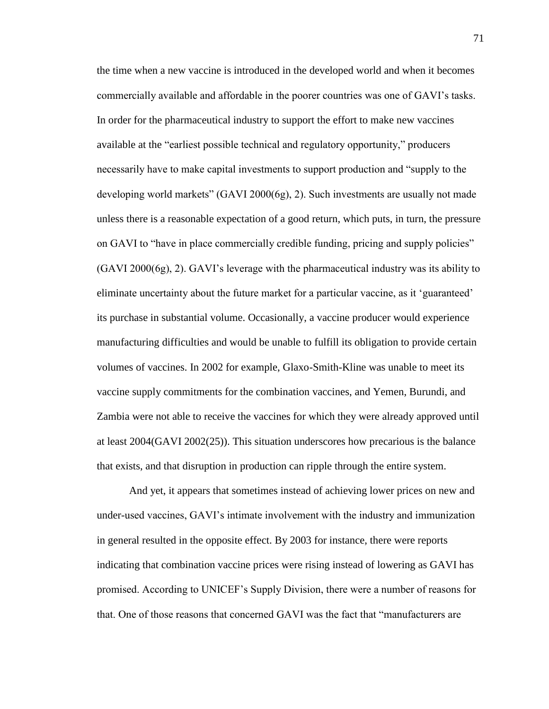the time when a new vaccine is introduced in the developed world and when it becomes commercially available and affordable in the poorer countries was one of GAVI's tasks. In order for the pharmaceutical industry to support the effort to make new vaccines available at the "earliest possible technical and regulatory opportunity," producers necessarily have to make capital investments to support production and "supply to the developing world markets" (GAVI 2000(6g), 2). Such investments are usually not made unless there is a reasonable expectation of a good return, which puts, in turn, the pressure on GAVI to "have in place commercially credible funding, pricing and supply policies" (GAVI 2000(6g), 2). GAVI's leverage with the pharmaceutical industry was its ability to eliminate uncertainty about the future market for a particular vaccine, as it 'guaranteed' its purchase in substantial volume. Occasionally, a vaccine producer would experience manufacturing difficulties and would be unable to fulfill its obligation to provide certain volumes of vaccines. In 2002 for example, Glaxo-Smith-Kline was unable to meet its vaccine supply commitments for the combination vaccines, and Yemen, Burundi, and Zambia were not able to receive the vaccines for which they were already approved until at least 2004(GAVI 2002(25)). This situation underscores how precarious is the balance that exists, and that disruption in production can ripple through the entire system.

And yet, it appears that sometimes instead of achieving lower prices on new and under-used vaccines, GAVI's intimate involvement with the industry and immunization in general resulted in the opposite effect. By 2003 for instance, there were reports indicating that combination vaccine prices were rising instead of lowering as GAVI has promised. According to UNICEF's Supply Division, there were a number of reasons for that. One of those reasons that concerned GAVI was the fact that "manufacturers are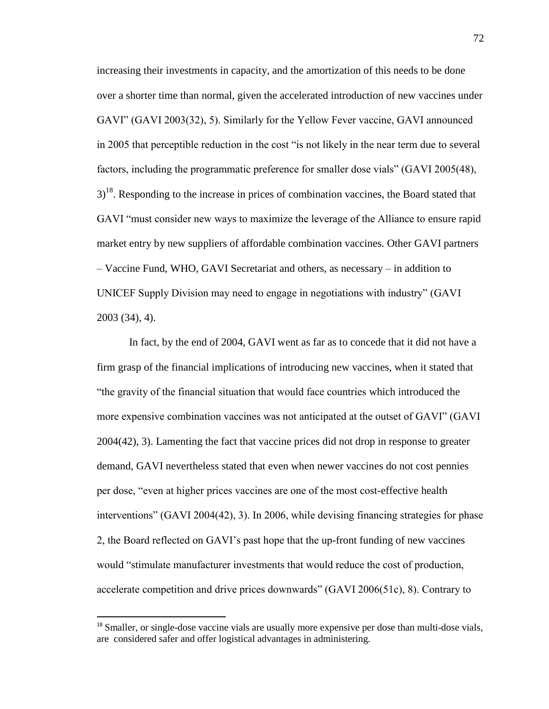increasing their investments in capacity, and the amortization of this needs to be done over a shorter time than normal, given the accelerated introduction of new vaccines under GAVI" (GAVI 2003(32), 5). Similarly for the Yellow Fever vaccine, GAVI announced in 2005 that perceptible reduction in the cost "is not likely in the near term due to several factors, including the programmatic preference for smaller dose vials" (GAVI 2005(48),  $3<sup>18</sup>$ . Responding to the increase in prices of combination vaccines, the Board stated that GAVI "must consider new ways to maximize the leverage of the Alliance to ensure rapid market entry by new suppliers of affordable combination vaccines. Other GAVI partners – Vaccine Fund, WHO, GAVI Secretariat and others, as necessary – in addition to UNICEF Supply Division may need to engage in negotiations with industry" (GAVI 2003 (34), 4).

In fact, by the end of 2004, GAVI went as far as to concede that it did not have a firm grasp of the financial implications of introducing new vaccines, when it stated that "the gravity of the financial situation that would face countries which introduced the more expensive combination vaccines was not anticipated at the outset of GAVI" (GAVI 2004(42), 3). Lamenting the fact that vaccine prices did not drop in response to greater demand, GAVI nevertheless stated that even when newer vaccines do not cost pennies per dose, "even at higher prices vaccines are one of the most cost-effective health interventions" (GAVI 2004(42), 3). In 2006, while devising financing strategies for phase 2, the Board reflected on GAVI's past hope that the up-front funding of new vaccines would "stimulate manufacturer investments that would reduce the cost of production, accelerate competition and drive prices downwards" (GAVI 2006(51c), 8). Contrary to

 $\overline{a}$ 

<sup>&</sup>lt;sup>18</sup> Smaller, or single-dose vaccine vials are usually more expensive per dose than multi-dose vials, are considered safer and offer logistical advantages in administering.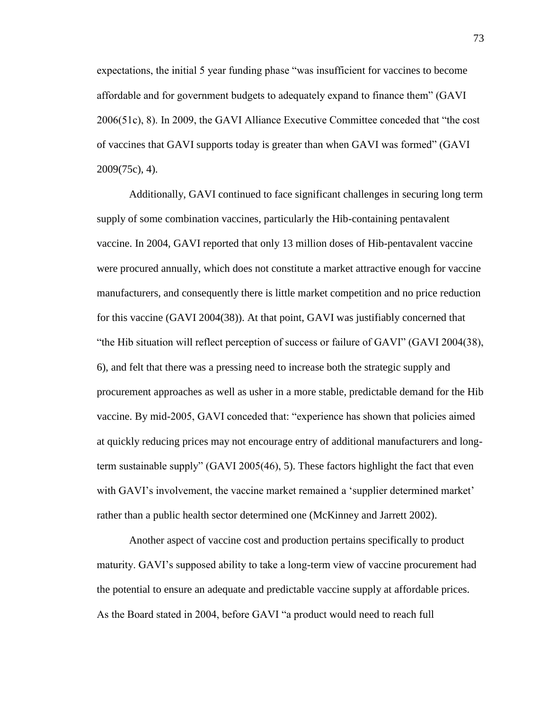expectations, the initial 5 year funding phase "was insufficient for vaccines to become affordable and for government budgets to adequately expand to finance them" (GAVI 2006(51c), 8). In 2009, the GAVI Alliance Executive Committee conceded that "the cost of vaccines that GAVI supports today is greater than when GAVI was formed" (GAVI 2009(75c), 4).

Additionally, GAVI continued to face significant challenges in securing long term supply of some combination vaccines, particularly the Hib-containing pentavalent vaccine. In 2004, GAVI reported that only 13 million doses of Hib-pentavalent vaccine were procured annually, which does not constitute a market attractive enough for vaccine manufacturers, and consequently there is little market competition and no price reduction for this vaccine (GAVI 2004(38)). At that point, GAVI was justifiably concerned that "the Hib situation will reflect perception of success or failure of GAVI" (GAVI 2004(38), 6), and felt that there was a pressing need to increase both the strategic supply and procurement approaches as well as usher in a more stable, predictable demand for the Hib vaccine. By mid-2005, GAVI conceded that: "experience has shown that policies aimed at quickly reducing prices may not encourage entry of additional manufacturers and longterm sustainable supply" (GAVI 2005(46), 5). These factors highlight the fact that even with GAVI's involvement, the vaccine market remained a 'supplier determined market' rather than a public health sector determined one (McKinney and Jarrett 2002).

Another aspect of vaccine cost and production pertains specifically to product maturity. GAVI's supposed ability to take a long-term view of vaccine procurement had the potential to ensure an adequate and predictable vaccine supply at affordable prices. As the Board stated in 2004, before GAVI "a product would need to reach full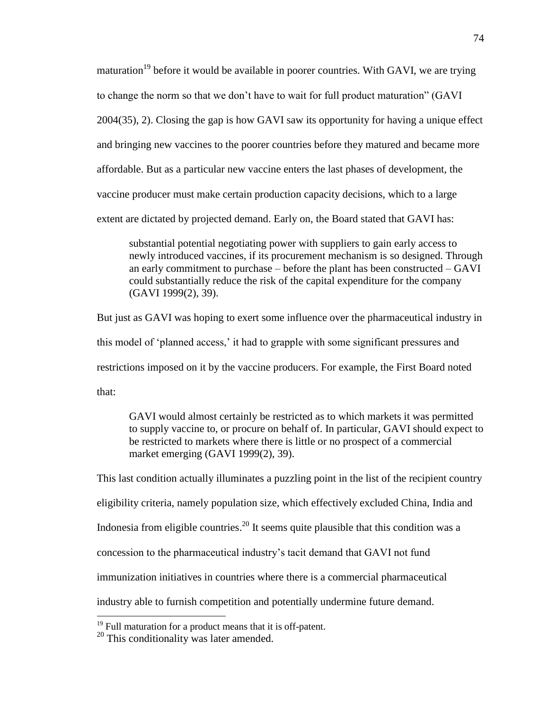maturation<sup>19</sup> before it would be available in poorer countries. With GAVI, we are trying to change the norm so that we don't have to wait for full product maturation" (GAVI 2004(35), 2). Closing the gap is how GAVI saw its opportunity for having a unique effect and bringing new vaccines to the poorer countries before they matured and became more affordable. But as a particular new vaccine enters the last phases of development, the vaccine producer must make certain production capacity decisions, which to a large extent are dictated by projected demand. Early on, the Board stated that GAVI has:

substantial potential negotiating power with suppliers to gain early access to newly introduced vaccines, if its procurement mechanism is so designed. Through an early commitment to purchase – before the plant has been constructed – GAVI could substantially reduce the risk of the capital expenditure for the company (GAVI 1999(2), 39).

But just as GAVI was hoping to exert some influence over the pharmaceutical industry in this model of 'planned access,' it had to grapple with some significant pressures and restrictions imposed on it by the vaccine producers. For example, the First Board noted that:

GAVI would almost certainly be restricted as to which markets it was permitted to supply vaccine to, or procure on behalf of. In particular, GAVI should expect to be restricted to markets where there is little or no prospect of a commercial market emerging (GAVI 1999(2), 39).

This last condition actually illuminates a puzzling point in the list of the recipient country eligibility criteria, namely population size, which effectively excluded China, India and Indonesia from eligible countries.<sup>20</sup> It seems quite plausible that this condition was a concession to the pharmaceutical industry's tacit demand that GAVI not fund immunization initiatives in countries where there is a commercial pharmaceutical industry able to furnish competition and potentially undermine future demand.

 $19$  Full maturation for a product means that it is off-patent.

 $20$  This conditionality was later amended.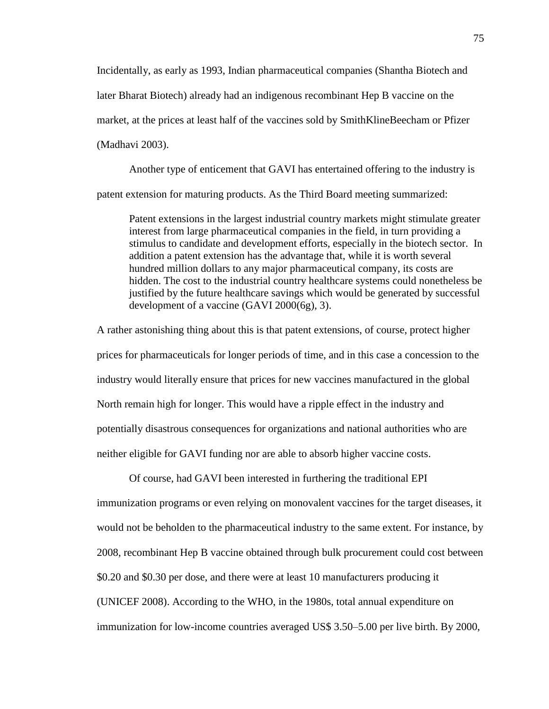Incidentally, as early as 1993, Indian pharmaceutical companies (Shantha Biotech and later Bharat Biotech) already had an indigenous recombinant Hep B vaccine on the market, at the prices at least half of the vaccines sold by SmithKlineBeecham or Pfizer (Madhavi 2003).

Another type of enticement that GAVI has entertained offering to the industry is patent extension for maturing products. As the Third Board meeting summarized:

Patent extensions in the largest industrial country markets might stimulate greater interest from large pharmaceutical companies in the field, in turn providing a stimulus to candidate and development efforts, especially in the biotech sector. In addition a patent extension has the advantage that, while it is worth several hundred million dollars to any major pharmaceutical company, its costs are hidden. The cost to the industrial country healthcare systems could nonetheless be justified by the future healthcare savings which would be generated by successful development of a vaccine (GAVI 2000(6g), 3).

A rather astonishing thing about this is that patent extensions, of course, protect higher prices for pharmaceuticals for longer periods of time, and in this case a concession to the industry would literally ensure that prices for new vaccines manufactured in the global North remain high for longer. This would have a ripple effect in the industry and potentially disastrous consequences for organizations and national authorities who are neither eligible for GAVI funding nor are able to absorb higher vaccine costs.

Of course, had GAVI been interested in furthering the traditional EPI immunization programs or even relying on monovalent vaccines for the target diseases, it would not be beholden to the pharmaceutical industry to the same extent. For instance, by 2008, recombinant Hep B vaccine obtained through bulk procurement could cost between \$0.20 and \$0.30 per dose, and there were at least 10 manufacturers producing it (UNICEF 2008). According to the WHO, in the 1980s, total annual expenditure on immunization for low-income countries averaged US\$ 3.50–5.00 per live birth. By 2000,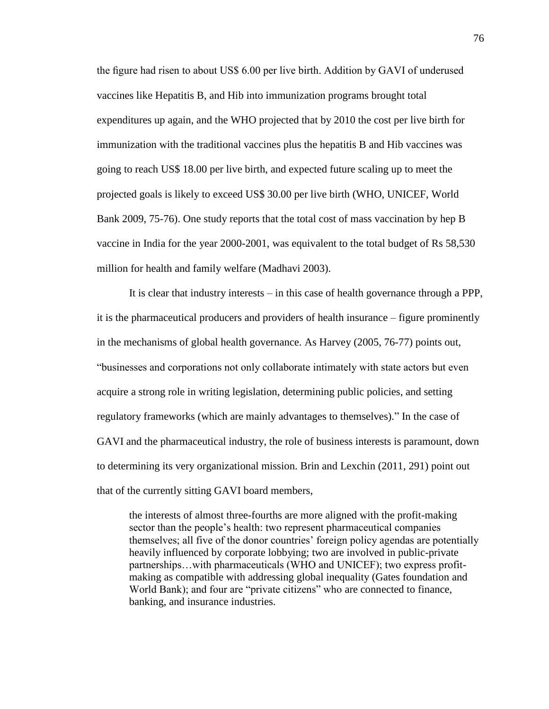the figure had risen to about US\$ 6.00 per live birth. Addition by GAVI of underused vaccines like Hepatitis B, and Hib into immunization programs brought total expenditures up again, and the WHO projected that by 2010 the cost per live birth for immunization with the traditional vaccines plus the hepatitis B and Hib vaccines was going to reach US\$ 18.00 per live birth, and expected future scaling up to meet the projected goals is likely to exceed US\$ 30.00 per live birth (WHO, UNICEF, World Bank 2009, 75-76). One study reports that the total cost of mass vaccination by hep B vaccine in India for the year 2000-2001, was equivalent to the total budget of Rs 58,530 million for health and family welfare (Madhavi 2003).

It is clear that industry interests – in this case of health governance through a PPP, it is the pharmaceutical producers and providers of health insurance – figure prominently in the mechanisms of global health governance. As Harvey (2005, 76-77) points out, "businesses and corporations not only collaborate intimately with state actors but even acquire a strong role in writing legislation, determining public policies, and setting regulatory frameworks (which are mainly advantages to themselves)." In the case of GAVI and the pharmaceutical industry, the role of business interests is paramount, down to determining its very organizational mission. Brin and Lexchin (2011, 291) point out that of the currently sitting GAVI board members,

the interests of almost three-fourths are more aligned with the profit-making sector than the people's health: two represent pharmaceutical companies themselves; all five of the donor countries' foreign policy agendas are potentially heavily influenced by corporate lobbying; two are involved in public-private partnerships…with pharmaceuticals (WHO and UNICEF); two express profitmaking as compatible with addressing global inequality (Gates foundation and World Bank); and four are "private citizens" who are connected to finance, banking, and insurance industries.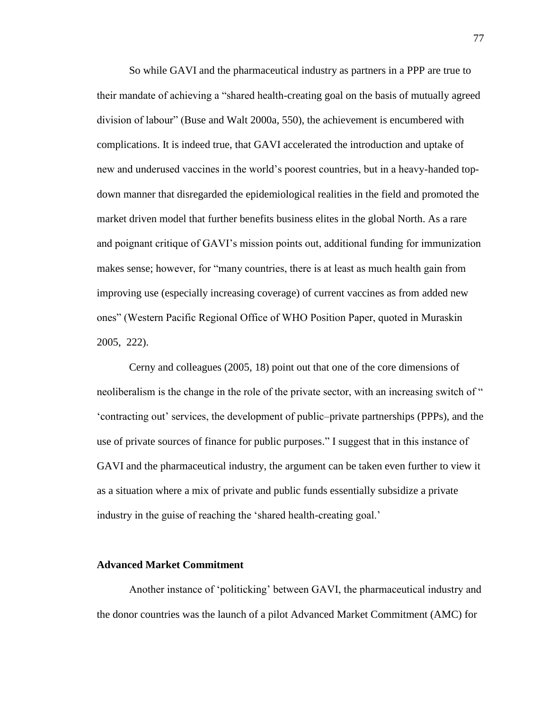So while GAVI and the pharmaceutical industry as partners in a PPP are true to their mandate of achieving a "shared health-creating goal on the basis of mutually agreed division of labour" (Buse and Walt 2000a, 550), the achievement is encumbered with complications. It is indeed true, that GAVI accelerated the introduction and uptake of new and underused vaccines in the world's poorest countries, but in a heavy-handed topdown manner that disregarded the epidemiological realities in the field and promoted the market driven model that further benefits business elites in the global North. As a rare and poignant critique of GAVI's mission points out, additional funding for immunization makes sense; however, for "many countries, there is at least as much health gain from improving use (especially increasing coverage) of current vaccines as from added new ones" (Western Pacific Regional Office of WHO Position Paper, quoted in Muraskin 2005, 222).

Cerny and colleagues (2005, 18) point out that one of the core dimensions of neoliberalism is the change in the role of the private sector, with an increasing switch of " 'contracting out' services, the development of public–private partnerships (PPPs), and the use of private sources of finance for public purposes." I suggest that in this instance of GAVI and the pharmaceutical industry, the argument can be taken even further to view it as a situation where a mix of private and public funds essentially subsidize a private industry in the guise of reaching the 'shared health-creating goal.'

## **Advanced Market Commitment**

Another instance of 'politicking' between GAVI, the pharmaceutical industry and the donor countries was the launch of a pilot Advanced Market Commitment (AMC) for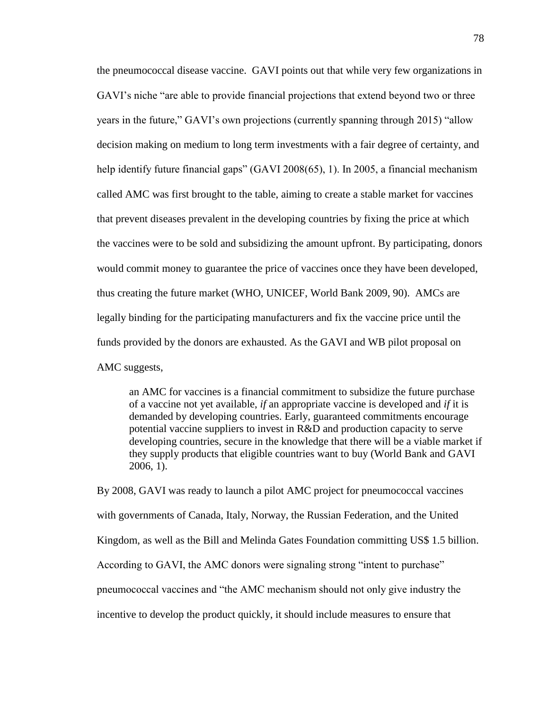the pneumococcal disease vaccine. GAVI points out that while very few organizations in GAVI's niche "are able to provide financial projections that extend beyond two or three years in the future," GAVI's own projections (currently spanning through 2015) "allow decision making on medium to long term investments with a fair degree of certainty, and help identify future financial gaps" (GAVI 2008(65), 1). In 2005, a financial mechanism called AMC was first brought to the table, aiming to create a stable market for vaccines that prevent diseases prevalent in the developing countries by fixing the price at which the vaccines were to be sold and subsidizing the amount upfront. By participating, donors would commit money to guarantee the price of vaccines once they have been developed, thus creating the future market (WHO, UNICEF, World Bank 2009, 90). AMCs are legally binding for the participating manufacturers and fix the vaccine price until the funds provided by the donors are exhausted. As the GAVI and WB pilot proposal on AMC suggests,

an AMC for vaccines is a financial commitment to subsidize the future purchase of a vaccine not yet available, *if* an appropriate vaccine is developed and *if* it is demanded by developing countries. Early, guaranteed commitments encourage potential vaccine suppliers to invest in R&D and production capacity to serve developing countries, secure in the knowledge that there will be a viable market if they supply products that eligible countries want to buy (World Bank and GAVI 2006, 1).

By 2008, GAVI was ready to launch a pilot AMC project for pneumococcal vaccines with governments of Canada, Italy, Norway, the Russian Federation, and the United Kingdom, as well as the Bill and Melinda Gates Foundation committing US\$ 1.5 billion. According to GAVI, the AMC donors were signaling strong "intent to purchase" pneumococcal vaccines and "the AMC mechanism should not only give industry the incentive to develop the product quickly, it should include measures to ensure that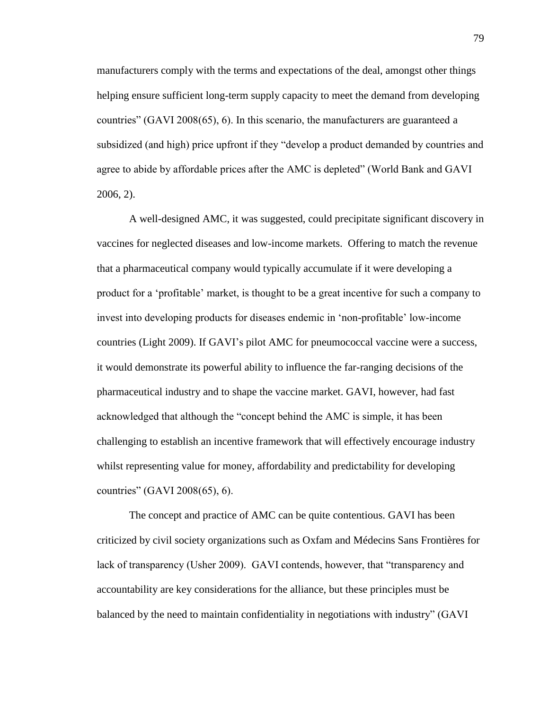manufacturers comply with the terms and expectations of the deal, amongst other things helping ensure sufficient long-term supply capacity to meet the demand from developing countries" (GAVI 2008(65), 6). In this scenario, the manufacturers are guaranteed a subsidized (and high) price upfront if they "develop a product demanded by countries and agree to abide by affordable prices after the AMC is depleted" (World Bank and GAVI 2006, 2).

A well-designed AMC, it was suggested, could precipitate significant discovery in vaccines for neglected diseases and low-income markets. Offering to match the revenue that a pharmaceutical company would typically accumulate if it were developing a product for a 'profitable' market, is thought to be a great incentive for such a company to invest into developing products for diseases endemic in 'non-profitable' low-income countries (Light 2009). If GAVI's pilot AMC for pneumococcal vaccine were a success, it would demonstrate its powerful ability to influence the far-ranging decisions of the pharmaceutical industry and to shape the vaccine market. GAVI, however, had fast acknowledged that although the "concept behind the AMC is simple, it has been challenging to establish an incentive framework that will effectively encourage industry whilst representing value for money, affordability and predictability for developing countries" (GAVI 2008(65), 6).

The concept and practice of AMC can be quite contentious. GAVI has been criticized by civil society organizations such as Oxfam and Médecins Sans Frontières for lack of transparency (Usher 2009). GAVI contends, however, that "transparency and accountability are key considerations for the alliance, but these principles must be balanced by the need to maintain confidentiality in negotiations with industry" (GAVI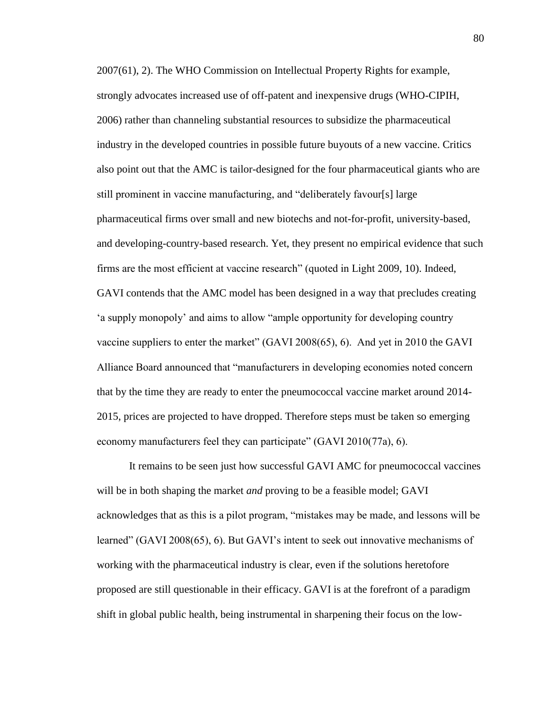2007(61), 2). The WHO Commission on Intellectual Property Rights for example, strongly advocates increased use of off-patent and inexpensive drugs (WHO-CIPIH, 2006) rather than channeling substantial resources to subsidize the pharmaceutical industry in the developed countries in possible future buyouts of a new vaccine. Critics also point out that the AMC is tailor-designed for the four pharmaceutical giants who are still prominent in vaccine manufacturing, and "deliberately favour[s] large pharmaceutical firms over small and new biotechs and not-for-profit, university-based, and developing-country-based research. Yet, they present no empirical evidence that such firms are the most efficient at vaccine research" (quoted in Light 2009, 10). Indeed, GAVI contends that the AMC model has been designed in a way that precludes creating 'a supply monopoly' and aims to allow "ample opportunity for developing country vaccine suppliers to enter the market" (GAVI 2008(65), 6). And yet in 2010 the GAVI Alliance Board announced that "manufacturers in developing economies noted concern that by the time they are ready to enter the pneumococcal vaccine market around 2014- 2015, prices are projected to have dropped. Therefore steps must be taken so emerging economy manufacturers feel they can participate" (GAVI 2010(77a), 6).

It remains to be seen just how successful GAVI AMC for pneumococcal vaccines will be in both shaping the market *and* proving to be a feasible model; GAVI acknowledges that as this is a pilot program, "mistakes may be made, and lessons will be learned" (GAVI 2008(65), 6). But GAVI's intent to seek out innovative mechanisms of working with the pharmaceutical industry is clear, even if the solutions heretofore proposed are still questionable in their efficacy. GAVI is at the forefront of a paradigm shift in global public health, being instrumental in sharpening their focus on the low-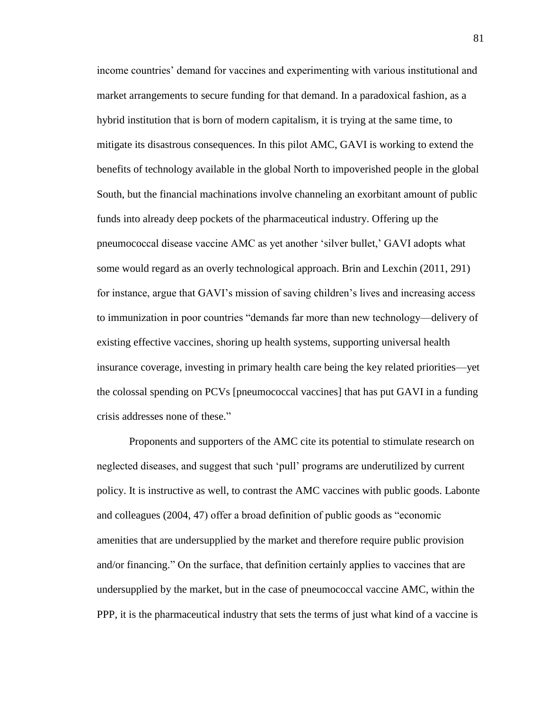income countries' demand for vaccines and experimenting with various institutional and market arrangements to secure funding for that demand. In a paradoxical fashion, as a hybrid institution that is born of modern capitalism, it is trying at the same time, to mitigate its disastrous consequences. In this pilot AMC, GAVI is working to extend the benefits of technology available in the global North to impoverished people in the global South, but the financial machinations involve channeling an exorbitant amount of public funds into already deep pockets of the pharmaceutical industry. Offering up the pneumococcal disease vaccine AMC as yet another 'silver bullet,' GAVI adopts what some would regard as an overly technological approach. Brin and Lexchin (2011, 291) for instance, argue that GAVI's mission of saving children's lives and increasing access to immunization in poor countries "demands far more than new technology—delivery of existing effective vaccines, shoring up health systems, supporting universal health insurance coverage, investing in primary health care being the key related priorities—yet the colossal spending on PCVs [pneumococcal vaccines] that has put GAVI in a funding crisis addresses none of these."

Proponents and supporters of the AMC cite its potential to stimulate research on neglected diseases, and suggest that such 'pull' programs are underutilized by current policy. It is instructive as well, to contrast the AMC vaccines with public goods. Labonte and colleagues (2004, 47) offer a broad definition of public goods as "economic amenities that are undersupplied by the market and therefore require public provision and/or financing." On the surface, that definition certainly applies to vaccines that are undersupplied by the market, but in the case of pneumococcal vaccine AMC, within the PPP, it is the pharmaceutical industry that sets the terms of just what kind of a vaccine is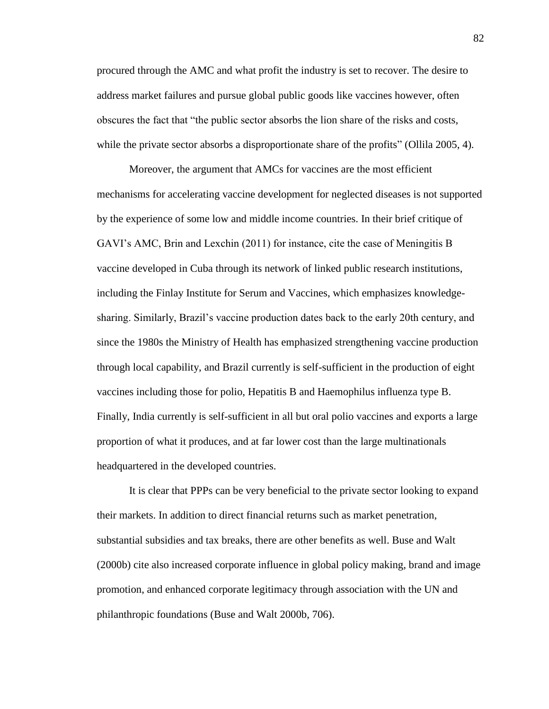procured through the AMC and what profit the industry is set to recover. The desire to address market failures and pursue global public goods like vaccines however, often obscures the fact that "the public sector absorbs the lion share of the risks and costs, while the private sector absorbs a disproportionate share of the profits" (Ollila 2005, 4).

Moreover, the argument that AMCs for vaccines are the most efficient mechanisms for accelerating vaccine development for neglected diseases is not supported by the experience of some low and middle income countries. In their brief critique of GAVI's AMC, Brin and Lexchin (2011) for instance, cite the case of Meningitis B vaccine developed in Cuba through its network of linked public research institutions, including the Finlay Institute for Serum and Vaccines, which emphasizes knowledgesharing. Similarly, Brazil's vaccine production dates back to the early 20th century, and since the 1980s the Ministry of Health has emphasized strengthening vaccine production through local capability, and Brazil currently is self-sufficient in the production of eight vaccines including those for polio, Hepatitis B and Haemophilus influenza type B. Finally, India currently is self-sufficient in all but oral polio vaccines and exports a large proportion of what it produces, and at far lower cost than the large multinationals headquartered in the developed countries.

It is clear that PPPs can be very beneficial to the private sector looking to expand their markets. In addition to direct financial returns such as market penetration, substantial subsidies and tax breaks, there are other benefits as well. Buse and Walt (2000b) cite also increased corporate influence in global policy making, brand and image promotion, and enhanced corporate legitimacy through association with the UN and philanthropic foundations (Buse and Walt 2000b, 706).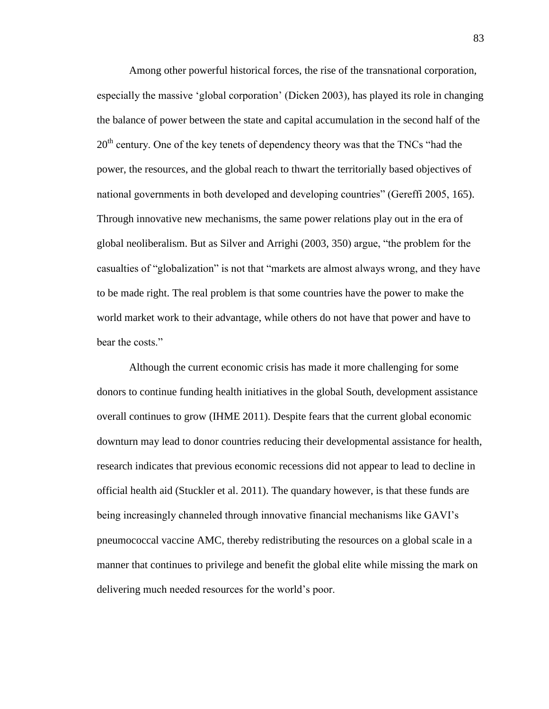Among other powerful historical forces, the rise of the transnational corporation, especially the massive 'global corporation' (Dicken 2003), has played its role in changing the balance of power between the state and capital accumulation in the second half of the  $20<sup>th</sup>$  century. One of the key tenets of dependency theory was that the TNCs "had the power, the resources, and the global reach to thwart the territorially based objectives of national governments in both developed and developing countries" (Gereffi 2005, 165). Through innovative new mechanisms, the same power relations play out in the era of global neoliberalism. But as Silver and Arrighi (2003, 350) argue, "the problem for the casualties of "globalization" is not that "markets are almost always wrong, and they have to be made right. The real problem is that some countries have the power to make the world market work to their advantage, while others do not have that power and have to bear the costs."

Although the current economic crisis has made it more challenging for some donors to continue funding health initiatives in the global South, development assistance overall continues to grow (IHME 2011). Despite fears that the current global economic downturn may lead to donor countries reducing their developmental assistance for health, research indicates that previous economic recessions did not appear to lead to decline in official health aid (Stuckler et al. 2011). The quandary however, is that these funds are being increasingly channeled through innovative financial mechanisms like GAVI's pneumococcal vaccine AMC, thereby redistributing the resources on a global scale in a manner that continues to privilege and benefit the global elite while missing the mark on delivering much needed resources for the world's poor.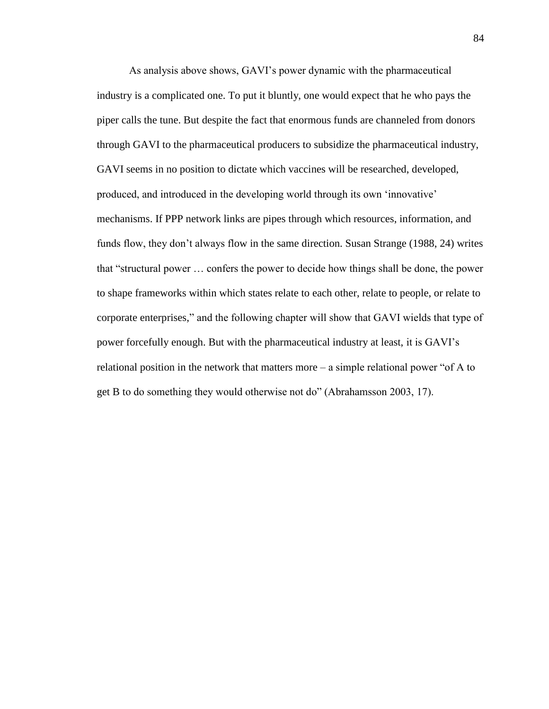As analysis above shows, GAVI's power dynamic with the pharmaceutical industry is a complicated one. To put it bluntly, one would expect that he who pays the piper calls the tune. But despite the fact that enormous funds are channeled from donors through GAVI to the pharmaceutical producers to subsidize the pharmaceutical industry, GAVI seems in no position to dictate which vaccines will be researched, developed, produced, and introduced in the developing world through its own 'innovative' mechanisms. If PPP network links are pipes through which resources, information, and funds flow, they don't always flow in the same direction. Susan Strange (1988, 24) writes that "structural power … confers the power to decide how things shall be done, the power to shape frameworks within which states relate to each other, relate to people, or relate to corporate enterprises," and the following chapter will show that GAVI wields that type of power forcefully enough. But with the pharmaceutical industry at least, it is GAVI's relational position in the network that matters more – a simple relational power "of A to get B to do something they would otherwise not do" (Abrahamsson 2003, 17).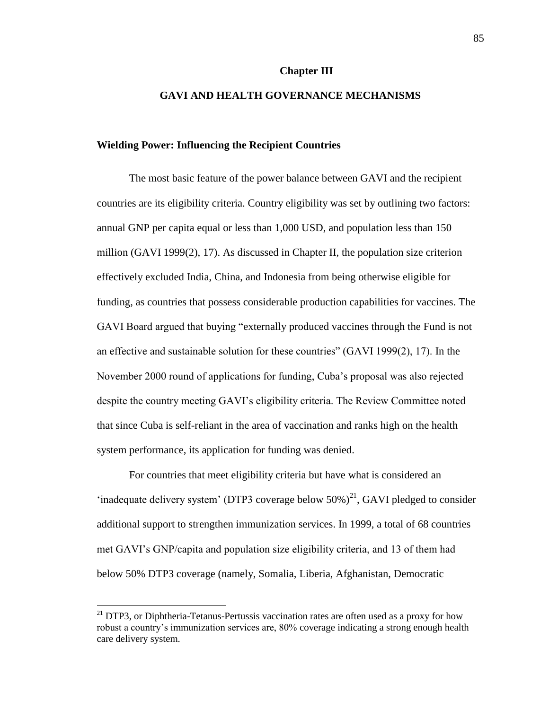## **Chapter III**

## **GAVI AND HEALTH GOVERNANCE MECHANISMS**

## **Wielding Power: Influencing the Recipient Countries**

The most basic feature of the power balance between GAVI and the recipient countries are its eligibility criteria. Country eligibility was set by outlining two factors: annual GNP per capita equal or less than 1,000 USD, and population less than 150 million (GAVI 1999(2), 17). As discussed in Chapter II, the population size criterion effectively excluded India, China, and Indonesia from being otherwise eligible for funding, as countries that possess considerable production capabilities for vaccines. The GAVI Board argued that buying "externally produced vaccines through the Fund is not an effective and sustainable solution for these countries" (GAVI 1999(2), 17). In the November 2000 round of applications for funding, Cuba's proposal was also rejected despite the country meeting GAVI's eligibility criteria. The Review Committee noted that since Cuba is self-reliant in the area of vaccination and ranks high on the health system performance, its application for funding was denied.

For countries that meet eligibility criteria but have what is considered an 'inadequate delivery system' (DTP3 coverage below  $50\%$ )<sup>21</sup>, GAVI pledged to consider additional support to strengthen immunization services. In 1999, a total of 68 countries met GAVI's GNP/capita and population size eligibility criteria, and 13 of them had below 50% DTP3 coverage (namely, Somalia, Liberia, Afghanistan, Democratic

 $\overline{a}$ 

 $^{21}$  DTP3, or Diphtheria-Tetanus-Pertussis vaccination rates are often used as a proxy for how robust a country's immunization services are, 80% coverage indicating a strong enough health care delivery system.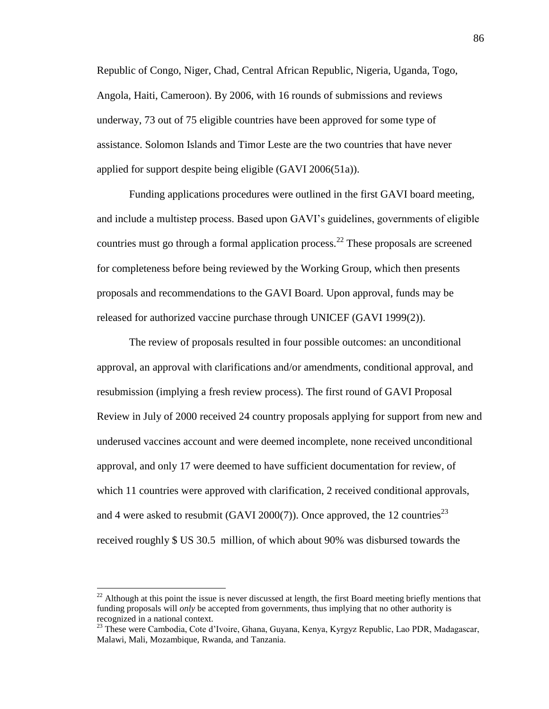Republic of Congo, Niger, Chad, Central African Republic, Nigeria, Uganda, Togo, Angola, Haiti, Cameroon). By 2006, with 16 rounds of submissions and reviews underway, 73 out of 75 eligible countries have been approved for some type of assistance. Solomon Islands and Timor Leste are the two countries that have never applied for support despite being eligible (GAVI 2006(51a)).

Funding applications procedures were outlined in the first GAVI board meeting, and include a multistep process. Based upon GAVI's guidelines, governments of eligible countries must go through a formal application process.<sup>22</sup> These proposals are screened for completeness before being reviewed by the Working Group, which then presents proposals and recommendations to the GAVI Board. Upon approval, funds may be released for authorized vaccine purchase through UNICEF (GAVI 1999(2)).

The review of proposals resulted in four possible outcomes: an unconditional approval, an approval with clarifications and/or amendments, conditional approval, and resubmission (implying a fresh review process). The first round of GAVI Proposal Review in July of 2000 received 24 country proposals applying for support from new and underused vaccines account and were deemed incomplete, none received unconditional approval, and only 17 were deemed to have sufficient documentation for review, of which 11 countries were approved with clarification, 2 received conditional approvals, and 4 were asked to resubmit (GAVI 2000(7)). Once approved, the 12 countries<sup>23</sup> received roughly \$ US 30.5 million, of which about 90% was disbursed towards the

 $\overline{a}$ 

 $22$  Although at this point the issue is never discussed at length, the first Board meeting briefly mentions that funding proposals will *only* be accepted from governments, thus implying that no other authority is recognized in a national context.

<sup>23</sup> These were Cambodia, Cote d'Ivoire, Ghana, Guyana, Kenya, Kyrgyz Republic, Lao PDR, Madagascar, Malawi, Mali, Mozambique, Rwanda, and Tanzania.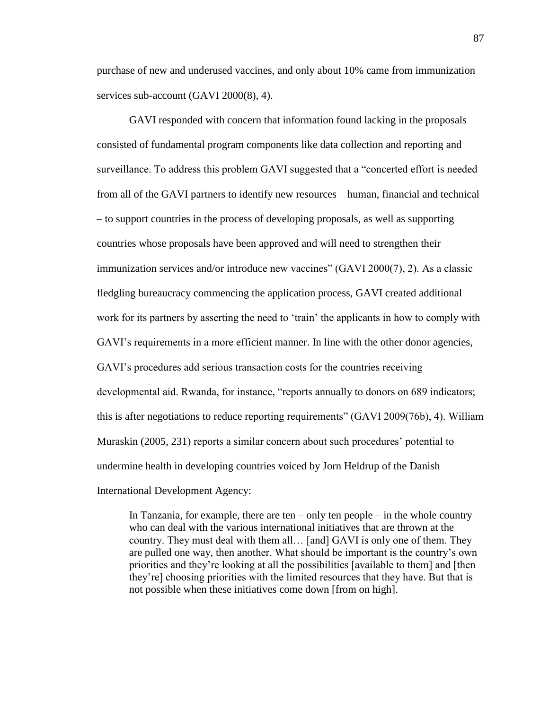purchase of new and underused vaccines, and only about 10% came from immunization services sub-account (GAVI 2000(8), 4).

GAVI responded with concern that information found lacking in the proposals consisted of fundamental program components like data collection and reporting and surveillance. To address this problem GAVI suggested that a "concerted effort is needed from all of the GAVI partners to identify new resources – human, financial and technical – to support countries in the process of developing proposals, as well as supporting countries whose proposals have been approved and will need to strengthen their immunization services and/or introduce new vaccines" (GAVI 2000(7), 2). As a classic fledgling bureaucracy commencing the application process, GAVI created additional work for its partners by asserting the need to 'train' the applicants in how to comply with GAVI's requirements in a more efficient manner. In line with the other donor agencies, GAVI's procedures add serious transaction costs for the countries receiving developmental aid. Rwanda, for instance, "reports annually to donors on 689 indicators; this is after negotiations to reduce reporting requirements" (GAVI 2009(76b), 4). William Muraskin (2005, 231) reports a similar concern about such procedures' potential to undermine health in developing countries voiced by Jorn Heldrup of the Danish International Development Agency:

In Tanzania, for example, there are ten – only ten people – in the whole country who can deal with the various international initiatives that are thrown at the country. They must deal with them all… [and] GAVI is only one of them. They are pulled one way, then another. What should be important is the country's own priorities and they're looking at all the possibilities [available to them] and [then they're] choosing priorities with the limited resources that they have. But that is not possible when these initiatives come down [from on high].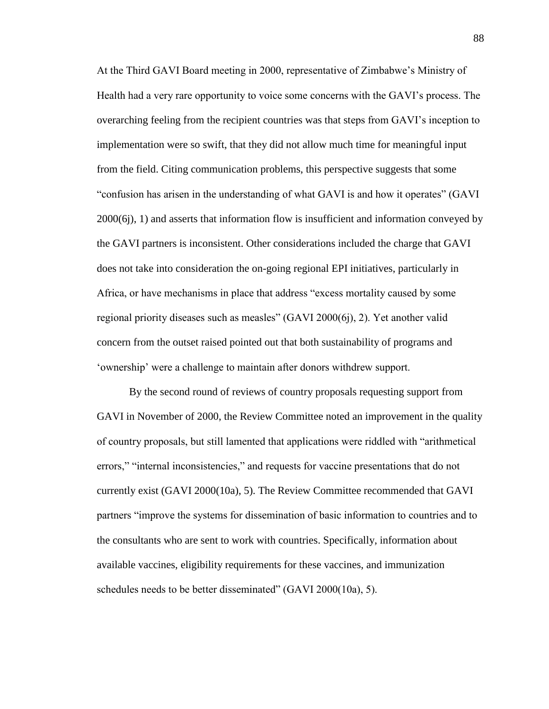At the Third GAVI Board meeting in 2000, representative of Zimbabwe's Ministry of Health had a very rare opportunity to voice some concerns with the GAVI's process. The overarching feeling from the recipient countries was that steps from GAVI's inception to implementation were so swift, that they did not allow much time for meaningful input from the field. Citing communication problems, this perspective suggests that some "confusion has arisen in the understanding of what GAVI is and how it operates" (GAVI 2000(6j), 1) and asserts that information flow is insufficient and information conveyed by the GAVI partners is inconsistent. Other considerations included the charge that GAVI does not take into consideration the on-going regional EPI initiatives, particularly in Africa, or have mechanisms in place that address "excess mortality caused by some regional priority diseases such as measles" (GAVI 2000(6j), 2). Yet another valid concern from the outset raised pointed out that both sustainability of programs and 'ownership' were a challenge to maintain after donors withdrew support.

By the second round of reviews of country proposals requesting support from GAVI in November of 2000, the Review Committee noted an improvement in the quality of country proposals, but still lamented that applications were riddled with "arithmetical errors," "internal inconsistencies," and requests for vaccine presentations that do not currently exist (GAVI 2000(10a), 5). The Review Committee recommended that GAVI partners "improve the systems for dissemination of basic information to countries and to the consultants who are sent to work with countries. Specifically, information about available vaccines, eligibility requirements for these vaccines, and immunization schedules needs to be better disseminated" (GAVI 2000(10a), 5).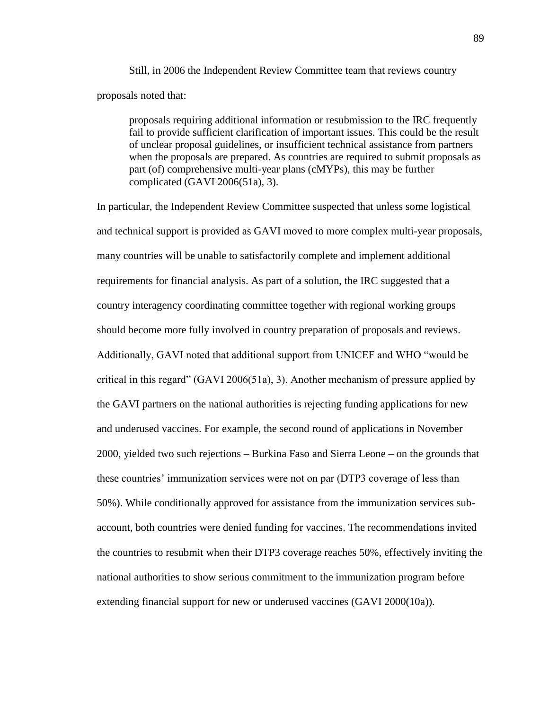Still, in 2006 the Independent Review Committee team that reviews country proposals noted that:

proposals requiring additional information or resubmission to the IRC frequently fail to provide sufficient clarification of important issues. This could be the result of unclear proposal guidelines, or insufficient technical assistance from partners when the proposals are prepared. As countries are required to submit proposals as part (of) comprehensive multi-year plans (cMYPs), this may be further complicated (GAVI 2006(51a), 3).

In particular, the Independent Review Committee suspected that unless some logistical and technical support is provided as GAVI moved to more complex multi-year proposals, many countries will be unable to satisfactorily complete and implement additional requirements for financial analysis. As part of a solution, the IRC suggested that a country interagency coordinating committee together with regional working groups should become more fully involved in country preparation of proposals and reviews. Additionally, GAVI noted that additional support from UNICEF and WHO "would be critical in this regard" (GAVI 2006(51a), 3). Another mechanism of pressure applied by the GAVI partners on the national authorities is rejecting funding applications for new and underused vaccines. For example, the second round of applications in November 2000, yielded two such rejections – Burkina Faso and Sierra Leone – on the grounds that these countries' immunization services were not on par (DTP3 coverage of less than 50%). While conditionally approved for assistance from the immunization services subaccount, both countries were denied funding for vaccines. The recommendations invited the countries to resubmit when their DTP3 coverage reaches 50%, effectively inviting the national authorities to show serious commitment to the immunization program before extending financial support for new or underused vaccines (GAVI 2000(10a)).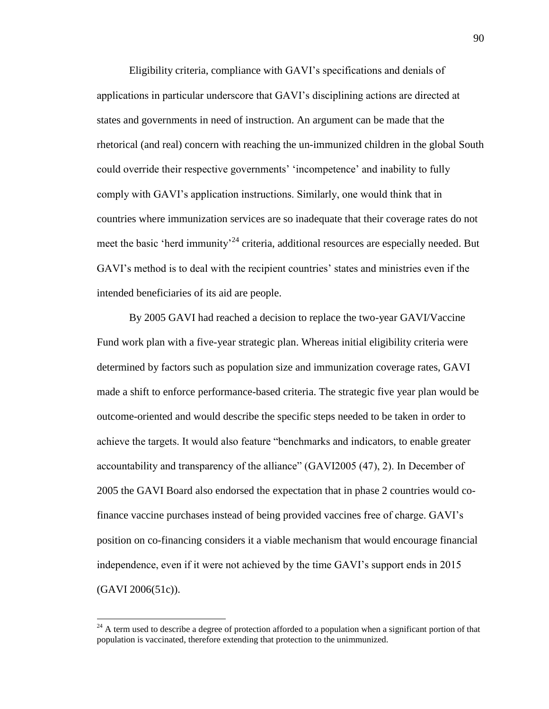Eligibility criteria, compliance with GAVI's specifications and denials of applications in particular underscore that GAVI's disciplining actions are directed at states and governments in need of instruction. An argument can be made that the rhetorical (and real) concern with reaching the un-immunized children in the global South could override their respective governments' 'incompetence' and inability to fully comply with GAVI's application instructions. Similarly, one would think that in countries where immunization services are so inadequate that their coverage rates do not meet the basic 'herd immunity'<sup>24</sup> criteria, additional resources are especially needed. But GAVI's method is to deal with the recipient countries' states and ministries even if the intended beneficiaries of its aid are people.

By 2005 GAVI had reached a decision to replace the two-year GAVI/Vaccine Fund work plan with a five-year strategic plan. Whereas initial eligibility criteria were determined by factors such as population size and immunization coverage rates, GAVI made a shift to enforce performance-based criteria. The strategic five year plan would be outcome-oriented and would describe the specific steps needed to be taken in order to achieve the targets. It would also feature "benchmarks and indicators, to enable greater accountability and transparency of the alliance" (GAVI2005 (47), 2). In December of 2005 the GAVI Board also endorsed the expectation that in phase 2 countries would cofinance vaccine purchases instead of being provided vaccines free of charge. GAVI's position on co-financing considers it a viable mechanism that would encourage financial independence, even if it were not achieved by the time GAVI's support ends in 2015 (GAVI 2006(51c)).

 $^{24}$  A term used to describe a degree of protection afforded to a population when a significant portion of that population is vaccinated, therefore extending that protection to the unimmunized.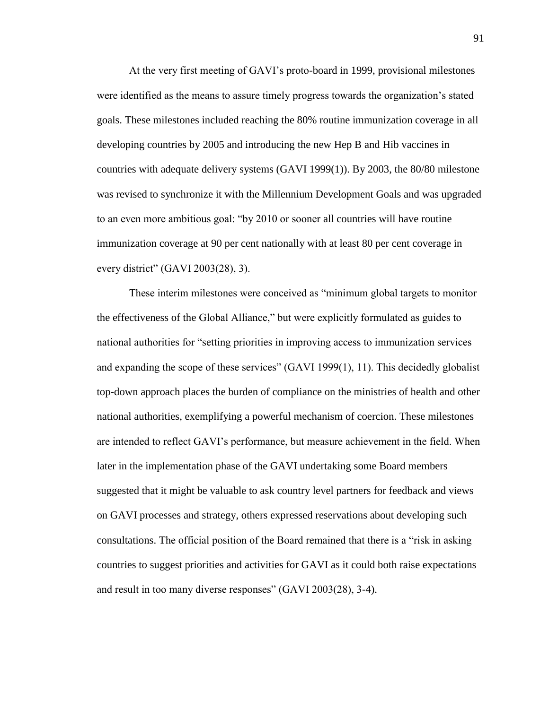At the very first meeting of GAVI's proto-board in 1999, provisional milestones were identified as the means to assure timely progress towards the organization's stated goals. These milestones included reaching the 80% routine immunization coverage in all developing countries by 2005 and introducing the new Hep B and Hib vaccines in countries with adequate delivery systems (GAVI 1999(1)). By 2003, the 80/80 milestone was revised to synchronize it with the Millennium Development Goals and was upgraded to an even more ambitious goal: "by 2010 or sooner all countries will have routine immunization coverage at 90 per cent nationally with at least 80 per cent coverage in every district" (GAVI 2003(28), 3).

These interim milestones were conceived as "minimum global targets to monitor the effectiveness of the Global Alliance," but were explicitly formulated as guides to national authorities for "setting priorities in improving access to immunization services and expanding the scope of these services" (GAVI 1999(1), 11). This decidedly globalist top-down approach places the burden of compliance on the ministries of health and other national authorities, exemplifying a powerful mechanism of coercion. These milestones are intended to reflect GAVI's performance, but measure achievement in the field. When later in the implementation phase of the GAVI undertaking some Board members suggested that it might be valuable to ask country level partners for feedback and views on GAVI processes and strategy, others expressed reservations about developing such consultations. The official position of the Board remained that there is a "risk in asking countries to suggest priorities and activities for GAVI as it could both raise expectations and result in too many diverse responses" (GAVI 2003(28), 3-4).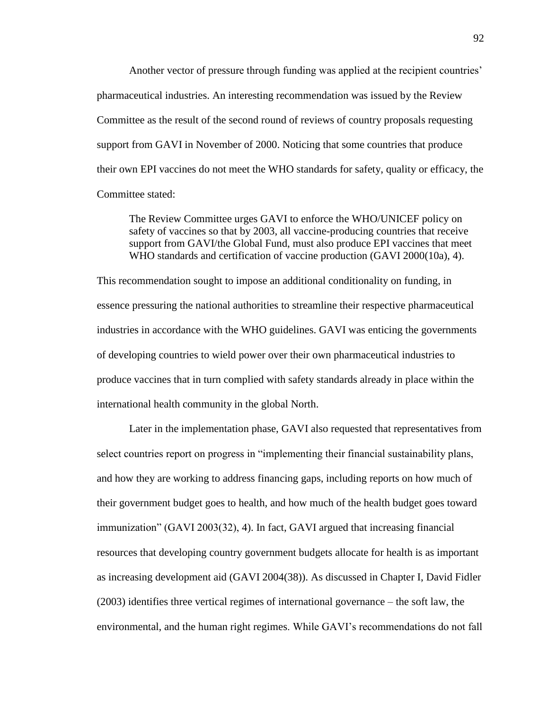Another vector of pressure through funding was applied at the recipient countries' pharmaceutical industries. An interesting recommendation was issued by the Review Committee as the result of the second round of reviews of country proposals requesting support from GAVI in November of 2000. Noticing that some countries that produce their own EPI vaccines do not meet the WHO standards for safety, quality or efficacy, the Committee stated:

The Review Committee urges GAVI to enforce the WHO/UNICEF policy on safety of vaccines so that by 2003, all vaccine-producing countries that receive support from GAVI/the Global Fund, must also produce EPI vaccines that meet WHO standards and certification of vaccine production (GAVI 2000(10a), 4).

This recommendation sought to impose an additional conditionality on funding, in essence pressuring the national authorities to streamline their respective pharmaceutical industries in accordance with the WHO guidelines. GAVI was enticing the governments of developing countries to wield power over their own pharmaceutical industries to produce vaccines that in turn complied with safety standards already in place within the international health community in the global North.

Later in the implementation phase, GAVI also requested that representatives from select countries report on progress in "implementing their financial sustainability plans, and how they are working to address financing gaps, including reports on how much of their government budget goes to health, and how much of the health budget goes toward immunization" (GAVI 2003(32), 4). In fact, GAVI argued that increasing financial resources that developing country government budgets allocate for health is as important as increasing development aid (GAVI 2004(38)). As discussed in Chapter I, David Fidler (2003) identifies three vertical regimes of international governance – the soft law, the environmental, and the human right regimes. While GAVI's recommendations do not fall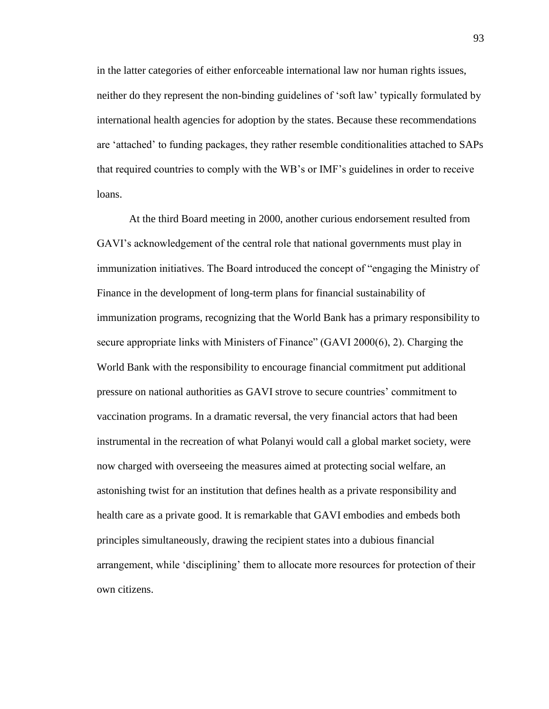in the latter categories of either enforceable international law nor human rights issues, neither do they represent the non-binding guidelines of 'soft law' typically formulated by international health agencies for adoption by the states. Because these recommendations are 'attached' to funding packages, they rather resemble conditionalities attached to SAPs that required countries to comply with the WB's or IMF's guidelines in order to receive loans.

At the third Board meeting in 2000, another curious endorsement resulted from GAVI's acknowledgement of the central role that national governments must play in immunization initiatives. The Board introduced the concept of "engaging the Ministry of Finance in the development of long-term plans for financial sustainability of immunization programs, recognizing that the World Bank has a primary responsibility to secure appropriate links with Ministers of Finance" (GAVI 2000(6), 2). Charging the World Bank with the responsibility to encourage financial commitment put additional pressure on national authorities as GAVI strove to secure countries' commitment to vaccination programs. In a dramatic reversal, the very financial actors that had been instrumental in the recreation of what Polanyi would call a global market society, were now charged with overseeing the measures aimed at protecting social welfare, an astonishing twist for an institution that defines health as a private responsibility and health care as a private good. It is remarkable that GAVI embodies and embeds both principles simultaneously, drawing the recipient states into a dubious financial arrangement, while 'disciplining' them to allocate more resources for protection of their own citizens.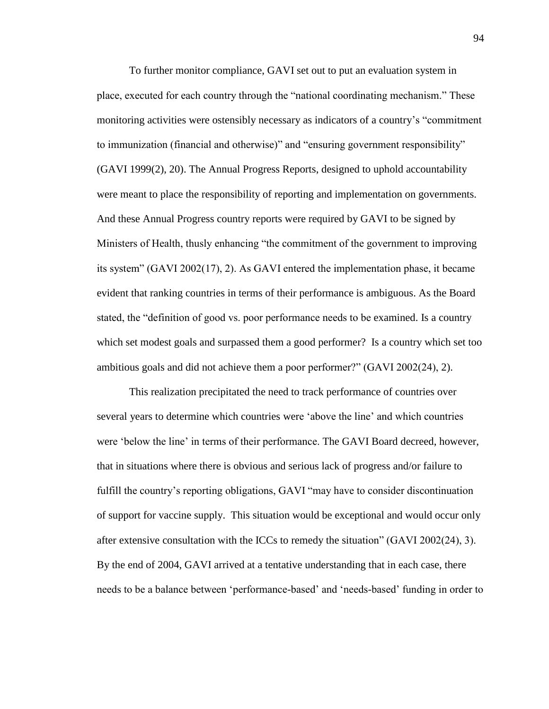To further monitor compliance, GAVI set out to put an evaluation system in place, executed for each country through the "national coordinating mechanism." These monitoring activities were ostensibly necessary as indicators of a country's "commitment to immunization (financial and otherwise)" and "ensuring government responsibility" (GAVI 1999(2), 20). The Annual Progress Reports, designed to uphold accountability were meant to place the responsibility of reporting and implementation on governments. And these Annual Progress country reports were required by GAVI to be signed by Ministers of Health, thusly enhancing "the commitment of the government to improving its system" (GAVI 2002(17), 2). As GAVI entered the implementation phase, it became evident that ranking countries in terms of their performance is ambiguous. As the Board stated, the "definition of good vs. poor performance needs to be examined. Is a country which set modest goals and surpassed them a good performer? Is a country which set too ambitious goals and did not achieve them a poor performer?" (GAVI 2002(24), 2).

This realization precipitated the need to track performance of countries over several years to determine which countries were 'above the line' and which countries were 'below the line' in terms of their performance. The GAVI Board decreed, however, that in situations where there is obvious and serious lack of progress and/or failure to fulfill the country's reporting obligations, GAVI "may have to consider discontinuation of support for vaccine supply. This situation would be exceptional and would occur only after extensive consultation with the ICCs to remedy the situation" (GAVI 2002(24), 3). By the end of 2004, GAVI arrived at a tentative understanding that in each case, there needs to be a balance between 'performance-based' and 'needs-based' funding in order to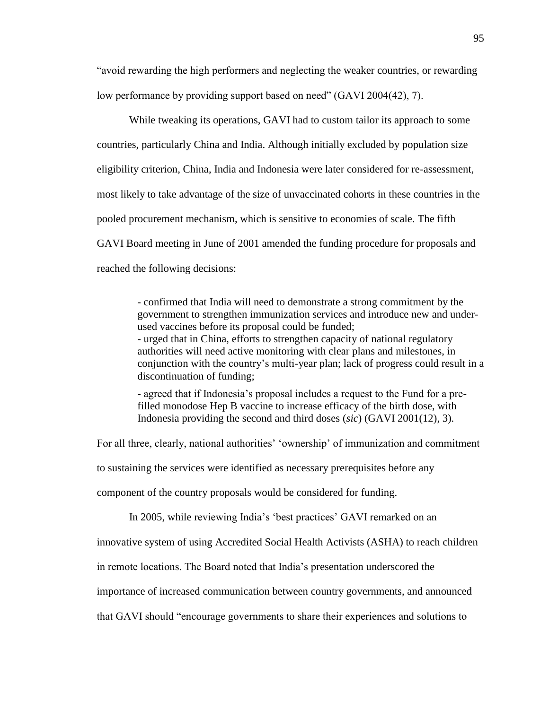"avoid rewarding the high performers and neglecting the weaker countries, or rewarding low performance by providing support based on need" (GAVI 2004(42), 7).

While tweaking its operations, GAVI had to custom tailor its approach to some countries, particularly China and India. Although initially excluded by population size eligibility criterion, China, India and Indonesia were later considered for re-assessment, most likely to take advantage of the size of unvaccinated cohorts in these countries in the pooled procurement mechanism, which is sensitive to economies of scale. The fifth GAVI Board meeting in June of 2001 amended the funding procedure for proposals and reached the following decisions:

> - confirmed that India will need to demonstrate a strong commitment by the government to strengthen immunization services and introduce new and underused vaccines before its proposal could be funded; - urged that in China, efforts to strengthen capacity of national regulatory authorities will need active monitoring with clear plans and milestones, in conjunction with the country's multi-year plan; lack of progress could result in a discontinuation of funding;

- agreed that if Indonesia's proposal includes a request to the Fund for a prefilled monodose Hep B vaccine to increase efficacy of the birth dose, with Indonesia providing the second and third doses (*sic*) (GAVI 2001(12), 3).

For all three, clearly, national authorities' 'ownership' of immunization and commitment

to sustaining the services were identified as necessary prerequisites before any

component of the country proposals would be considered for funding.

In 2005, while reviewing India's 'best practices' GAVI remarked on an

innovative system of using Accredited Social Health Activists (ASHA) to reach children

in remote locations. The Board noted that India's presentation underscored the

importance of increased communication between country governments, and announced

that GAVI should "encourage governments to share their experiences and solutions to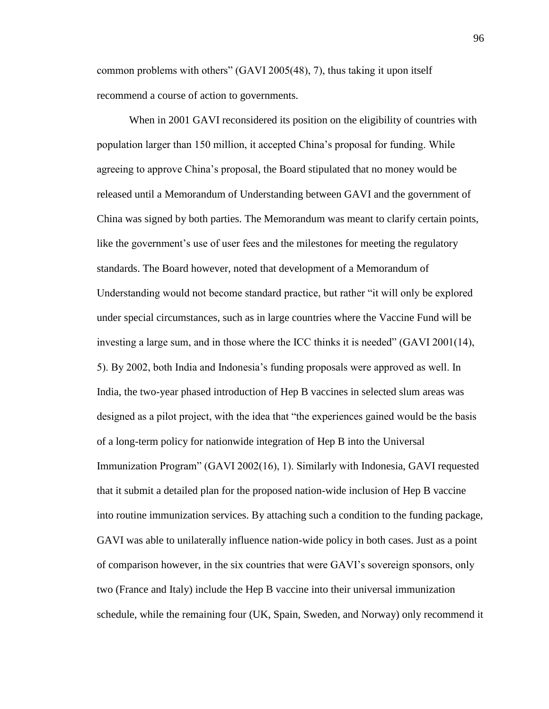common problems with others" (GAVI 2005(48), 7), thus taking it upon itself recommend a course of action to governments.

When in 2001 GAVI reconsidered its position on the eligibility of countries with population larger than 150 million, it accepted China's proposal for funding. While agreeing to approve China's proposal, the Board stipulated that no money would be released until a Memorandum of Understanding between GAVI and the government of China was signed by both parties. The Memorandum was meant to clarify certain points, like the government's use of user fees and the milestones for meeting the regulatory standards. The Board however, noted that development of a Memorandum of Understanding would not become standard practice, but rather "it will only be explored under special circumstances, such as in large countries where the Vaccine Fund will be investing a large sum, and in those where the ICC thinks it is needed" (GAVI 2001(14), 5). By 2002, both India and Indonesia's funding proposals were approved as well. In India, the two-year phased introduction of Hep B vaccines in selected slum areas was designed as a pilot project, with the idea that "the experiences gained would be the basis of a long-term policy for nationwide integration of Hep B into the Universal Immunization Program" (GAVI 2002(16), 1). Similarly with Indonesia, GAVI requested that it submit a detailed plan for the proposed nation-wide inclusion of Hep B vaccine into routine immunization services. By attaching such a condition to the funding package, GAVI was able to unilaterally influence nation-wide policy in both cases. Just as a point of comparison however, in the six countries that were GAVI's sovereign sponsors, only two (France and Italy) include the Hep B vaccine into their universal immunization schedule, while the remaining four (UK, Spain, Sweden, and Norway) only recommend it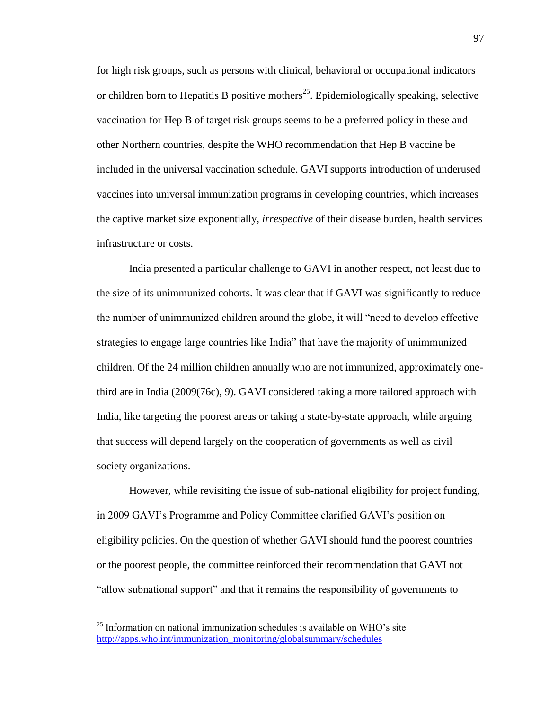for high risk groups, such as persons with clinical, behavioral or occupational indicators or children born to Hepatitis B positive mothers<sup>25</sup>. Epidemiologically speaking, selective vaccination for Hep B of target risk groups seems to be a preferred policy in these and other Northern countries, despite the WHO recommendation that Hep B vaccine be included in the universal vaccination schedule. GAVI supports introduction of underused vaccines into universal immunization programs in developing countries, which increases the captive market size exponentially, *irrespective* of their disease burden, health services infrastructure or costs.

India presented a particular challenge to GAVI in another respect, not least due to the size of its unimmunized cohorts. It was clear that if GAVI was significantly to reduce the number of unimmunized children around the globe, it will "need to develop effective strategies to engage large countries like India" that have the majority of unimmunized children. Of the 24 million children annually who are not immunized, approximately onethird are in India (2009(76c), 9). GAVI considered taking a more tailored approach with India, like targeting the poorest areas or taking a state-by-state approach, while arguing that success will depend largely on the cooperation of governments as well as civil society organizations.

However, while revisiting the issue of sub-national eligibility for project funding, in 2009 GAVI's Programme and Policy Committee clarified GAVI's position on eligibility policies. On the question of whether GAVI should fund the poorest countries or the poorest people, the committee reinforced their recommendation that GAVI not "allow subnational support" and that it remains the responsibility of governments to

 $25$  Information on national immunization schedules is available on WHO's site [http://apps.who.int/immunization\\_monitoring/globalsummary/schedules](http://apps.who.int/immunization_monitoring/globalsummary/schedules)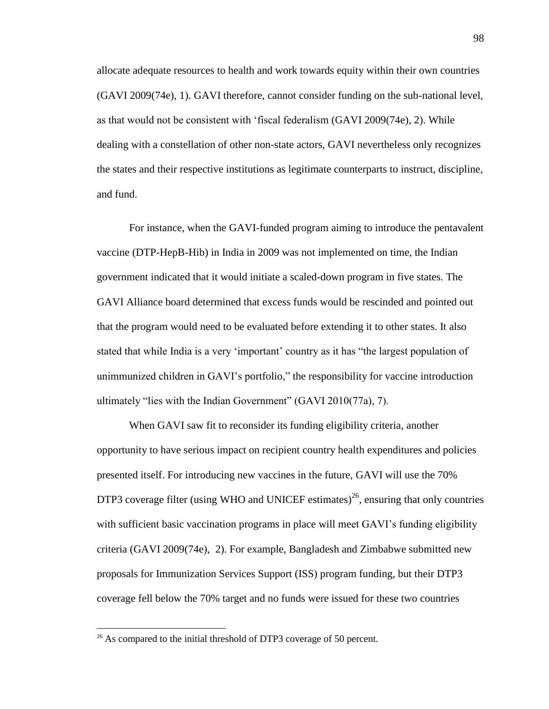allocate adequate resources to health and work towards equity within their own countries (GAVI 2009(74e), 1). GAVI therefore, cannot consider funding on the sub-national level, as that would not be consistent with 'fiscal federalism (GAVI 2009(74e), 2). While dealing with a constellation of other non-state actors, GAVI nevertheless only recognizes the states and their respective institutions as legitimate counterparts to instruct, discipline, and fund.

For instance, when the GAVI-funded program aiming to introduce the pentavalent vaccine (DTP-HepB-Hib) in India in 2009 was not implemented on time, the Indian government indicated that it would initiate a scaled-down program in five states. The GAVI Alliance board determined that excess funds would be rescinded and pointed out that the program would need to be evaluated before extending it to other states. It also stated that while India is a very 'important' country as it has "the largest population of unimmunized children in GAVI's portfolio," the responsibility for vaccine introduction ultimately "lies with the Indian Government" (GAVI 2010(77a), 7).

When GAVI saw fit to reconsider its funding eligibility criteria, another opportunity to have serious impact on recipient country health expenditures and policies presented itself. For introducing new vaccines in the future, GAVI will use the 70% DTP3 coverage filter (using WHO and UNICEF estimates)<sup>26</sup>, ensuring that only countries with sufficient basic vaccination programs in place will meet GAVI's funding eligibility criteria (GAVI 2009(74e), 2). For example, Bangladesh and Zimbabwe submitted new proposals for Immunization Services Support (ISS) program funding, but their DTP3 coverage fell below the 70% target and no funds were issued for these two countries

 $26$  As compared to the initial threshold of DTP3 coverage of 50 percent.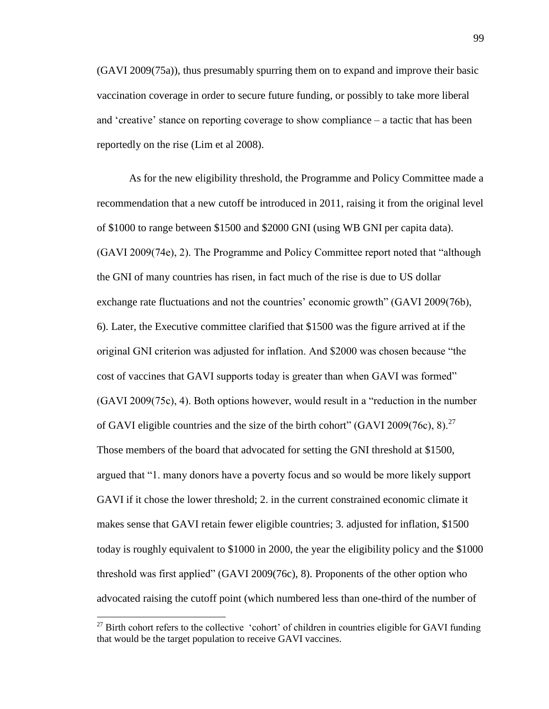(GAVI 2009(75a)), thus presumably spurring them on to expand and improve their basic vaccination coverage in order to secure future funding, or possibly to take more liberal and 'creative' stance on reporting coverage to show compliance – a tactic that has been reportedly on the rise (Lim et al 2008).

As for the new eligibility threshold, the Programme and Policy Committee made a recommendation that a new cutoff be introduced in 2011, raising it from the original level of \$1000 to range between \$1500 and \$2000 GNI (using WB GNI per capita data). (GAVI 2009(74e), 2). The Programme and Policy Committee report noted that "although the GNI of many countries has risen, in fact much of the rise is due to US dollar exchange rate fluctuations and not the countries' economic growth" (GAVI 2009(76b), 6). Later, the Executive committee clarified that \$1500 was the figure arrived at if the original GNI criterion was adjusted for inflation. And \$2000 was chosen because "the cost of vaccines that GAVI supports today is greater than when GAVI was formed" (GAVI 2009(75c), 4). Both options however, would result in a "reduction in the number of GAVI eligible countries and the size of the birth cohort" (GAVI 2009(76c), 8).<sup>27</sup> Those members of the board that advocated for setting the GNI threshold at \$1500, argued that "1. many donors have a poverty focus and so would be more likely support GAVI if it chose the lower threshold; 2. in the current constrained economic climate it makes sense that GAVI retain fewer eligible countries; 3. adjusted for inflation, \$1500 today is roughly equivalent to \$1000 in 2000, the year the eligibility policy and the \$1000 threshold was first applied" (GAVI 2009(76c), 8). Proponents of the other option who advocated raising the cutoff point (which numbered less than one-third of the number of

 $27$  Birth cohort refers to the collective 'cohort' of children in countries eligible for GAVI funding that would be the target population to receive GAVI vaccines.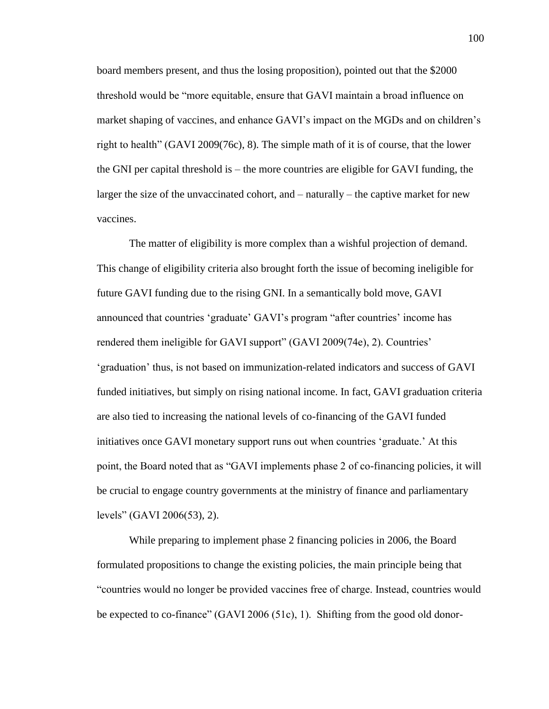board members present, and thus the losing proposition), pointed out that the \$2000 threshold would be "more equitable, ensure that GAVI maintain a broad influence on market shaping of vaccines, and enhance GAVI's impact on the MGDs and on children's right to health" (GAVI 2009(76c), 8). The simple math of it is of course, that the lower the GNI per capital threshold is – the more countries are eligible for GAVI funding, the larger the size of the unvaccinated cohort, and – naturally – the captive market for new vaccines.

The matter of eligibility is more complex than a wishful projection of demand. This change of eligibility criteria also brought forth the issue of becoming ineligible for future GAVI funding due to the rising GNI. In a semantically bold move, GAVI announced that countries 'graduate' GAVI's program "after countries' income has rendered them ineligible for GAVI support" (GAVI 2009(74e), 2). Countries' 'graduation' thus, is not based on immunization-related indicators and success of GAVI funded initiatives, but simply on rising national income. In fact, GAVI graduation criteria are also tied to increasing the national levels of co-financing of the GAVI funded initiatives once GAVI monetary support runs out when countries 'graduate.' At this point, the Board noted that as "GAVI implements phase 2 of co-financing policies, it will be crucial to engage country governments at the ministry of finance and parliamentary levels" (GAVI 2006(53), 2).

While preparing to implement phase 2 financing policies in 2006, the Board formulated propositions to change the existing policies, the main principle being that "countries would no longer be provided vaccines free of charge. Instead, countries would be expected to co-finance" (GAVI 2006 (51c), 1). Shifting from the good old donor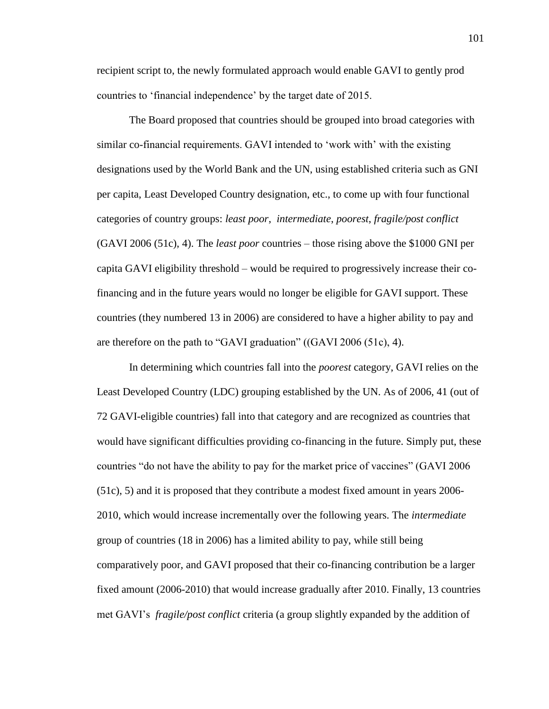recipient script to, the newly formulated approach would enable GAVI to gently prod countries to 'financial independence' by the target date of 2015.

The Board proposed that countries should be grouped into broad categories with similar co-financial requirements. GAVI intended to 'work with' with the existing designations used by the World Bank and the UN, using established criteria such as GNI per capita, Least Developed Country designation, etc., to come up with four functional categories of country groups: *least poor*, *intermediate*, *poorest*, *fragile/post conflict* (GAVI 2006 (51c), 4). The *least poor* countries – those rising above the \$1000 GNI per capita GAVI eligibility threshold – would be required to progressively increase their cofinancing and in the future years would no longer be eligible for GAVI support. These countries (they numbered 13 in 2006) are considered to have a higher ability to pay and are therefore on the path to "GAVI graduation" ((GAVI 2006 (51c), 4).

In determining which countries fall into the *poorest* category, GAVI relies on the Least Developed Country (LDC) grouping established by the UN. As of 2006, 41 (out of 72 GAVI-eligible countries) fall into that category and are recognized as countries that would have significant difficulties providing co-financing in the future. Simply put, these countries "do not have the ability to pay for the market price of vaccines" (GAVI 2006 (51c), 5) and it is proposed that they contribute a modest fixed amount in years 2006- 2010, which would increase incrementally over the following years. The *intermediate* group of countries (18 in 2006) has a limited ability to pay, while still being comparatively poor, and GAVI proposed that their co-financing contribution be a larger fixed amount (2006-2010) that would increase gradually after 2010. Finally, 13 countries met GAVI's *fragile/post conflict* criteria (a group slightly expanded by the addition of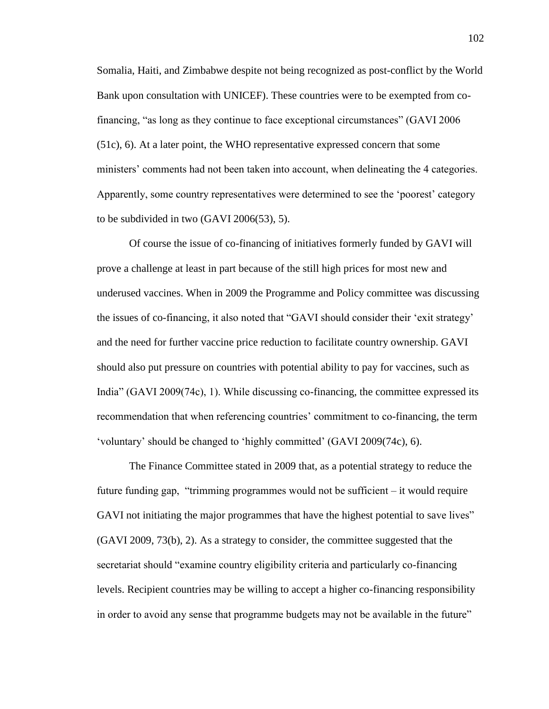Somalia, Haiti, and Zimbabwe despite not being recognized as post-conflict by the World Bank upon consultation with UNICEF). These countries were to be exempted from cofinancing, "as long as they continue to face exceptional circumstances" (GAVI 2006 (51c), 6). At a later point, the WHO representative expressed concern that some ministers' comments had not been taken into account, when delineating the 4 categories. Apparently, some country representatives were determined to see the 'poorest' category to be subdivided in two (GAVI 2006(53), 5).

Of course the issue of co-financing of initiatives formerly funded by GAVI will prove a challenge at least in part because of the still high prices for most new and underused vaccines. When in 2009 the Programme and Policy committee was discussing the issues of co-financing, it also noted that "GAVI should consider their 'exit strategy' and the need for further vaccine price reduction to facilitate country ownership. GAVI should also put pressure on countries with potential ability to pay for vaccines, such as India" (GAVI 2009(74c), 1). While discussing co-financing, the committee expressed its recommendation that when referencing countries' commitment to co-financing, the term 'voluntary' should be changed to 'highly committed' (GAVI 2009(74c), 6).

The Finance Committee stated in 2009 that, as a potential strategy to reduce the future funding gap, "trimming programmes would not be sufficient – it would require GAVI not initiating the major programmes that have the highest potential to save lives" (GAVI 2009, 73(b), 2). As a strategy to consider, the committee suggested that the secretariat should "examine country eligibility criteria and particularly co-financing levels. Recipient countries may be willing to accept a higher co-financing responsibility in order to avoid any sense that programme budgets may not be available in the future"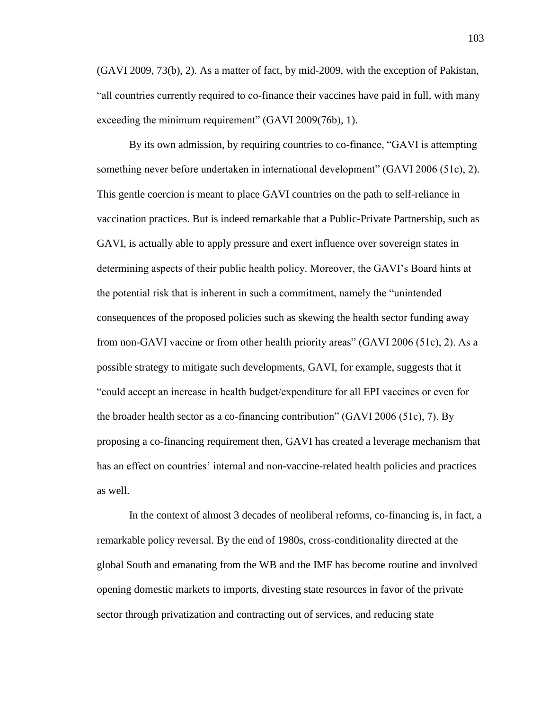(GAVI 2009, 73(b), 2). As a matter of fact, by mid-2009, with the exception of Pakistan, "all countries currently required to co-finance their vaccines have paid in full, with many exceeding the minimum requirement" (GAVI 2009(76b), 1).

By its own admission, by requiring countries to co-finance, "GAVI is attempting something never before undertaken in international development" (GAVI 2006 (51c), 2). This gentle coercion is meant to place GAVI countries on the path to self-reliance in vaccination practices. But is indeed remarkable that a Public-Private Partnership, such as GAVI, is actually able to apply pressure and exert influence over sovereign states in determining aspects of their public health policy. Moreover, the GAVI's Board hints at the potential risk that is inherent in such a commitment, namely the "unintended consequences of the proposed policies such as skewing the health sector funding away from non-GAVI vaccine or from other health priority areas" (GAVI 2006 (51c), 2). As a possible strategy to mitigate such developments, GAVI, for example, suggests that it "could accept an increase in health budget/expenditure for all EPI vaccines or even for the broader health sector as a co-financing contribution" (GAVI 2006 (51c), 7). By proposing a co-financing requirement then, GAVI has created a leverage mechanism that has an effect on countries' internal and non-vaccine-related health policies and practices as well.

In the context of almost 3 decades of neoliberal reforms, co-financing is, in fact, a remarkable policy reversal. By the end of 1980s, cross-conditionality directed at the global South and emanating from the WB and the IMF has become routine and involved opening domestic markets to imports, divesting state resources in favor of the private sector through privatization and contracting out of services, and reducing state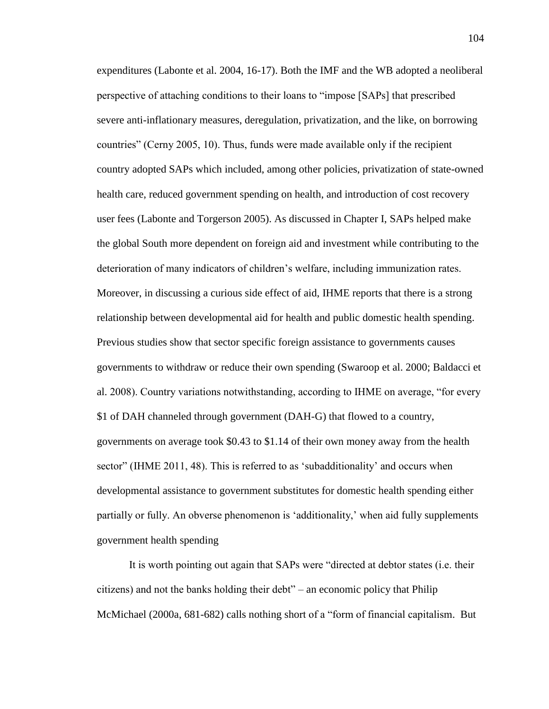expenditures (Labonte et al. 2004, 16-17). Both the IMF and the WB adopted a neoliberal perspective of attaching conditions to their loans to "impose [SAPs] that prescribed severe anti-inflationary measures, deregulation, privatization, and the like, on borrowing countries" (Cerny 2005, 10). Thus, funds were made available only if the recipient country adopted SAPs which included, among other policies, privatization of state-owned health care, reduced government spending on health, and introduction of cost recovery user fees (Labonte and Torgerson 2005). As discussed in Chapter I, SAPs helped make the global South more dependent on foreign aid and investment while contributing to the deterioration of many indicators of children's welfare, including immunization rates. Moreover, in discussing a curious side effect of aid, IHME reports that there is a strong relationship between developmental aid for health and public domestic health spending. Previous studies show that sector specific foreign assistance to governments causes governments to withdraw or reduce their own spending (Swaroop et al. 2000; Baldacci et al. 2008). Country variations notwithstanding, according to IHME on average, "for every \$1 of DAH channeled through government (DAH-G) that flowed to a country, governments on average took \$0.43 to \$1.14 of their own money away from the health sector" (IHME 2011, 48). This is referred to as 'subadditionality' and occurs when developmental assistance to government substitutes for domestic health spending either partially or fully. An obverse phenomenon is 'additionality,' when aid fully supplements government health spending

It is worth pointing out again that SAPs were "directed at debtor states (i.e. their citizens) and not the banks holding their debt" – an economic policy that Philip McMichael (2000a, 681-682) calls nothing short of a "form of financial capitalism. But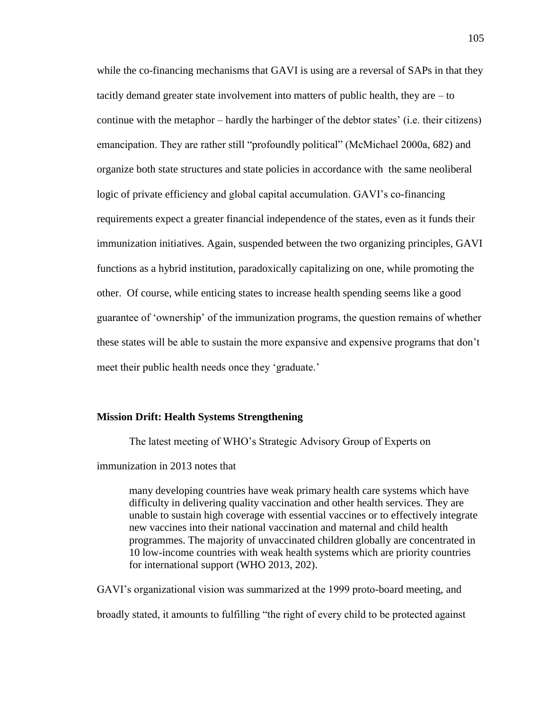while the co-financing mechanisms that GAVI is using are a reversal of SAPs in that they tacitly demand greater state involvement into matters of public health, they are – to continue with the metaphor – hardly the harbinger of the debtor states' (i.e. their citizens) emancipation. They are rather still "profoundly political" (McMichael 2000a, 682) and organize both state structures and state policies in accordance with the same neoliberal logic of private efficiency and global capital accumulation. GAVI's co-financing requirements expect a greater financial independence of the states, even as it funds their immunization initiatives. Again, suspended between the two organizing principles, GAVI functions as a hybrid institution, paradoxically capitalizing on one, while promoting the other. Of course, while enticing states to increase health spending seems like a good guarantee of 'ownership' of the immunization programs, the question remains of whether these states will be able to sustain the more expansive and expensive programs that don't meet their public health needs once they 'graduate.'

#### **Mission Drift: Health Systems Strengthening**

The latest meeting of WHO's Strategic Advisory Group of Experts on

immunization in 2013 notes that

many developing countries have weak primary health care systems which have difficulty in delivering quality vaccination and other health services. They are unable to sustain high coverage with essential vaccines or to effectively integrate new vaccines into their national vaccination and maternal and child health programmes. The majority of unvaccinated children globally are concentrated in 10 low-income countries with weak health systems which are priority countries for international support (WHO 2013, 202).

GAVI's organizational vision was summarized at the 1999 proto-board meeting, and broadly stated, it amounts to fulfilling "the right of every child to be protected against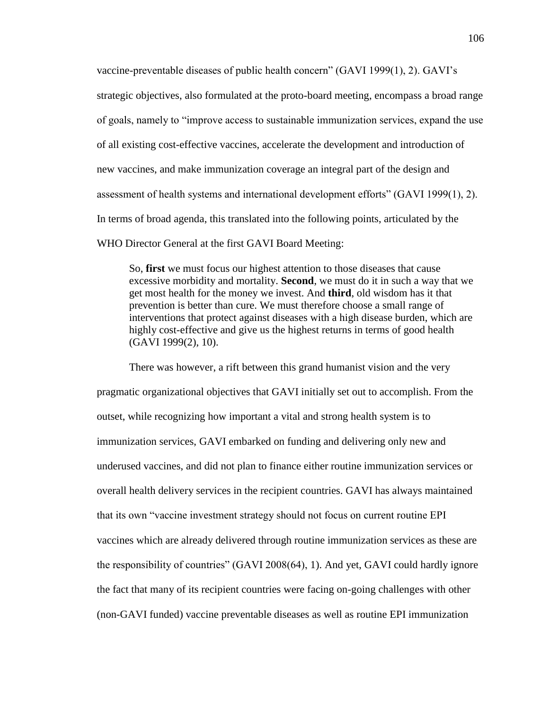vaccine-preventable diseases of public health concern" (GAVI 1999(1), 2). GAVI's strategic objectives, also formulated at the proto-board meeting, encompass a broad range of goals, namely to "improve access to sustainable immunization services, expand the use of all existing cost-effective vaccines, accelerate the development and introduction of new vaccines, and make immunization coverage an integral part of the design and assessment of health systems and international development efforts" (GAVI 1999(1), 2). In terms of broad agenda, this translated into the following points, articulated by the WHO Director General at the first GAVI Board Meeting:

So, **first** we must focus our highest attention to those diseases that cause excessive morbidity and mortality. **Second**, we must do it in such a way that we get most health for the money we invest. And **third**, old wisdom has it that prevention is better than cure. We must therefore choose a small range of interventions that protect against diseases with a high disease burden, which are highly cost-effective and give us the highest returns in terms of good health (GAVI 1999(2), 10).

There was however, a rift between this grand humanist vision and the very pragmatic organizational objectives that GAVI initially set out to accomplish. From the outset, while recognizing how important a vital and strong health system is to immunization services, GAVI embarked on funding and delivering only new and underused vaccines, and did not plan to finance either routine immunization services or overall health delivery services in the recipient countries. GAVI has always maintained that its own "vaccine investment strategy should not focus on current routine EPI vaccines which are already delivered through routine immunization services as these are the responsibility of countries" (GAVI 2008(64), 1). And yet, GAVI could hardly ignore the fact that many of its recipient countries were facing on-going challenges with other (non-GAVI funded) vaccine preventable diseases as well as routine EPI immunization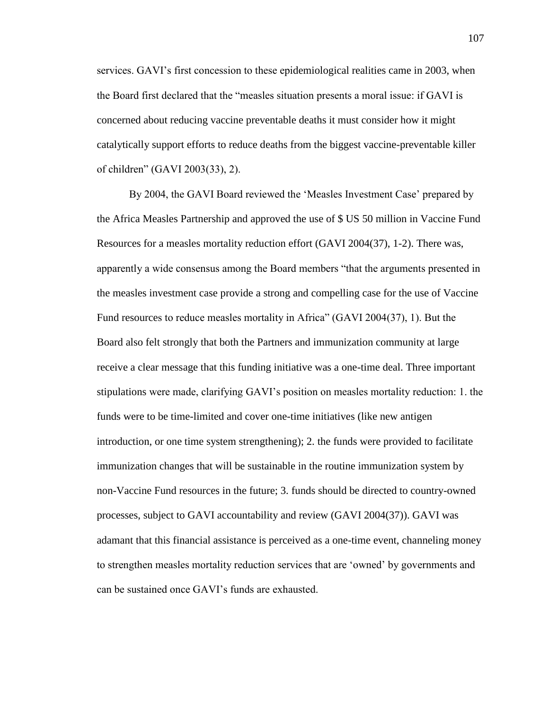services. GAVI's first concession to these epidemiological realities came in 2003, when the Board first declared that the "measles situation presents a moral issue: if GAVI is concerned about reducing vaccine preventable deaths it must consider how it might catalytically support efforts to reduce deaths from the biggest vaccine-preventable killer of children" (GAVI 2003(33), 2).

By 2004, the GAVI Board reviewed the 'Measles Investment Case' prepared by the Africa Measles Partnership and approved the use of \$ US 50 million in Vaccine Fund Resources for a measles mortality reduction effort (GAVI 2004(37), 1-2). There was, apparently a wide consensus among the Board members "that the arguments presented in the measles investment case provide a strong and compelling case for the use of Vaccine Fund resources to reduce measles mortality in Africa" (GAVI 2004(37), 1). But the Board also felt strongly that both the Partners and immunization community at large receive a clear message that this funding initiative was a one-time deal. Three important stipulations were made, clarifying GAVI's position on measles mortality reduction: 1. the funds were to be time-limited and cover one-time initiatives (like new antigen introduction, or one time system strengthening); 2. the funds were provided to facilitate immunization changes that will be sustainable in the routine immunization system by non-Vaccine Fund resources in the future; 3. funds should be directed to country-owned processes, subject to GAVI accountability and review (GAVI 2004(37)). GAVI was adamant that this financial assistance is perceived as a one-time event, channeling money to strengthen measles mortality reduction services that are 'owned' by governments and can be sustained once GAVI's funds are exhausted.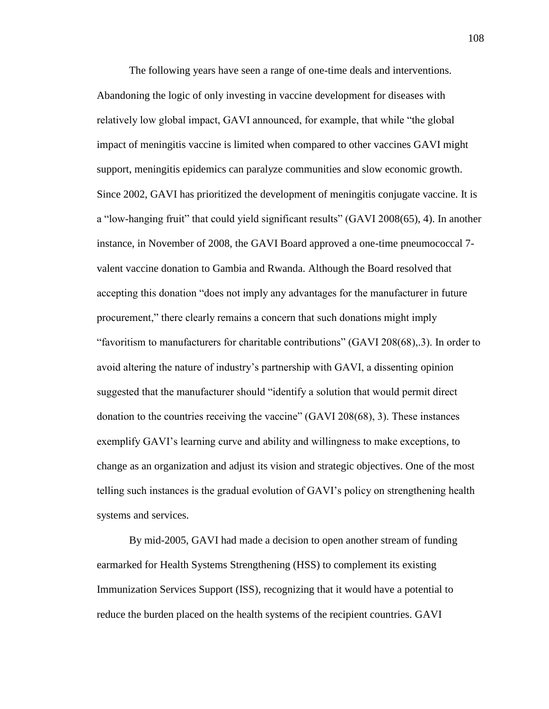The following years have seen a range of one-time deals and interventions. Abandoning the logic of only investing in vaccine development for diseases with relatively low global impact, GAVI announced, for example, that while "the global impact of meningitis vaccine is limited when compared to other vaccines GAVI might support, meningitis epidemics can paralyze communities and slow economic growth. Since 2002, GAVI has prioritized the development of meningitis conjugate vaccine. It is a "low-hanging fruit" that could yield significant results" (GAVI 2008(65), 4). In another instance, in November of 2008, the GAVI Board approved a one-time pneumococcal 7 valent vaccine donation to Gambia and Rwanda. Although the Board resolved that accepting this donation "does not imply any advantages for the manufacturer in future procurement," there clearly remains a concern that such donations might imply "favoritism to manufacturers for charitable contributions" (GAVI 208(68),.3). In order to avoid altering the nature of industry's partnership with GAVI, a dissenting opinion suggested that the manufacturer should "identify a solution that would permit direct donation to the countries receiving the vaccine" (GAVI 208(68), 3). These instances exemplify GAVI's learning curve and ability and willingness to make exceptions, to change as an organization and adjust its vision and strategic objectives. One of the most telling such instances is the gradual evolution of GAVI's policy on strengthening health systems and services.

By mid-2005, GAVI had made a decision to open another stream of funding earmarked for Health Systems Strengthening (HSS) to complement its existing Immunization Services Support (ISS), recognizing that it would have a potential to reduce the burden placed on the health systems of the recipient countries. GAVI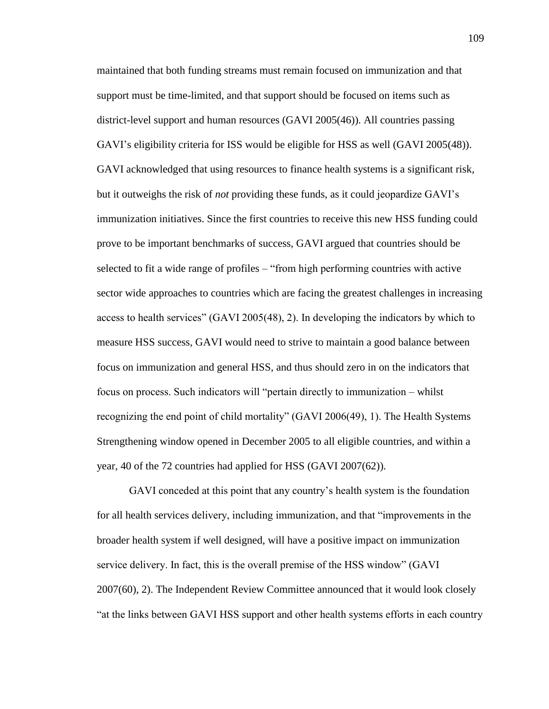maintained that both funding streams must remain focused on immunization and that support must be time-limited, and that support should be focused on items such as district-level support and human resources (GAVI 2005(46)). All countries passing GAVI's eligibility criteria for ISS would be eligible for HSS as well (GAVI 2005(48)). GAVI acknowledged that using resources to finance health systems is a significant risk, but it outweighs the risk of *not* providing these funds, as it could jeopardize GAVI's immunization initiatives. Since the first countries to receive this new HSS funding could prove to be important benchmarks of success, GAVI argued that countries should be selected to fit a wide range of profiles – "from high performing countries with active sector wide approaches to countries which are facing the greatest challenges in increasing access to health services" (GAVI 2005(48), 2). In developing the indicators by which to measure HSS success, GAVI would need to strive to maintain a good balance between focus on immunization and general HSS, and thus should zero in on the indicators that focus on process. Such indicators will "pertain directly to immunization – whilst recognizing the end point of child mortality" (GAVI 2006(49), 1). The Health Systems Strengthening window opened in December 2005 to all eligible countries, and within a year, 40 of the 72 countries had applied for HSS (GAVI 2007(62)).

GAVI conceded at this point that any country's health system is the foundation for all health services delivery, including immunization, and that "improvements in the broader health system if well designed, will have a positive impact on immunization service delivery. In fact, this is the overall premise of the HSS window" (GAVI 2007(60), 2). The Independent Review Committee announced that it would look closely "at the links between GAVI HSS support and other health systems efforts in each country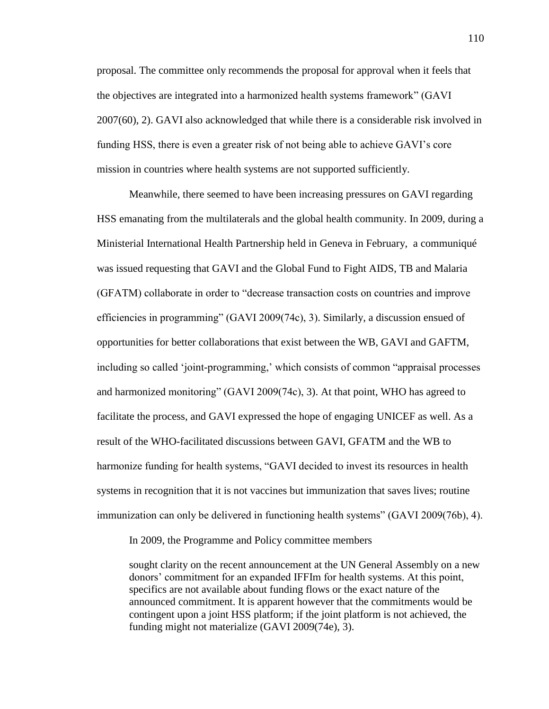proposal. The committee only recommends the proposal for approval when it feels that the objectives are integrated into a harmonized health systems framework" (GAVI 2007(60), 2). GAVI also acknowledged that while there is a considerable risk involved in funding HSS, there is even a greater risk of not being able to achieve GAVI's core mission in countries where health systems are not supported sufficiently.

Meanwhile, there seemed to have been increasing pressures on GAVI regarding HSS emanating from the multilaterals and the global health community. In 2009, during a Ministerial International Health Partnership held in Geneva in February, a communiqué was issued requesting that GAVI and the Global Fund to Fight AIDS, TB and Malaria (GFATM) collaborate in order to "decrease transaction costs on countries and improve efficiencies in programming" (GAVI 2009(74c), 3). Similarly, a discussion ensued of opportunities for better collaborations that exist between the WB, GAVI and GAFTM, including so called 'joint-programming,' which consists of common "appraisal processes and harmonized monitoring" (GAVI 2009(74c), 3). At that point, WHO has agreed to facilitate the process, and GAVI expressed the hope of engaging UNICEF as well. As a result of the WHO-facilitated discussions between GAVI, GFATM and the WB to harmonize funding for health systems, "GAVI decided to invest its resources in health systems in recognition that it is not vaccines but immunization that saves lives; routine immunization can only be delivered in functioning health systems" (GAVI 2009(76b), 4).

In 2009, the Programme and Policy committee members

sought clarity on the recent announcement at the UN General Assembly on a new donors' commitment for an expanded IFFIm for health systems. At this point, specifics are not available about funding flows or the exact nature of the announced commitment. It is apparent however that the commitments would be contingent upon a joint HSS platform; if the joint platform is not achieved, the funding might not materialize (GAVI 2009(74e), 3).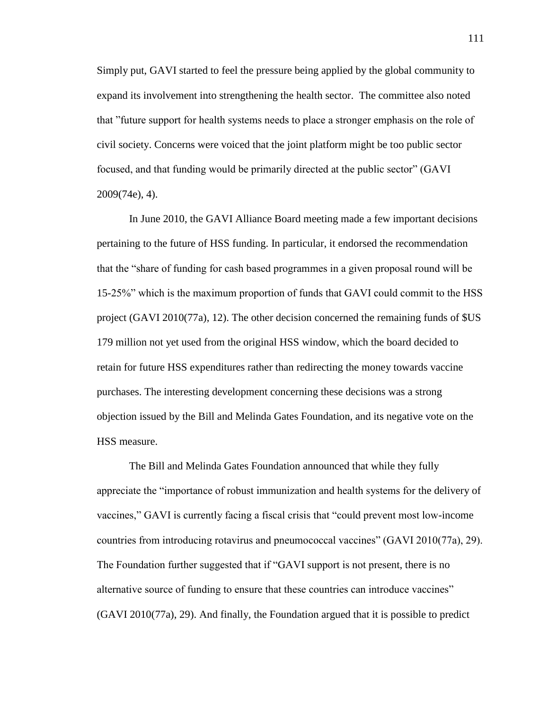Simply put, GAVI started to feel the pressure being applied by the global community to expand its involvement into strengthening the health sector. The committee also noted that "future support for health systems needs to place a stronger emphasis on the role of civil society. Concerns were voiced that the joint platform might be too public sector focused, and that funding would be primarily directed at the public sector" (GAVI 2009(74e), 4).

In June 2010, the GAVI Alliance Board meeting made a few important decisions pertaining to the future of HSS funding. In particular, it endorsed the recommendation that the "share of funding for cash based programmes in a given proposal round will be 15-25%" which is the maximum proportion of funds that GAVI could commit to the HSS project (GAVI 2010(77a), 12). The other decision concerned the remaining funds of \$US 179 million not yet used from the original HSS window, which the board decided to retain for future HSS expenditures rather than redirecting the money towards vaccine purchases. The interesting development concerning these decisions was a strong objection issued by the Bill and Melinda Gates Foundation, and its negative vote on the HSS measure.

The Bill and Melinda Gates Foundation announced that while they fully appreciate the "importance of robust immunization and health systems for the delivery of vaccines," GAVI is currently facing a fiscal crisis that "could prevent most low-income countries from introducing rotavirus and pneumococcal vaccines" (GAVI 2010(77a), 29). The Foundation further suggested that if "GAVI support is not present, there is no alternative source of funding to ensure that these countries can introduce vaccines" (GAVI 2010(77a), 29). And finally, the Foundation argued that it is possible to predict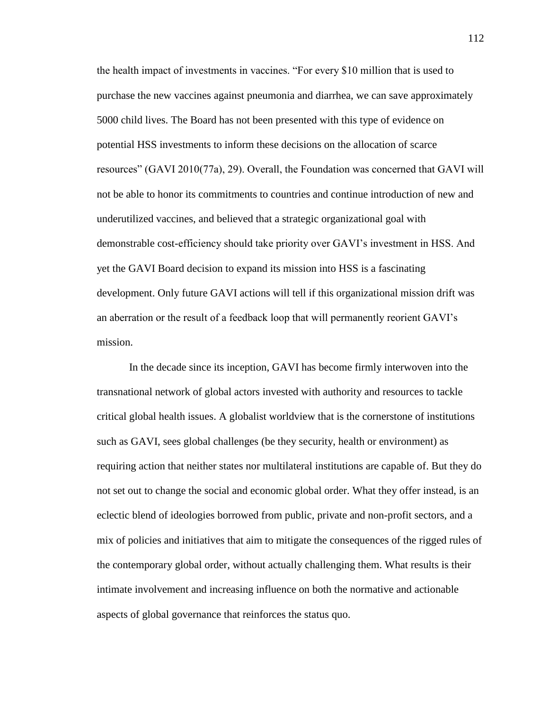the health impact of investments in vaccines. "For every \$10 million that is used to purchase the new vaccines against pneumonia and diarrhea, we can save approximately 5000 child lives. The Board has not been presented with this type of evidence on potential HSS investments to inform these decisions on the allocation of scarce resources" (GAVI 2010(77a), 29). Overall, the Foundation was concerned that GAVI will not be able to honor its commitments to countries and continue introduction of new and underutilized vaccines, and believed that a strategic organizational goal with demonstrable cost-efficiency should take priority over GAVI's investment in HSS. And yet the GAVI Board decision to expand its mission into HSS is a fascinating development. Only future GAVI actions will tell if this organizational mission drift was an aberration or the result of a feedback loop that will permanently reorient GAVI's mission.

In the decade since its inception, GAVI has become firmly interwoven into the transnational network of global actors invested with authority and resources to tackle critical global health issues. A globalist worldview that is the cornerstone of institutions such as GAVI, sees global challenges (be they security, health or environment) as requiring action that neither states nor multilateral institutions are capable of. But they do not set out to change the social and economic global order. What they offer instead, is an eclectic blend of ideologies borrowed from public, private and non-profit sectors, and a mix of policies and initiatives that aim to mitigate the consequences of the rigged rules of the contemporary global order, without actually challenging them. What results is their intimate involvement and increasing influence on both the normative and actionable aspects of global governance that reinforces the status quo.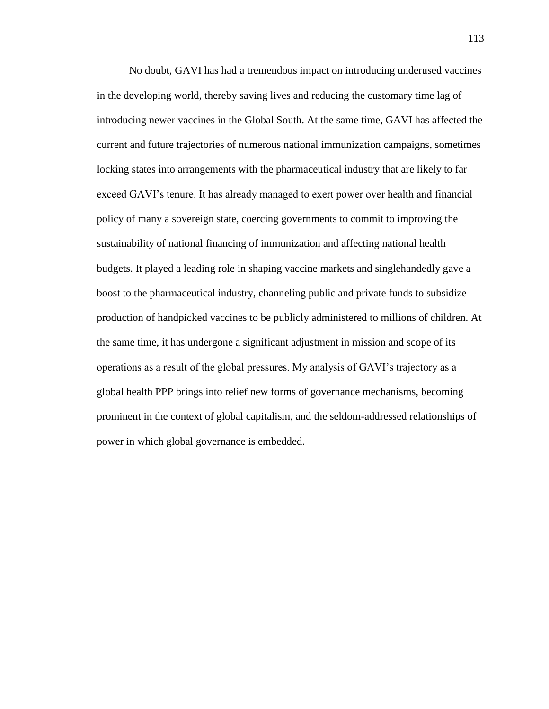No doubt, GAVI has had a tremendous impact on introducing underused vaccines in the developing world, thereby saving lives and reducing the customary time lag of introducing newer vaccines in the Global South. At the same time, GAVI has affected the current and future trajectories of numerous national immunization campaigns, sometimes locking states into arrangements with the pharmaceutical industry that are likely to far exceed GAVI's tenure. It has already managed to exert power over health and financial policy of many a sovereign state, coercing governments to commit to improving the sustainability of national financing of immunization and affecting national health budgets. It played a leading role in shaping vaccine markets and singlehandedly gave a boost to the pharmaceutical industry, channeling public and private funds to subsidize production of handpicked vaccines to be publicly administered to millions of children. At the same time, it has undergone a significant adjustment in mission and scope of its operations as a result of the global pressures. My analysis of GAVI's trajectory as a global health PPP brings into relief new forms of governance mechanisms, becoming prominent in the context of global capitalism, and the seldom-addressed relationships of power in which global governance is embedded.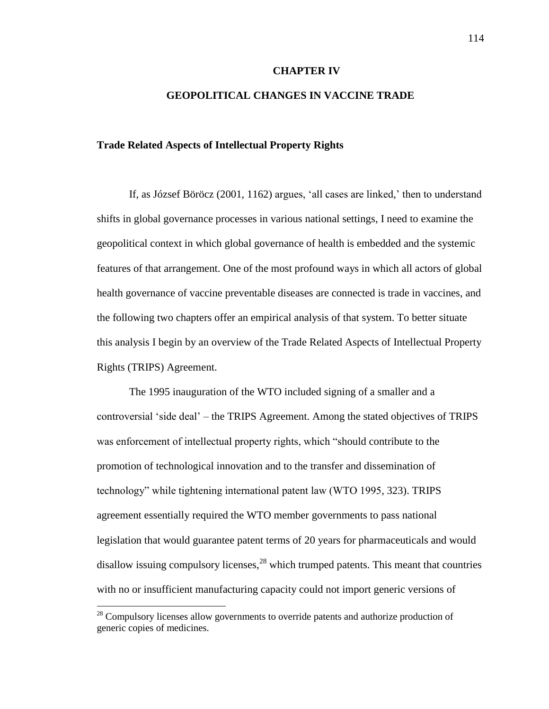#### **CHAPTER IV**

# **GEOPOLITICAL CHANGES IN VACCINE TRADE**

## **Trade Related Aspects of Intellectual Property Rights**

If, as József Böröcz (2001, 1162) argues, 'all cases are linked,' then to understand shifts in global governance processes in various national settings, I need to examine the geopolitical context in which global governance of health is embedded and the systemic features of that arrangement. One of the most profound ways in which all actors of global health governance of vaccine preventable diseases are connected is trade in vaccines, and the following two chapters offer an empirical analysis of that system. To better situate this analysis I begin by an overview of the Trade Related Aspects of Intellectual Property Rights (TRIPS) Agreement.

The 1995 inauguration of the WTO included signing of a smaller and a controversial 'side deal' – the TRIPS Agreement. Among the stated objectives of TRIPS was enforcement of intellectual property rights, which "should contribute to the promotion of technological innovation and to the transfer and dissemination of technology" while tightening international patent law (WTO 1995, 323). TRIPS agreement essentially required the WTO member governments to pass national legislation that would guarantee patent terms of 20 years for pharmaceuticals and would disallow issuing compulsory licenses,<sup>28</sup> which trumped patents. This meant that countries with no or insufficient manufacturing capacity could not import generic versions of

 $\overline{\phantom{a}}$ 

 $28$  Compulsory licenses allow governments to override patents and authorize production of generic copies of medicines.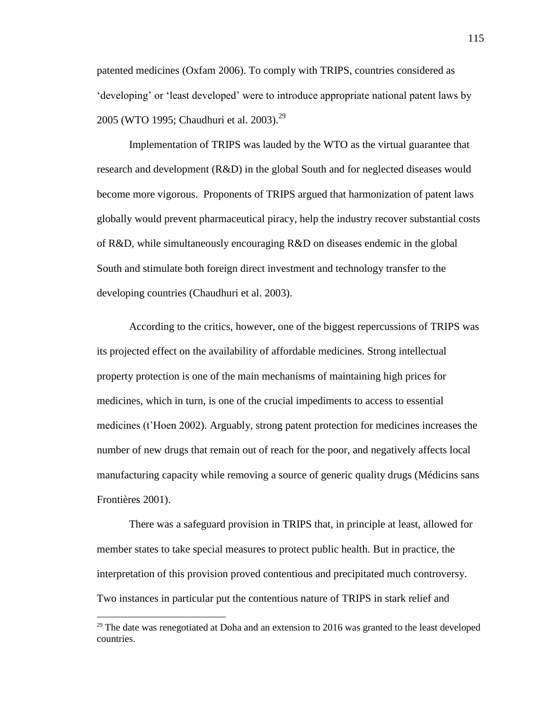patented medicines (Oxfam 2006). To comply with TRIPS, countries considered as 'developing' or 'least developed' were to introduce appropriate national patent laws by 2005 (WTO 1995; Chaudhuri et al. 2003).<sup>29</sup>

Implementation of TRIPS was lauded by the WTO as the virtual guarantee that research and development (R&D) in the global South and for neglected diseases would become more vigorous. Proponents of TRIPS argued that harmonization of patent laws globally would prevent pharmaceutical piracy, help the industry recover substantial costs of R&D, while simultaneously encouraging R&D on diseases endemic in the global South and stimulate both foreign direct investment and technology transfer to the developing countries (Chaudhuri et al. 2003).

According to the critics, however, one of the biggest repercussions of TRIPS was its projected effect on the availability of affordable medicines. Strong intellectual property protection is one of the main mechanisms of maintaining high prices for medicines, which in turn, is one of the crucial impediments to access to essential medicines (t'Hoen 2002). Arguably, strong patent protection for medicines increases the number of new drugs that remain out of reach for the poor, and negatively affects local manufacturing capacity while removing a source of generic quality drugs (Médicins sans Frontières 2001).

There was a safeguard provision in TRIPS that, in principle at least, allowed for member states to take special measures to protect public health. But in practice, the interpretation of this provision proved contentious and precipitated much controversy. Two instances in particular put the contentious nature of TRIPS in stark relief and

 $\overline{\phantom{a}}$ 

 $29$  The date was renegotiated at Doha and an extension to 2016 was granted to the least developed countries.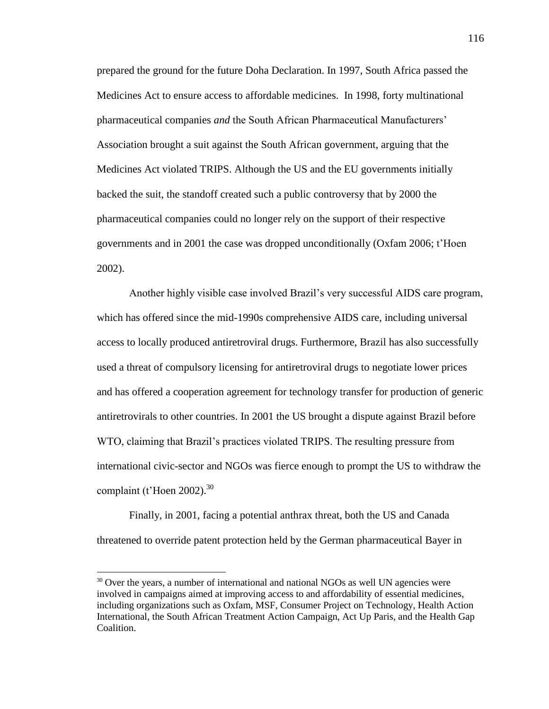prepared the ground for the future Doha Declaration. In 1997, South Africa passed the Medicines Act to ensure access to affordable medicines. In 1998, forty multinational pharmaceutical companies *and* the South African Pharmaceutical Manufacturers' Association brought a suit against the South African government, arguing that the Medicines Act violated TRIPS. Although the US and the EU governments initially backed the suit, the standoff created such a public controversy that by 2000 the pharmaceutical companies could no longer rely on the support of their respective governments and in 2001 the case was dropped unconditionally (Oxfam 2006; t'Hoen 2002).

Another highly visible case involved Brazil's very successful AIDS care program, which has offered since the mid-1990s comprehensive AIDS care, including universal access to locally produced antiretroviral drugs. Furthermore, Brazil has also successfully used a threat of compulsory licensing for antiretroviral drugs to negotiate lower prices and has offered a cooperation agreement for technology transfer for production of generic antiretrovirals to other countries. In 2001 the US brought a dispute against Brazil before WTO, claiming that Brazil's practices violated TRIPS. The resulting pressure from international civic-sector and NGOs was fierce enough to prompt the US to withdraw the complaint (t'Hoen 2002). $30$ 

Finally, in 2001, facing a potential anthrax threat, both the US and Canada threatened to override patent protection held by the German pharmaceutical Bayer in

 $\overline{a}$ 

 $30$  Over the years, a number of international and national NGOs as well UN agencies were involved in campaigns aimed at improving access to and affordability of essential medicines, including organizations such as Oxfam, MSF, Consumer Project on Technology, Health Action International, the South African Treatment Action Campaign, Act Up Paris, and the Health Gap Coalition.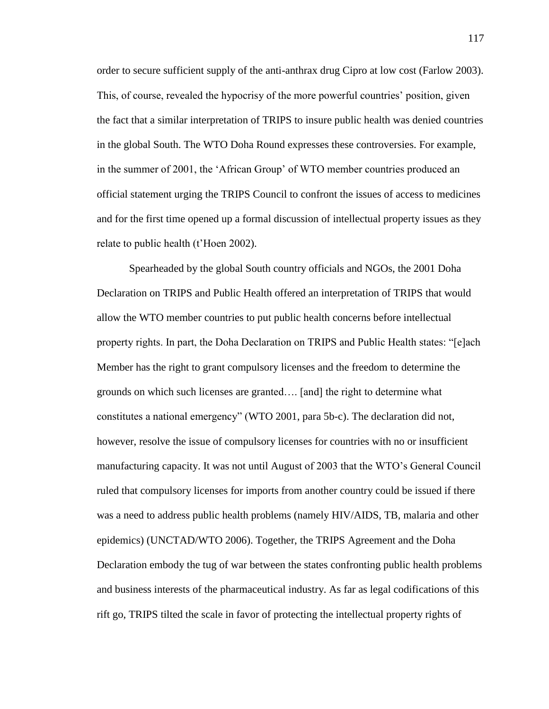order to secure sufficient supply of the anti-anthrax drug Cipro at low cost (Farlow 2003). This, of course, revealed the hypocrisy of the more powerful countries' position, given the fact that a similar interpretation of TRIPS to insure public health was denied countries in the global South. The WTO Doha Round expresses these controversies. For example, in the summer of 2001, the 'African Group' of WTO member countries produced an official statement urging the TRIPS Council to confront the issues of access to medicines and for the first time opened up a formal discussion of intellectual property issues as they relate to public health (t'Hoen 2002).

Spearheaded by the global South country officials and NGOs, the 2001 Doha Declaration on TRIPS and Public Health offered an interpretation of TRIPS that would allow the WTO member countries to put public health concerns before intellectual property rights. In part, the Doha Declaration on TRIPS and Public Health states: "[e]ach Member has the right to grant compulsory licenses and the freedom to determine the grounds on which such licenses are granted…. [and] the right to determine what constitutes a national emergency" (WTO 2001, para 5b-c). The declaration did not, however, resolve the issue of compulsory licenses for countries with no or insufficient manufacturing capacity. It was not until August of 2003 that the WTO's General Council ruled that compulsory licenses for imports from another country could be issued if there was a need to address public health problems (namely HIV/AIDS, TB, malaria and other epidemics) (UNCTAD/WTO 2006). Together, the TRIPS Agreement and the Doha Declaration embody the tug of war between the states confronting public health problems and business interests of the pharmaceutical industry. As far as legal codifications of this rift go, TRIPS tilted the scale in favor of protecting the intellectual property rights of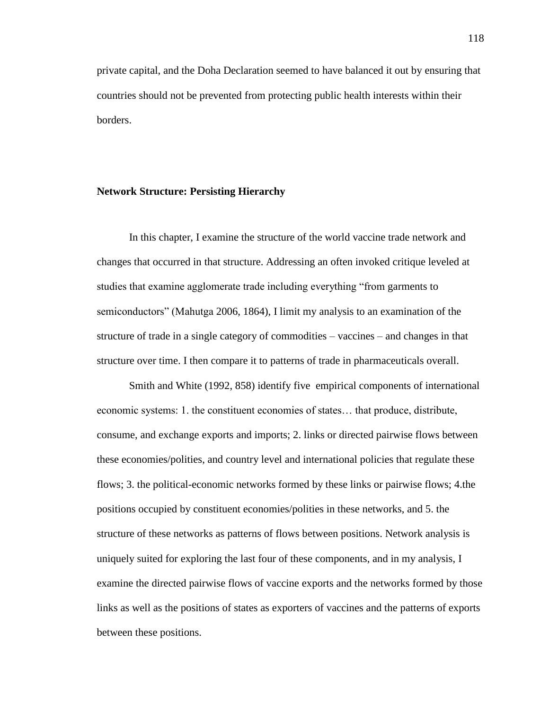private capital, and the Doha Declaration seemed to have balanced it out by ensuring that countries should not be prevented from protecting public health interests within their borders.

### **Network Structure: Persisting Hierarchy**

In this chapter, I examine the structure of the world vaccine trade network and changes that occurred in that structure. Addressing an often invoked critique leveled at studies that examine agglomerate trade including everything "from garments to semiconductors" (Mahutga 2006, 1864), I limit my analysis to an examination of the structure of trade in a single category of commodities – vaccines – and changes in that structure over time. I then compare it to patterns of trade in pharmaceuticals overall.

Smith and White (1992, 858) identify five empirical components of international economic systems: 1. the constituent economies of states… that produce, distribute, consume, and exchange exports and imports; 2. links or directed pairwise flows between these economies/polities, and country level and international policies that regulate these flows; 3. the political-economic networks formed by these links or pairwise flows; 4.the positions occupied by constituent economies/polities in these networks, and 5. the structure of these networks as patterns of flows between positions. Network analysis is uniquely suited for exploring the last four of these components, and in my analysis, I examine the directed pairwise flows of vaccine exports and the networks formed by those links as well as the positions of states as exporters of vaccines and the patterns of exports between these positions.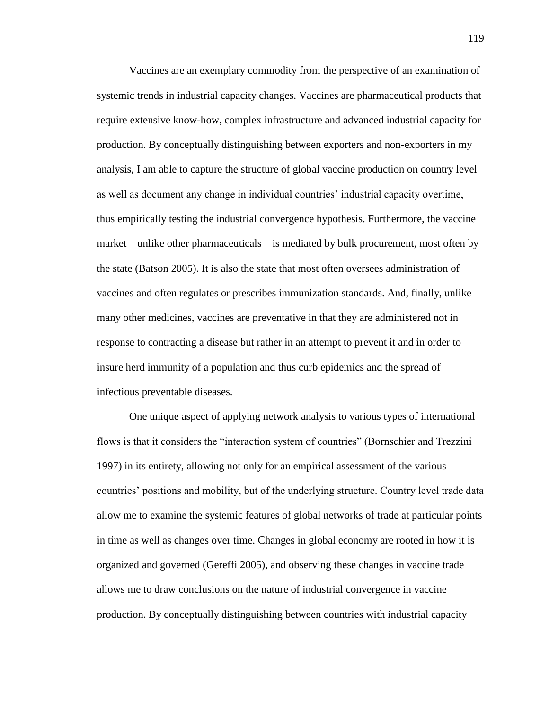Vaccines are an exemplary commodity from the perspective of an examination of systemic trends in industrial capacity changes. Vaccines are pharmaceutical products that require extensive know-how, complex infrastructure and advanced industrial capacity for production. By conceptually distinguishing between exporters and non-exporters in my analysis, I am able to capture the structure of global vaccine production on country level as well as document any change in individual countries' industrial capacity overtime, thus empirically testing the industrial convergence hypothesis. Furthermore, the vaccine market – unlike other pharmaceuticals – is mediated by bulk procurement, most often by the state (Batson 2005). It is also the state that most often oversees administration of vaccines and often regulates or prescribes immunization standards. And, finally, unlike many other medicines, vaccines are preventative in that they are administered not in response to contracting a disease but rather in an attempt to prevent it and in order to insure herd immunity of a population and thus curb epidemics and the spread of infectious preventable diseases.

One unique aspect of applying network analysis to various types of international flows is that it considers the "interaction system of countries" (Bornschier and Trezzini 1997) in its entirety, allowing not only for an empirical assessment of the various countries' positions and mobility, but of the underlying structure. Country level trade data allow me to examine the systemic features of global networks of trade at particular points in time as well as changes over time. Changes in global economy are rooted in how it is organized and governed (Gereffi 2005), and observing these changes in vaccine trade allows me to draw conclusions on the nature of industrial convergence in vaccine production. By conceptually distinguishing between countries with industrial capacity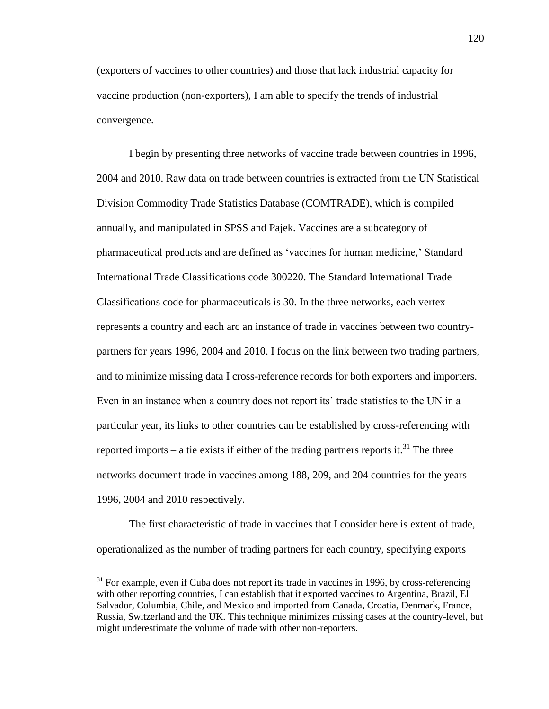(exporters of vaccines to other countries) and those that lack industrial capacity for vaccine production (non-exporters), I am able to specify the trends of industrial convergence.

I begin by presenting three networks of vaccine trade between countries in 1996, 2004 and 2010. Raw data on trade between countries is extracted from the UN Statistical Division Commodity Trade Statistics Database (COMTRADE), which is compiled annually, and manipulated in SPSS and Pajek. Vaccines are a subcategory of pharmaceutical products and are defined as 'vaccines for human medicine,' Standard International Trade Classifications code 300220. The Standard International Trade Classifications code for pharmaceuticals is 30. In the three networks, each vertex represents a country and each arc an instance of trade in vaccines between two countrypartners for years 1996, 2004 and 2010. I focus on the link between two trading partners, and to minimize missing data I cross-reference records for both exporters and importers. Even in an instance when a country does not report its' trade statistics to the UN in a particular year, its links to other countries can be established by cross-referencing with reported imports – a tie exists if either of the trading partners reports it.<sup>31</sup> The three networks document trade in vaccines among 188, 209, and 204 countries for the years 1996, 2004 and 2010 respectively.

The first characteristic of trade in vaccines that I consider here is extent of trade, operationalized as the number of trading partners for each country, specifying exports

 $\overline{a}$ 

<sup>&</sup>lt;sup>31</sup> For example, even if Cuba does not report its trade in vaccines in 1996, by cross-referencing with other reporting countries, I can establish that it exported vaccines to Argentina, Brazil, El Salvador, Columbia, Chile, and Mexico and imported from Canada, Croatia, Denmark, France, Russia, Switzerland and the UK. This technique minimizes missing cases at the country-level, but might underestimate the volume of trade with other non-reporters.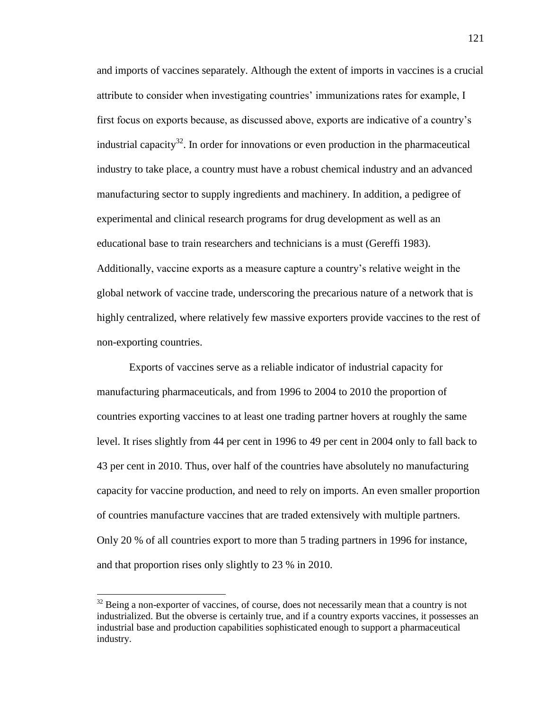and imports of vaccines separately. Although the extent of imports in vaccines is a crucial attribute to consider when investigating countries' immunizations rates for example, I first focus on exports because, as discussed above, exports are indicative of a country's industrial capacity<sup>32</sup>. In order for innovations or even production in the pharmaceutical industry to take place, a country must have a robust chemical industry and an advanced manufacturing sector to supply ingredients and machinery. In addition, a pedigree of experimental and clinical research programs for drug development as well as an educational base to train researchers and technicians is a must (Gereffi 1983). Additionally, vaccine exports as a measure capture a country's relative weight in the global network of vaccine trade, underscoring the precarious nature of a network that is highly centralized, where relatively few massive exporters provide vaccines to the rest of non-exporting countries.

Exports of vaccines serve as a reliable indicator of industrial capacity for manufacturing pharmaceuticals, and from 1996 to 2004 to 2010 the proportion of countries exporting vaccines to at least one trading partner hovers at roughly the same level. It rises slightly from 44 per cent in 1996 to 49 per cent in 2004 only to fall back to 43 per cent in 2010. Thus, over half of the countries have absolutely no manufacturing capacity for vaccine production, and need to rely on imports. An even smaller proportion of countries manufacture vaccines that are traded extensively with multiple partners. Only 20 % of all countries export to more than 5 trading partners in 1996 for instance, and that proportion rises only slightly to 23 % in 2010.

l

 $32$  Being a non-exporter of vaccines, of course, does not necessarily mean that a country is not industrialized. But the obverse is certainly true, and if a country exports vaccines, it possesses an industrial base and production capabilities sophisticated enough to support a pharmaceutical industry.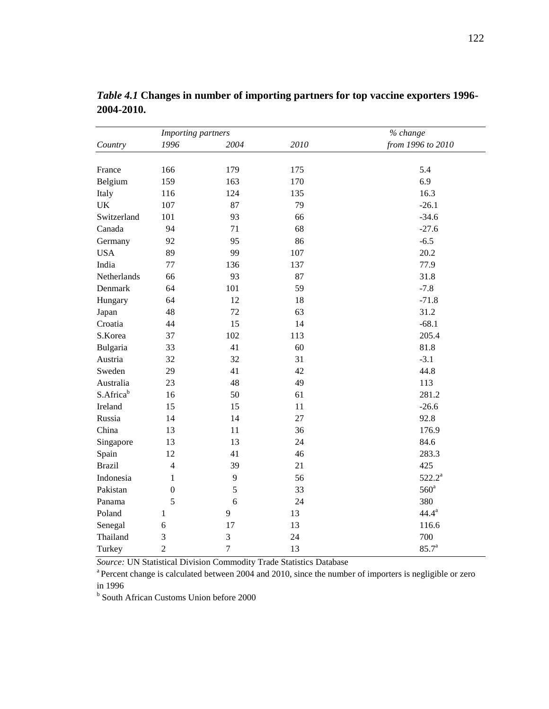| Importing partners    |                  |                |      | % change          |
|-----------------------|------------------|----------------|------|-------------------|
| Country               | 1996             | 2004           | 2010 | from 1996 to 2010 |
|                       |                  |                |      |                   |
| France                | 166              | 179            | 175  | 5.4               |
| Belgium               | 159              | 163            | 170  | 6.9               |
| Italy                 | 116              | 124            | 135  | 16.3              |
| <b>UK</b>             | 107              | 87             | 79   | $-26.1$           |
| Switzerland           | 101              | 93             | 66   | $-34.6$           |
| Canada                | 94               | 71             | 68   | $-27.6$           |
| Germany               | 92               | 95             | 86   | $-6.5$            |
| <b>USA</b>            | 89               | 99             | 107  | 20.2              |
| India                 | 77               | 136            | 137  | 77.9              |
| Netherlands           | 66               | 93             | 87   | 31.8              |
| Denmark               | 64               | 101            | 59   | $-7.8$            |
| Hungary               | 64               | 12             | 18   | $-71.8$           |
| Japan                 | 48               | 72             | 63   | 31.2              |
| Croatia               | 44               | 15             | 14   | $-68.1$           |
| S.Korea               | 37               | 102            | 113  | 205.4             |
| Bulgaria              | 33               | 41             | 60   | 81.8              |
| Austria               | 32               | 32             | 31   | $-3.1$            |
| Sweden                | 29               | 41             | 42   | 44.8              |
| Australia             | 23               | 48             | 49   | 113               |
| S.Africa <sup>b</sup> | 16               | 50             | 61   | 281.2             |
| Ireland               | 15               | 15             | 11   | $-26.6$           |
| Russia                | 14               | 14             | 27   | 92.8              |
| China                 | 13               | 11             | 36   | 176.9             |
| Singapore             | 13               | 13             | 24   | 84.6              |
| Spain                 | 12               | 41             | 46   | 283.3             |
| <b>Brazil</b>         | $\overline{4}$   | 39             | 21   | 425               |
| Indonesia             | 1                | 9              | 56   | $522.2^a$         |
| Pakistan              | $\boldsymbol{0}$ | 5              | 33   | $560^{\circ}$     |
| Panama                | 5                | 6              | 24   | 380               |
| Poland                | 1                | 9              | 13   | $44.4^{\rm a}$    |
| Senegal               | 6                | 17             | 13   | 116.6             |
| Thailand              | 3                | 3              | 24   | 700               |
| Turkey                | $\overline{c}$   | $\overline{7}$ | 13   | $85.7^{\rm a}$    |

*Table 4.1* **Changes in number of importing partners for top vaccine exporters 1996- 2004-2010.**

*Source:* UN Statistical Division Commodity Trade Statistics Database

<sup>a</sup> Percent change is calculated between 2004 and 2010, since the number of importers is negligible or zero in 1996

**b** South African Customs Union before 2000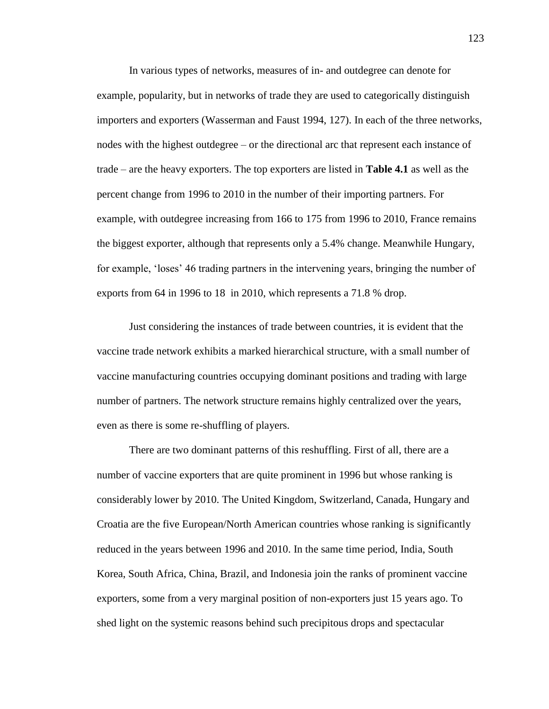In various types of networks, measures of in- and outdegree can denote for example, popularity, but in networks of trade they are used to categorically distinguish importers and exporters (Wasserman and Faust 1994, 127). In each of the three networks, nodes with the highest outdegree – or the directional arc that represent each instance of trade – are the heavy exporters. The top exporters are listed in **Table 4.1** as well as the percent change from 1996 to 2010 in the number of their importing partners. For example, with outdegree increasing from 166 to 175 from 1996 to 2010, France remains the biggest exporter, although that represents only a 5.4% change. Meanwhile Hungary, for example, 'loses' 46 trading partners in the intervening years, bringing the number of exports from 64 in 1996 to 18 in 2010, which represents a 71.8 % drop.

Just considering the instances of trade between countries, it is evident that the vaccine trade network exhibits a marked hierarchical structure, with a small number of vaccine manufacturing countries occupying dominant positions and trading with large number of partners. The network structure remains highly centralized over the years, even as there is some re-shuffling of players.

There are two dominant patterns of this reshuffling. First of all, there are a number of vaccine exporters that are quite prominent in 1996 but whose ranking is considerably lower by 2010. The United Kingdom, Switzerland, Canada, Hungary and Croatia are the five European/North American countries whose ranking is significantly reduced in the years between 1996 and 2010. In the same time period, India, South Korea, South Africa, China, Brazil, and Indonesia join the ranks of prominent vaccine exporters, some from a very marginal position of non-exporters just 15 years ago. To shed light on the systemic reasons behind such precipitous drops and spectacular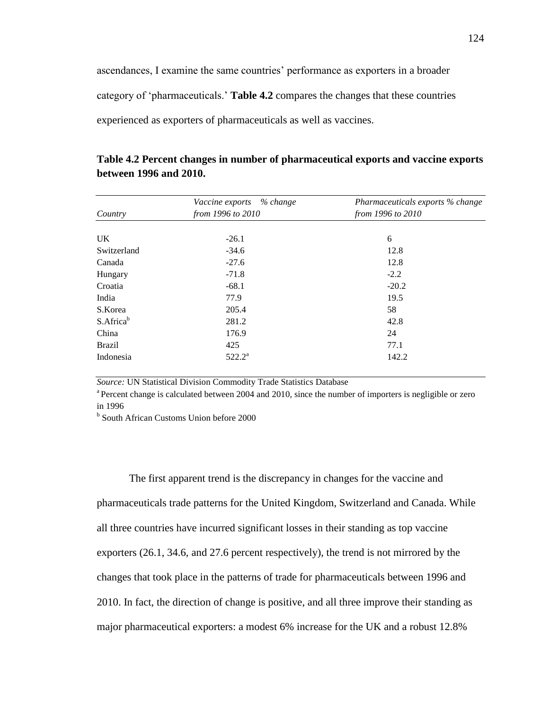ascendances, I examine the same countries' performance as exporters in a broader category of 'pharmaceuticals.' **Table 4.2** compares the changes that these countries experienced as exporters of pharmaceuticals as well as vaccines.

| Table 4.2 Percent changes in number of pharmaceutical exports and vaccine exports |
|-----------------------------------------------------------------------------------|
| between 1996 and 2010.                                                            |

|                       | Vaccine exports % change | Pharmaceuticals exports % change<br>from 1996 to 2010 |  |  |
|-----------------------|--------------------------|-------------------------------------------------------|--|--|
| Country               | from 1996 to 2010        |                                                       |  |  |
|                       |                          |                                                       |  |  |
| UK.                   | $-26.1$                  | 6                                                     |  |  |
| Switzerland           | $-34.6$                  | 12.8                                                  |  |  |
| Canada                | $-27.6$                  | 12.8                                                  |  |  |
| Hungary               | $-71.8$                  | $-2.2$                                                |  |  |
| Croatia               | $-68.1$                  | $-20.2$                                               |  |  |
| India                 | 77.9                     | 19.5                                                  |  |  |
| S.Korea               | 205.4                    | 58                                                    |  |  |
| S.Africa <sup>b</sup> | 281.2                    | 42.8                                                  |  |  |
| China                 | 176.9                    | 24                                                    |  |  |
| <b>Brazil</b>         | 425                      | 77.1                                                  |  |  |
| Indonesia             | $522.2^a$                | 142.2                                                 |  |  |

*Source:* UN Statistical Division Commodity Trade Statistics Database

<sup>a</sup> Percent change is calculated between 2004 and 2010, since the number of importers is negligible or zero in 1996

b South African Customs Union before 2000

The first apparent trend is the discrepancy in changes for the vaccine and pharmaceuticals trade patterns for the United Kingdom, Switzerland and Canada. While all three countries have incurred significant losses in their standing as top vaccine exporters (26.1, 34.6, and 27.6 percent respectively), the trend is not mirrored by the changes that took place in the patterns of trade for pharmaceuticals between 1996 and 2010. In fact, the direction of change is positive, and all three improve their standing as major pharmaceutical exporters: a modest 6% increase for the UK and a robust 12.8%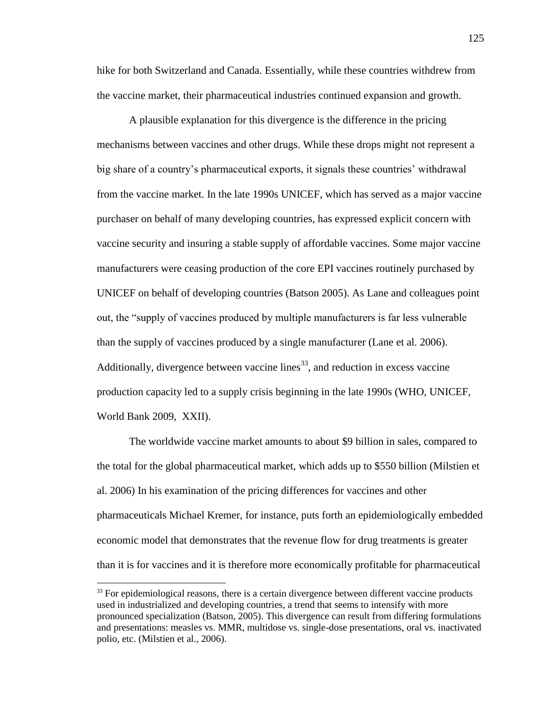hike for both Switzerland and Canada. Essentially, while these countries withdrew from the vaccine market, their pharmaceutical industries continued expansion and growth.

A plausible explanation for this divergence is the difference in the pricing mechanisms between vaccines and other drugs. While these drops might not represent a big share of a country's pharmaceutical exports, it signals these countries' withdrawal from the vaccine market. In the late 1990s UNICEF, which has served as a major vaccine purchaser on behalf of many developing countries, has expressed explicit concern with vaccine security and insuring a stable supply of affordable vaccines. Some major vaccine manufacturers were ceasing production of the core EPI vaccines routinely purchased by UNICEF on behalf of developing countries (Batson 2005). As Lane and colleagues point out, the "supply of vaccines produced by multiple manufacturers is far less vulnerable than the supply of vaccines produced by a single manufacturer (Lane et al. 2006). Additionally, divergence between vaccine lines<sup>33</sup>, and reduction in excess vaccine production capacity led to a supply crisis beginning in the late 1990s (WHO, UNICEF, World Bank 2009, XXII).

The worldwide vaccine market amounts to about \$9 billion in sales, compared to the total for the global pharmaceutical market, which adds up to \$550 billion (Milstien et al. 2006) In his examination of the pricing differences for vaccines and other pharmaceuticals Michael Kremer, for instance, puts forth an epidemiologically embedded economic model that demonstrates that the revenue flow for drug treatments is greater than it is for vaccines and it is therefore more economically profitable for pharmaceutical

 $\overline{\phantom{a}}$ 

 $33$  For epidemiological reasons, there is a certain divergence between different vaccine products used in industrialized and developing countries, a trend that seems to intensify with more pronounced specialization (Batson, 2005). This divergence can result from differing formulations and presentations: measles vs. MMR, multidose vs. single-dose presentations, oral vs. inactivated polio, etc. (Milstien et al., 2006).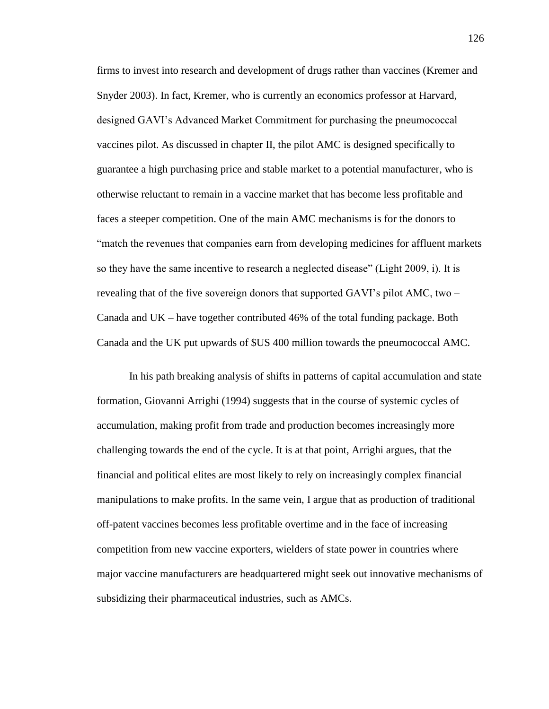firms to invest into research and development of drugs rather than vaccines (Kremer and Snyder 2003). In fact, Kremer, who is currently an economics professor at Harvard, designed GAVI's Advanced Market Commitment for purchasing the pneumococcal vaccines pilot. As discussed in chapter II, the pilot AMC is designed specifically to guarantee a high purchasing price and stable market to a potential manufacturer, who is otherwise reluctant to remain in a vaccine market that has become less profitable and faces a steeper competition. One of the main AMC mechanisms is for the donors to "match the revenues that companies earn from developing medicines for affluent markets so they have the same incentive to research a neglected disease" (Light 2009, i). It is revealing that of the five sovereign donors that supported GAVI's pilot AMC, two – Canada and UK – have together contributed 46% of the total funding package. Both Canada and the UK put upwards of \$US 400 million towards the pneumococcal AMC.

In his path breaking analysis of shifts in patterns of capital accumulation and state formation, Giovanni Arrighi (1994) suggests that in the course of systemic cycles of accumulation, making profit from trade and production becomes increasingly more challenging towards the end of the cycle. It is at that point, Arrighi argues, that the financial and political elites are most likely to rely on increasingly complex financial manipulations to make profits. In the same vein, I argue that as production of traditional off-patent vaccines becomes less profitable overtime and in the face of increasing competition from new vaccine exporters, wielders of state power in countries where major vaccine manufacturers are headquartered might seek out innovative mechanisms of subsidizing their pharmaceutical industries, such as AMCs.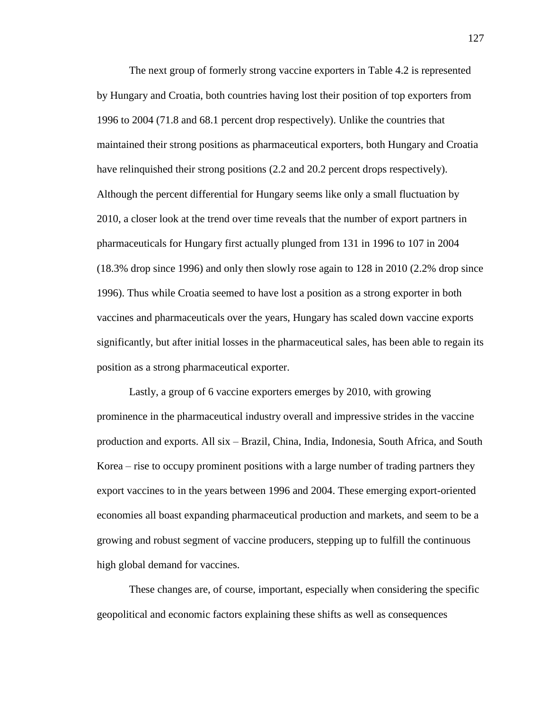The next group of formerly strong vaccine exporters in Table 4.2 is represented by Hungary and Croatia, both countries having lost their position of top exporters from 1996 to 2004 (71.8 and 68.1 percent drop respectively). Unlike the countries that maintained their strong positions as pharmaceutical exporters, both Hungary and Croatia have relinquished their strong positions (2.2 and 20.2 percent drops respectively). Although the percent differential for Hungary seems like only a small fluctuation by 2010, a closer look at the trend over time reveals that the number of export partners in pharmaceuticals for Hungary first actually plunged from 131 in 1996 to 107 in 2004 (18.3% drop since 1996) and only then slowly rose again to 128 in 2010 (2.2% drop since 1996). Thus while Croatia seemed to have lost a position as a strong exporter in both vaccines and pharmaceuticals over the years, Hungary has scaled down vaccine exports significantly, but after initial losses in the pharmaceutical sales, has been able to regain its position as a strong pharmaceutical exporter.

Lastly, a group of 6 vaccine exporters emerges by 2010, with growing prominence in the pharmaceutical industry overall and impressive strides in the vaccine production and exports. All six – Brazil, China, India, Indonesia, South Africa, and South Korea – rise to occupy prominent positions with a large number of trading partners they export vaccines to in the years between 1996 and 2004. These emerging export-oriented economies all boast expanding pharmaceutical production and markets, and seem to be a growing and robust segment of vaccine producers, stepping up to fulfill the continuous high global demand for vaccines.

These changes are, of course, important, especially when considering the specific geopolitical and economic factors explaining these shifts as well as consequences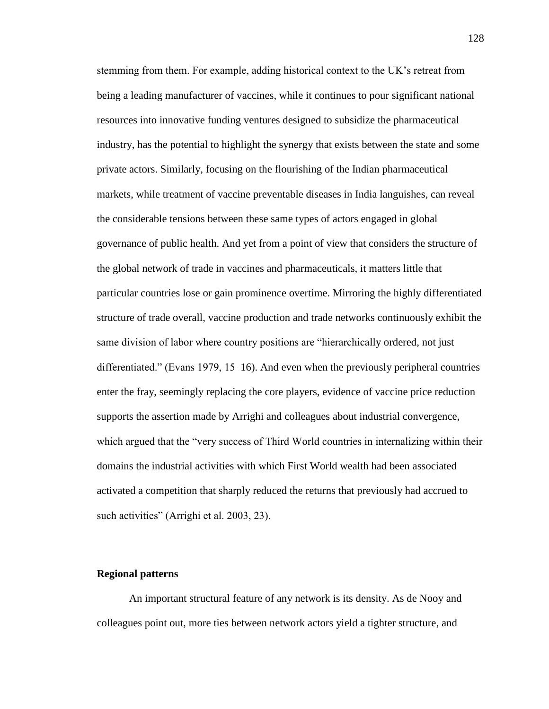stemming from them. For example, adding historical context to the UK's retreat from being a leading manufacturer of vaccines, while it continues to pour significant national resources into innovative funding ventures designed to subsidize the pharmaceutical industry, has the potential to highlight the synergy that exists between the state and some private actors. Similarly, focusing on the flourishing of the Indian pharmaceutical markets, while treatment of vaccine preventable diseases in India languishes, can reveal the considerable tensions between these same types of actors engaged in global governance of public health. And yet from a point of view that considers the structure of the global network of trade in vaccines and pharmaceuticals, it matters little that particular countries lose or gain prominence overtime. Mirroring the highly differentiated structure of trade overall, vaccine production and trade networks continuously exhibit the same division of labor where country positions are "hierarchically ordered, not just differentiated." (Evans 1979, 15–16). And even when the previously peripheral countries enter the fray, seemingly replacing the core players, evidence of vaccine price reduction supports the assertion made by Arrighi and colleagues about industrial convergence, which argued that the "very success of Third World countries in internalizing within their domains the industrial activities with which First World wealth had been associated activated a competition that sharply reduced the returns that previously had accrued to such activities" (Arrighi et al. 2003, 23).

# **Regional patterns**

An important structural feature of any network is its density. As de Nooy and colleagues point out, more ties between network actors yield a tighter structure, and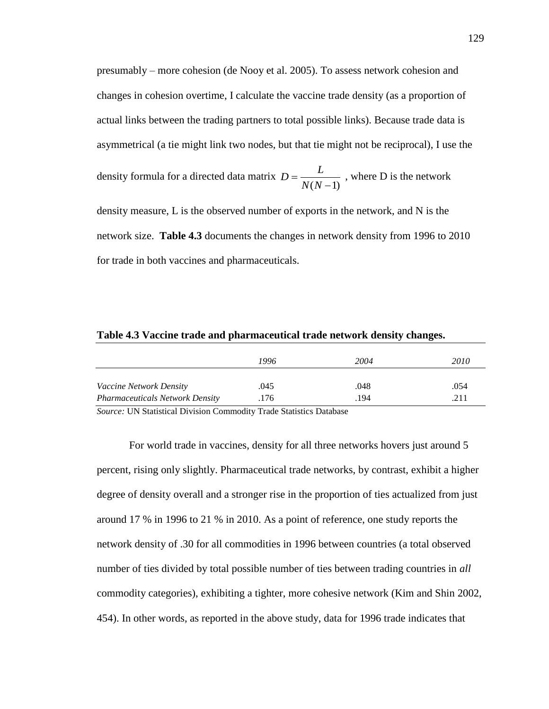presumably – more cohesion (de Nooy et al. 2005). To assess network cohesion and changes in cohesion overtime, I calculate the vaccine trade density (as a proportion of actual links between the trading partners to total possible links). Because trade data is asymmetrical (a tie might link two nodes, but that tie might not be reciprocal), I use the

density formula for a directed data matrix  $(N-1)$  $=$ *N N*  $D = \frac{L}{\sqrt{2L}}$ , where D is the network

density measure, L is the observed number of exports in the network, and N is the network size. **Table 4.3** documents the changes in network density from 1996 to 2010 for trade in both vaccines and pharmaceuticals.

#### **Table 4.3 Vaccine trade and pharmaceutical trade network density changes.**

|                                        | 1996 | 2004 | 2010 |
|----------------------------------------|------|------|------|
| <i>Vaccine Network Density</i>         | .045 | .048 | .054 |
| <b>Pharmaceuticals Network Density</b> | .176 | .194 | .211 |

*Source:* UN Statistical Division Commodity Trade Statistics Database

For world trade in vaccines, density for all three networks hovers just around 5 percent, rising only slightly. Pharmaceutical trade networks, by contrast, exhibit a higher degree of density overall and a stronger rise in the proportion of ties actualized from just around 17 % in 1996 to 21 % in 2010. As a point of reference, one study reports the network density of .30 for all commodities in 1996 between countries (a total observed number of ties divided by total possible number of ties between trading countries in *all* commodity categories), exhibiting a tighter, more cohesive network (Kim and Shin 2002, 454). In other words, as reported in the above study, data for 1996 trade indicates that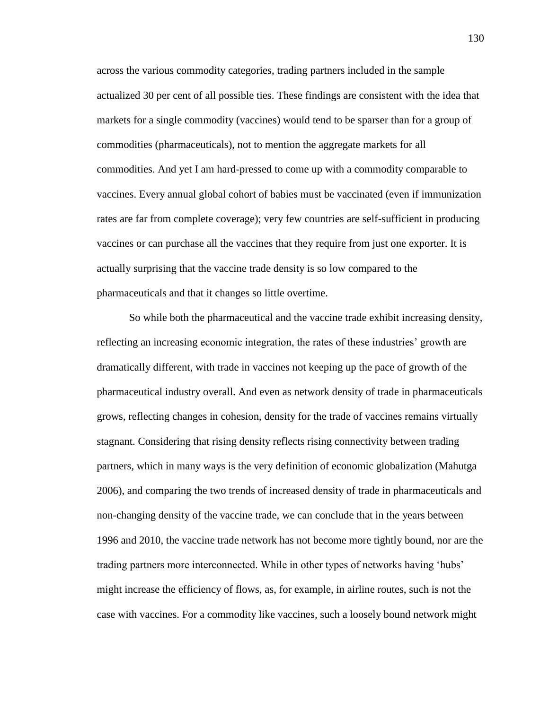across the various commodity categories, trading partners included in the sample actualized 30 per cent of all possible ties. These findings are consistent with the idea that markets for a single commodity (vaccines) would tend to be sparser than for a group of commodities (pharmaceuticals), not to mention the aggregate markets for all commodities. And yet I am hard-pressed to come up with a commodity comparable to vaccines. Every annual global cohort of babies must be vaccinated (even if immunization rates are far from complete coverage); very few countries are self-sufficient in producing vaccines or can purchase all the vaccines that they require from just one exporter. It is actually surprising that the vaccine trade density is so low compared to the pharmaceuticals and that it changes so little overtime.

So while both the pharmaceutical and the vaccine trade exhibit increasing density, reflecting an increasing economic integration, the rates of these industries' growth are dramatically different, with trade in vaccines not keeping up the pace of growth of the pharmaceutical industry overall. And even as network density of trade in pharmaceuticals grows, reflecting changes in cohesion, density for the trade of vaccines remains virtually stagnant. Considering that rising density reflects rising connectivity between trading partners, which in many ways is the very definition of economic globalization (Mahutga 2006), and comparing the two trends of increased density of trade in pharmaceuticals and non-changing density of the vaccine trade, we can conclude that in the years between 1996 and 2010, the vaccine trade network has not become more tightly bound, nor are the trading partners more interconnected. While in other types of networks having 'hubs' might increase the efficiency of flows, as, for example, in airline routes, such is not the case with vaccines. For a commodity like vaccines, such a loosely bound network might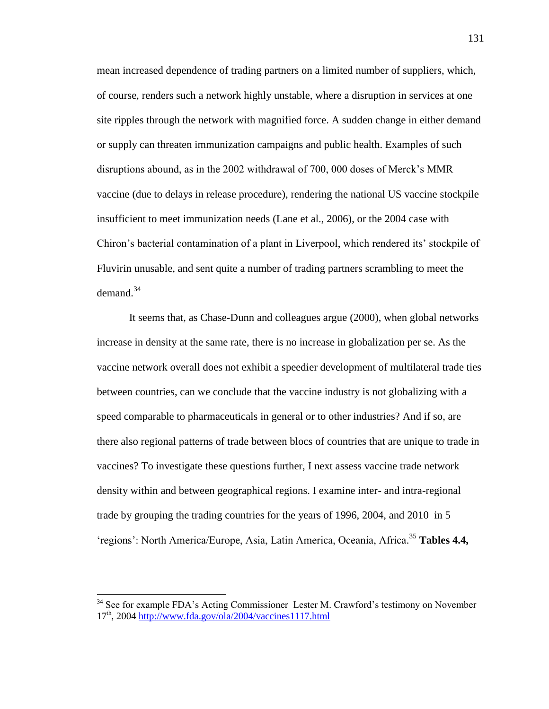mean increased dependence of trading partners on a limited number of suppliers, which, of course, renders such a network highly unstable, where a disruption in services at one site ripples through the network with magnified force. A sudden change in either demand or supply can threaten immunization campaigns and public health. Examples of such disruptions abound, as in the 2002 withdrawal of 700, 000 doses of Merck's MMR vaccine (due to delays in release procedure), rendering the national US vaccine stockpile insufficient to meet immunization needs (Lane et al., 2006), or the 2004 case with Chiron's bacterial contamination of a plant in Liverpool, which rendered its' stockpile of Fluvirin unusable, and sent quite a number of trading partners scrambling to meet the  $demand.<sup>34</sup>$ 

It seems that, as Chase-Dunn and colleagues argue (2000), when global networks increase in density at the same rate, there is no increase in globalization per se. As the vaccine network overall does not exhibit a speedier development of multilateral trade ties between countries, can we conclude that the vaccine industry is not globalizing with a speed comparable to pharmaceuticals in general or to other industries? And if so, are there also regional patterns of trade between blocs of countries that are unique to trade in vaccines? To investigate these questions further, I next assess vaccine trade network density within and between geographical regions. I examine inter- and intra-regional trade by grouping the trading countries for the years of 1996, 2004, and 2010 in 5 'regions': North America/Europe, Asia, Latin America, Oceania, Africa. <sup>35</sup> **Tables 4.4,** 

l

 $34$  See for example FDA's Acting Commissioner Lester M. Crawford's testimony on November  $17<sup>th</sup>$ , 2004<http://www.fda.gov/ola/2004/vaccines1117.html>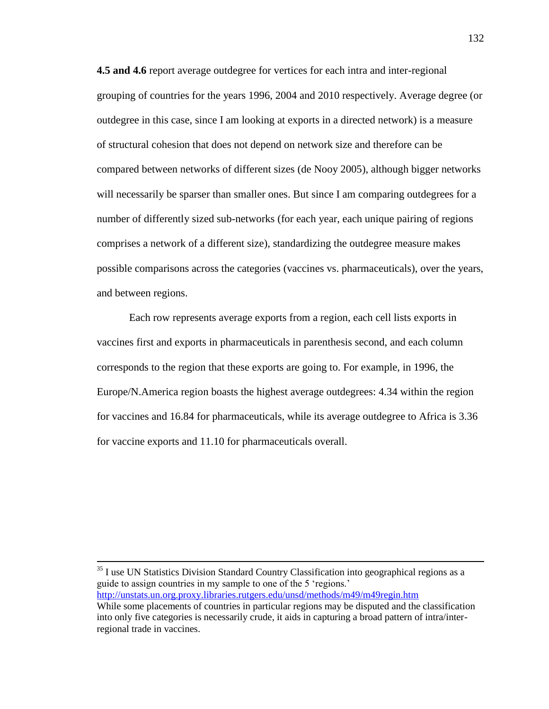**4.5 and 4.6** report average outdegree for vertices for each intra and inter-regional grouping of countries for the years 1996, 2004 and 2010 respectively. Average degree (or outdegree in this case, since I am looking at exports in a directed network) is a measure of structural cohesion that does not depend on network size and therefore can be compared between networks of different sizes (de Nooy 2005), although bigger networks will necessarily be sparser than smaller ones. But since I am comparing outdegrees for a number of differently sized sub-networks (for each year, each unique pairing of regions comprises a network of a different size), standardizing the outdegree measure makes possible comparisons across the categories (vaccines vs. pharmaceuticals), over the years, and between regions.

Each row represents average exports from a region, each cell lists exports in vaccines first and exports in pharmaceuticals in parenthesis second, and each column corresponds to the region that these exports are going to. For example, in 1996, the Europe/N.America region boasts the highest average outdegrees: 4.34 within the region for vaccines and 16.84 for pharmaceuticals, while its average outdegree to Africa is 3.36 for vaccine exports and 11.10 for pharmaceuticals overall.

 $35$  I use UN Statistics Division Standard Country Classification into geographical regions as a guide to assign countries in my sample to one of the 5 'regions.' <http://unstats.un.org.proxy.libraries.rutgers.edu/unsd/methods/m49/m49regin.htm>

l

While some placements of countries in particular regions may be disputed and the classification into only five categories is necessarily crude, it aids in capturing a broad pattern of intra/interregional trade in vaccines.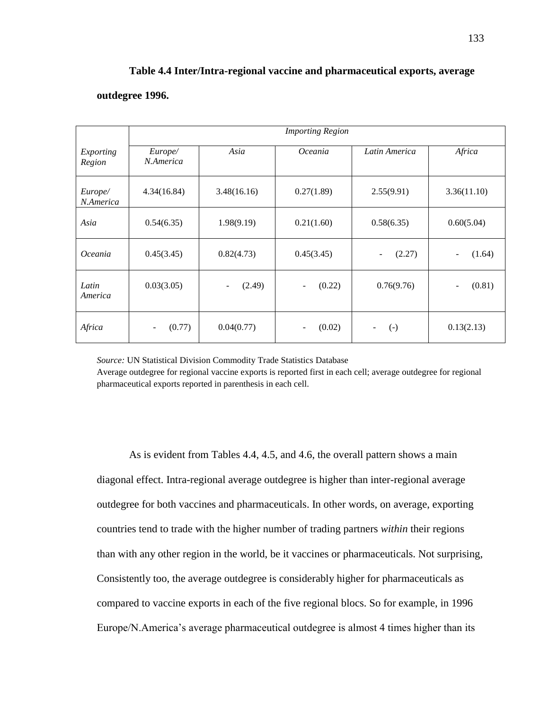# **Table 4.4 Inter/Intra-regional vaccine and pharmaceutical exports, average**

# **outdegree 1996.**

|                      | <b>Importing Region</b> |                                    |            |                 |                                    |  |
|----------------------|-------------------------|------------------------------------|------------|-----------------|------------------------------------|--|
| Exporting<br>Region  | Europe/<br>N.America    | Asia                               | Oceania    | Latin America   | Africa                             |  |
| Europe/<br>N.America | 4.34(16.84)             | 3.48(16.16)                        | 0.27(1.89) | 2.55(9.91)      | 3.36(11.10)                        |  |
| Asia                 | 0.54(6.35)              | 1.98(9.19)                         | 0.21(1.60) | 0.58(6.35)      | 0.60(5.04)                         |  |
| <i>Oceania</i>       | 0.45(3.45)              | 0.82(4.73)                         | 0.45(3.45) | (2.27)          | (1.64)<br>$\overline{\phantom{a}}$ |  |
| Latin<br>America     | 0.03(3.05)              | (2.49)<br>$\overline{\phantom{a}}$ | (0.22)     | 0.76(9.76)      | (0.81)<br>$\overline{\phantom{a}}$ |  |
| Africa               | (0.77)                  | 0.04(0.77)                         | (0.02)     | $(-)$<br>$\sim$ | 0.13(2.13)                         |  |

*Source:* UN Statistical Division Commodity Trade Statistics Database

Average outdegree for regional vaccine exports is reported first in each cell; average outdegree for regional pharmaceutical exports reported in parenthesis in each cell.

As is evident from Tables 4.4, 4.5, and 4.6, the overall pattern shows a main diagonal effect. Intra-regional average outdegree is higher than inter-regional average outdegree for both vaccines and pharmaceuticals. In other words, on average, exporting countries tend to trade with the higher number of trading partners *within* their regions than with any other region in the world, be it vaccines or pharmaceuticals. Not surprising, Consistently too, the average outdegree is considerably higher for pharmaceuticals as compared to vaccine exports in each of the five regional blocs. So for example, in 1996 Europe/N.America's average pharmaceutical outdegree is almost 4 times higher than its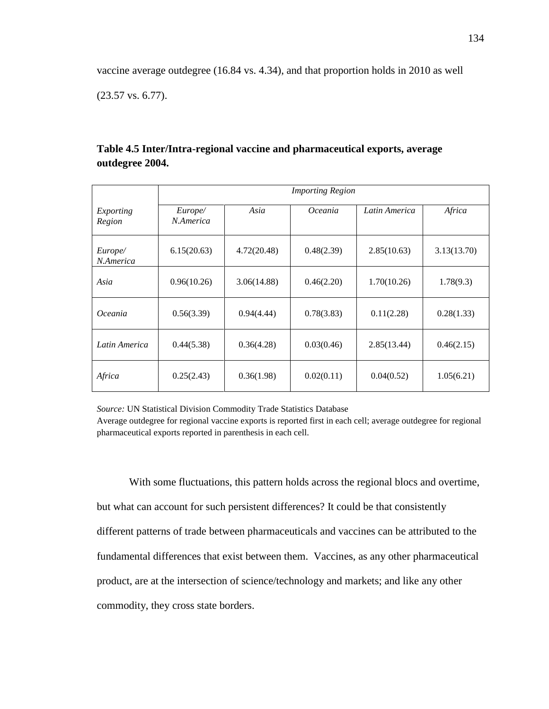vaccine average outdegree (16.84 vs. 4.34), and that proportion holds in 2010 as well

(23.57 vs. 6.77).

|                      | <b>Importing Region</b> |             |            |               |             |  |
|----------------------|-------------------------|-------------|------------|---------------|-------------|--|
|                      |                         |             |            |               |             |  |
| Exporting<br>Region  | Europe/<br>N.America    | Asia        | Oceania    | Latin America | Africa      |  |
| Europe/<br>N.America | 6.15(20.63)             | 4.72(20.48) | 0.48(2.39) | 2.85(10.63)   | 3.13(13.70) |  |
| Asia                 | 0.96(10.26)             | 3.06(14.88) | 0.46(2.20) | 1.70(10.26)   | 1.78(9.3)   |  |
| <i>Oceania</i>       | 0.56(3.39)              | 0.94(4.44)  | 0.78(3.83) | 0.11(2.28)    | 0.28(1.33)  |  |
| Latin America        | 0.44(5.38)              | 0.36(4.28)  | 0.03(0.46) | 2.85(13.44)   | 0.46(2.15)  |  |
| Africa               | 0.25(2.43)              | 0.36(1.98)  | 0.02(0.11) | 0.04(0.52)    | 1.05(6.21)  |  |

# **Table 4.5 Inter/Intra-regional vaccine and pharmaceutical exports, average outdegree 2004.**

*Source:* UN Statistical Division Commodity Trade Statistics Database

Average outdegree for regional vaccine exports is reported first in each cell; average outdegree for regional pharmaceutical exports reported in parenthesis in each cell.

With some fluctuations, this pattern holds across the regional blocs and overtime, but what can account for such persistent differences? It could be that consistently different patterns of trade between pharmaceuticals and vaccines can be attributed to the fundamental differences that exist between them. Vaccines, as any other pharmaceutical product, are at the intersection of science/technology and markets; and like any other commodity, they cross state borders.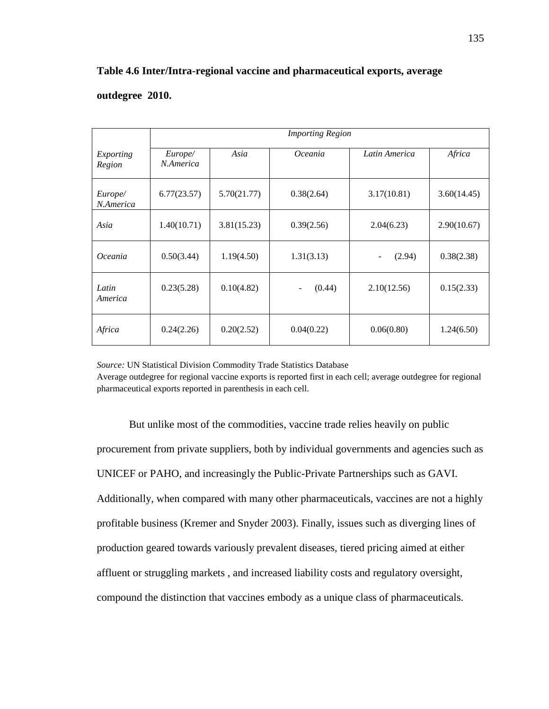# **Table 4.6 Inter/Intra-regional vaccine and pharmaceutical exports, average**

## **outdegree 2010.**

|                      | <b>Importing Region</b> |             |                |               |             |
|----------------------|-------------------------|-------------|----------------|---------------|-------------|
| Exporting<br>Region  | Europe/<br>N.America    | Asia        | <i>Oceania</i> | Latin America | Africa      |
| Europe/<br>N.America | 6.77(23.57)             | 5.70(21.77) | 0.38(2.64)     | 3.17(10.81)   | 3.60(14.45) |
| Asia                 | 1.40(10.71)             | 3.81(15.23) | 0.39(2.56)     | 2.04(6.23)    | 2.90(10.67) |
| Oceania              | 0.50(3.44)              | 1.19(4.50)  | 1.31(3.13)     | (2.94)<br>-   | 0.38(2.38)  |
| Latin<br>America     | 0.23(5.28)              | 0.10(4.82)  | (0.44)         | 2.10(12.56)   | 0.15(2.33)  |
| Africa               | 0.24(2.26)              | 0.20(2.52)  | 0.04(0.22)     | 0.06(0.80)    | 1.24(6.50)  |

*Source:* UN Statistical Division Commodity Trade Statistics Database

Average outdegree for regional vaccine exports is reported first in each cell; average outdegree for regional pharmaceutical exports reported in parenthesis in each cell.

But unlike most of the commodities, vaccine trade relies heavily on public procurement from private suppliers, both by individual governments and agencies such as UNICEF or PAHO, and increasingly the Public-Private Partnerships such as GAVI. Additionally, when compared with many other pharmaceuticals, vaccines are not a highly profitable business (Kremer and Snyder 2003). Finally, issues such as diverging lines of production geared towards variously prevalent diseases, tiered pricing aimed at either affluent or struggling markets , and increased liability costs and regulatory oversight, compound the distinction that vaccines embody as a unique class of pharmaceuticals.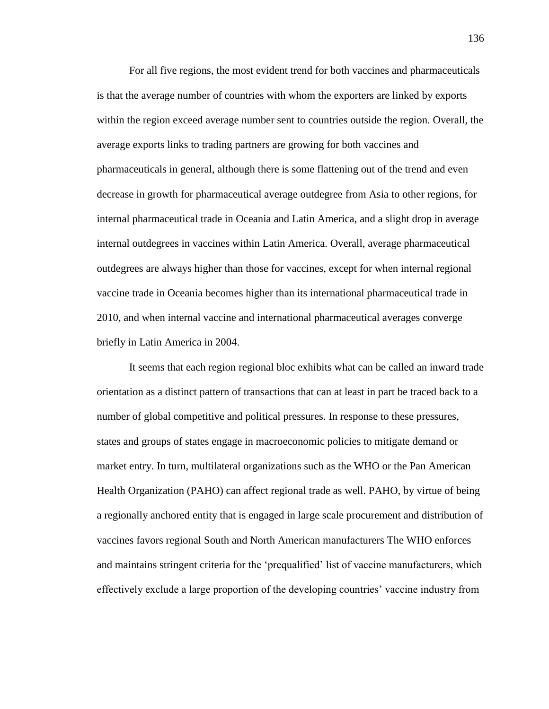For all five regions, the most evident trend for both vaccines and pharmaceuticals is that the average number of countries with whom the exporters are linked by exports within the region exceed average number sent to countries outside the region. Overall, the average exports links to trading partners are growing for both vaccines and pharmaceuticals in general, although there is some flattening out of the trend and even decrease in growth for pharmaceutical average outdegree from Asia to other regions, for internal pharmaceutical trade in Oceania and Latin America, and a slight drop in average internal outdegrees in vaccines within Latin America. Overall, average pharmaceutical outdegrees are always higher than those for vaccines, except for when internal regional vaccine trade in Oceania becomes higher than its international pharmaceutical trade in 2010, and when internal vaccine and international pharmaceutical averages converge briefly in Latin America in 2004.

It seems that each region regional bloc exhibits what can be called an inward trade orientation as a distinct pattern of transactions that can at least in part be traced back to a number of global competitive and political pressures. In response to these pressures, states and groups of states engage in macroeconomic policies to mitigate demand or market entry. In turn, multilateral organizations such as the WHO or the Pan American Health Organization (PAHO) can affect regional trade as well. PAHO, by virtue of being a regionally anchored entity that is engaged in large scale procurement and distribution of vaccines favors regional South and North American manufacturers The WHO enforces and maintains stringent criteria for the 'prequalified' list of vaccine manufacturers, which effectively exclude a large proportion of the developing countries' vaccine industry from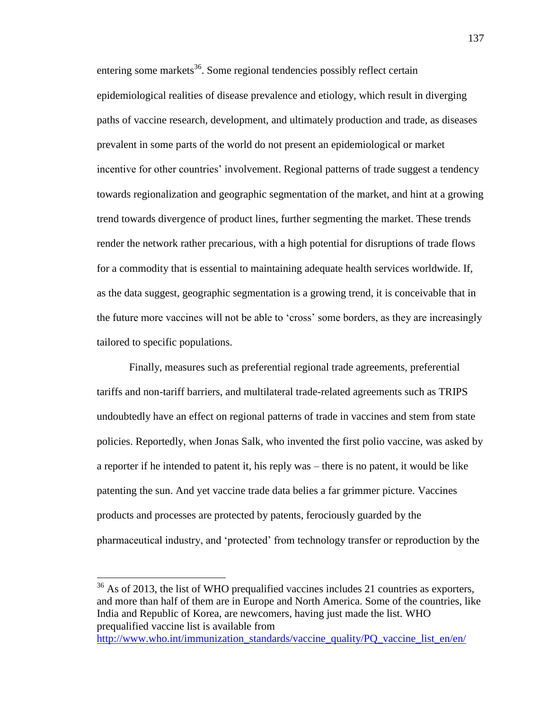entering some markets<sup>36</sup>. Some regional tendencies possibly reflect certain epidemiological realities of disease prevalence and etiology, which result in diverging paths of vaccine research, development, and ultimately production and trade, as diseases prevalent in some parts of the world do not present an epidemiological or market incentive for other countries' involvement. Regional patterns of trade suggest a tendency towards regionalization and geographic segmentation of the market, and hint at a growing trend towards divergence of product lines, further segmenting the market. These trends render the network rather precarious, with a high potential for disruptions of trade flows for a commodity that is essential to maintaining adequate health services worldwide. If, as the data suggest, geographic segmentation is a growing trend, it is conceivable that in the future more vaccines will not be able to 'cross' some borders, as they are increasingly tailored to specific populations.

Finally, measures such as preferential regional trade agreements, preferential tariffs and non-tariff barriers, and multilateral trade-related agreements such as TRIPS undoubtedly have an effect on regional patterns of trade in vaccines and stem from state policies. Reportedly, when Jonas Salk, who invented the first polio vaccine, was asked by a reporter if he intended to patent it, his reply was – there is no patent, it would be like patenting the sun. And yet vaccine trade data belies a far grimmer picture. Vaccines products and processes are protected by patents, ferociously guarded by the pharmaceutical industry, and 'protected' from technology transfer or reproduction by the

 $36$  As of 2013, the list of WHO prequalified vaccines includes 21 countries as exporters, and more than half of them are in Europe and North America. Some of the countries, like India and Republic of Korea, are newcomers, having just made the list. WHO prequalified vaccine list is available from

l

[http://www.who.int/immunization\\_standards/vaccine\\_quality/PQ\\_vaccine\\_list\\_en/en/](http://www.who.int/immunization_standards/vaccine_quality/PQ_vaccine_list_en/en/)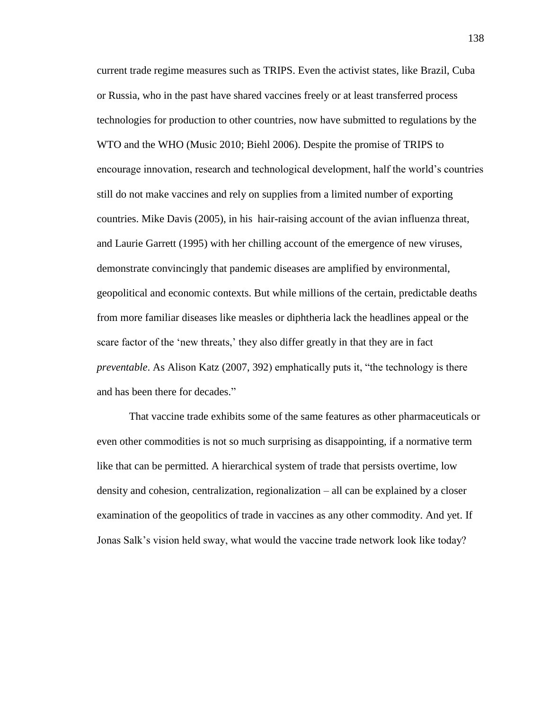current trade regime measures such as TRIPS. Even the activist states, like Brazil, Cuba or Russia, who in the past have shared vaccines freely or at least transferred process technologies for production to other countries, now have submitted to regulations by the WTO and the WHO (Music 2010; Biehl 2006). Despite the promise of TRIPS to encourage innovation, research and technological development, half the world's countries still do not make vaccines and rely on supplies from a limited number of exporting countries. Mike Davis (2005), in his hair-raising account of the avian influenza threat, and Laurie Garrett (1995) with her chilling account of the emergence of new viruses, demonstrate convincingly that pandemic diseases are amplified by environmental, geopolitical and economic contexts. But while millions of the certain, predictable deaths from more familiar diseases like measles or diphtheria lack the headlines appeal or the scare factor of the 'new threats,' they also differ greatly in that they are in fact *preventable*. As Alison Katz (2007, 392) emphatically puts it, "the technology is there and has been there for decades."

That vaccine trade exhibits some of the same features as other pharmaceuticals or even other commodities is not so much surprising as disappointing, if a normative term like that can be permitted. A hierarchical system of trade that persists overtime, low density and cohesion, centralization, regionalization – all can be explained by a closer examination of the geopolitics of trade in vaccines as any other commodity. And yet. If Jonas Salk's vision held sway, what would the vaccine trade network look like today?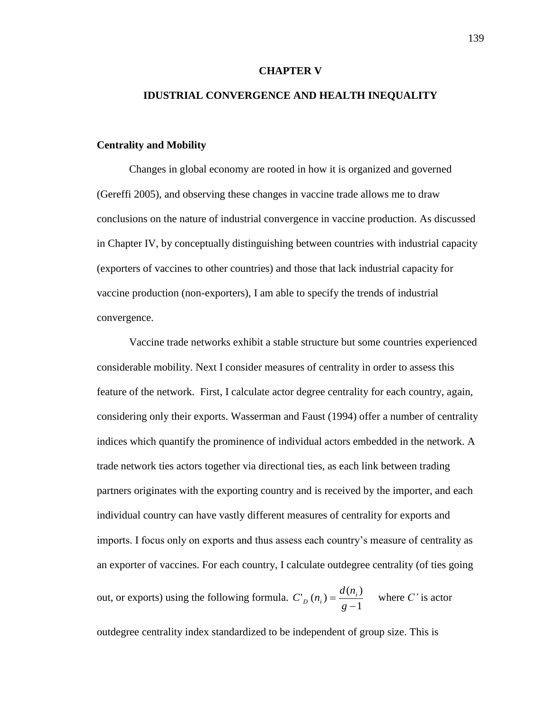#### **CHAPTER V**

## **IDUSTRIAL CONVERGENCE AND HEALTH INEQUALITY**

### **Centrality and Mobility**

Changes in global economy are rooted in how it is organized and governed (Gereffi 2005), and observing these changes in vaccine trade allows me to draw conclusions on the nature of industrial convergence in vaccine production. As discussed in Chapter IV, by conceptually distinguishing between countries with industrial capacity (exporters of vaccines to other countries) and those that lack industrial capacity for vaccine production (non-exporters), I am able to specify the trends of industrial convergence.

Vaccine trade networks exhibit a stable structure but some countries experienced considerable mobility. Next I consider measures of centrality in order to assess this feature of the network. First, I calculate actor degree centrality for each country, again, considering only their exports. Wasserman and Faust (1994) offer a number of centrality indices which quantify the prominence of individual actors embedded in the network. A trade network ties actors together via directional ties, as each link between trading partners originates with the exporting country and is received by the importer, and each individual country can have vastly different measures of centrality for exports and imports. I focus only on exports and thus assess each country's measure of centrality as an exporter of vaccines. For each country, I calculate outdegree centrality (of ties going

out, or exports) using the following formula. 1  $\sum_{i=1}^{n} (n_i) = \frac{d(n_i)}{n_i}$  $\overline{a}$  $=$ *g*  $C_p(n_i) = \frac{d(n_i)}{1}$  where *C'* is actor

outdegree centrality index standardized to be independent of group size. This is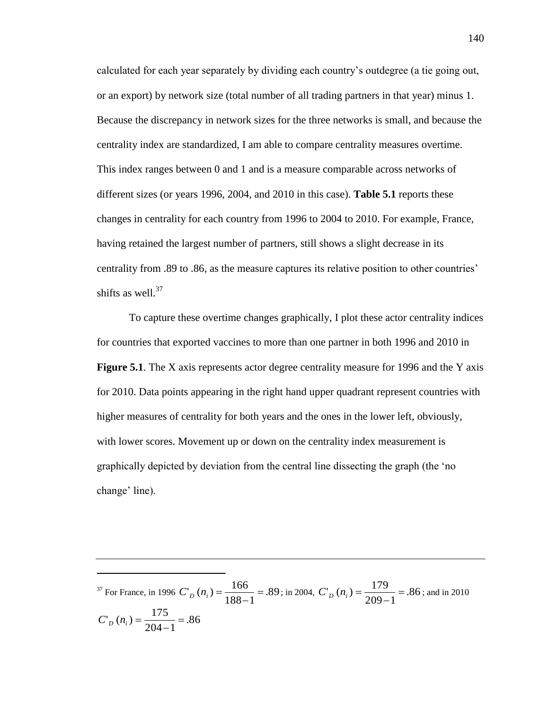calculated for each year separately by dividing each country's outdegree (a tie going out, or an export) by network size (total number of all trading partners in that year) minus 1. Because the discrepancy in network sizes for the three networks is small, and because the centrality index are standardized, I am able to compare centrality measures overtime. This index ranges between 0 and 1 and is a measure comparable across networks of different sizes (or years 1996, 2004, and 2010 in this case). **Table 5.1** reports these changes in centrality for each country from 1996 to 2004 to 2010. For example, France, having retained the largest number of partners, still shows a slight decrease in its centrality from .89 to .86, as the measure captures its relative position to other countries' shifts as well. $37$ 

To capture these overtime changes graphically, I plot these actor centrality indices for countries that exported vaccines to more than one partner in both 1996 and 2010 in **Figure 5.1**. The X axis represents actor degree centrality measure for 1996 and the Y axis for 2010. Data points appearing in the right hand upper quadrant represent countries with higher measures of centrality for both years and the ones in the lower left, obviously, with lower scores. Movement up or down on the centrality index measurement is graphically depicted by deviation from the central line dissecting the graph (the 'no change' line).

<sup>37</sup> For France, in 1996  $C_{p} (n_i) = \frac{100}{100} = .89$  $188 - 1$  $\sum_{n} (n_i) = \frac{166}{100} =$  $C'_{D}(n_i) = \frac{100}{188-1} = .89$ ; in 2004,  $C'_{D}(n_i) = \frac{17}{209-1} = .86$  $209 - 1$  $\sum_{n} (n_i) = \frac{179}{200} =$  $C'_{D}(n_i) = \frac{17}{209-1} = .86$ ; and in 2010 .86  $204 - 1$  $\sum_{n} (n_i) = \frac{175}{204} =$  $C'_{D}(n_i) = \frac{173}{204}$ 

 $\overline{\phantom{a}}$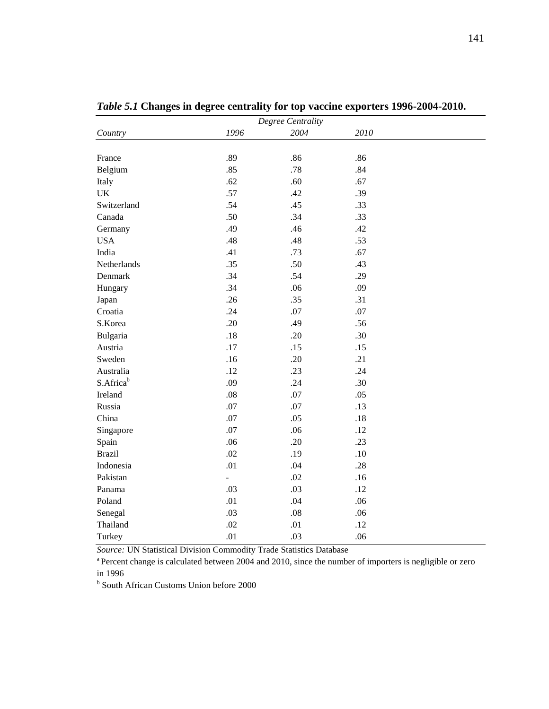| Degree Centrality |                |         |         |
|-------------------|----------------|---------|---------|
| Country           | 1996           | 2004    | 2010    |
|                   |                |         |         |
| France            | .89            | .86     | .86     |
| Belgium           | .85            | .78     | .84     |
| Italy             | .62            | .60     | .67     |
| UK                | .57            | .42     | .39     |
| Switzerland       | .54            | .45     | .33     |
| Canada            | .50            | .34     | .33     |
| Germany           | .49            | .46     | .42     |
| <b>USA</b>        | .48            | .48     | .53     |
| India             | .41            | .73     | .67     |
| Netherlands       | .35            | .50     | .43     |
| Denmark           | .34            | .54     | .29     |
| Hungary           | .34            | .06     | .09     |
| Japan             | .26            | .35     | .31     |
| Croatia           | .24            | .07     | .07     |
| S.Korea           | .20            | .49     | .56     |
| Bulgaria          | .18            | .20     | .30     |
| Austria           | .17            | .15     | .15     |
| Sweden            | .16            | .20     | .21     |
| Australia         | .12            | .23     | .24     |
| S.Africab         | .09            | .24     | .30     |
| Ireland           | .08            | .07     | .05     |
| Russia            | .07            | .07     | .13     |
| China             | .07            | .05     | .18     |
| Singapore         | .07            | .06     | .12     |
| Spain             | .06            | .20     | .23     |
| <b>Brazil</b>     | .02            | .19     | $.10\,$ |
| Indonesia         | .01            | .04     | .28     |
| Pakistan          | $\blacksquare$ | .02     | .16     |
| Panama            | .03            | .03     | .12     |
| Poland            | .01            | .04     | .06     |
| Senegal           | .03            | $.08\,$ | .06     |
| Thailand          | .02            | .01     | .12     |
| Turkey            | .01            | .03     | .06     |

*Table 5.1* **Changes in degree centrality for top vaccine exporters 1996-2004-2010.**

*Source:* UN Statistical Division Commodity Trade Statistics Database

<sup>a</sup> Percent change is calculated between 2004 and 2010, since the number of importers is negligible or zero in 1996

**b** South African Customs Union before 2000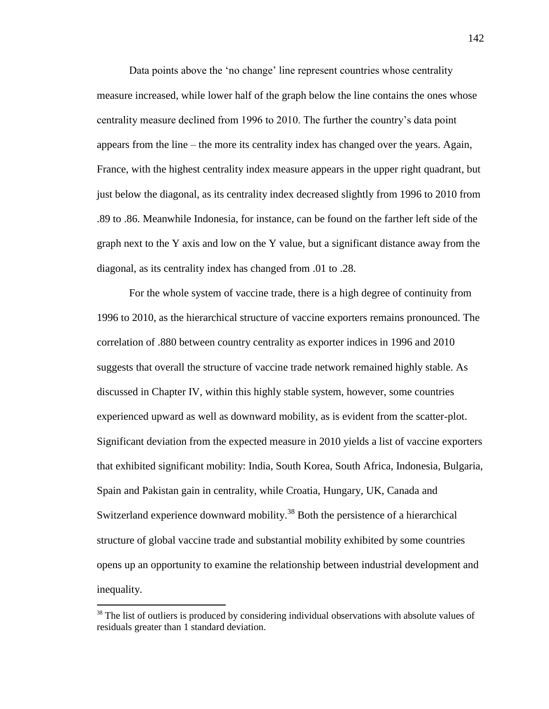Data points above the 'no change' line represent countries whose centrality measure increased, while lower half of the graph below the line contains the ones whose centrality measure declined from 1996 to 2010. The further the country's data point appears from the line – the more its centrality index has changed over the years. Again, France, with the highest centrality index measure appears in the upper right quadrant, but just below the diagonal, as its centrality index decreased slightly from 1996 to 2010 from .89 to .86. Meanwhile Indonesia, for instance, can be found on the farther left side of the graph next to the Y axis and low on the Y value, but a significant distance away from the diagonal, as its centrality index has changed from .01 to .28.

For the whole system of vaccine trade, there is a high degree of continuity from 1996 to 2010, as the hierarchical structure of vaccine exporters remains pronounced. The correlation of .880 between country centrality as exporter indices in 1996 and 2010 suggests that overall the structure of vaccine trade network remained highly stable. As discussed in Chapter IV, within this highly stable system, however, some countries experienced upward as well as downward mobility, as is evident from the scatter-plot. Significant deviation from the expected measure in 2010 yields a list of vaccine exporters that exhibited significant mobility: India, South Korea, South Africa, Indonesia, Bulgaria, Spain and Pakistan gain in centrality, while Croatia, Hungary, UK, Canada and Switzerland experience downward mobility.<sup>38</sup> Both the persistence of a hierarchical structure of global vaccine trade and substantial mobility exhibited by some countries opens up an opportunity to examine the relationship between industrial development and inequality.

 $\overline{\phantom{a}}$ 

<sup>&</sup>lt;sup>38</sup> The list of outliers is produced by considering individual observations with absolute values of residuals greater than 1 standard deviation.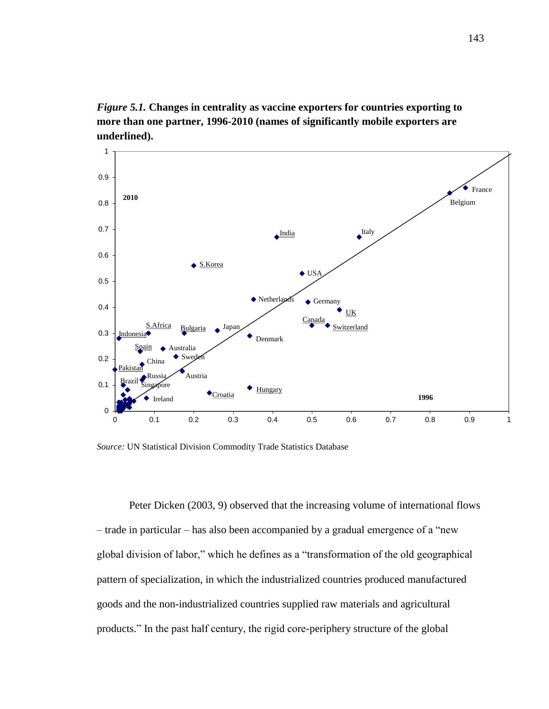*Figure 5.1.* **Changes in centrality as vaccine exporters for countries exporting to more than one partner, 1996-2010 (names of significantly mobile exporters are underlined).** 



*Source:* UN Statistical Division Commodity Trade Statistics Database

Peter Dicken (2003, 9) observed that the increasing volume of international flows – trade in particular – has also been accompanied by a gradual emergence of a "new global division of labor," which he defines as a "transformation of the old geographical pattern of specialization, in which the industrialized countries produced manufactured goods and the non-industrialized countries supplied raw materials and agricultural products." In the past half century, the rigid core-periphery structure of the global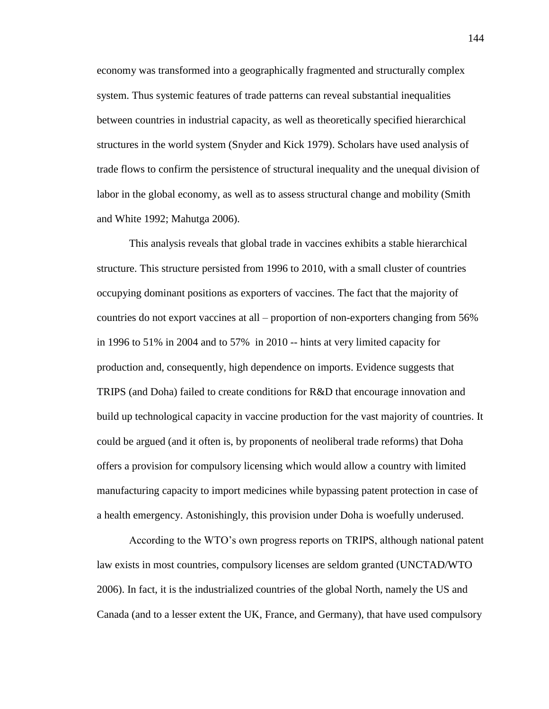economy was transformed into a geographically fragmented and structurally complex system. Thus systemic features of trade patterns can reveal substantial inequalities between countries in industrial capacity, as well as theoretically specified hierarchical structures in the world system (Snyder and Kick 1979). Scholars have used analysis of trade flows to confirm the persistence of structural inequality and the unequal division of labor in the global economy, as well as to assess structural change and mobility (Smith and White 1992; Mahutga 2006).

This analysis reveals that global trade in vaccines exhibits a stable hierarchical structure. This structure persisted from 1996 to 2010, with a small cluster of countries occupying dominant positions as exporters of vaccines. The fact that the majority of countries do not export vaccines at all – proportion of non-exporters changing from 56% in 1996 to 51% in 2004 and to 57% in 2010 -- hints at very limited capacity for production and, consequently, high dependence on imports. Evidence suggests that TRIPS (and Doha) failed to create conditions for R&D that encourage innovation and build up technological capacity in vaccine production for the vast majority of countries. It could be argued (and it often is, by proponents of neoliberal trade reforms) that Doha offers a provision for compulsory licensing which would allow a country with limited manufacturing capacity to import medicines while bypassing patent protection in case of a health emergency. Astonishingly, this provision under Doha is woefully underused.

According to the WTO's own progress reports on TRIPS, although national patent law exists in most countries, compulsory licenses are seldom granted (UNCTAD/WTO 2006). In fact, it is the industrialized countries of the global North, namely the US and Canada (and to a lesser extent the UK, France, and Germany), that have used compulsory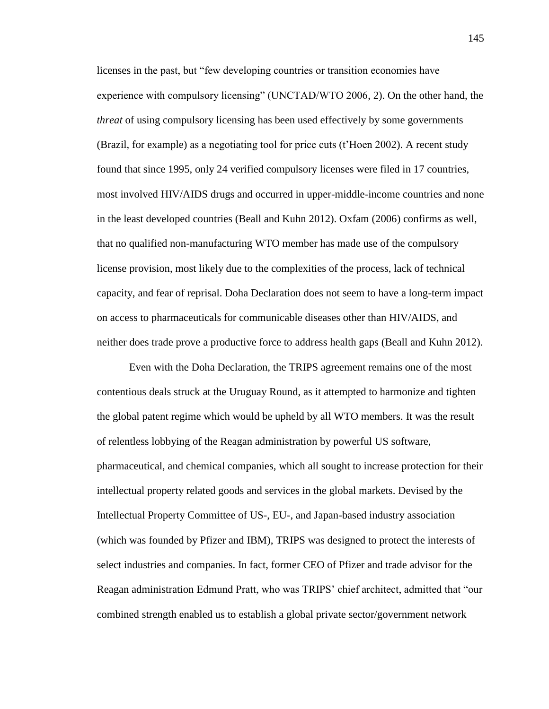licenses in the past, but "few developing countries or transition economies have experience with compulsory licensing" (UNCTAD/WTO 2006, 2). On the other hand, the *threat* of using compulsory licensing has been used effectively by some governments (Brazil, for example) as a negotiating tool for price cuts (t'Hoen 2002). A recent study found that since 1995, only 24 verified compulsory licenses were filed in 17 countries, most involved HIV/AIDS drugs and occurred in upper-middle-income countries and none in the least developed countries (Beall and Kuhn 2012). Oxfam (2006) confirms as well, that no qualified non-manufacturing WTO member has made use of the compulsory license provision, most likely due to the complexities of the process, lack of technical capacity, and fear of reprisal. Doha Declaration does not seem to have a long-term impact on access to pharmaceuticals for communicable diseases other than HIV/AIDS, and neither does trade prove a productive force to address health gaps (Beall and Kuhn 2012).

Even with the Doha Declaration, the TRIPS agreement remains one of the most contentious deals struck at the Uruguay Round, as it attempted to harmonize and tighten the global patent regime which would be upheld by all WTO members. It was the result of relentless lobbying of the Reagan administration by powerful US software, pharmaceutical, and chemical companies, which all sought to increase protection for their intellectual property related goods and services in the global markets. Devised by the Intellectual Property Committee of US-, EU-, and Japan-based industry association (which was founded by Pfizer and IBM), TRIPS was designed to protect the interests of select industries and companies. In fact, former CEO of Pfizer and trade advisor for the Reagan administration Edmund Pratt, who was TRIPS' chief architect, admitted that "our combined strength enabled us to establish a global private sector/government network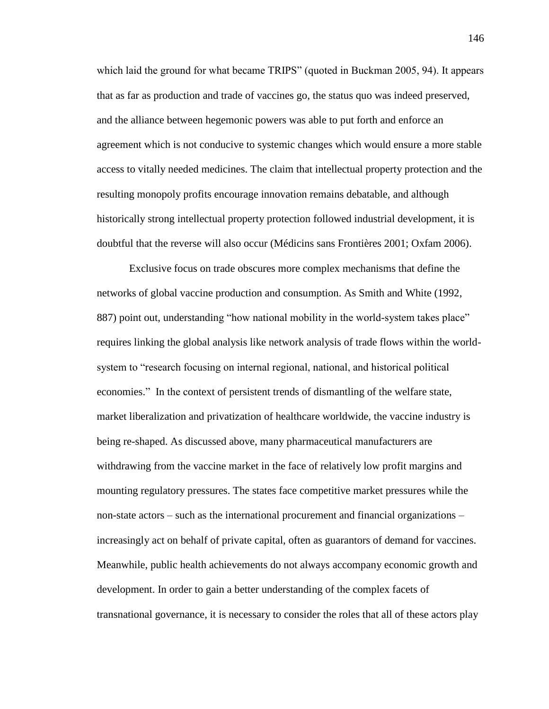which laid the ground for what became TRIPS" (quoted in Buckman 2005, 94). It appears that as far as production and trade of vaccines go, the status quo was indeed preserved, and the alliance between hegemonic powers was able to put forth and enforce an agreement which is not conducive to systemic changes which would ensure a more stable access to vitally needed medicines. The claim that intellectual property protection and the resulting monopoly profits encourage innovation remains debatable, and although historically strong intellectual property protection followed industrial development, it is doubtful that the reverse will also occur (Médicins sans Frontières 2001; Oxfam 2006).

Exclusive focus on trade obscures more complex mechanisms that define the networks of global vaccine production and consumption. As Smith and White (1992, 887) point out, understanding "how national mobility in the world-system takes place" requires linking the global analysis like network analysis of trade flows within the worldsystem to "research focusing on internal regional, national, and historical political economies." In the context of persistent trends of dismantling of the welfare state, market liberalization and privatization of healthcare worldwide, the vaccine industry is being re-shaped. As discussed above, many pharmaceutical manufacturers are withdrawing from the vaccine market in the face of relatively low profit margins and mounting regulatory pressures. The states face competitive market pressures while the non-state actors – such as the international procurement and financial organizations – increasingly act on behalf of private capital, often as guarantors of demand for vaccines. Meanwhile, public health achievements do not always accompany economic growth and development. In order to gain a better understanding of the complex facets of transnational governance, it is necessary to consider the roles that all of these actors play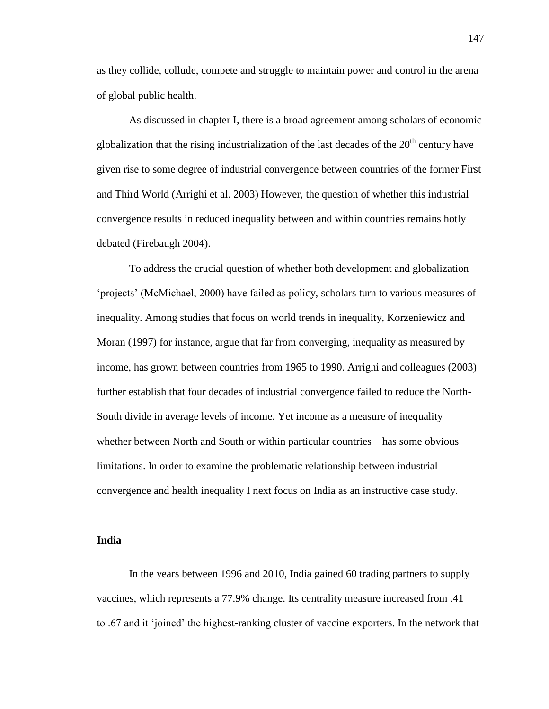as they collide, collude, compete and struggle to maintain power and control in the arena of global public health.

As discussed in chapter I, there is a broad agreement among scholars of economic globalization that the rising industrialization of the last decades of the  $20<sup>th</sup>$  century have given rise to some degree of industrial convergence between countries of the former First and Third World (Arrighi et al. 2003) However, the question of whether this industrial convergence results in reduced inequality between and within countries remains hotly debated (Firebaugh 2004).

To address the crucial question of whether both development and globalization 'projects' (McMichael, 2000) have failed as policy, scholars turn to various measures of inequality. Among studies that focus on world trends in inequality, Korzeniewicz and Moran (1997) for instance, argue that far from converging, inequality as measured by income, has grown between countries from 1965 to 1990. Arrighi and colleagues (2003) further establish that four decades of industrial convergence failed to reduce the North-South divide in average levels of income. Yet income as a measure of inequality – whether between North and South or within particular countries – has some obvious limitations. In order to examine the problematic relationship between industrial convergence and health inequality I next focus on India as an instructive case study.

## **India**

In the years between 1996 and 2010, India gained 60 trading partners to supply vaccines, which represents a 77.9% change. Its centrality measure increased from .41 to .67 and it 'joined' the highest-ranking cluster of vaccine exporters. In the network that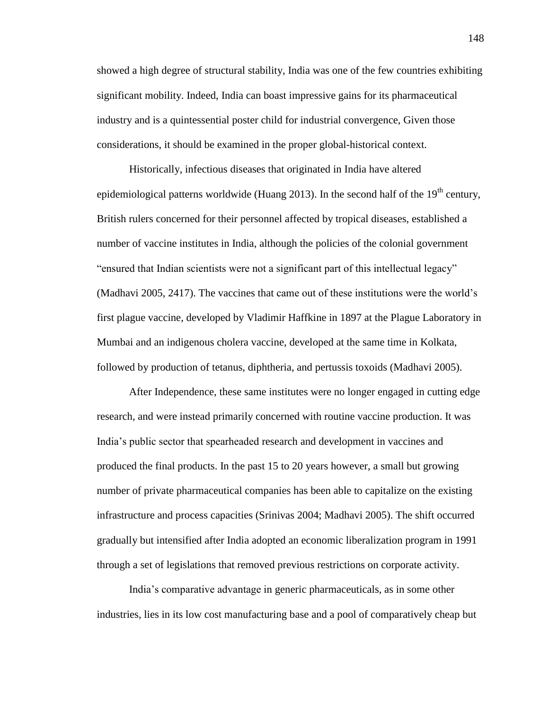showed a high degree of structural stability, India was one of the few countries exhibiting significant mobility. Indeed, India can boast impressive gains for its pharmaceutical industry and is a quintessential poster child for industrial convergence, Given those considerations, it should be examined in the proper global-historical context.

Historically, infectious diseases that originated in India have altered epidemiological patterns worldwide (Huang 2013). In the second half of the  $19<sup>th</sup>$  century, British rulers concerned for their personnel affected by tropical diseases, established a number of vaccine institutes in India, although the policies of the colonial government "ensured that Indian scientists were not a significant part of this intellectual legacy" (Madhavi 2005, 2417). The vaccines that came out of these institutions were the world's first plague vaccine, developed by Vladimir Haffkine in 1897 at the Plague Laboratory in Mumbai and an indigenous cholera vaccine, developed at the same time in Kolkata, followed by production of tetanus, diphtheria, and pertussis toxoids (Madhavi 2005).

After Independence, these same institutes were no longer engaged in cutting edge research, and were instead primarily concerned with routine vaccine production. It was India's public sector that spearheaded research and development in vaccines and produced the final products. In the past 15 to 20 years however, a small but growing number of private pharmaceutical companies has been able to capitalize on the existing infrastructure and process capacities (Srinivas 2004; Madhavi 2005). The shift occurred gradually but intensified after India adopted an economic liberalization program in 1991 through a set of legislations that removed previous restrictions on corporate activity.

India's comparative advantage in generic pharmaceuticals, as in some other industries, lies in its low cost manufacturing base and a pool of comparatively cheap but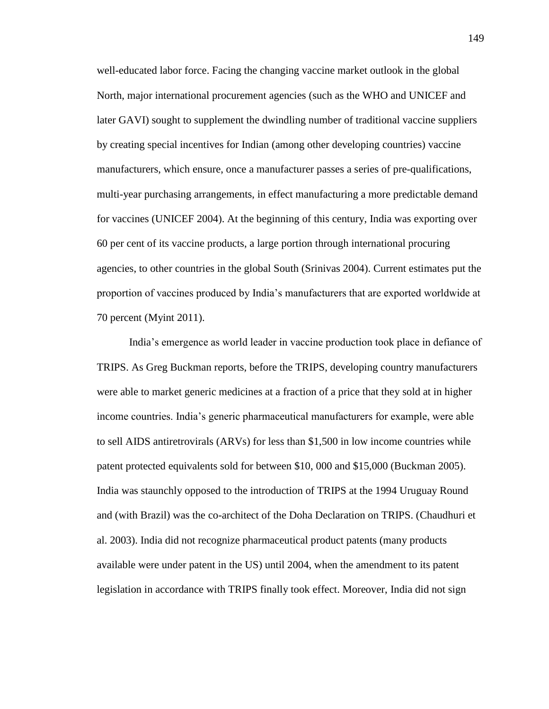well-educated labor force. Facing the changing vaccine market outlook in the global North, major international procurement agencies (such as the WHO and UNICEF and later GAVI) sought to supplement the dwindling number of traditional vaccine suppliers by creating special incentives for Indian (among other developing countries) vaccine manufacturers, which ensure, once a manufacturer passes a series of pre-qualifications, multi-year purchasing arrangements, in effect manufacturing a more predictable demand for vaccines (UNICEF 2004). At the beginning of this century, India was exporting over 60 per cent of its vaccine products, a large portion through international procuring agencies, to other countries in the global South (Srinivas 2004). Current estimates put the proportion of vaccines produced by India's manufacturers that are exported worldwide at 70 percent (Myint 2011).

India's emergence as world leader in vaccine production took place in defiance of TRIPS. As Greg Buckman reports, before the TRIPS, developing country manufacturers were able to market generic medicines at a fraction of a price that they sold at in higher income countries. India's generic pharmaceutical manufacturers for example, were able to sell AIDS antiretrovirals (ARVs) for less than \$1,500 in low income countries while patent protected equivalents sold for between \$10, 000 and \$15,000 (Buckman 2005). India was staunchly opposed to the introduction of TRIPS at the 1994 Uruguay Round and (with Brazil) was the co-architect of the Doha Declaration on TRIPS. (Chaudhuri et al. 2003). India did not recognize pharmaceutical product patents (many products available were under patent in the US) until 2004, when the amendment to its patent legislation in accordance with TRIPS finally took effect. Moreover, India did not sign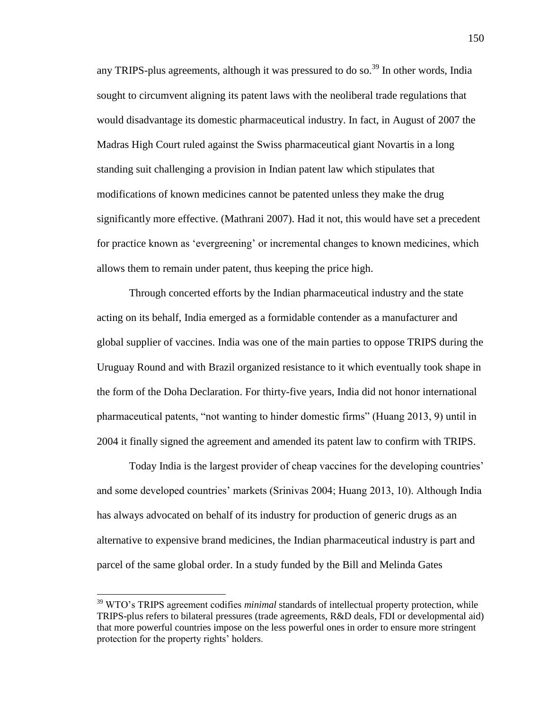any TRIPS-plus agreements, although it was pressured to do so.<sup>39</sup> In other words, India sought to circumvent aligning its patent laws with the neoliberal trade regulations that would disadvantage its domestic pharmaceutical industry. In fact, in August of 2007 the Madras High Court ruled against the Swiss pharmaceutical giant Novartis in a long standing suit challenging a provision in Indian patent law which stipulates that modifications of known medicines cannot be patented unless they make the drug significantly more effective. (Mathrani 2007). Had it not, this would have set a precedent for practice known as 'evergreening' or incremental changes to known medicines, which allows them to remain under patent, thus keeping the price high.

Through concerted efforts by the Indian pharmaceutical industry and the state acting on its behalf, India emerged as a formidable contender as a manufacturer and global supplier of vaccines. India was one of the main parties to oppose TRIPS during the Uruguay Round and with Brazil organized resistance to it which eventually took shape in the form of the Doha Declaration. For thirty-five years, India did not honor international pharmaceutical patents, "not wanting to hinder domestic firms" (Huang 2013, 9) until in 2004 it finally signed the agreement and amended its patent law to confirm with TRIPS.

Today India is the largest provider of cheap vaccines for the developing countries' and some developed countries' markets (Srinivas 2004; Huang 2013, 10). Although India has always advocated on behalf of its industry for production of generic drugs as an alternative to expensive brand medicines, the Indian pharmaceutical industry is part and parcel of the same global order. In a study funded by the Bill and Melinda Gates

l

<sup>39</sup> WTO's TRIPS agreement codifies *minimal* standards of intellectual property protection, while TRIPS-plus refers to bilateral pressures (trade agreements, R&D deals, FDI or developmental aid) that more powerful countries impose on the less powerful ones in order to ensure more stringent protection for the property rights' holders.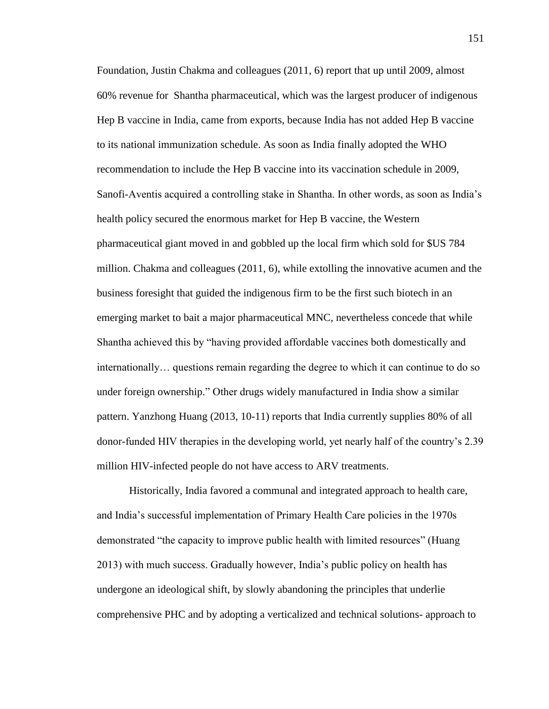Foundation, Justin Chakma and colleagues (2011, 6) report that up until 2009, almost 60% revenue for Shantha pharmaceutical, which was the largest producer of indigenous Hep B vaccine in India, came from exports, because India has not added Hep B vaccine to its national immunization schedule. As soon as India finally adopted the WHO recommendation to include the Hep B vaccine into its vaccination schedule in 2009, Sanofi-Aventis acquired a controlling stake in Shantha. In other words, as soon as India's health policy secured the enormous market for Hep B vaccine, the Western pharmaceutical giant moved in and gobbled up the local firm which sold for \$US 784 million. Chakma and colleagues (2011, 6), while extolling the innovative acumen and the business foresight that guided the indigenous firm to be the first such biotech in an emerging market to bait a major pharmaceutical MNC, nevertheless concede that while Shantha achieved this by "having provided affordable vaccines both domestically and internationally… questions remain regarding the degree to which it can continue to do so under foreign ownership." Other drugs widely manufactured in India show a similar pattern. Yanzhong Huang (2013, 10-11) reports that India currently supplies 80% of all donor-funded HIV therapies in the developing world, yet nearly half of the country's 2.39 million HIV-infected people do not have access to ARV treatments.

Historically, India favored a communal and integrated approach to health care, and India's successful implementation of Primary Health Care policies in the 1970s demonstrated "the capacity to improve public health with limited resources" (Huang 2013) with much success. Gradually however, India's public policy on health has undergone an ideological shift, by slowly abandoning the principles that underlie comprehensive PHC and by adopting a verticalized and technical solutions- approach to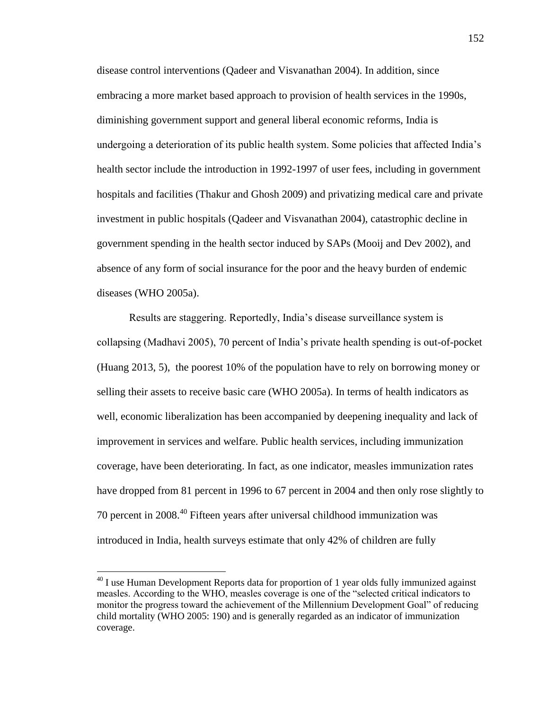disease control interventions (Qadeer and Visvanathan 2004). In addition, since embracing a more market based approach to provision of health services in the 1990s, diminishing government support and general liberal economic reforms, India is undergoing a deterioration of its public health system. Some policies that affected India's health sector include the introduction in 1992-1997 of user fees, including in government hospitals and facilities (Thakur and Ghosh 2009) and privatizing medical care and private investment in public hospitals (Qadeer and Visvanathan 2004), catastrophic decline in government spending in the health sector induced by SAPs (Mooij and Dev 2002), and absence of any form of social insurance for the poor and the heavy burden of endemic diseases (WHO 2005a).

Results are staggering. Reportedly, India's disease surveillance system is collapsing (Madhavi 2005), 70 percent of India's private health spending is out-of-pocket (Huang 2013, 5), the poorest 10% of the population have to rely on borrowing money or selling their assets to receive basic care (WHO 2005a). In terms of health indicators as well, economic liberalization has been accompanied by deepening inequality and lack of improvement in services and welfare. Public health services, including immunization coverage, have been deteriorating. In fact, as one indicator, measles immunization rates have dropped from 81 percent in 1996 to 67 percent in 2004 and then only rose slightly to 70 percent in 2008.<sup>40</sup> Fifteen years after universal childhood immunization was introduced in India, health surveys estimate that only 42% of children are fully

 $\overline{a}$ 

 $^{40}$  I use Human Development Reports data for proportion of 1 year olds fully immunized against measles. According to the WHO, measles coverage is one of the "selected critical indicators to monitor the progress toward the achievement of the Millennium Development Goal" of reducing child mortality (WHO 2005: 190) and is generally regarded as an indicator of immunization coverage.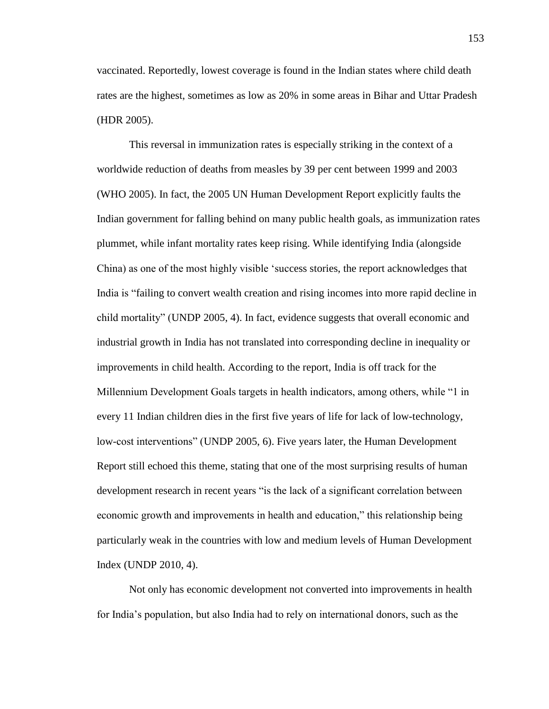vaccinated. Reportedly, lowest coverage is found in the Indian states where child death rates are the highest, sometimes as low as 20% in some areas in Bihar and Uttar Pradesh (HDR 2005).

This reversal in immunization rates is especially striking in the context of a worldwide reduction of deaths from measles by 39 per cent between 1999 and 2003 (WHO 2005). In fact, the 2005 UN Human Development Report explicitly faults the Indian government for falling behind on many public health goals, as immunization rates plummet, while infant mortality rates keep rising. While identifying India (alongside China) as one of the most highly visible 'success stories, the report acknowledges that India is "failing to convert wealth creation and rising incomes into more rapid decline in child mortality" (UNDP 2005, 4). In fact, evidence suggests that overall economic and industrial growth in India has not translated into corresponding decline in inequality or improvements in child health. According to the report, India is off track for the Millennium Development Goals targets in health indicators, among others, while "1 in every 11 Indian children dies in the first five years of life for lack of low-technology, low-cost interventions" (UNDP 2005, 6). Five years later, the Human Development Report still echoed this theme, stating that one of the most surprising results of human development research in recent years "is the lack of a significant correlation between economic growth and improvements in health and education," this relationship being particularly weak in the countries with low and medium levels of Human Development Index (UNDP 2010, 4).

Not only has economic development not converted into improvements in health for India's population, but also India had to rely on international donors, such as the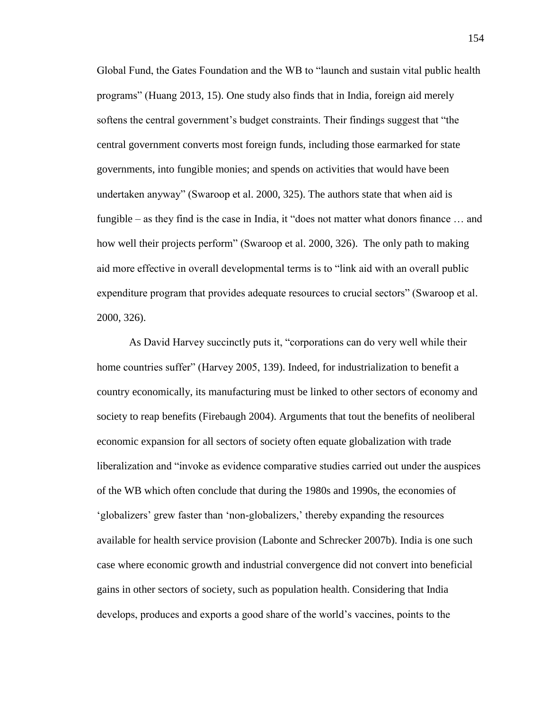Global Fund, the Gates Foundation and the WB to "launch and sustain vital public health programs" (Huang 2013, 15). One study also finds that in India, foreign aid merely softens the central government's budget constraints. Their findings suggest that "the central government converts most foreign funds, including those earmarked for state governments, into fungible monies; and spends on activities that would have been undertaken anyway" (Swaroop et al. 2000, 325). The authors state that when aid is fungible – as they find is the case in India, it "does not matter what donors finance … and how well their projects perform" (Swaroop et al. 2000, 326). The only path to making aid more effective in overall developmental terms is to "link aid with an overall public expenditure program that provides adequate resources to crucial sectors" (Swaroop et al. 2000, 326).

As David Harvey succinctly puts it, "corporations can do very well while their home countries suffer" (Harvey 2005, 139). Indeed, for industrialization to benefit a country economically, its manufacturing must be linked to other sectors of economy and society to reap benefits (Firebaugh 2004). Arguments that tout the benefits of neoliberal economic expansion for all sectors of society often equate globalization with trade liberalization and "invoke as evidence comparative studies carried out under the auspices of the WB which often conclude that during the 1980s and 1990s, the economies of 'globalizers' grew faster than 'non-globalizers,' thereby expanding the resources available for health service provision (Labonte and Schrecker 2007b). India is one such case where economic growth and industrial convergence did not convert into beneficial gains in other sectors of society, such as population health. Considering that India develops, produces and exports a good share of the world's vaccines, points to the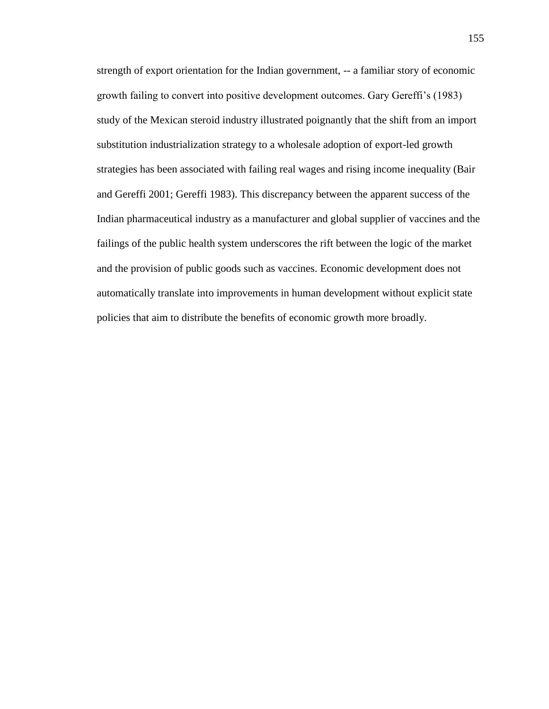strength of export orientation for the Indian government, -- a familiar story of economic growth failing to convert into positive development outcomes. Gary Gereffi's (1983) study of the Mexican steroid industry illustrated poignantly that the shift from an import substitution industrialization strategy to a wholesale adoption of export-led growth strategies has been associated with failing real wages and rising income inequality (Bair and Gereffi 2001; Gereffi 1983). This discrepancy between the apparent success of the Indian pharmaceutical industry as a manufacturer and global supplier of vaccines and the failings of the public health system underscores the rift between the logic of the market and the provision of public goods such as vaccines. Economic development does not automatically translate into improvements in human development without explicit state policies that aim to distribute the benefits of economic growth more broadly.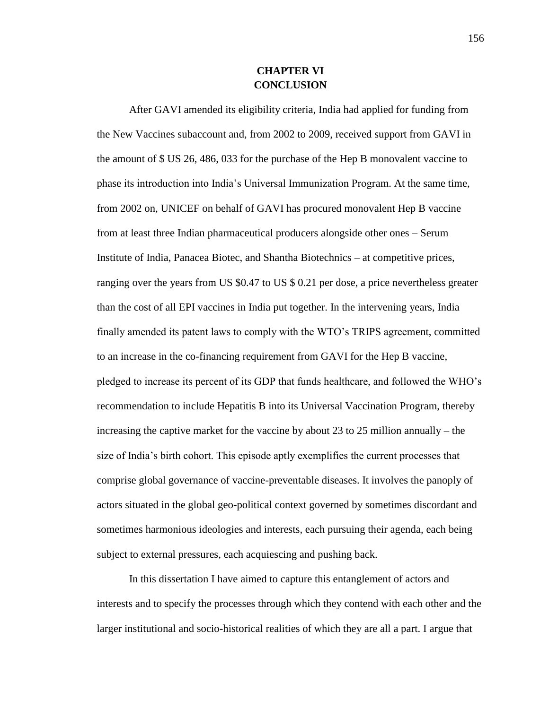# **CHAPTER VI CONCLUSION**

After GAVI amended its eligibility criteria, India had applied for funding from the New Vaccines subaccount and, from 2002 to 2009, received support from GAVI in the amount of \$ US 26, 486, 033 for the purchase of the Hep B monovalent vaccine to phase its introduction into India's Universal Immunization Program. At the same time, from 2002 on, UNICEF on behalf of GAVI has procured monovalent Hep B vaccine from at least three Indian pharmaceutical producers alongside other ones – Serum Institute of India, Panacea Biotec, and Shantha Biotechnics – at competitive prices, ranging over the years from US \$0.47 to US \$ 0.21 per dose, a price nevertheless greater than the cost of all EPI vaccines in India put together. In the intervening years, India finally amended its patent laws to comply with the WTO's TRIPS agreement, committed to an increase in the co-financing requirement from GAVI for the Hep B vaccine, pledged to increase its percent of its GDP that funds healthcare, and followed the WHO's recommendation to include Hepatitis B into its Universal Vaccination Program, thereby increasing the captive market for the vaccine by about 23 to 25 million annually – the size of India's birth cohort. This episode aptly exemplifies the current processes that comprise global governance of vaccine-preventable diseases. It involves the panoply of actors situated in the global geo-political context governed by sometimes discordant and sometimes harmonious ideologies and interests, each pursuing their agenda, each being subject to external pressures, each acquiescing and pushing back.

In this dissertation I have aimed to capture this entanglement of actors and interests and to specify the processes through which they contend with each other and the larger institutional and socio-historical realities of which they are all a part. I argue that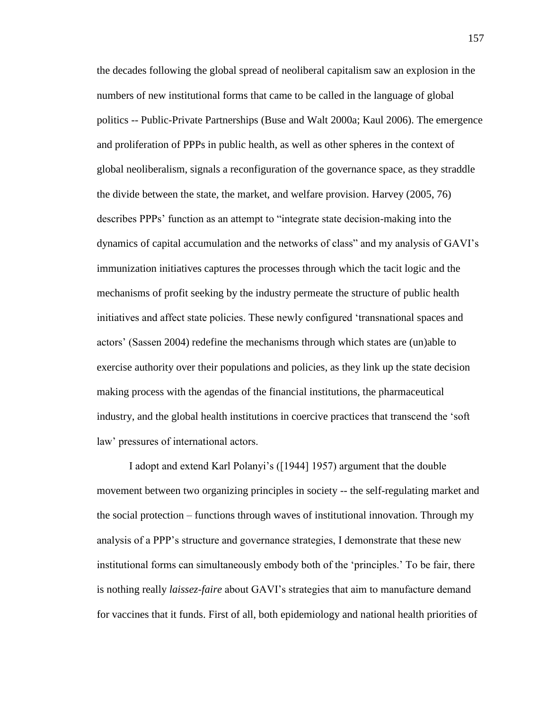the decades following the global spread of neoliberal capitalism saw an explosion in the numbers of new institutional forms that came to be called in the language of global politics -- Public-Private Partnerships (Buse and Walt 2000a; Kaul 2006). The emergence and proliferation of PPPs in public health, as well as other spheres in the context of global neoliberalism, signals a reconfiguration of the governance space, as they straddle the divide between the state, the market, and welfare provision. Harvey (2005, 76) describes PPPs' function as an attempt to "integrate state decision-making into the dynamics of capital accumulation and the networks of class" and my analysis of GAVI's immunization initiatives captures the processes through which the tacit logic and the mechanisms of profit seeking by the industry permeate the structure of public health initiatives and affect state policies. These newly configured 'transnational spaces and actors' (Sassen 2004) redefine the mechanisms through which states are (un)able to exercise authority over their populations and policies, as they link up the state decision making process with the agendas of the financial institutions, the pharmaceutical industry, and the global health institutions in coercive practices that transcend the 'soft law' pressures of international actors.

I adopt and extend Karl Polanyi's ([1944] 1957) argument that the double movement between two organizing principles in society -- the self-regulating market and the social protection – functions through waves of institutional innovation. Through my analysis of a PPP's structure and governance strategies, I demonstrate that these new institutional forms can simultaneously embody both of the 'principles.' To be fair, there is nothing really *laissez-faire* about GAVI's strategies that aim to manufacture demand for vaccines that it funds. First of all, both epidemiology and national health priorities of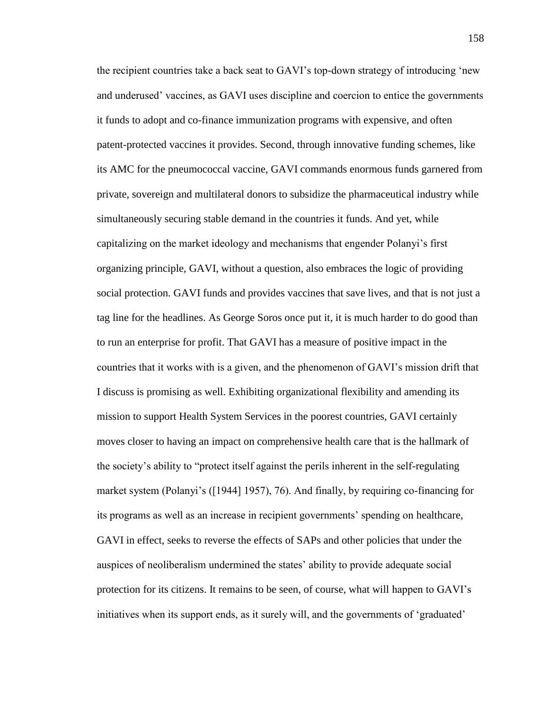the recipient countries take a back seat to GAVI's top-down strategy of introducing 'new and underused' vaccines, as GAVI uses discipline and coercion to entice the governments it funds to adopt and co-finance immunization programs with expensive, and often patent-protected vaccines it provides. Second, through innovative funding schemes, like its AMC for the pneumococcal vaccine, GAVI commands enormous funds garnered from private, sovereign and multilateral donors to subsidize the pharmaceutical industry while simultaneously securing stable demand in the countries it funds. And yet, while capitalizing on the market ideology and mechanisms that engender Polanyi's first organizing principle, GAVI, without a question, also embraces the logic of providing social protection. GAVI funds and provides vaccines that save lives, and that is not just a tag line for the headlines. As George Soros once put it, it is much harder to do good than to run an enterprise for profit. That GAVI has a measure of positive impact in the countries that it works with is a given, and the phenomenon of GAVI's mission drift that I discuss is promising as well. Exhibiting organizational flexibility and amending its mission to support Health System Services in the poorest countries, GAVI certainly moves closer to having an impact on comprehensive health care that is the hallmark of the society's ability to "protect itself against the perils inherent in the self-regulating market system (Polanyi's ([1944] 1957), 76). And finally, by requiring co-financing for its programs as well as an increase in recipient governments' spending on healthcare, GAVI in effect, seeks to reverse the effects of SAPs and other policies that under the auspices of neoliberalism undermined the states' ability to provide adequate social protection for its citizens. It remains to be seen, of course, what will happen to GAVI's initiatives when its support ends, as it surely will, and the governments of 'graduated'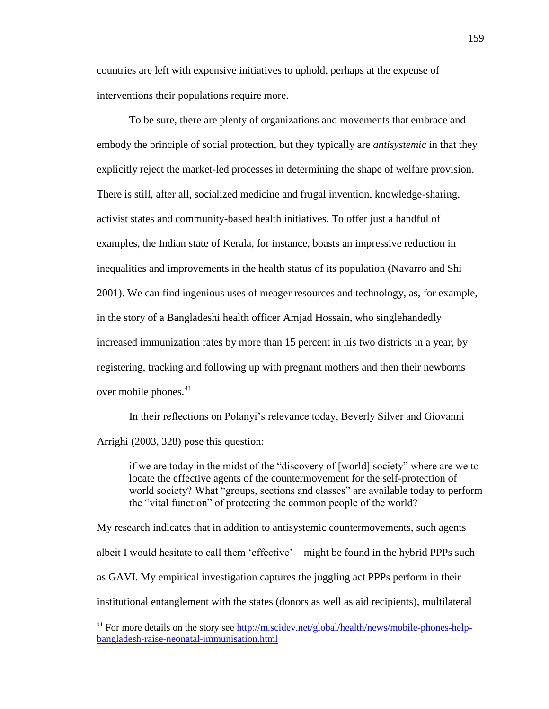countries are left with expensive initiatives to uphold, perhaps at the expense of interventions their populations require more.

To be sure, there are plenty of organizations and movements that embrace and embody the principle of social protection, but they typically are *antisystemic* in that they explicitly reject the market-led processes in determining the shape of welfare provision. There is still, after all, socialized medicine and frugal invention, knowledge-sharing, activist states and community-based health initiatives. To offer just a handful of examples, the Indian state of Kerala, for instance, boasts an impressive reduction in inequalities and improvements in the health status of its population (Navarro and Shi 2001). We can find ingenious uses of meager resources and technology, as, for example, in the story of a Bangladeshi health officer Amjad Hossain, who singlehandedly increased immunization rates by more than 15 percent in his two districts in a year, by registering, tracking and following up with pregnant mothers and then their newborns over mobile phones. 41

In their reflections on Polanyi's relevance today, Beverly Silver and Giovanni Arrighi (2003, 328) pose this question:

if we are today in the midst of the "discovery of [world] society" where are we to locate the effective agents of the countermovement for the self-protection of world society? What "groups, sections and classes" are available today to perform the "vital function" of protecting the common people of the world?

My research indicates that in addition to antisystemic countermovements, such agents – albeit I would hesitate to call them 'effective' – might be found in the hybrid PPPs such as GAVI. My empirical investigation captures the juggling act PPPs perform in their institutional entanglement with the states (donors as well as aid recipients), multilateral

 $\overline{\phantom{a}}$ 

 $41$  For more details on the story see [http://m.scidev.net/global/health/news/mobile-phones-help](http://m.scidev.net/global/health/news/mobile-phones-help-bangladesh-raise-neonatal-immunisation.html)[bangladesh-raise-neonatal-immunisation.html](http://m.scidev.net/global/health/news/mobile-phones-help-bangladesh-raise-neonatal-immunisation.html)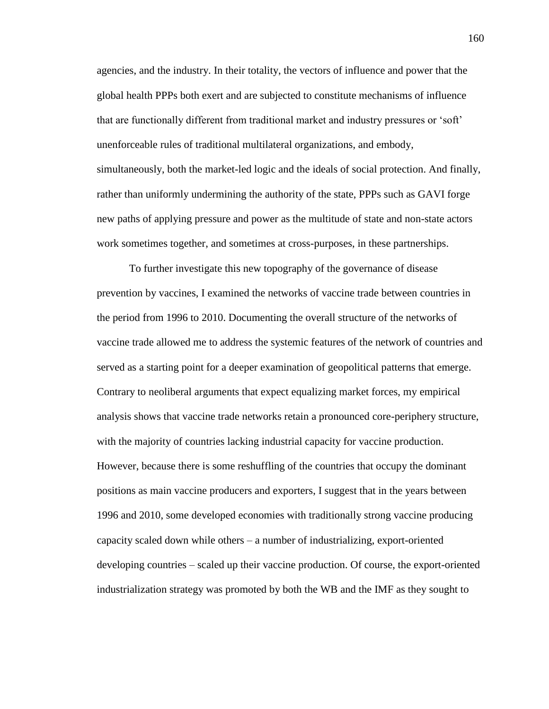agencies, and the industry. In their totality, the vectors of influence and power that the global health PPPs both exert and are subjected to constitute mechanisms of influence that are functionally different from traditional market and industry pressures or 'soft' unenforceable rules of traditional multilateral organizations, and embody, simultaneously, both the market-led logic and the ideals of social protection. And finally, rather than uniformly undermining the authority of the state, PPPs such as GAVI forge new paths of applying pressure and power as the multitude of state and non-state actors work sometimes together, and sometimes at cross-purposes, in these partnerships.

To further investigate this new topography of the governance of disease prevention by vaccines, I examined the networks of vaccine trade between countries in the period from 1996 to 2010. Documenting the overall structure of the networks of vaccine trade allowed me to address the systemic features of the network of countries and served as a starting point for a deeper examination of geopolitical patterns that emerge. Contrary to neoliberal arguments that expect equalizing market forces, my empirical analysis shows that vaccine trade networks retain a pronounced core-periphery structure, with the majority of countries lacking industrial capacity for vaccine production. However, because there is some reshuffling of the countries that occupy the dominant positions as main vaccine producers and exporters, I suggest that in the years between 1996 and 2010, some developed economies with traditionally strong vaccine producing capacity scaled down while others – a number of industrializing, export-oriented developing countries – scaled up their vaccine production. Of course, the export-oriented industrialization strategy was promoted by both the WB and the IMF as they sought to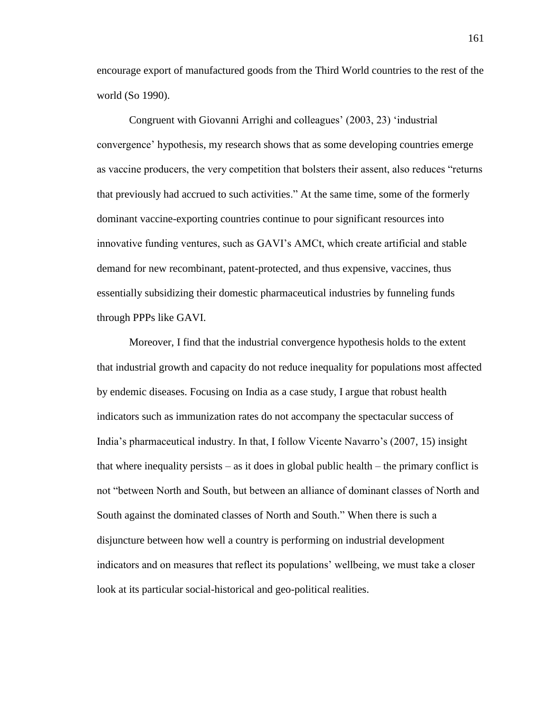encourage export of manufactured goods from the Third World countries to the rest of the world (So 1990).

Congruent with Giovanni Arrighi and colleagues' (2003, 23) 'industrial convergence' hypothesis, my research shows that as some developing countries emerge as vaccine producers, the very competition that bolsters their assent, also reduces "returns that previously had accrued to such activities." At the same time, some of the formerly dominant vaccine-exporting countries continue to pour significant resources into innovative funding ventures, such as GAVI's AMCt, which create artificial and stable demand for new recombinant, patent-protected, and thus expensive, vaccines, thus essentially subsidizing their domestic pharmaceutical industries by funneling funds through PPPs like GAVI.

Moreover, I find that the industrial convergence hypothesis holds to the extent that industrial growth and capacity do not reduce inequality for populations most affected by endemic diseases. Focusing on India as a case study, I argue that robust health indicators such as immunization rates do not accompany the spectacular success of India's pharmaceutical industry. In that, I follow Vicente Navarro's (2007, 15) insight that where inequality persists – as it does in global public health – the primary conflict is not "between North and South, but between an alliance of dominant classes of North and South against the dominated classes of North and South." When there is such a disjuncture between how well a country is performing on industrial development indicators and on measures that reflect its populations' wellbeing, we must take a closer look at its particular social-historical and geo-political realities.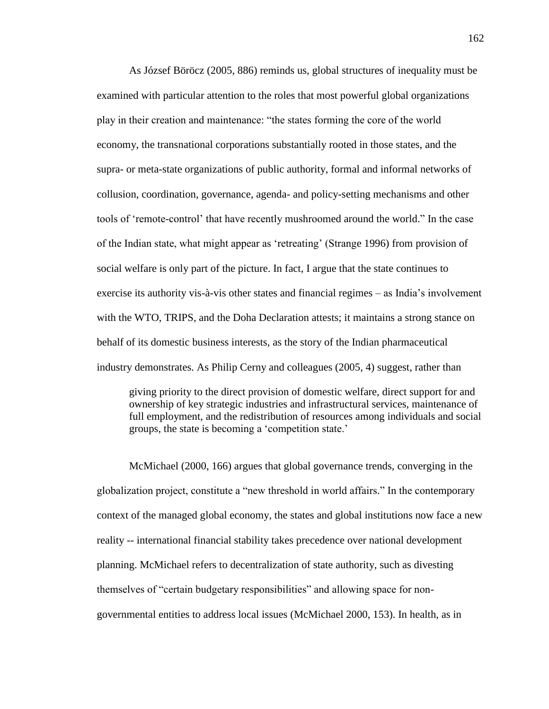As József Böröcz (2005, 886) reminds us, global structures of inequality must be examined with particular attention to the roles that most powerful global organizations play in their creation and maintenance: "the states forming the core of the world economy, the transnational corporations substantially rooted in those states, and the supra- or meta-state organizations of public authority, formal and informal networks of collusion, coordination, governance, agenda- and policy-setting mechanisms and other tools of 'remote-control' that have recently mushroomed around the world." In the case of the Indian state, what might appear as 'retreating' (Strange 1996) from provision of social welfare is only part of the picture. In fact, I argue that the state continues to exercise its authority vis-à-vis other states and financial regimes – as India's involvement with the WTO, TRIPS, and the Doha Declaration attests; it maintains a strong stance on behalf of its domestic business interests, as the story of the Indian pharmaceutical industry demonstrates. As Philip Cerny and colleagues (2005, 4) suggest, rather than

giving priority to the direct provision of domestic welfare, direct support for and ownership of key strategic industries and infrastructural services, maintenance of full employment, and the redistribution of resources among individuals and social groups, the state is becoming a 'competition state.'

McMichael (2000, 166) argues that global governance trends, converging in the globalization project, constitute a "new threshold in world affairs." In the contemporary context of the managed global economy, the states and global institutions now face a new reality -- international financial stability takes precedence over national development planning. McMichael refers to decentralization of state authority, such as divesting themselves of "certain budgetary responsibilities" and allowing space for nongovernmental entities to address local issues (McMichael 2000, 153). In health, as in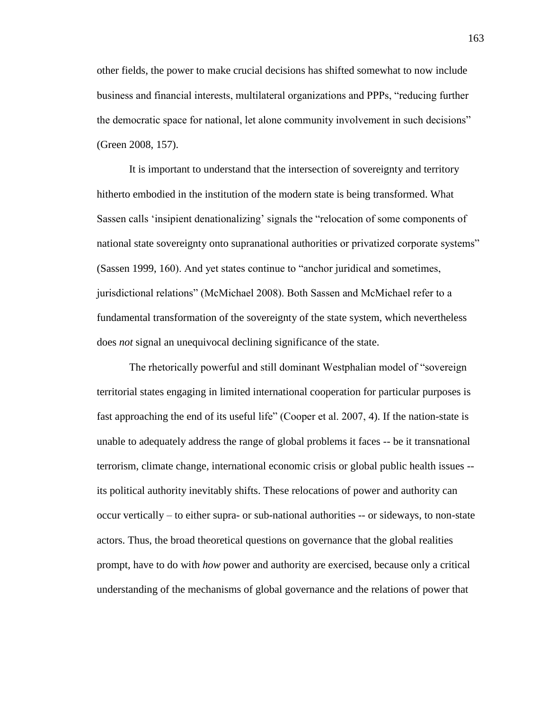other fields, the power to make crucial decisions has shifted somewhat to now include business and financial interests, multilateral organizations and PPPs, "reducing further the democratic space for national, let alone community involvement in such decisions" (Green 2008, 157).

It is important to understand that the intersection of sovereignty and territory hitherto embodied in the institution of the modern state is being transformed. What Sassen calls 'insipient denationalizing' signals the "relocation of some components of national state sovereignty onto supranational authorities or privatized corporate systems" (Sassen 1999, 160). And yet states continue to "anchor juridical and sometimes, jurisdictional relations" (McMichael 2008). Both Sassen and McMichael refer to a fundamental transformation of the sovereignty of the state system, which nevertheless does *not* signal an unequivocal declining significance of the state.

The rhetorically powerful and still dominant Westphalian model of "sovereign territorial states engaging in limited international cooperation for particular purposes is fast approaching the end of its useful life" (Cooper et al. 2007, 4). If the nation-state is unable to adequately address the range of global problems it faces -- be it transnational terrorism, climate change, international economic crisis or global public health issues - its political authority inevitably shifts. These relocations of power and authority can occur vertically – to either supra- or sub-national authorities -- or sideways, to non-state actors. Thus, the broad theoretical questions on governance that the global realities prompt, have to do with *how* power and authority are exercised, because only a critical understanding of the mechanisms of global governance and the relations of power that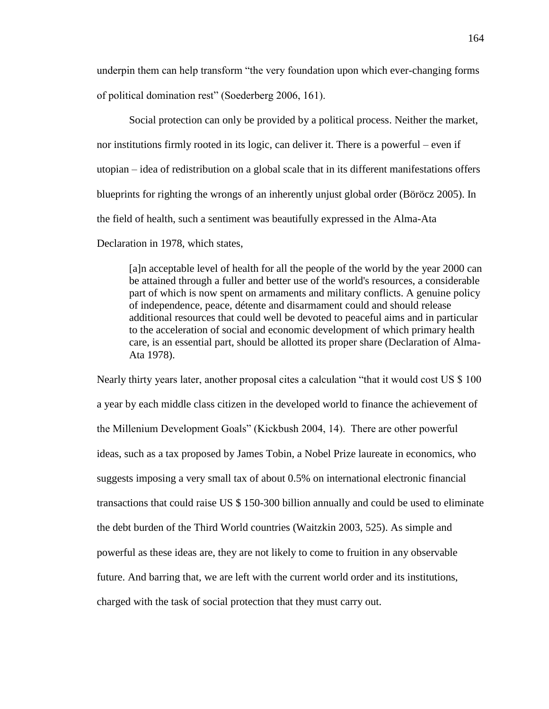underpin them can help transform "the very foundation upon which ever-changing forms of political domination rest" (Soederberg 2006, 161).

Social protection can only be provided by a political process. Neither the market, nor institutions firmly rooted in its logic, can deliver it. There is a powerful – even if utopian – idea of redistribution on a global scale that in its different manifestations offers blueprints for righting the wrongs of an inherently unjust global order (Böröcz 2005). In the field of health, such a sentiment was beautifully expressed in the Alma-Ata Declaration in 1978, which states,

[a]n acceptable level of health for all the people of the world by the year 2000 can be attained through a fuller and better use of the world's resources, a considerable part of which is now spent on armaments and military conflicts. A genuine policy of independence, peace, détente and disarmament could and should release additional resources that could well be devoted to peaceful aims and in particular to the acceleration of social and economic development of which primary health care, is an essential part, should be allotted its proper share (Declaration of Alma-Ata 1978).

Nearly thirty years later, another proposal cites a calculation "that it would cost US \$ 100 a year by each middle class citizen in the developed world to finance the achievement of the Millenium Development Goals" (Kickbush 2004, 14). There are other powerful ideas, such as a tax proposed by James Tobin, a Nobel Prize laureate in economics, who suggests imposing a very small tax of about 0.5% on international electronic financial transactions that could raise US \$ 150-300 billion annually and could be used to eliminate the debt burden of the Third World countries (Waitzkin 2003, 525). As simple and powerful as these ideas are, they are not likely to come to fruition in any observable future. And barring that, we are left with the current world order and its institutions, charged with the task of social protection that they must carry out.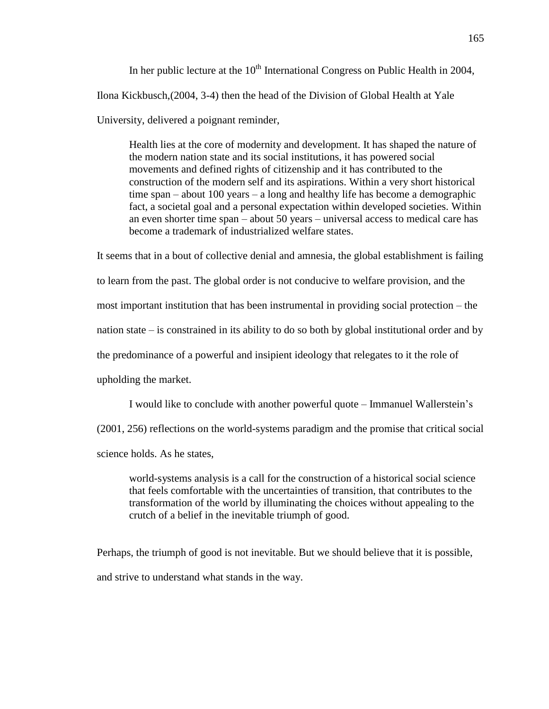In her public lecture at the  $10<sup>th</sup>$  International Congress on Public Health in 2004. Ilona Kickbusch,(2004, 3-4) then the head of the Division of Global Health at Yale University, delivered a poignant reminder,

Health lies at the core of modernity and development. It has shaped the nature of the modern nation state and its social institutions, it has powered social movements and defined rights of citizenship and it has contributed to the construction of the modern self and its aspirations. Within a very short historical time span – about 100 years – a long and healthy life has become a demographic fact, a societal goal and a personal expectation within developed societies. Within an even shorter time span – about 50 years – universal access to medical care has become a trademark of industrialized welfare states.

It seems that in a bout of collective denial and amnesia, the global establishment is failing to learn from the past. The global order is not conducive to welfare provision, and the most important institution that has been instrumental in providing social protection – the nation state – is constrained in its ability to do so both by global institutional order and by the predominance of a powerful and insipient ideology that relegates to it the role of upholding the market.

I would like to conclude with another powerful quote – Immanuel Wallerstein's

(2001, 256) reflections on the world-systems paradigm and the promise that critical social

science holds. As he states,

world-systems analysis is a call for the construction of a historical social science that feels comfortable with the uncertainties of transition, that contributes to the transformation of the world by illuminating the choices without appealing to the crutch of a belief in the inevitable triumph of good.

Perhaps, the triumph of good is not inevitable. But we should believe that it is possible, and strive to understand what stands in the way.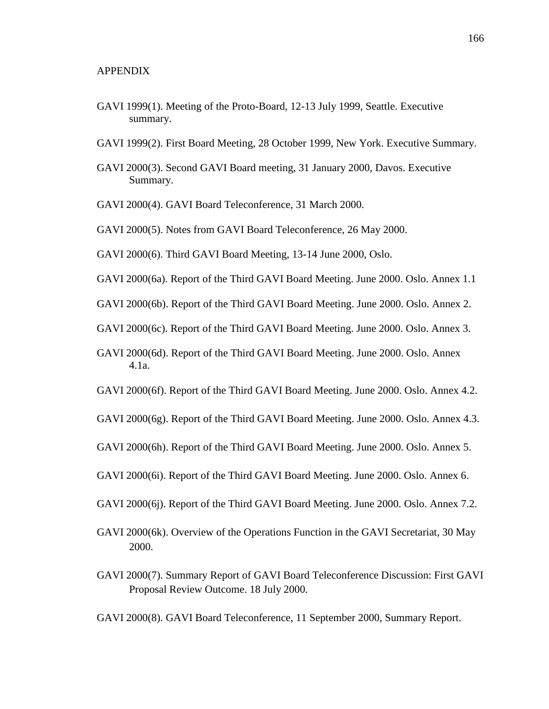- GAVI 1999(1). Meeting of the Proto-Board, 12-13 July 1999, Seattle. Executive summary.
- GAVI 1999(2). First Board Meeting, 28 October 1999, New York. Executive Summary.
- GAVI 2000(3). Second GAVI Board meeting, 31 January 2000, Davos. Executive Summary.
- GAVI 2000(4). GAVI Board Teleconference, 31 March 2000.
- GAVI 2000(5). Notes from GAVI Board Teleconference, 26 May 2000.
- GAVI 2000(6). Third GAVI Board Meeting, 13-14 June 2000, Oslo.
- GAVI 2000(6a). Report of the Third GAVI Board Meeting. June 2000. Oslo. Annex 1.1
- GAVI 2000(6b). Report of the Third GAVI Board Meeting. June 2000. Oslo. Annex 2.
- GAVI 2000(6c). Report of the Third GAVI Board Meeting. June 2000. Oslo. Annex 3.
- GAVI 2000(6d). Report of the Third GAVI Board Meeting. June 2000. Oslo. Annex 4.1a.
- GAVI 2000(6f). Report of the Third GAVI Board Meeting. June 2000. Oslo. Annex 4.2.
- GAVI 2000(6g). Report of the Third GAVI Board Meeting. June 2000. Oslo. Annex 4.3.
- GAVI 2000(6h). Report of the Third GAVI Board Meeting. June 2000. Oslo. Annex 5.
- GAVI 2000(6i). Report of the Third GAVI Board Meeting. June 2000. Oslo. Annex 6.
- GAVI 2000(6j). Report of the Third GAVI Board Meeting. June 2000. Oslo. Annex 7.2.
- GAVI 2000(6k). Overview of the Operations Function in the GAVI Secretariat, 30 May 2000.
- GAVI 2000(7). Summary Report of GAVI Board Teleconference Discussion: First GAVI Proposal Review Outcome. 18 July 2000.

GAVI 2000(8). GAVI Board Teleconference, 11 September 2000, Summary Report.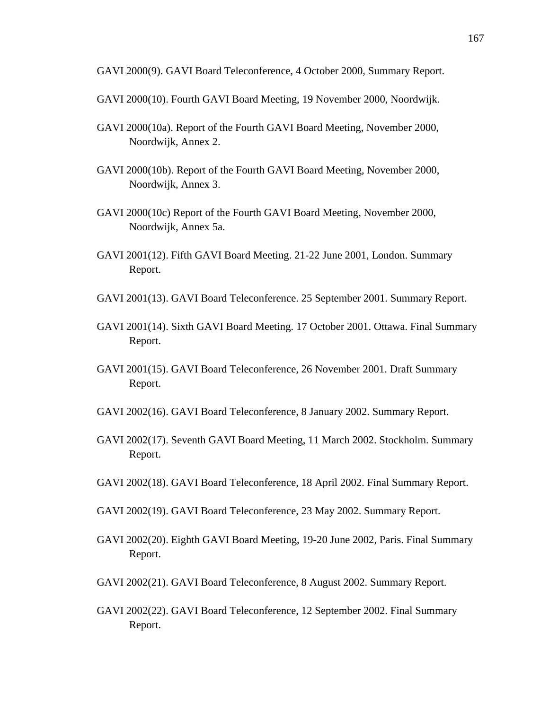GAVI 2000(9). GAVI Board Teleconference, 4 October 2000, Summary Report.

- GAVI 2000(10). Fourth GAVI Board Meeting, 19 November 2000, Noordwijk.
- GAVI 2000(10a). Report of the Fourth GAVI Board Meeting, November 2000, Noordwijk, Annex 2.
- GAVI 2000(10b). Report of the Fourth GAVI Board Meeting, November 2000, Noordwijk, Annex 3.
- GAVI 2000(10c) Report of the Fourth GAVI Board Meeting, November 2000, Noordwijk, Annex 5a.
- GAVI 2001(12). Fifth GAVI Board Meeting. 21-22 June 2001, London. Summary Report.
- GAVI 2001(13). GAVI Board Teleconference. 25 September 2001. Summary Report.
- GAVI 2001(14). Sixth GAVI Board Meeting. 17 October 2001. Ottawa. Final Summary Report.
- GAVI 2001(15). GAVI Board Teleconference, 26 November 2001. Draft Summary Report.
- GAVI 2002(16). GAVI Board Teleconference, 8 January 2002. Summary Report.
- GAVI 2002(17). Seventh GAVI Board Meeting, 11 March 2002. Stockholm. Summary Report.
- GAVI 2002(18). GAVI Board Teleconference, 18 April 2002. Final Summary Report.
- GAVI 2002(19). GAVI Board Teleconference, 23 May 2002. Summary Report.
- GAVI 2002(20). Eighth GAVI Board Meeting, 19-20 June 2002, Paris. Final Summary Report.
- GAVI 2002(21). GAVI Board Teleconference, 8 August 2002. Summary Report.
- GAVI 2002(22). GAVI Board Teleconference, 12 September 2002. Final Summary Report.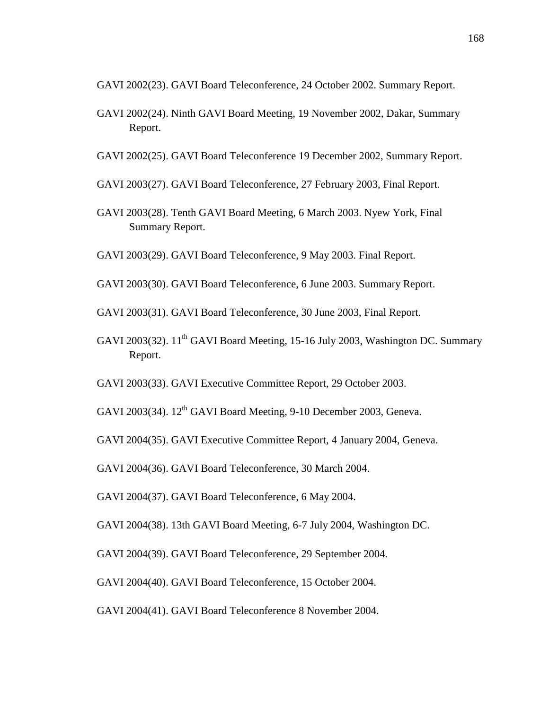GAVI 2002(23). GAVI Board Teleconference, 24 October 2002. Summary Report.

- GAVI 2002(24). Ninth GAVI Board Meeting, 19 November 2002, Dakar, Summary Report.
- GAVI 2002(25). GAVI Board Teleconference 19 December 2002, Summary Report.
- GAVI 2003(27). GAVI Board Teleconference, 27 February 2003, Final Report.
- GAVI 2003(28). Tenth GAVI Board Meeting, 6 March 2003. Nyew York, Final Summary Report.
- GAVI 2003(29). GAVI Board Teleconference, 9 May 2003. Final Report.
- GAVI 2003(30). GAVI Board Teleconference, 6 June 2003. Summary Report.
- GAVI 2003(31). GAVI Board Teleconference, 30 June 2003, Final Report.
- GAVI 2003(32). 11<sup>th</sup> GAVI Board Meeting, 15-16 July 2003, Washington DC. Summary Report.
- GAVI 2003(33). GAVI Executive Committee Report, 29 October 2003.
- GAVI 2003(34).  $12^{th}$  GAVI Board Meeting, 9-10 December 2003, Geneva.
- GAVI 2004(35). GAVI Executive Committee Report, 4 January 2004, Geneva.

GAVI 2004(36). GAVI Board Teleconference, 30 March 2004.

GAVI 2004(37). GAVI Board Teleconference, 6 May 2004.

- GAVI 2004(38). 13th GAVI Board Meeting, 6-7 July 2004, Washington DC.
- GAVI 2004(39). GAVI Board Teleconference, 29 September 2004.
- GAVI 2004(40). GAVI Board Teleconference, 15 October 2004.
- GAVI 2004(41). GAVI Board Teleconference 8 November 2004.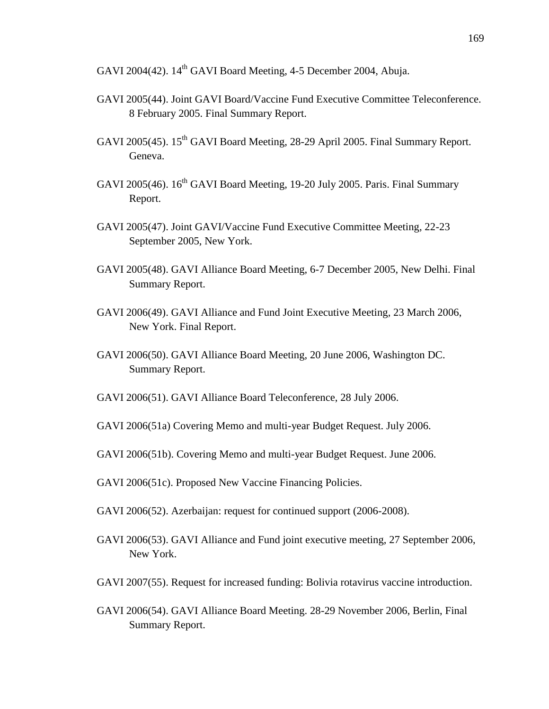GAVI 2004(42). 14<sup>th</sup> GAVI Board Meeting, 4-5 December 2004, Abuja.

- GAVI 2005(44). Joint GAVI Board/Vaccine Fund Executive Committee Teleconference. 8 February 2005. Final Summary Report.
- GAVI 2005(45). 15<sup>th</sup> GAVI Board Meeting, 28-29 April 2005. Final Summary Report. Geneva.
- GAVI 2005(46). 16<sup>th</sup> GAVI Board Meeting, 19-20 July 2005. Paris. Final Summary Report.
- GAVI 2005(47). Joint GAVI/Vaccine Fund Executive Committee Meeting, 22-23 September 2005, New York.
- GAVI 2005(48). GAVI Alliance Board Meeting, 6-7 December 2005, New Delhi. Final Summary Report.
- GAVI 2006(49). GAVI Alliance and Fund Joint Executive Meeting, 23 March 2006, New York. Final Report.
- GAVI 2006(50). GAVI Alliance Board Meeting, 20 June 2006, Washington DC. Summary Report.
- GAVI 2006(51). GAVI Alliance Board Teleconference, 28 July 2006.
- GAVI 2006(51a) Covering Memo and multi-year Budget Request. July 2006.
- GAVI 2006(51b). Covering Memo and multi-year Budget Request. June 2006.
- GAVI 2006(51c). Proposed New Vaccine Financing Policies.
- GAVI 2006(52). Azerbaijan: request for continued support (2006-2008).
- GAVI 2006(53). GAVI Alliance and Fund joint executive meeting, 27 September 2006, New York.
- GAVI 2007(55). Request for increased funding: Bolivia rotavirus vaccine introduction.
- GAVI 2006(54). GAVI Alliance Board Meeting. 28-29 November 2006, Berlin, Final Summary Report.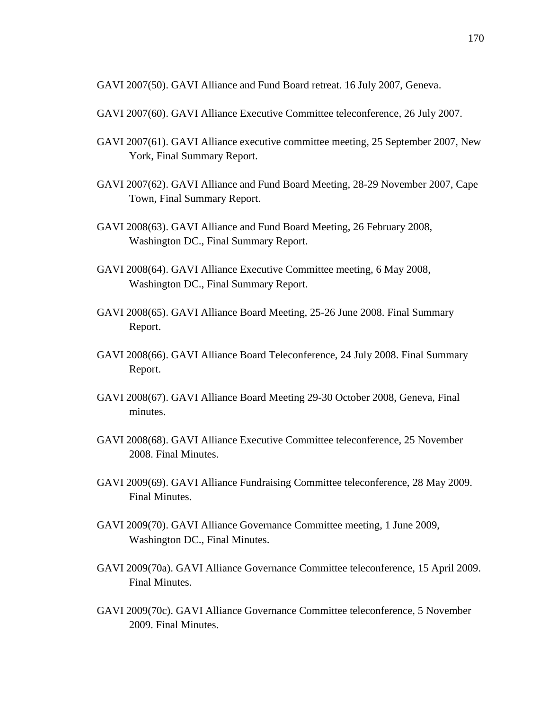GAVI 2007(50). GAVI Alliance and Fund Board retreat. 16 July 2007, Geneva.

- GAVI 2007(60). GAVI Alliance Executive Committee teleconference, 26 July 2007.
- GAVI 2007(61). GAVI Alliance executive committee meeting, 25 September 2007, New York, Final Summary Report.
- GAVI 2007(62). GAVI Alliance and Fund Board Meeting, 28-29 November 2007, Cape Town, Final Summary Report.
- GAVI 2008(63). GAVI Alliance and Fund Board Meeting, 26 February 2008, Washington DC., Final Summary Report.
- GAVI 2008(64). GAVI Alliance Executive Committee meeting, 6 May 2008, Washington DC., Final Summary Report.
- GAVI 2008(65). GAVI Alliance Board Meeting, 25-26 June 2008. Final Summary Report.
- GAVI 2008(66). GAVI Alliance Board Teleconference, 24 July 2008. Final Summary Report.
- GAVI 2008(67). GAVI Alliance Board Meeting 29-30 October 2008, Geneva, Final minutes.
- GAVI 2008(68). GAVI Alliance Executive Committee teleconference, 25 November 2008. Final Minutes.
- GAVI 2009(69). GAVI Alliance Fundraising Committee teleconference, 28 May 2009. Final Minutes.
- GAVI 2009(70). GAVI Alliance Governance Committee meeting, 1 June 2009, Washington DC., Final Minutes.
- GAVI 2009(70a). GAVI Alliance Governance Committee teleconference, 15 April 2009. Final Minutes.
- GAVI 2009(70c). GAVI Alliance Governance Committee teleconference, 5 November 2009. Final Minutes.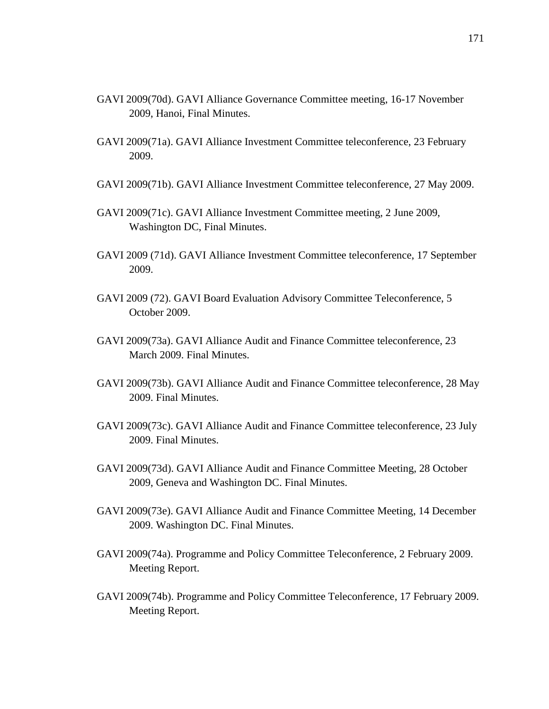- GAVI 2009(70d). GAVI Alliance Governance Committee meeting, 16-17 November 2009, Hanoi, Final Minutes.
- GAVI 2009(71a). GAVI Alliance Investment Committee teleconference, 23 February 2009.
- GAVI 2009(71b). GAVI Alliance Investment Committee teleconference, 27 May 2009.
- GAVI 2009(71c). GAVI Alliance Investment Committee meeting, 2 June 2009, Washington DC, Final Minutes.
- GAVI 2009 (71d). GAVI Alliance Investment Committee teleconference, 17 September 2009.
- GAVI 2009 (72). GAVI Board Evaluation Advisory Committee Teleconference, 5 October 2009.
- GAVI 2009(73a). GAVI Alliance Audit and Finance Committee teleconference, 23 March 2009. Final Minutes.
- GAVI 2009(73b). GAVI Alliance Audit and Finance Committee teleconference, 28 May 2009. Final Minutes.
- GAVI 2009(73c). GAVI Alliance Audit and Finance Committee teleconference, 23 July 2009. Final Minutes.
- GAVI 2009(73d). GAVI Alliance Audit and Finance Committee Meeting, 28 October 2009, Geneva and Washington DC. Final Minutes.
- GAVI 2009(73e). GAVI Alliance Audit and Finance Committee Meeting, 14 December 2009. Washington DC. Final Minutes.
- GAVI 2009(74a). Programme and Policy Committee Teleconference, 2 February 2009. Meeting Report.
- GAVI 2009(74b). Programme and Policy Committee Teleconference, 17 February 2009. Meeting Report.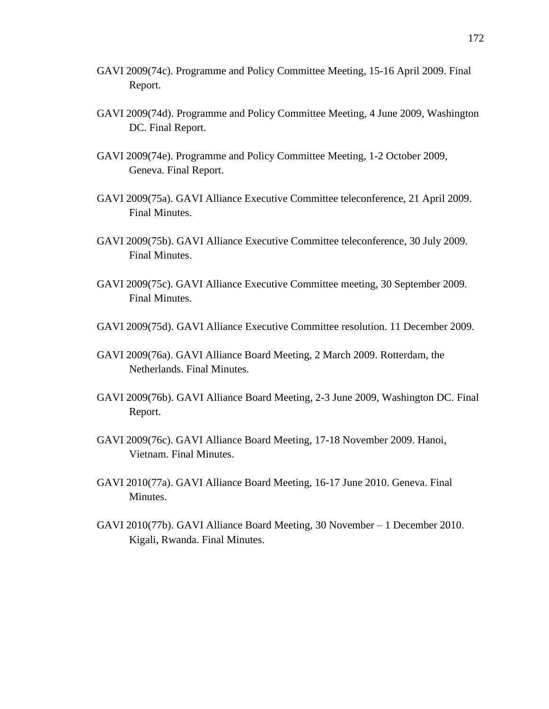- GAVI 2009(74c). Programme and Policy Committee Meeting, 15-16 April 2009. Final Report.
- GAVI 2009(74d). Programme and Policy Committee Meeting, 4 June 2009, Washington DC. Final Report.
- GAVI 2009(74e). Programme and Policy Committee Meeting, 1-2 October 2009, Geneva. Final Report.
- GAVI 2009(75a). GAVI Alliance Executive Committee teleconference, 21 April 2009. Final Minutes.
- GAVI 2009(75b). GAVI Alliance Executive Committee teleconference, 30 July 2009. Final Minutes.
- GAVI 2009(75c). GAVI Alliance Executive Committee meeting, 30 September 2009. Final Minutes.
- GAVI 2009(75d). GAVI Alliance Executive Committee resolution. 11 December 2009.
- GAVI 2009(76a). GAVI Alliance Board Meeting, 2 March 2009. Rotterdam, the Netherlands. Final Minutes.
- GAVI 2009(76b). GAVI Alliance Board Meeting, 2-3 June 2009, Washington DC. Final Report.
- GAVI 2009(76c). GAVI Alliance Board Meeting, 17-18 November 2009. Hanoi, Vietnam. Final Minutes.
- GAVI 2010(77a). GAVI Alliance Board Meeting, 16-17 June 2010. Geneva. Final Minutes.
- GAVI 2010(77b). GAVI Alliance Board Meeting, 30 November 1 December 2010. Kigali, Rwanda. Final Minutes.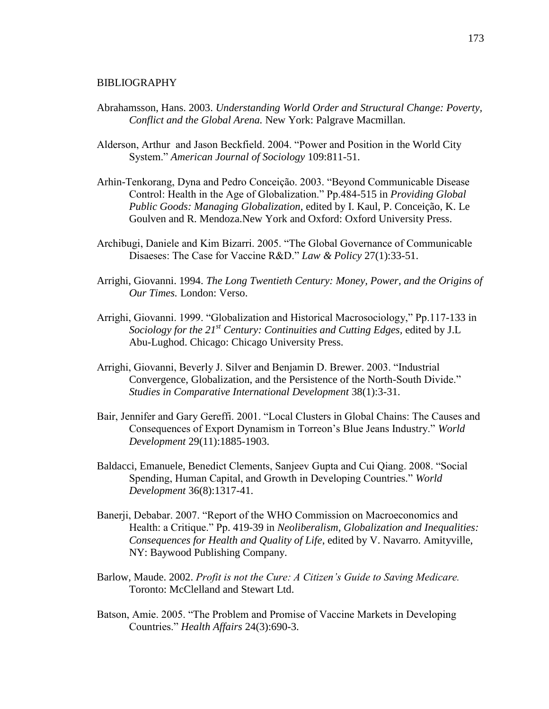## BIBLIOGRAPHY

- Abrahamsson, Hans. 2003. *Understanding World Order and Structural Change: Poverty, Conflict and the Global Arena.* New York: Palgrave Macmillan.
- Alderson, Arthur and Jason Beckfield. 2004. "Power and Position in the World City System." *American Journal of Sociology* 109:811-51.
- Arhin-Tenkorang, Dyna and Pedro Conceição. 2003. "Beyond Communicable Disease Control: Health in the Age of Globalization." Pp.484-515 in *Providing Global Public Goods: Managing Globalization*, edited by I. Kaul, P. Conceição, K. Le Goulven and R. Mendoza.New York and Oxford: Oxford University Press.
- Archibugi, Daniele and Kim Bizarri. 2005. "The Global Governance of Communicable Disaeses: The Case for Vaccine R&D." *Law & Policy* 27(1):33-51.
- Arrighi, Giovanni. 1994. *The Long Twentieth Century: Money, Power, and the Origins of Our Times.* London: Verso.
- Arrighi, Giovanni. 1999. "Globalization and Historical Macrosociology," Pp.117-133 in *Sociology for the 21st Century: Continuities and Cutting Edges,* edited by J.L Abu-Lughod. Chicago: Chicago University Press.
- Arrighi, Giovanni, Beverly J. Silver and Benjamin D. Brewer. 2003. "Industrial Convergence, Globalization, and the Persistence of the North-South Divide." *Studies in Comparative International Development* 38(1):3-31.
- Bair, Jennifer and Gary Gereffi. 2001. "Local Clusters in Global Chains: The Causes and Consequences of Export Dynamism in Torreon's Blue Jeans Industry." *World Development* 29(11):1885-1903.
- Baldacci, Emanuele, Benedict Clements, Sanjeev Gupta and Cui Qiang. 2008. "Social Spending, Human Capital, and Growth in Developing Countries." *World Development* 36(8):1317-41.
- Banerji, Debabar. 2007. "Report of the WHO Commission on Macroeconomics and Health: a Critique." Pp. 419-39 in *Neoliberalism, Globalization and Inequalities: Consequences for Health and Quality of Life*, edited by V. Navarro. Amityville, NY: Baywood Publishing Company.
- Barlow, Maude. 2002. *Profit is not the Cure: A Citizen's Guide to Saving Medicare.* Toronto: McClelland and Stewart Ltd.
- Batson, Amie. 2005. "The Problem and Promise of Vaccine Markets in Developing Countries." *Health Affairs* 24(3):690-3.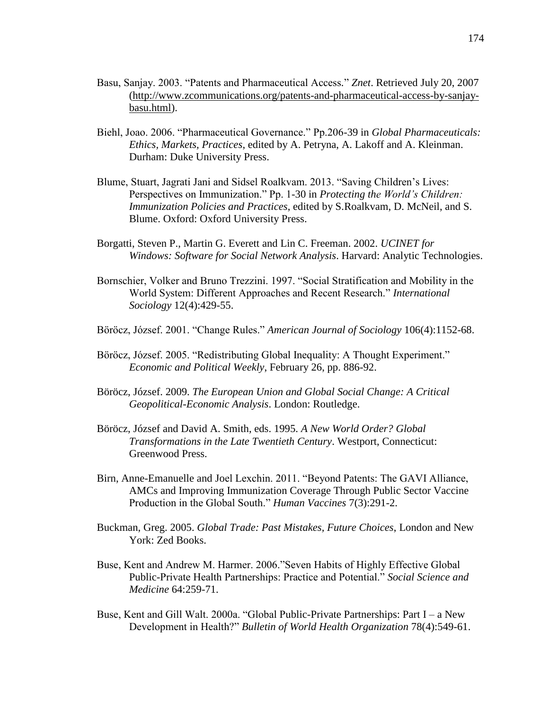- Basu, Sanjay. 2003. "Patents and Pharmaceutical Access*.*" *Znet*. Retrieved July 20, 2007 [\(http://www.zcommunications.org/patents-and-pharmaceutical-access-by-sanjay](http://www.zcommunications.org/patents-and-pharmaceutical-access-by-sanjay-basu.html)[basu.html\)](http://www.zcommunications.org/patents-and-pharmaceutical-access-by-sanjay-basu.html).
- Biehl, Joao. 2006. "Pharmaceutical Governance." Pp.206-39 in *Global Pharmaceuticals: Ethics, Markets, Practices*, edited by A. Petryna, A. Lakoff and A. Kleinman. Durham: Duke University Press.
- Blume, Stuart, Jagrati Jani and Sidsel Roalkvam. 2013. "Saving Children's Lives: Perspectives on Immunization." Pp. 1-30 in *Protecting the World's Children: Immunization Policies and Practices*, edited by S.Roalkvam, D. McNeil, and S. Blume. Oxford: Oxford University Press.
- Borgatti, Steven P., Martin G. Everett and Lin C. Freeman. 2002. *UCINET for Windows: Software for Social Network Analysis*. Harvard: Analytic Technologies.
- Bornschier, Volker and Bruno Trezzini. 1997. "Social Stratification and Mobility in the World System: Different Approaches and Recent Research." *International Sociology* 12(4):429-55.
- Böröcz, József. 2001. "Change Rules." *American Journal of Sociology* 106(4):1152-68.
- Böröcz, József. 2005. "Redistributing Global Inequality: A Thought Experiment." *Economic and Political Weekly*, February 26, pp. 886-92.
- Böröcz, József. 2009. *The European Union and Global Social Change: A Critical Geopolitical-Economic Analysis*. London: Routledge.
- Böröcz, József and David A. Smith, eds. 1995. *A New World Order? Global Transformations in the Late Twentieth Century*. Westport, Connecticut: Greenwood Press.
- Birn, Anne-Emanuelle and Joel Lexchin. 2011. "Beyond Patents: The GAVI Alliance, AMCs and Improving Immunization Coverage Through Public Sector Vaccine Production in the Global South." *Human Vaccines* 7(3):291-2.
- Buckman, Greg. 2005. *Global Trade: Past Mistakes, Future Choices*, London and New York: Zed Books.
- Buse, Kent and Andrew M. Harmer. 2006."Seven Habits of Highly Effective Global Public-Private Health Partnerships: Practice and Potential." *Social Science and Medicine* 64:259-71.
- Buse, Kent and Gill Walt. 2000a. "Global Public-Private Partnerships: Part I a New Development in Health?" *Bulletin of World Health Organization* 78(4):549-61.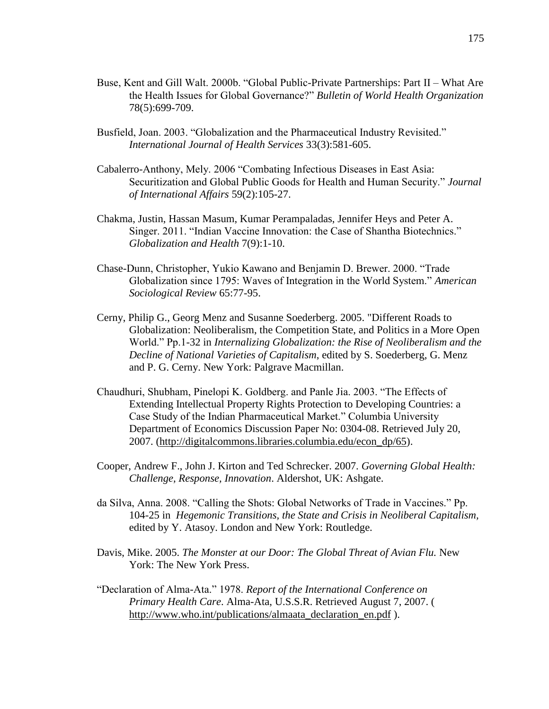- Buse, Kent and Gill Walt. 2000b. "Global Public-Private Partnerships: Part II What Are the Health Issues for Global Governance?" *Bulletin of World Health Organization* 78(5):699-709.
- Busfield, Joan. 2003. "Globalization and the Pharmaceutical Industry Revisited." *International Journal of Health Services* 33(3):581-605.
- Cabalerro-Anthony, Mely. 2006 "Combating Infectious Diseases in East Asia: Securitization and Global Public Goods for Health and Human Security." *Journal of International Affairs* 59(2):105-27.
- Chakma, Justin, Hassan Masum, Kumar Perampaladas, Jennifer Heys and Peter A. Singer. 2011. "Indian Vaccine Innovation: the Case of Shantha Biotechnics." *Globalization and Health* 7(9):1-10.
- Chase-Dunn, Christopher, Yukio Kawano and Benjamin D. Brewer. 2000. "Trade Globalization since 1795: Waves of Integration in the World System." *American Sociological Review* 65:77-95.
- Cerny, Philip G., Georg Menz and Susanne Soederberg. 2005. "Different Roads to Globalization: Neoliberalism, the Competition State, and Politics in a More Open World." Pp.1-32 in *Internalizing Globalization: the Rise of Neoliberalism and the Decline of National Varieties of Capitalism*, edited by S. Soederberg, G. Menz and P. G. Cerny. New York: Palgrave Macmillan.
- Chaudhuri, Shubham, Pinelopi K. Goldberg. and Panle Jia. 2003. "The Effects of Extending Intellectual Property Rights Protection to Developing Countries: a Case Study of the Indian Pharmaceutical Market." Columbia University Department of Economics Discussion Paper No: 0304-08. Retrieved July 20, 2007. [\(http://digitalcommons.libraries.columbia.edu/econ\\_dp/65\)](http://digitalcommons.libraries.columbia.edu/econ_dp/65).
- Cooper, Andrew F., John J. Kirton and Ted Schrecker. 2007. *Governing Global Health: Challenge, Response, Innovation*. Aldershot, UK: Ashgate.
- da Silva, Anna. 2008. "Calling the Shots: Global Networks of Trade in Vaccines." Pp. 104-25 in *Hegemonic Transitions, the State and Crisis in Neoliberal Capitalism,*  edited by Y. Atasoy. London and New York: Routledge.
- Davis, Mike. 2005. *The Monster at our Door: The Global Threat of Avian Flu.* New York: The New York Press.
- "Declaration of Alma-Ata." 1978. *Report of the International Conference on Primary Health Care*. Alma-Ata, U.S.S.R. Retrieved August 7, 2007. ( [http://www.who.int/publications/almaata\\_declaration\\_en.pdf](http://www.who.int/publications/almaata_declaration_en.pdf) ).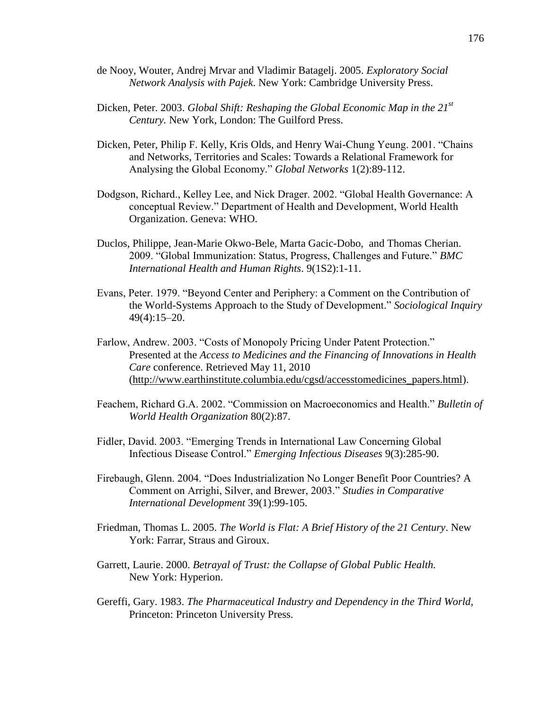- de Nooy, Wouter, Andrej Mrvar and Vladimir Batagelj. 2005. *Exploratory Social Network Analysis with Pajek*. New York: Cambridge University Press.
- Dicken, Peter. 2003. *Global Shift: Reshaping the Global Economic Map in the 21st Century.* New York, London: The Guilford Press.
- Dicken, Peter, Philip F. Kelly, Kris Olds, and Henry Wai-Chung Yeung. 2001. "Chains and Networks, Territories and Scales: Towards a Relational Framework for Analysing the Global Economy." *Global Networks* 1(2):89-112.
- Dodgson, Richard., Kelley Lee, and Nick Drager. 2002. "Global Health Governance: A conceptual Review." Department of Health and Development, World Health Organization. Geneva: WHO.
- Duclos, Philippe, Jean-Marie Okwo-Bele, Marta Gacic-Dobo, and Thomas Cherian. 2009. "Global Immunization: Status, Progress, Challenges and Future." *BMC International Health and Human Rights*. 9(1S2):1-11.
- Evans, Peter. 1979. "Beyond Center and Periphery: a Comment on the Contribution of the World-Systems Approach to the Study of Development." *Sociological Inquiry* 49(4):15–20.
- Farlow, Andrew. 2003. "Costs of Monopoly Pricing Under Patent Protection." Presented at the *Access to Medicines and the Financing of Innovations in Health Care* conference. Retrieved May 11, 2010 [\(http://www.earthinstitute.columbia.edu/cgsd/accesstomedicines\\_papers.html\)](http://www.earthinstitute.columbia.edu/cgsd/accesstomedicines_papers.html).
- Feachem, Richard G.A. 2002. "Commission on Macroeconomics and Health." *Bulletin of World Health Organization* 80(2):87.
- Fidler, David. 2003. "Emerging Trends in International Law Concerning Global Infectious Disease Control." *Emerging Infectious Diseases* 9(3):285-90.
- Firebaugh, Glenn. 2004. "Does Industrialization No Longer Benefit Poor Countries? A Comment on Arrighi, Silver, and Brewer, 2003." *Studies in Comparative International Development* 39(1):99-105.
- Friedman, Thomas L. 2005. *The World is Flat: A Brief History of the 21 Century*. New York: Farrar, Straus and Giroux.
- Garrett, Laurie. 2000. *Betrayal of Trust: the Collapse of Global Public Health.* New York: Hyperion.
- Gereffi, Gary. 1983. *The Pharmaceutical Industry and Dependency in the Third World,* Princeton: Princeton University Press.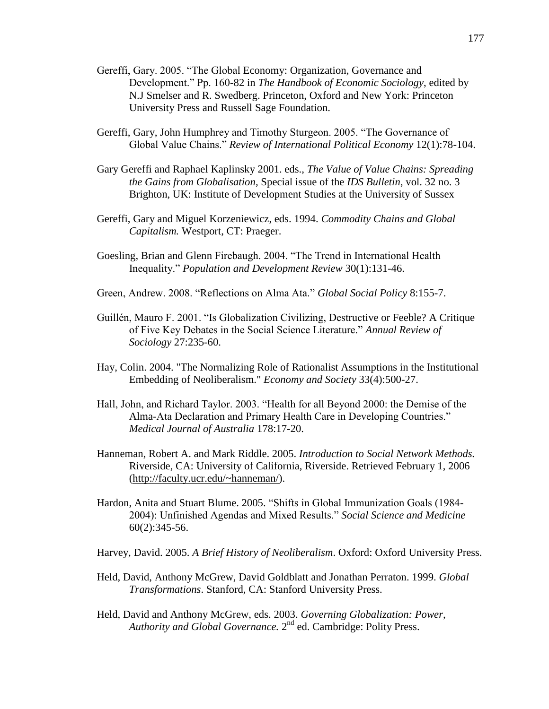- Gereffi, Gary. 2005. "The Global Economy: Organization, Governance and Development." Pp. 160-82 in *The Handbook of Economic Sociology*, edited by N.J Smelser and R. Swedberg. Princeton, Oxford and New York: Princeton University Press and Russell Sage Foundation.
- Gereffi, Gary, John Humphrey and Timothy Sturgeon. 2005. "The Governance of Global Value Chains." *Review of International Political Economy* 12(1):78-104.
- Gary Gereffi and Raphael Kaplinsky 2001. eds., *The Value of Value Chains: Spreading the Gains from Globalisation*, Special issue of the *IDS Bulletin*, vol. 32 no. 3 Brighton, UK: Institute of Development Studies at the University of Sussex
- Gereffi, Gary and Miguel Korzeniewicz, eds. 1994. *Commodity Chains and Global Capitalism.* Westport, CT: Praeger.
- Goesling, Brian and Glenn Firebaugh. 2004. "The Trend in International Health Inequality." *Population and Development Review* 30(1):131-46.
- Green, Andrew. 2008. "Reflections on Alma Ata." *Global Social Policy* 8:155-7.
- Guillén, Mauro F. 2001. "Is Globalization Civilizing, Destructive or Feeble? A Critique of Five Key Debates in the Social Science Literature." *Annual Review of Sociology* 27:235-60.
- Hay, Colin. 2004. "The Normalizing Role of Rationalist Assumptions in the Institutional Embedding of Neoliberalism." *Economy and Society* 33(4):500-27.
- Hall, John, and Richard Taylor. 2003. "Health for all Beyond 2000: the Demise of the Alma-Ata Declaration and Primary Health Care in Developing Countries." *Medical Journal of Australia* 178:17-20.
- Hanneman, Robert A. and Mark Riddle. 2005. *Introduction to Social Network Methods.*  Riverside, CA: University of California, Riverside. Retrieved February 1, 2006 [\(http://faculty.ucr.edu/~hanneman/\)](http://faculty.ucr.edu/~hanneman/).
- Hardon, Anita and Stuart Blume. 2005. "Shifts in Global Immunization Goals (1984- 2004): Unfinished Agendas and Mixed Results." *Social Science and Medicine* 60(2):345-56.
- Harvey, David. 2005. *A Brief History of Neoliberalism*. Oxford: Oxford University Press.
- Held, David, Anthony McGrew, David Goldblatt and Jonathan Perraton. 1999. *Global Transformations*. Stanford, CA: Stanford University Press.
- Held, David and Anthony McGrew, eds. 2003. *Governing Globalization: Power,*  Authority and Global Governance. 2<sup>nd</sup> ed. Cambridge: Polity Press.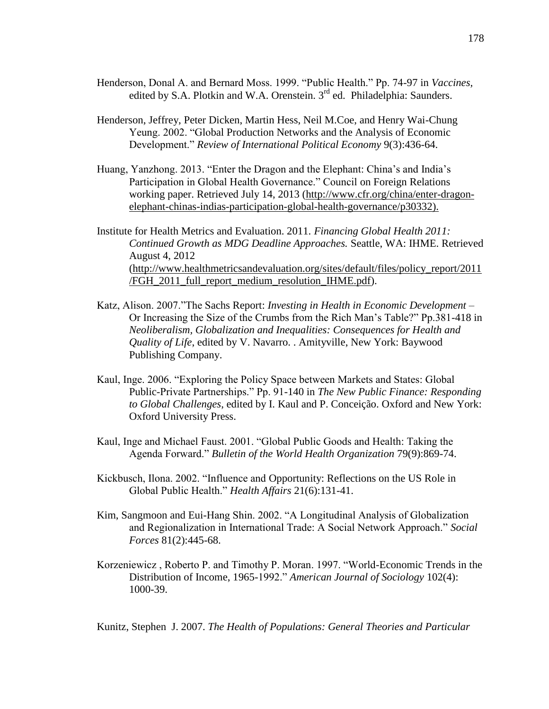- Henderson, Donal A. and Bernard Moss. 1999. "Public Health." Pp. 74-97 in *Vaccines,* edited by S.A. Plotkin and W.A. Orenstein. 3<sup>rd</sup> ed. Philadelphia: Saunders.
- Henderson, Jeffrey, Peter Dicken, Martin Hess, Neil M.Coe, and Henry Wai-Chung Yeung. 2002. "Global Production Networks and the Analysis of Economic Development." *Review of International Political Economy* 9(3):436-64.
- Huang, Yanzhong. 2013. "Enter the Dragon and the Elephant: China's and India's Participation in Global Health Governance." Council on Foreign Relations working paper. Retrieved July 14, 2013 [\(http://www.cfr.org/china/enter-dragon](http://www.cfr.org/china/enter-dragon-elephant-chinas-indias-participation-global-health-governance/p30332)[elephant-chinas-indias-participation-global-health-governance/p30332\)](http://www.cfr.org/china/enter-dragon-elephant-chinas-indias-participation-global-health-governance/p30332).
- Institute for Health Metrics and Evaluation. 2011. *Financing Global Health 2011: Continued Growth as MDG Deadline Approaches.* Seattle, WA: IHME. Retrieved August 4, 2012 [\(http://www.healthmetricsandevaluation.org/sites/default/files/policy\\_report/2011](http://www.healthmetricsandevaluation.org/sites/default/files/policy_report/2011/FGH_2011_full_report_medium_resolution_IHME.pdf) [/FGH\\_2011\\_full\\_report\\_medium\\_resolution\\_IHME.pdf\)](http://www.healthmetricsandevaluation.org/sites/default/files/policy_report/2011/FGH_2011_full_report_medium_resolution_IHME.pdf).
- Katz, Alison. 2007."The Sachs Report: *Investing in Health in Economic Development* Or Increasing the Size of the Crumbs from the Rich Man's Table?" Pp.381-418 in *Neoliberalism, Globalization and Inequalities: Consequences for Health and Quality of Life*, edited by V. Navarro. . Amityville, New York: Baywood Publishing Company.
- Kaul, Inge. 2006. "Exploring the Policy Space between Markets and States: Global Public-Private Partnerships." Pp. 91-140 in *The New Public Finance: Responding to Global Challenges*, edited by I. Kaul and P. Conceição. Oxford and New York: Oxford University Press.
- Kaul, Inge and Michael Faust. 2001. "Global Public Goods and Health: Taking the Agenda Forward." *Bulletin of the World Health Organization* 79(9):869-74.
- Kickbusch, Ilona. 2002. "Influence and Opportunity: Reflections on the US Role in Global Public Health." *Health Affairs* 21(6):131-41.
- Kim, Sangmoon and Eui-Hang Shin. 2002. "A Longitudinal Analysis of Globalization and Regionalization in International Trade: A Social Network Approach." *Social Forces* 81(2):445-68.
- Korzeniewicz , Roberto P. and Timothy P. Moran. 1997. "World-Economic Trends in the Distribution of Income, 1965-1992." *American Journal of Sociology* 102(4): 1000-39.

Kunitz, Stephen J. 2007. *The Health of Populations: General Theories and Particular*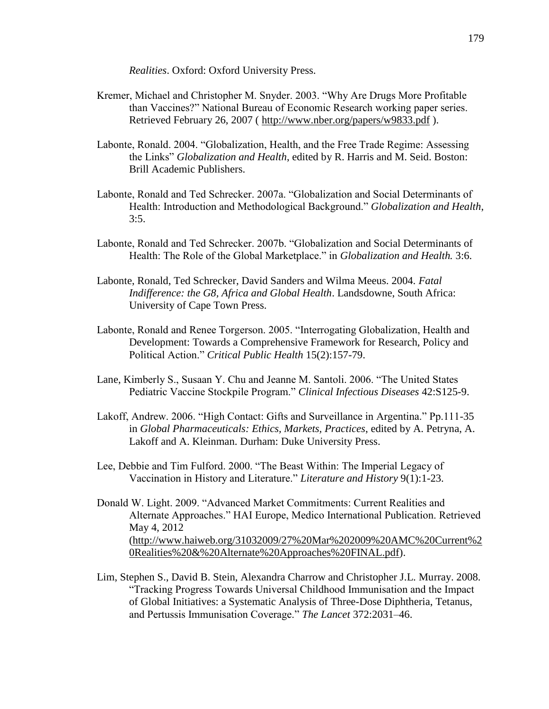*Realities*. Oxford: Oxford University Press.

- Kremer, Michael and Christopher M. Snyder. 2003. "Why Are Drugs More Profitable than Vaccines?" National Bureau of Economic Research working paper series. Retrieved February 26, 2007 (<http://www.nber.org/papers/w9833.pdf> ).
- Labonte, Ronald. 2004. "Globalization, Health, and the Free Trade Regime: Assessing the Links" *Globalization and Health*, edited by R. Harris and M. Seid. Boston: Brill Academic Publishers.
- Labonte, Ronald and Ted Schrecker. 2007a. "Globalization and Social Determinants of Health: Introduction and Methodological Background." *Globalization and Health*,  $3:5.$
- Labonte, Ronald and Ted Schrecker. 2007b. "Globalization and Social Determinants of Health: The Role of the Global Marketplace." in *Globalization and Health.* 3:6.
- Labonte, Ronald, Ted Schrecker, David Sanders and Wilma Meeus. 2004. *Fatal Indifference: the G8, Africa and Global Health*. Landsdowne, South Africa: University of Cape Town Press.
- Labonte, Ronald and Renee Torgerson. 2005. "Interrogating Globalization, Health and Development: Towards a Comprehensive Framework for Research, Policy and Political Action." *Critical Public Health* 15(2):157-79.
- Lane, Kimberly S., Susaan Y. Chu and Jeanne M. Santoli. 2006. "The United States Pediatric Vaccine Stockpile Program." *Clinical Infectious Diseases* 42:S125-9.
- Lakoff, Andrew. 2006. "High Contact: Gifts and Surveillance in Argentina." Pp.111-35 in *Global Pharmaceuticals: Ethics, Markets, Practices*, edited by A. Petryna, A. Lakoff and A. Kleinman. Durham: Duke University Press.
- Lee, Debbie and Tim Fulford. 2000. "The Beast Within: The Imperial Legacy of Vaccination in History and Literature." *Literature and History* 9(1):1-23.
- Donald W. Light. 2009. "Advanced Market Commitments: Current Realities and Alternate Approaches." HAI Europe, Medico International Publication. Retrieved May 4, 2012 [\(http://www.haiweb.org/31032009/27%20Mar%202009%20AMC%20Current%2](http://www.haiweb.org/31032009/27%20Mar%202009%20AMC%20Current%20Realities%20&%20Alternate%20Approaches%20FINAL.pdf) [0Realities%20&%20Alternate%20Approaches%20FINAL.pdf\)](http://www.haiweb.org/31032009/27%20Mar%202009%20AMC%20Current%20Realities%20&%20Alternate%20Approaches%20FINAL.pdf).
- Lim, Stephen S., David B. Stein, Alexandra Charrow and Christopher J.L. Murray. 2008. "Tracking Progress Towards Universal Childhood Immunisation and the Impact of Global Initiatives: a Systematic Analysis of Three-Dose Diphtheria, Tetanus, and Pertussis Immunisation Coverage." *The Lancet* 372:2031–46.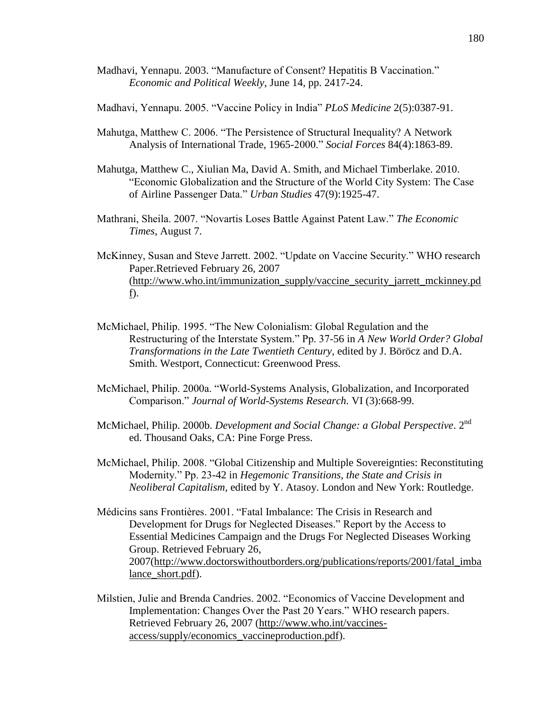- Madhavi, Yennapu. 2003. "Manufacture of Consent? Hepatitis B Vaccination." *Economic and Political Weekly*, June 14, pp. 2417-24.
- Madhavi, Yennapu. 2005. "Vaccine Policy in India" *PLoS Medicine* 2(5):0387-91.
- Mahutga, Matthew C. 2006. "The Persistence of Structural Inequality? A Network Analysis of International Trade, 1965-2000." *Social Forces* 84(4):1863-89.
- Mahutga, Matthew C., Xiulian Ma, David A. Smith, and Michael Timberlake. 2010. "Economic Globalization and the Structure of the World City System: The Case of Airline Passenger Data." *Urban Studies* 47(9):1925-47.
- Mathrani, Sheila. 2007. "Novartis Loses Battle Against Patent Law." *The Economic Times*, August 7.
- McKinney, Susan and Steve Jarrett. 2002. "Update on Vaccine Security." WHO research Paper.Retrieved February 26, 2007 [\(http://www.who.int/immunization\\_supply/vaccine\\_security\\_jarrett\\_mckinney.pd](http://www.who.int/immunization_supply/vaccine_security_jarrett_mckinney.pdf) [f\)](http://www.who.int/immunization_supply/vaccine_security_jarrett_mckinney.pdf).
- McMichael, Philip. 1995. "The New Colonialism: Global Regulation and the Restructuring of the Interstate System." Pp. 37-56 in *A New World Order? Global Transformations in the Late Twentieth Century*, edited by J. Böröcz and D.A. Smith. Westport, Connecticut: Greenwood Press.
- McMichael, Philip. 2000a. "World-Systems Analysis, Globalization, and Incorporated Comparison." *Journal of World-Systems Research*. VI (3):668-99.
- McMichael, Philip. 2000b. *Development and Social Change: a Global Perspective*. 2nd ed. Thousand Oaks, CA: Pine Forge Press.
- McMichael, Philip. 2008. "Global Citizenship and Multiple Sovereignties: Reconstituting Modernity." Pp. 23-42 in *Hegemonic Transitions, the State and Crisis in Neoliberal Capitalism,* edited by Y. Atasoy. London and New York: Routledge.
- Médicins sans Frontières. 2001. "Fatal Imbalance: The Crisis in Research and Development for Drugs for Neglected Diseases." Report by the Access to Essential Medicines Campaign and the Drugs For Neglected Diseases Working Group. Retrieved February 26, 2007[\(http://www.doctorswithoutborders.org/publications/reports/2001/fatal\\_imba](http://www.doctorswithoutborders.org/publications/reports/2001/fatal_imbalance_short.pdf) lance short.pdf).
- Milstien, Julie and Brenda Candries. 2002. "Economics of Vaccine Development and Implementation: Changes Over the Past 20 Years." WHO research papers. Retrieved February 26, 2007 [\(http://www.who.int/vaccines](http://www.who.int/vaccines-access/supply/economics_vaccineproduction.pdf)[access/supply/economics\\_vaccineproduction.pdf\)](http://www.who.int/vaccines-access/supply/economics_vaccineproduction.pdf).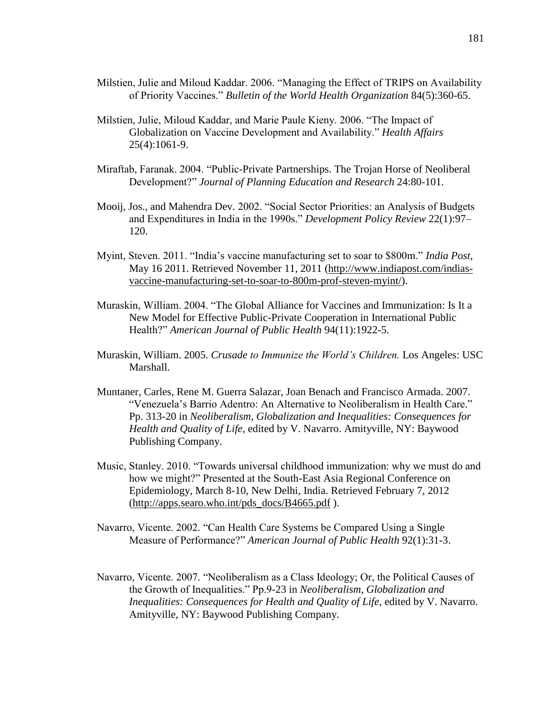- Milstien, Julie and Miloud Kaddar. 2006. "Managing the Effect of TRIPS on Availability of Priority Vaccines." *Bulletin of the World Health Organization* 84(5):360-65.
- Milstien, Julie, Miloud Kaddar, and Marie Paule Kieny. 2006. "The Impact of Globalization on Vaccine Development and Availability." *Health Affairs* 25(4):1061-9.
- Miraftab, Faranak. 2004. "Public-Private Partnerships. The Trojan Horse of Neoliberal Development?" *Journal of Planning Education and Research* 24:80-101.
- Mooij, Jos., and Mahendra Dev. 2002. "Social Sector Priorities: an Analysis of Budgets and Expenditures in India in the 1990s." *Development Policy Review* 22(1):97– 120.
- Myint, Steven. 2011. "India's vaccine manufacturing set to soar to \$800m." *India Post,* May 16 2011. Retrieved November 11, 2011 [\(http://www.indiapost.com/indias](http://www.indiapost.com/indias-vaccine-manufacturing-set-to-soar-to-800m-prof-steven-myint/)[vaccine-manufacturing-set-to-soar-to-800m-prof-steven-myint/\)](http://www.indiapost.com/indias-vaccine-manufacturing-set-to-soar-to-800m-prof-steven-myint/).
- Muraskin, William. 2004. "The Global Alliance for Vaccines and Immunization: Is It a New Model for Effective Public-Private Cooperation in International Public Health?" *American Journal of Public Health* 94(11):1922-5.
- Muraskin, William. 2005. *Crusade to Immunize the World's Children.* Los Angeles: USC Marshall.
- Muntaner, Carles, Rene M. Guerra Salazar, Joan Benach and Francisco Armada. 2007. "Venezuela's Barrio Adentro: An Alternative to Neoliberalism in Health Care." Pp. 313-20 in *Neoliberalism, Globalization and Inequalities: Consequences for Health and Quality of Life*, edited by V. Navarro. Amityville, NY: Baywood Publishing Company.
- Music, Stanley. 2010. "Towards universal childhood immunization: why we must do and how we might?" Presented at the South-East Asia Regional Conference on Epidemiology, March 8-10, New Delhi, India. Retrieved February 7, 2012 [\(http://apps.searo.who.int/pds\\_docs/B4665.pdf](http://apps.searo.who.int/pds_docs/B4665.pdf) ).
- Navarro, Vicente. 2002. "Can Health Care Systems be Compared Using a Single Measure of Performance?" *American Journal of Public Health* 92(1):31-3.
- Navarro, Vicente. 2007. "Neoliberalism as a Class Ideology; Or, the Political Causes of the Growth of Inequalities." Pp.9-23 in *Neoliberalism, Globalization and Inequalities: Consequences for Health and Quality of Life*, edited by V. Navarro. Amityville, NY: Baywood Publishing Company.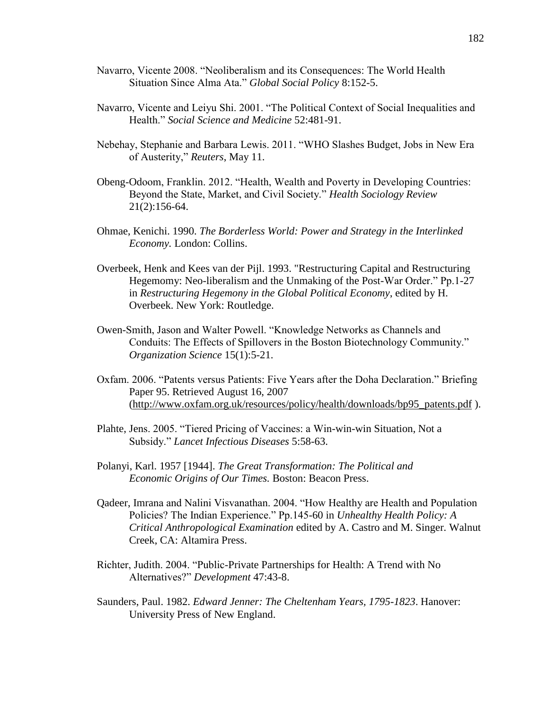- Navarro, Vicente 2008. "Neoliberalism and its Consequences: The World Health Situation Since Alma Ata." *Global Social Policy* 8:152-5.
- Navarro, Vicente and Leiyu Shi. 2001. "The Political Context of Social Inequalities and Health." *Social Science and Medicine* 52:481-91.
- Nebehay, Stephanie and Barbara Lewis. 2011. "WHO Slashes Budget, Jobs in New Era of Austerity," *Reuters*, May 11.
- Obeng-Odoom, Franklin. 2012. "Health, Wealth and Poverty in Developing Countries: Beyond the State, Market, and Civil Society." *Health Sociology Review* 21(2):156-64.
- Ohmae, Kenichi. 1990. *The Borderless World: Power and Strategy in the Interlinked Economy.* London: Collins.
- Overbeek, Henk and Kees van der Pijl. 1993. "Restructuring Capital and Restructuring Hegemomy: Neo-liberalism and the Unmaking of the Post-War Order." Pp.1-27 in *Restructuring Hegemony in the Global Political Economy*, edited by H. Overbeek. New York: Routledge.
- Owen-Smith, Jason and Walter Powell. "Knowledge Networks as Channels and Conduits: The Effects of Spillovers in the Boston Biotechnology Community." *Organization Science* 15(1):5-21.
- Oxfam. 2006. "Patents versus Patients: Five Years after the Doha Declaration." Briefing Paper 95. Retrieved August 16, 2007 [\(http://www.oxfam.org.uk/resources/policy/health/downloads/bp95\\_patents.pdf](http://www.oxfam.org.uk/resources/policy/health/downloads/bp95_patents.pdf) ).
- Plahte, Jens. 2005. "Tiered Pricing of Vaccines: a Win-win-win Situation, Not a Subsidy." *Lancet Infectious Diseases* 5:58-63.
- Polanyi, Karl. 1957 [1944]. *The Great Transformation: The Political and Economic Origins of Our Times.* Boston: Beacon Press.
- Qadeer, Imrana and Nalini Visvanathan. 2004. "How Healthy are Health and Population Policies? The Indian Experience." Pp.145-60 in *Unhealthy Health Policy: A Critical Anthropological Examination* edited by A. Castro and M. Singer. Walnut Creek, CA: Altamira Press.
- Richter, Judith. 2004. "Public-Private Partnerships for Health: A Trend with No Alternatives?" *Development* 47:43-8.
- Saunders, Paul. 1982. *Edward Jenner: The Cheltenham Years, 1795-1823*. Hanover: University Press of New England.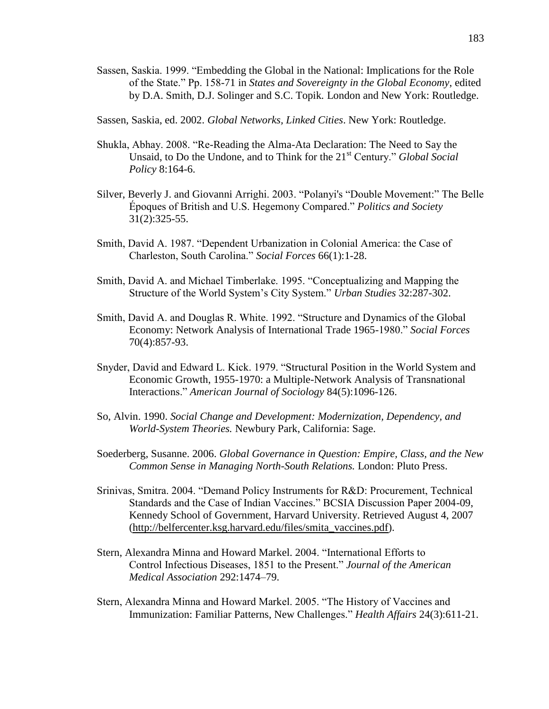- Sassen, Saskia. 1999. "Embedding the Global in the National: Implications for the Role of the State." Pp. 158-71 in *States and Sovereignty in the Global Economy*, edited by D.A. Smith, D.J. Solinger and S.C. Topik*.* London and New York: Routledge.
- Sassen, Saskia, ed. 2002. *Global Networks, Linked Cities*. New York: Routledge.
- Shukla, Abhay. 2008. "Re-Reading the Alma-Ata Declaration: The Need to Say the Unsaid, to Do the Undone, and to Think for the 21st Century." *Global Social Policy* 8:164-6.
- Silver, Beverly J. and Giovanni Arrighi. 2003. "Polanyi's "Double Movement:" The Belle Époques of British and U.S. Hegemony Compared." *Politics and Society* 31(2):325-55.
- Smith, David A. 1987. "Dependent Urbanization in Colonial America: the Case of Charleston, South Carolina." *Social Forces* 66(1):1-28.
- Smith, David A. and Michael Timberlake. 1995. "Conceptualizing and Mapping the Structure of the World System's City System." *Urban Studies* 32:287-302.
- Smith, David A. and Douglas R. White. 1992. "Structure and Dynamics of the Global Economy: Network Analysis of International Trade 1965-1980." *Social Forces* 70(4):857-93.
- Snyder, David and Edward L. Kick. 1979. "Structural Position in the World System and Economic Growth, 1955-1970: a Multiple-Network Analysis of Transnational Interactions." *American Journal of Sociology* 84(5):1096-126.
- So, Alvin. 1990. *Social Change and Development: Modernization, Dependency, and World-System Theories.* Newbury Park, California: Sage.
- Soederberg, Susanne. 2006. *Global Governance in Question: Empire, Class, and the New Common Sense in Managing North-South Relations.* London: Pluto Press.
- Srinivas, Smitra. 2004. "Demand Policy Instruments for R&D: Procurement, Technical Standards and the Case of Indian Vaccines." BCSIA Discussion Paper 2004-09, Kennedy School of Government, Harvard University. Retrieved August 4, 2007 [\(http://belfercenter.ksg.harvard.edu/files/smita\\_vaccines.pdf\)](http://belfercenter.ksg.harvard.edu/files/smita_vaccines.pdf).
- Stern, Alexandra Minna and Howard Markel. 2004. "International Efforts to Control Infectious Diseases, 1851 to the Present." *Journal of the American Medical Association* 292:1474–79.
- Stern, Alexandra Minna and Howard Markel. 2005. "The History of Vaccines and Immunization: Familiar Patterns, New Challenges." *Health Affairs* 24(3):611-21.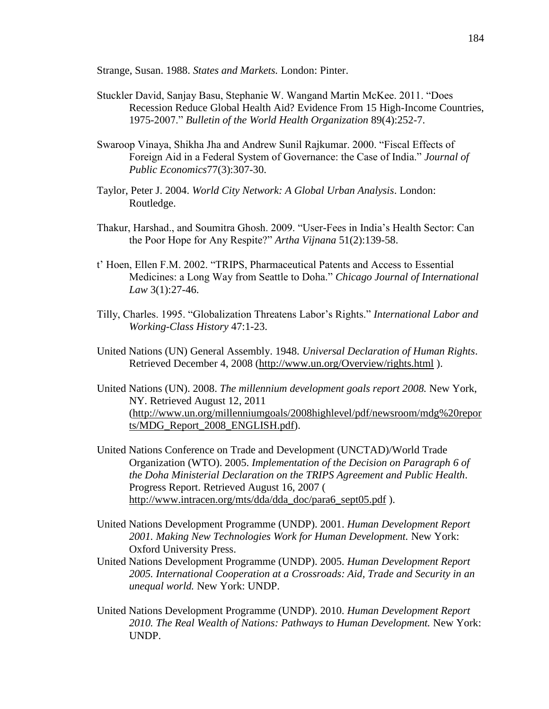Strange, Susan. 1988. *States and Markets.* London: Pinter.

- Stuckler David, Sanjay Basu, Stephanie W. Wangand Martin McKee. 2011. "Does Recession Reduce Global Health Aid? Evidence From 15 High-Income Countries, 1975-2007." *Bulletin of the World Health Organization* 89(4):252-7.
- Swaroop Vinaya, Shikha Jha and Andrew Sunil Rajkumar. 2000. "Fiscal Effects of Foreign Aid in a Federal System of Governance: the Case of India." *Journal of Public Economics*77(3):307-30.
- Taylor, Peter J. 2004. *World City Network: A Global Urban Analysis*. London: Routledge.
- Thakur, Harshad., and Soumitra Ghosh. 2009. "User-Fees in India's Health Sector: Can the Poor Hope for Any Respite?" *Artha Vijnana* 51(2):139-58.
- t' Hoen, Ellen F.M. 2002. "TRIPS, Pharmaceutical Patents and Access to Essential Medicines: a Long Way from Seattle to Doha." *Chicago Journal of International Law* 3(1):27-46.
- Tilly, Charles. 1995. "Globalization Threatens Labor's Rights." *International Labor and Working-Class History* 47:1-23.
- United Nations (UN) General Assembly. 1948. *Universal Declaration of Human Rights*. Retrieved December 4, 2008 [\(http://www.un.org/Overview/rights.html](http://www.un.org/Overview/rights.html) ).
- United Nations (UN). 2008. *The millennium development goals report 2008.* New York, NY. Retrieved August 12, 2011 [\(http://www.un.org/millenniumgoals/2008highlevel/pdf/newsroom/mdg%20repor](http://www.un.org/millenniumgoals/2008highlevel/pdf/newsroom/mdg%20reports/MDG_Report_2008_ENGLISH.pdf) [ts/MDG\\_Report\\_2008\\_ENGLISH.pdf\)](http://www.un.org/millenniumgoals/2008highlevel/pdf/newsroom/mdg%20reports/MDG_Report_2008_ENGLISH.pdf).
- United Nations Conference on Trade and Development (UNCTAD)/World Trade Organization (WTO). 2005. *Implementation of the Decision on Paragraph 6 of the Doha Ministerial Declaration on the TRIPS Agreement and Public Health*. Progress Report. Retrieved August 16, 2007 ( [http://www.intracen.org/mts/dda/dda\\_doc/para6\\_sept05.pdf](http://www.intracen.org/mts/dda/dda_doc/para6_sept05.pdf) ).
- United Nations Development Programme (UNDP). 2001. *Human Development Report 2001. Making New Technologies Work for Human Development.* New York: Oxford University Press.
- United Nations Development Programme (UNDP). 2005. *Human Development Report 2005. International Cooperation at a Crossroads: Aid, Trade and Security in an unequal world.* New York: UNDP.
- United Nations Development Programme (UNDP). 2010. *Human Development Report 2010. The Real Wealth of Nations: Pathways to Human Development.* New York: UNDP.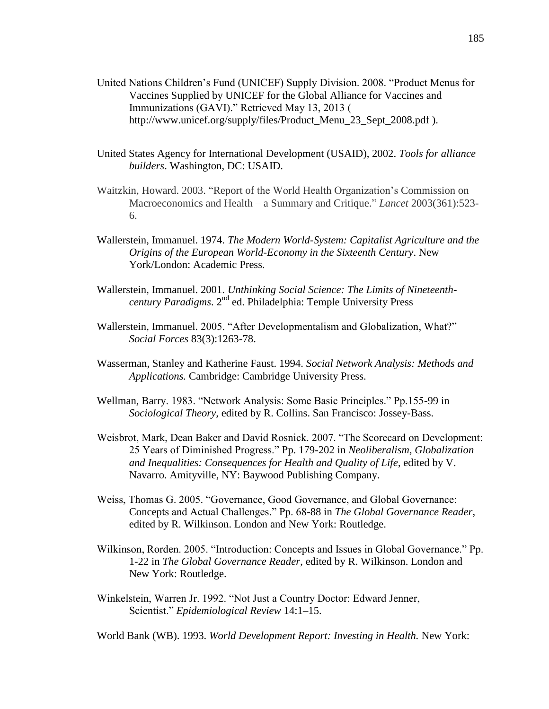- United Nations Children's Fund (UNICEF) Supply Division. 2008. "Product Menus for Vaccines Supplied by UNICEF for the Global Alliance for Vaccines and Immunizations (GAVI)." Retrieved May 13, 2013 ( [http://www.unicef.org/supply/files/Product\\_Menu\\_23\\_Sept\\_2008.pdf](http://www.unicef.org/supply/files/Product_Menu_23_Sept_2008.pdf) ).
- United States Agency for International Development (USAID), 2002. *Tools for alliance builders*. Washington, DC: USAID.
- Waitzkin, Howard. 2003. "Report of the World Health Organization's Commission on Macroeconomics and Health – a Summary and Critique." *Lancet* 2003(361):523- 6.
- Wallerstein, Immanuel. 1974. *The Modern World-System: Capitalist Agriculture and the Origins of the European World-Economy in the Sixteenth Century*. New York/London: Academic Press.
- Wallerstein, Immanuel. 2001. *Unthinking Social Science: The Limits of Nineteenthcentury Paradigms*. 2nd ed. Philadelphia: Temple University Press
- Wallerstein, Immanuel. 2005. "After Developmentalism and Globalization, What?" *Social Forces* 83(3):1263-78.
- Wasserman, Stanley and Katherine Faust. 1994. *Social Network Analysis: Methods and Applications.* Cambridge: Cambridge University Press.
- Wellman, Barry. 1983. "Network Analysis: Some Basic Principles." Pp.155-99 in *Sociological Theory,* edited by R. Collins. San Francisco: Jossey-Bass.
- Weisbrot, Mark, Dean Baker and David Rosnick. 2007. "The Scorecard on Development: 25 Years of Diminished Progress." Pp. 179-202 in *Neoliberalism, Globalization and Inequalities: Consequences for Health and Quality of Life*, edited by V. Navarro. Amityville, NY: Baywood Publishing Company.
- Weiss, Thomas G. 2005. "Governance, Good Governance, and Global Governance: Concepts and Actual Challenges." Pp. 68-88 in *The Global Governance Reader*, edited by R. Wilkinson. London and New York: Routledge.
- Wilkinson, Rorden. 2005. "Introduction: Concepts and Issues in Global Governance." Pp. 1-22 in *The Global Governance Reader*, edited by R. Wilkinson. London and New York: Routledge.
- Winkelstein, Warren Jr. 1992. "Not Just a Country Doctor: Edward Jenner, Scientist." *Epidemiological Review* 14:1–15.

World Bank (WB). 1993. *World Development Report: Investing in Health.* New York: